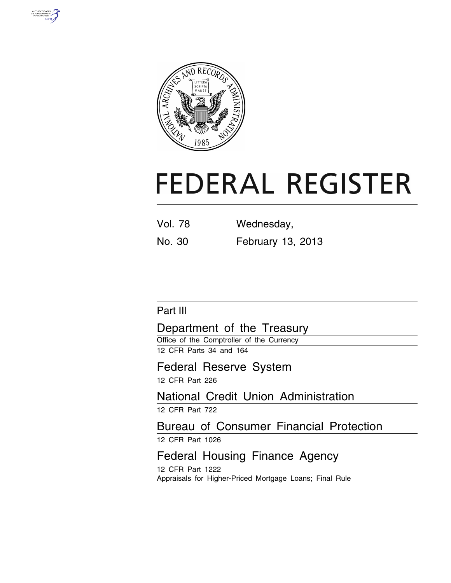



# **FEDERAL REGISTER**

| <b>Vol. 78</b> | Wednesday,               |
|----------------|--------------------------|
| No. 30         | <b>February 13, 2013</b> |

Part III

# Department of the Treasury

Office of the Comptroller of the Currency 12 CFR Parts 34 and 164

# Federal Reserve System

12 CFR Part 226

# National Credit Union Administration

12 CFR Part 722

# Bureau of Consumer Financial Protection

12 CFR Part 1026

# Federal Housing Finance Agency

12 CFR Part 1222 Appraisals for Higher-Priced Mortgage Loans; Final Rule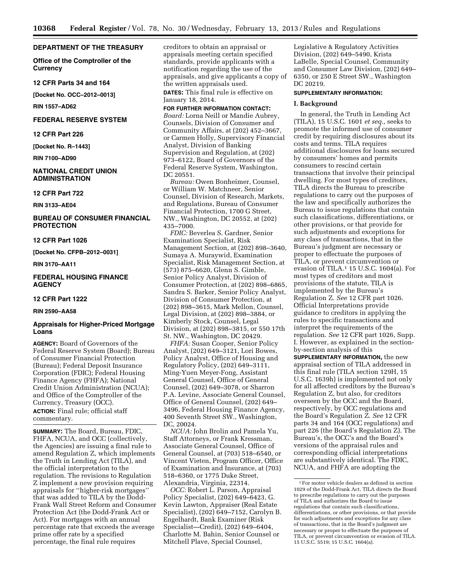## **DEPARTMENT OF THE TREASURY**

**Office of the Comptroller of the Currency** 

**12 CFR Parts 34 and 164** 

**[Docket No. OCC–2012–0013]** 

**RIN 1557–AD62** 

#### **FEDERAL RESERVE SYSTEM**

## **12 CFR Part 226**

**[Docket No. R–1443]** 

**RIN 7100–AD90** 

## **NATIONAL CREDIT UNION ADMINISTRATION**

**12 CFR Part 722** 

**RIN 3133–AE04** 

## **BUREAU OF CONSUMER FINANCIAL PROTECTION**

#### **12 CFR Part 1026**

**[Docket No. CFPB–2012–0031]** 

**RIN 3170–AA11** 

## **FEDERAL HOUSING FINANCE AGENCY**

## **12 CFR Part 1222**

#### **RIN 2590–AA58**

## **Appraisals for Higher-Priced Mortgage Loans**

**AGENCY:** Board of Governors of the Federal Reserve System (Board); Bureau of Consumer Financial Protection (Bureau); Federal Deposit Insurance Corporation (FDIC); Federal Housing Finance Agency (FHFA); National Credit Union Administration (NCUA); and Office of the Comptroller of the Currency, Treasury (OCC). **ACTION:** Final rule; official staff

# commentary.

**SUMMARY:** The Board, Bureau, FDIC, FHFA, NCUA, and OCC (collectively, the Agencies) are issuing a final rule to amend Regulation Z, which implements the Truth in Lending Act (TILA), and the official interpretation to the regulation. The revisions to Regulation Z implement a new provision requiring appraisals for ''higher-risk mortgages'' that was added to TILA by the Dodd-Frank Wall Street Reform and Consumer Protection Act (the Dodd-Frank Act or Act). For mortgages with an annual percentage rate that exceeds the average prime offer rate by a specified percentage, the final rule requires

creditors to obtain an appraisal or appraisals meeting certain specified standards, provide applicants with a notification regarding the use of the appraisals, and give applicants a copy of the written appraisals used.

**DATES:** This final rule is effective on January 18, 2014.

## **FOR FURTHER INFORMATION CONTACT:**

*Board:* Lorna Neill or Mandie Aubrey, Counsels, Division of Consumer and Community Affairs, at (202) 452–3667, or Carmen Holly, Supervisory Financial Analyst, Division of Banking Supervision and Regulation, at (202) 973–6122, Board of Governors of the Federal Reserve System, Washington, DC 20551.

*Bureau:* Owen Bonheimer, Counsel, or William W. Matchneer, Senior Counsel, Division of Research, Markets, and Regulations, Bureau of Consumer Financial Protection, 1700 G Street, NW., Washington, DC 20552, at (202) 435–7000.

*FDIC:* Beverlea S. Gardner, Senior Examination Specialist, Risk Management Section, at (202) 898–3640, Sumaya A. Muraywid, Examination Specialist, Risk Management Section, at (573) 875–6620, Glenn S. Gimble, Senior Policy Analyst, Division of Consumer Protection, at (202) 898–6865, Sandra S. Barker, Senior Policy Analyst, Division of Consumer Protection, at (202) 898–3615, Mark Mellon, Counsel, Legal Division, at (202) 898–3884, or Kimberly Stock, Counsel, Legal Division, at (202) 898–3815, or 550 17th St. NW., Washington, DC 20429.

*FHFA:* Susan Cooper, Senior Policy Analyst, (202) 649–3121, Lori Bowes, Policy Analyst, Office of Housing and Regulatory Policy, (202) 649–3111, Ming-Yuen Meyer-Fong, Assistant General Counsel, Office of General Counsel, (202) 649–3078, or Sharron P.A. Levine, Associate General Counsel, Office of General Counsel, (202) 649– 3496, Federal Housing Finance Agency, 400 Seventh Street SW., Washington, DC, 20024.

*NCUA:* John Brolin and Pamela Yu, Staff Attorneys, or Frank Kressman, Associate General Counsel, Office of General Counsel, at (703) 518–6540, or Vincent Vieten, Program Officer, Office of Examination and Insurance, at (703) 518–6360, or 1775 Duke Street, Alexandria, Virginia, 22314.

*OCC:* Robert L. Parson, Appraisal Policy Specialist, (202) 649–6423, G. Kevin Lawton, Appraiser (Real Estate Specialist), (202) 649–7152, Carolyn B. Engelhardt, Bank Examiner (Risk Specialist—Credit), (202) 649–6404, Charlotte M. Bahin, Senior Counsel or Mitchell Plave, Special Counsel,

Legislative & Regulatory Activities Division, (202) 649–5490, Krista LaBelle, Special Counsel, Community and Consumer Law Division, (202) 649– 6350, or 250 E Street SW., Washington DC 20219.

## **SUPPLEMENTARY INFORMATION:**

#### **I. Background**

In general, the Truth in Lending Act (TILA), 15 U.S.C. 1601 *et seq.,* seeks to promote the informed use of consumer credit by requiring disclosures about its costs and terms. TILA requires additional disclosures for loans secured by consumers' homes and permits consumers to rescind certain transactions that involve their principal dwelling. For most types of creditors, TILA directs the Bureau to prescribe regulations to carry out the purposes of the law and specifically authorizes the Bureau to issue regulations that contain such classifications, differentiations, or other provisions, or that provide for such adjustments and exceptions for any class of transactions, that in the Bureau's judgment are necessary or proper to effectuate the purposes of TILA, or prevent circumvention or evasion of TILA.1 15 U.S.C. 1604(a). For most types of creditors and most provisions of the statute, TILA is implemented by the Bureau's Regulation Z. *See* 12 CFR part 1026. Official Interpretations provide guidance to creditors in applying the rules to specific transactions and interpret the requirements of the regulation. *See* 12 CFR part 1026, Supp. I. However, as explained in the sectionby-section analysis of this

**SUPPLEMENTARY INFORMATION,** the new appraisal section of TILA addressed in this final rule (TILA section 129H, 15 U.S.C. 1639h) is implemented not only for all affected creditors by the Bureau's Regulation Z, but also, for creditors overseen by the OCC and the Board, respectively, by OCC regulations and the Board's Regulation Z. *See* 12 CFR parts 34 and 164 (OCC regulations) and part 226 (the Board's Regulation Z). The Bureau's, the OCC's and the Board's versions of the appraisal rules and corresponding official interpretations are substantively identical. The FDIC, NCUA, and FHFA are adopting the

<sup>1</sup>For motor vehicle dealers as defined in section 1029 of the Dodd-Frank Act, TILA directs the Board to prescribe regulations to carry out the purposes of TILA and authorizes the Board to issue regulations that contain such classifications, differentiations, or other provisions, or that provide for such adjustments and exceptions for any class of transactions, that in the Board's judgment are necessary or proper to effectuate the purposes of TILA, or prevent circumvention or evasion of TILA. 15 U.S.C. 5519; 15 U.S.C. 1604(a).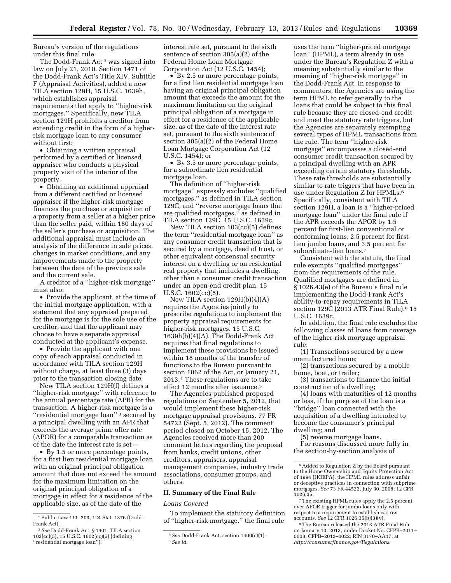Bureau's version of the regulations under this final rule.

The Dodd-Frank Act<sup>2</sup> was signed into law on July 21, 2010. Section 1471 of the Dodd-Frank Act's Title XIV, Subtitle F (Appraisal Activities), added a new TILA section 129H, 15 U.S.C. 1639h, which establishes appraisal requirements that apply to ''higher-risk mortgages.'' Specifically, new TILA section 129H prohibits a creditor from extending credit in the form of a higherrisk mortgage loan to any consumer without first:

• Obtaining a written appraisal performed by a certified or licensed appraiser who conducts a physical property visit of the interior of the property.

• Obtaining an additional appraisal from a different certified or licensed appraiser if the higher-risk mortgage finances the purchase or acquisition of a property from a seller at a higher price than the seller paid, within 180 days of the seller's purchase or acquisition. The additional appraisal must include an analysis of the difference in sale prices, changes in market conditions, and any improvements made to the property between the date of the previous sale and the current sale.

A creditor of a ''higher-risk mortgage'' must also:

• Provide the applicant, at the time of the initial mortgage application, with a statement that any appraisal prepared for the mortgage is for the sole use of the creditor, and that the applicant may choose to have a separate appraisal conducted at the applicant's expense.

• Provide the applicant with one copy of each appraisal conducted in accordance with TILA section 129H without charge, at least three (3) days prior to the transaction closing date.

New TILA section 129H(f) defines a ''higher-risk mortgage'' with reference to the annual percentage rate (APR) for the transaction. A higher-risk mortgage is a ''residential mortgage loan'' 3 secured by a principal dwelling with an APR that exceeds the average prime offer rate (APOR) for a comparable transaction as of the date the interest rate is set—

• By 1.5 or more percentage points, for a first lien residential mortgage loan with an original principal obligation amount that does not exceed the amount for the maximum limitation on the original principal obligation of a mortgage in effect for a residence of the applicable size, as of the date of the

interest rate set, pursuant to the sixth sentence of section 305(a)(2) of the Federal Home Loan Mortgage Corporation Act (12 U.S.C. 1454);

• By 2.5 or more percentage points, for a first lien residential mortgage loan having an original principal obligation amount that exceeds the amount for the maximum limitation on the original principal obligation of a mortgage in effect for a residence of the applicable size, as of the date of the interest rate set, pursuant to the sixth sentence of section 305(a)(2) of the Federal Home Loan Mortgage Corporation Act (12 U.S.C. 1454); or

• By 3.5 or more percentage points, for a subordinate lien residential mortgage loan.

The definition of ''higher-risk mortgage'' expressly excludes ''qualified mortgages,'' as defined in TILA section 129C, and ''reverse mortgage loans that are qualified mortgages,'' as defined in TILA section 129C. 15 U.S.C. 1639c.

New TILA section 103(cc)(5) defines the term ''residential mortgage loan'' as any consumer credit transaction that is secured by a mortgage, deed of trust, or other equivalent consensual security interest on a dwelling or on residential real property that includes a dwelling, other than a consumer credit transaction under an open-end credit plan. 15 U.S.C. 1602(cc)(5).

New TILA section 129H(b)(4)(A) requires the Agencies jointly to prescribe regulations to implement the property appraisal requirements for higher-risk mortgages. 15 U.S.C. 1639h(b)(4)(A). The Dodd-Frank Act requires that final regulations to implement these provisions be issued within 18 months of the transfer of functions to the Bureau pursuant to section 1062 of the Act, or January 21, 2013.4 These regulations are to take effect 12 months after issuance.5

The Agencies published proposed regulations on September 5, 2012, that would implement these higher-risk mortgage appraisal provisions. 77 FR 54722 (Sept. 5, 2012). The comment period closed on October 15, 2012. The Agencies received more than 200 comment letters regarding the proposal from banks, credit unions, other creditors, appraisers, appraisal management companies, industry trade associations, consumer groups, and others.

#### **II. Summary of the Final Rule**

*Loans Covered* 

To implement the statutory definition of ''higher-risk mortgage,'' the final rule

uses the term ''higher-priced mortgage loan'' (HPML), a term already in use under the Bureau's Regulation Z with a meaning substantially similar to the meaning of ''higher-risk mortgage'' in the Dodd-Frank Act. In response to commenters, the Agencies are using the term HPML to refer generally to the loans that could be subject to this final rule because they are closed-end credit and meet the statutory rate triggers, but the Agencies are separately exempting several types of HPML transactions from the rule. The term ''higher-risk mortgage'' encompasses a closed-end consumer credit transaction secured by a principal dwelling with an APR exceeding certain statutory thresholds. These rate thresholds are substantially similar to rate triggers that have been in use under Regulation Z for HPMLs.<sup>6</sup> Specifically, consistent with TILA section 129H, a loan is a ''higher-priced mortgage loan'' under the final rule if the APR exceeds the APOR by 1.5 percent for first-lien conventional or conforming loans, 2.5 percent for firstlien jumbo loans, and 3.5 percent for subordinate-lien loans.7

Consistent with the statute, the final rule exempts ''qualified mortgages'' from the requirements of the rule. Qualified mortgages are defined in § 1026.43(e) of the Bureau's final rule implementing the Dodd-Frank Act's ability-to-repay requirements in TILA section 129C (2013 ATR Final Rule).<sup>8</sup> 15 U.S.C. 1639c.

In addition, the final rule excludes the following classes of loans from coverage of the higher-risk mortgage appraisal rule:

(1) Transactions secured by a new manufactured home;

(2) transactions secured by a mobile home, boat, or trailer;

(3) transactions to finance the initial construction of a dwelling;

(4) loans with maturities of 12 months or less, if the purpose of the loan is a ''bridge'' loan connected with the acquisition of a dwelling intended to become the consumer's principal dwelling; and

(5) reverse mortgage loans. For reasons discussed more fully in the section-by-section analysis of

over APOR trigger for jumbo loans only with respect to a requirement to establish escrow<br>accounts. See 12 CFR 1026.35(b)(3)(v).

<sup>2</sup>Public Law 111–203, 124 Stat. 1376 (Dodd-Frank Act).

<sup>3</sup>*See* Dodd-Frank Act, § 1401; TILA section 103(cc)(5), 15 U.S.C. 1602(cc)(5) (defining ''residential mortgage loan'').

<sup>4</sup>*See* Dodd-Frank Act, section 1400(c)(1). 5*See id.* 

<sup>6</sup>Added to Regulation Z by the Board pursuant to the Home Ownership and Equity Protection Act of 1994 (HOEPA), the HPML rules address unfair or deceptive practices in connection with subprime mortgages. *See* 73 FR 44522, July 30, 2008; 12 CFR 1026.35. 7The existing HPML rules apply the 2.5 percent

<sup>&</sup>lt;sup>8</sup> The Bureau released the 2013 ATR Final Rule on January 10, 2013, under Docket No. CFPB–2011– 0008, CFPB–2012–0022, RIN 3170–AA17, at *<http://consumerfinance.gov/Regulations>*.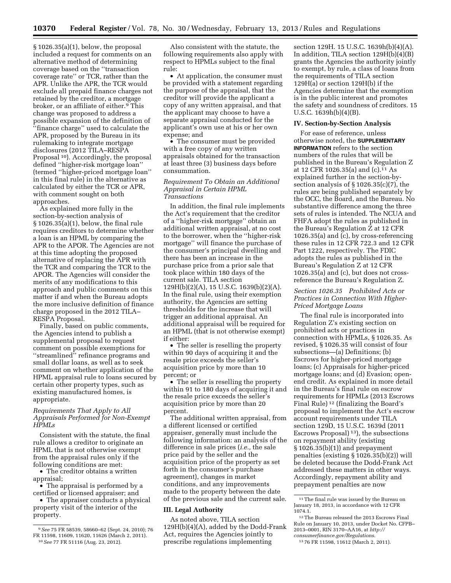§ 1026.35(a)(1), below, the proposal included a request for comments on an alternative method of determining coverage based on the ''transaction coverage rate'' or TCR, rather than the APR. Unlike the APR, the TCR would exclude all prepaid finance charges not retained by the creditor, a mortgage broker, or an affiliate of either.9 This change was proposed to address a possible expansion of the definition of ''finance charge'' used to calculate the APR, proposed by the Bureau in its rulemaking to integrate mortgage disclosures (2012 TILA–RESPA Proposal <sup>10</sup>). Accordingly, the proposal defined ''higher-risk mortgage loan'' (termed ''higher-priced mortgage loan'' in this final rule) in the alternative as calculated by either the TCR or APR, with comment sought on both approaches.

As explained more fully in the section-by-section analysis of § 1026.35(a)(1), below, the final rule requires creditors to determine whether a loan is an HPML by comparing the APR to the APOR. The Agencies are not at this time adopting the proposed alternative of replacing the APR with the TCR and comparing the TCR to the APOR. The Agencies will consider the merits of any modifications to this approach and public comments on this matter if and when the Bureau adopts the more inclusive definition of finance charge proposed in the 2012 TILA– RESPA Proposal.

Finally, based on public comments, the Agencies intend to publish a supplemental proposal to request comment on possible exemptions for "streamlined" refinance programs and small dollar loans, as well as to seek comment on whether application of the HPML appraisal rule to loans secured by certain other property types, such as existing manufactured homes, is appropriate.

## *Requirements That Apply to All Appraisals Performed for Non-Exempt HPMLs*

Consistent with the statute, the final rule allows a creditor to originate an HPML that is not otherwise exempt from the appraisal rules only if the following conditions are met:

• The creditor obtains a written appraisal;

• The appraisal is performed by a certified or licensed appraiser; and

• The appraiser conducts a physical property visit of the interior of the property.

10*See* 77 FR 51116 (Aug. 23, 2012).

Also consistent with the statute, the following requirements also apply with respect to HPMLs subject to the final rule:

• At application, the consumer must be provided with a statement regarding the purpose of the appraisal, that the creditor will provide the applicant a copy of any written appraisal, and that the applicant may choose to have a separate appraisal conducted for the applicant's own use at his or her own expense; and

• The consumer must be provided with a free copy of any written appraisals obtained for the transaction at least three (3) business days before consummation.

#### *Requirement To Obtain an Additional Appraisal in Certain HPML Transactions*

In addition, the final rule implements the Act's requirement that the creditor of a ''higher-risk mortgage'' obtain an additional written appraisal, at no cost to the borrower, when the ''higher-risk mortgage'' will finance the purchase of the consumer's principal dwelling and there has been an increase in the purchase price from a prior sale that took place within 180 days of the current sale. TILA section 129H(b)(2)(A), 15 U.S.C. 1639(b)(2)(A). In the final rule, using their exemption authority, the Agencies are setting thresholds for the increase that will trigger an additional appraisal. An additional appraisal will be required for an HPML (that is not otherwise exempt) if either:

• The seller is reselling the property within 90 days of acquiring it and the resale price exceeds the seller's acquisition price by more than 10 percent; or

• The seller is reselling the property within 91 to 180 days of acquiring it and the resale price exceeds the seller's acquisition price by more than 20 percent.

The additional written appraisal, from a different licensed or certified appraiser, generally must include the following information: an analysis of the difference in sale prices (*i.e.,* the sale price paid by the seller and the acquisition price of the property as set forth in the consumer's purchase agreement), changes in market conditions, and any improvements made to the property between the date of the previous sale and the current sale.

#### **III. Legal Authority**

As noted above, TILA section 129H(b)(4)(A), added by the Dodd-Frank Act, requires the Agencies jointly to prescribe regulations implementing

section 129H. 15 U.S.C. 1639h(b)(4)(A). In addition, TILA section 129H(b)(4)(B) grants the Agencies the authority jointly to exempt, by rule, a class of loans from the requirements of TILA section 129H(a) or section 129H(b) if the Agencies determine that the exemption is in the public interest and promotes the safety and soundness of creditors. 15 U.S.C. 1639h(b)(4)(B).

#### **IV. Section-by-Section Analysis**

For ease of reference, unless otherwise noted, the **SUPPLEMENTARY INFORMATION** refers to the section numbers of the rules that will be published in the Bureau's Regulation Z at 12 CFR 1026.35(a) and (c).11 As explained further in the section-bysection analysis of § 1026.35(c)(7), the rules are being published separately by the OCC, the Board, and the Bureau. No substantive difference among the three sets of rules is intended. The NCUA and FHFA adopt the rules as published in the Bureau's Regulation Z at 12 CFR 1026.35(a) and (c), by cross-referencing these rules in 12 CFR 722.3 and 12 CFR Part 1222, respectively. The FDIC adopts the rules as published in the Bureau's Regulation Z at 12 CFR 1026.35(a) and (c), but does not crossreference the Bureau's Regulation Z.

## *Section 1026.35 Prohibited Acts or Practices in Connection With Higher-Priced Mortgage Loans*

The final rule is incorporated into Regulation Z's existing section on prohibited acts or practices in connection with HPMLs, § 1026.35. As revised, § 1026.35 will consist of four subsections—(a) Definitions; (b) Escrows for higher-priced mortgage loans; (c) Appraisals for higher-priced mortgage loans; and (d) Evasion; openend credit. As explained in more detail in the Bureau's final rule on escrow requirements for HPMLs (2013 Escrows Final Rule) 12 (finalizing the Board's proposal to implement the Act's escrow account requirements under TILA section 129D, 15 U.S.C. 1639d (2011 Escrows Proposal) 13), the subsections on repayment ability (existing § 1026.35(b)(1)) and prepayment penalties (existing § 1026.35(b)(2)) will be deleted because the Dodd-Frank Act addressed these matters in other ways. Accordingly, repayment ability and prepayment penalties are now

<sup>9</sup>*See* 75 FR 58539, 58660–62 (Sept. 24, 2010); 76 FR 11598, 11609, 11620, 11626 (March 2, 2011).

<sup>&</sup>lt;sup>11</sup> The final rule was issued by the Bureau on January 18, 2013, in accordance with 12 CFR 1074.1.

 $^{\rm 12}$  The Bureau released the 2013 Escrows Final Rule on January 10, 2013, under Docket No. CFPB– 2013–0001, RIN 3170–AA16, at *[http://](http://consumerfinance.gov/Regulations)  [consumerfinance.gov/Regulations](http://consumerfinance.gov/Regulations)*.

<sup>13</sup> 76 FR 11598, 11612 (March 2, 2011).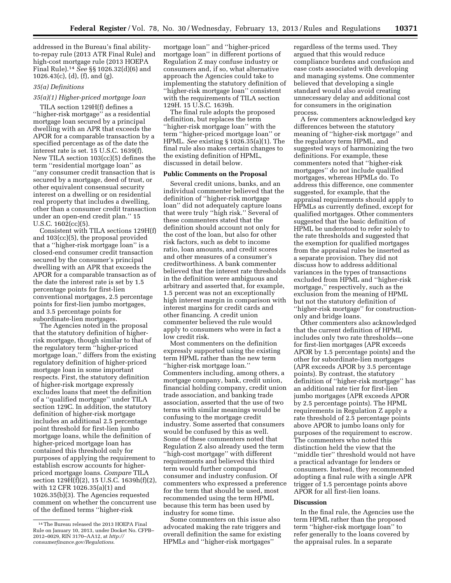addressed in the Bureau's final abilityto-repay rule (2013 ATR Final Rule) and high-cost mortgage rule (2013 HOEPA Final Rule).14 *See* §§ 1026.32(d)(6) and 1026.43(c), (d), (f), and (g).

## *35(a) Definitions*

## *35(a)(1) Higher-priced mortgage loan*

TILA section 129H(f) defines a ''higher-risk mortgage'' as a residential mortgage loan secured by a principal dwelling with an APR that exceeds the APOR for a comparable transaction by a specified percentage as of the date the interest rate is set. 15 U.S.C. 1639(f). New TILA section 103(cc)(5) defines the term ''residential mortgage loan'' as ''any consumer credit transaction that is secured by a mortgage, deed of trust, or other equivalent consensual security interest on a dwelling or on residential real property that includes a dwelling, other than a consumer credit transaction under an open-end credit plan.'' 15 U.S.C. 1602(cc)(5).

Consistent with TILA sections 129H(f) and 103(cc)(5), the proposal provided that a ''higher-risk mortgage loan'' is a closed-end consumer credit transaction secured by the consumer's principal dwelling with an APR that exceeds the APOR for a comparable transaction as of the date the interest rate is set by 1.5 percentage points for first-lien conventional mortgages, 2.5 percentage points for first-lien jumbo mortgages, and 3.5 percentage points for subordinate-lien mortgages.

The Agencies noted in the proposal that the statutory definition of higherrisk mortgage, though similar to that of the regulatory term ''higher-priced mortgage loan,'' differs from the existing regulatory definition of higher-priced mortgage loan in some important respects. First, the statutory definition of higher-risk mortgage expressly excludes loans that meet the definition of a ''qualified mortgage'' under TILA section 129C. In addition, the statutory definition of higher-risk mortgage includes an additional 2.5 percentage point threshold for first-lien jumbo mortgage loans, while the definition of higher-priced mortgage loan has contained this threshold only for purposes of applying the requirement to establish escrow accounts for higherpriced mortgage loans. *Compare* TILA section 129H(f)(2), 15 U.S.C. 1639h(f)(2), with 12 CFR 1026.35(a)(1) and 1026.35(b)(3). The Agencies requested comment on whether the concurrent use of the defined terms ''higher-risk

mortgage loan'' and ''higher-priced mortgage loan'' in different portions of Regulation Z may confuse industry or consumers and, if so, what alternative approach the Agencies could take to implementing the statutory definition of ''higher-risk mortgage loan'' consistent with the requirements of TILA section 129H. 15 U.S.C. 1639h.

The final rule adopts the proposed definition, but replaces the term ''higher-risk mortgage loan'' with the term ''higher-priced mortgage loan'' or HPML. *See* existing § 1026.35(a)(1). The final rule also makes certain changes to the existing definition of HPML, discussed in detail below.

#### **Public Comments on the Proposal**

Several credit unions, banks, and an individual commenter believed that the definition of ''higher-risk mortgage loan'' did not adequately capture loans that were truly ''high risk.'' Several of these commenters stated that the definition should account not only for the cost of the loan, but also for other risk factors, such as debt to income ratio, loan amounts, and credit scores and other measures of a consumer's creditworthiness. A bank commenter believed that the interest rate thresholds in the definition were ambiguous and arbitrary and asserted that, for example, 1.5 percent was not an exceptionally high interest margin in comparison with interest margins for credit cards and other financing. A credit union commenter believed the rule would apply to consumers who were in fact a low credit risk.

Most commenters on the definition expressly supported using the existing term HPML rather than the new term ''higher-risk mortgage loan.'' Commenters including, among others, a mortgage company, bank, credit union, financial holding company, credit union trade association, and banking trade association, asserted that the use of two terms with similar meanings would be confusing to the mortgage credit industry. Some asserted that consumers would be confused by this as well. Some of these commenters noted that Regulation Z also already used the term ''high-cost mortgage'' with different requirements and believed this third term would further compound consumer and industry confusion. Of commenters who expressed a preference for the term that should be used, most recommended using the term HPML because this term has been used by industry for some time.

Some commenters on this issue also advocated making the rate triggers and overall definition the same for existing HPMLs and ''higher-risk mortgages''

regardless of the terms used. They argued that this would reduce compliance burdens and confusion and ease costs associated with developing and managing systems. One commenter believed that developing a single standard would also avoid creating unnecessary delay and additional cost for consumers in the origination process.

A few commenters acknowledged key differences between the statutory meaning of ''higher-risk mortgage'' and the regulatory term HPML, and suggested ways of harmonizing the two definitions. For example, these commenters noted that ''higher-risk mortgages'' do not include qualified mortgages, whereas HPMLs do. To address this difference, one commenter suggested, for example, that the appraisal requirements should apply to HPMLs as currently defined, except for qualified mortgages. Other commenters suggested that the basic definition of HPML be understood to refer solely to the rate thresholds and suggested that the exemption for qualified mortgages from the appraisal rules be inserted as a separate provision. They did not discuss how to address additional variances in the types of transactions excluded from HPML and ''higher-risk mortgage,'' respectively, such as the exclusion from the meaning of HPML but not the statutory definition of ''higher-risk mortgage'' for constructiononly and bridge loans.

Other commenters also acknowledged that the current definition of HPML includes only two rate thresholds—one for first-lien mortgages (APR exceeds APOR by 1.5 percentage points) and the other for subordinate-lien mortgages (APR exceeds APOR by 3.5 percentage points). By contrast, the statutory definition of ''higher-risk mortgage'' has an additional rate tier for first-lien jumbo mortgages (APR exceeds APOR by 2.5 percentage points). The HPML requirements in Regulation Z apply a rate threshold of 2.5 percentage points above APOR to jumbo loans only for purposes of the requirement to escrow. The commenters who noted this distinction held the view that the ''middle tier'' threshold would not have a practical advantage for lenders or consumers. Instead, they recommended adopting a final rule with a single APR trigger of 1.5 percentage points above APOR for all first-lien loans.

## **Discussion**

In the final rule, the Agencies use the term HPML rather than the proposed term ''higher-risk mortgage loan'' to refer generally to the loans covered by the appraisal rules. In a separate

<sup>14</sup>The Bureau released the 2013 HOEPA Final Rule on January 10, 2013, under Docket No. CFPB– 2012–0029, RIN 3170–AA12, at *[http://](http://consumerfinance.gov/Regulations)  [consumerfinance.gov/Regulations](http://consumerfinance.gov/Regulations)*.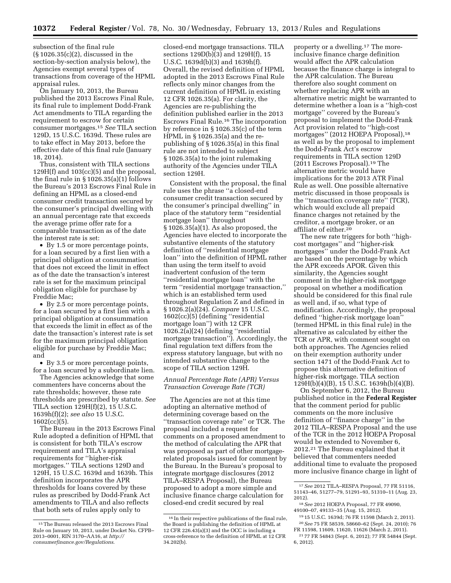subsection of the final rule (§ 1026.35(c)(2), discussed in the section-by-section analysis below), the Agencies exempt several types of transactions from coverage of the HPML appraisal rules.

On January 10, 2013, the Bureau published the 2013 Escrows Final Rule, its final rule to implement Dodd-Frank Act amendments to TILA regarding the requirement to escrow for certain consumer mortgages.15 *See* TILA section 129D, 15 U.S.C. 1639d. These rules are to take effect in May 2013, before the effective date of this final rule (January 18, 2014).

Thus, consistent with TILA sections 129H(f) and 103(cc)(5) and the proposal, the final rule in § 1026.35(a)(1) follows the Bureau's 2013 Escrows Final Rule in defining an HPML as a closed-end consumer credit transaction secured by the consumer's principal dwelling with an annual percentage rate that exceeds the average prime offer rate for a comparable transaction as of the date the interest rate is set:

• By 1.5 or more percentage points, for a loan secured by a first lien with a principal obligation at consummation that does not exceed the limit in effect as of the date the transaction's interest rate is set for the maximum principal obligation eligible for purchase by Freddie Mac;

• By 2.5 or more percentage points, for a loan secured by a first lien with a principal obligation at consummation that exceeds the limit in effect as of the date the transaction's interest rate is set for the maximum principal obligation eligible for purchase by Freddie Mac; and

• By 3.5 or more percentage points, for a loan secured by a subordinate lien.

The Agencies acknowledge that some commenters have concerns about the rate thresholds; however, these rate thresholds are prescribed by statute. *See*  TILA section 129H(f)(2), 15 U.S.C. 1639h(f)(2); *see also* 15 U.S.C.  $1602(cc)(5)$ .

The Bureau in the 2013 Escrows Final Rule adopted a definition of HPML that is consistent for both TILA's escrow requirement and TILA's appraisal requirements for ''higher-risk mortgages.'' TILA sections 129D and 129H, 15 U.S.C. 1639d and 1639h. This definition incorporates the APR thresholds for loans covered by these rules as prescribed by Dodd-Frank Act amendments to TILA and also reflects that both sets of rules apply only to

closed-end mortgage transactions. TILA sections 129D(b)(3) and 129H(f), 15 U.S.C. 1639d(b)(3) and 1639h(f). Overall, the revised definition of HPML adopted in the 2013 Escrows Final Rule reflects only minor changes from the current definition of HPML in existing 12 CFR 1026.35(a). For clarity, the Agencies are re-publishing the definition published earlier in the 2013 Escrows Final Rule.16 The incorporation by reference in § 1026.35(c) of the term HPML in § 1026.35(a) and the republishing of § 1026.35(a) in this final rule are not intended to subject § 1026.35(a) to the joint rulemaking authority of the Agencies under TILA section 129H.

Consistent with the proposal, the final rule uses the phrase ''a closed-end consumer credit transaction secured by the consumer's principal dwelling'' in place of the statutory term ''residential mortgage loan'' throughout § 1026.35(a)(1). As also proposed, the Agencies have elected to incorporate the substantive elements of the statutory definition of ''residential mortgage loan'' into the definition of HPML rather than using the term itself to avoid inadvertent confusion of the term ''residential mortgage loan'' with the term ''residential mortgage transaction,'' which is an established term used throughout Regulation Z and defined in § 1026.2(a)(24). *Compare* 15 U.S.C. 1602(cc)(5) (defining ''residential mortgage loan'') with 12 CFR 1026.2(a)(24) (defining ''residential mortgage transaction''). Accordingly, the final regulation text differs from the express statutory language, but with no intended substantive change to the scope of TILA section 129H.

## *Annual Percentage Rate (APR) Versus Transaction Coverage Rate (TCR)*

The Agencies are not at this time adopting an alternative method of determining coverage based on the ''transaction coverage rate'' or TCR. The proposal included a request for comments on a proposed amendment to the method of calculating the APR that was proposed as part of other mortgagerelated proposals issued for comment by the Bureau. In the Bureau's proposal to integrate mortgage disclosures (2012 TILA–RESPA Proposal), the Bureau proposed to adopt a more simple and inclusive finance charge calculation for closed-end credit secured by real

property or a dwelling.17 The moreinclusive finance charge definition would affect the APR calculation because the finance charge is integral to the APR calculation. The Bureau therefore also sought comment on whether replacing APR with an alternative metric might be warranted to determine whether a loan is a ''high-cost mortgage'' covered by the Bureau's proposal to implement the Dodd-Frank Act provision related to ''high-cost mortgages" (2012 HOEPA Proposal),<sup>18</sup> as well as by the proposal to implement the Dodd-Frank Act's escrow requirements in TILA section 129D (2011 Escrows Proposal).19 The alternative metric would have implications for the 2013 ATR Final Rule as well. One possible alternative metric discussed in those proposals is the ''transaction coverage rate'' (TCR), which would exclude all prepaid finance charges not retained by the creditor, a mortgage broker, or an affiliate of either.<sup>20</sup>

The new rate triggers for both ''highcost mortgages'' and ''higher-risk mortgages'' under the Dodd-Frank Act are based on the percentage by which the APR exceeds APOR. Given this similarity, the Agencies sought comment in the higher-risk mortgage proposal on whether a modification should be considered for this final rule as well and, if so, what type of modification. Accordingly, the proposal defined ''higher-risk mortgage loan'' (termed HPML in this final rule) in the alternative as calculated by either the TCR or APR, with comment sought on both approaches. The Agencies relied on their exemption authority under section 1471 of the Dodd-Frank Act to propose this alternative definition of higher-risk mortgage. TILA section 129H(b)(4)(B), 15 U.S.C. 1639h(b)(4)(B).

On September 6, 2012, the Bureau published notice in the **Federal Register**  that the comment period for public comments on the more inclusive definition of ''finance charge'' in the 2012 TILA–RESPA Proposal and the use of the TCR in the 2012 HOEPA Proposal would be extended to November 6, 2012.21 The Bureau explained that it believed that commenters needed additional time to evaluate the proposed more inclusive finance charge in light of

<sup>15</sup>The Bureau released the 2013 Escrows Final Rule on January 10, 2013, under Docket No. CFPB– 2013–0001, RIN 3170–AA16, at *[http://](http://consumerfinance.gov/Regulations)  [consumerfinance.gov/Regulations](http://consumerfinance.gov/Regulations)*.

<sup>16</sup> In their respective publications of the final rule, the Board is publishing the definition of HPML at 12 CFR 226.43(a)(3) and the OCC is including a cross-reference to the definition of HPML at 12 CFR 34.202(b).

<sup>17</sup>*See* 2012 TILA–RESPA Proposal, 77 FR 51116, 51143–46, 51277–79, 51291–93, 51310–11 (Aug. 23, 2012).

<sup>18</sup>*See* 2012 HOEPA Proposal, 77 FR 49090, 49100–07, 49133–35 (Aug. 15, 2012).

<sup>19</sup> 15 U.S.C. 1639d; 76 FR 11598 (March 2, 2011). 20*See* 75 FR 58539, 58660–62 (Sept. 24, 2010); 76 FR 11598, 11609, 11620, 11626 (March 2, 2011).

<sup>21</sup> 77 FR 54843 (Sept. 6, 2012); 77 FR 54844 (Sept. 6, 2012).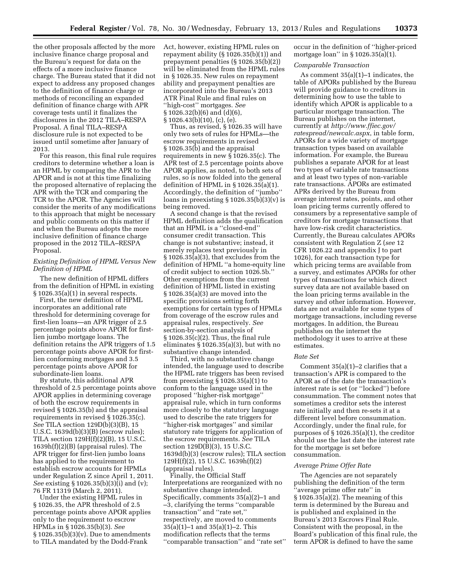the other proposals affected by the more inclusive finance charge proposal and the Bureau's request for data on the effects of a more inclusive finance charge. The Bureau stated that it did not expect to address any proposed changes to the definition of finance charge or methods of reconciling an expanded definition of finance charge with APR coverage tests until it finalizes the disclosures in the 2012 TILA–RESPA Proposal. A final TILA–RESPA disclosure rule is not expected to be issued until sometime after January of 2013.

For this reason, this final rule requires creditors to determine whether a loan is an HPML by comparing the APR to the APOR and is not at this time finalizing the proposed alternative of replacing the APR with the TCR and comparing the TCR to the APOR. The Agencies will consider the merits of any modifications to this approach that might be necessary and public comments on this matter if and when the Bureau adopts the more inclusive definition of finance charge proposed in the 2012 TILA–RESPA Proposal.

## *Existing Definition of HPML Versus New Definition of HPML*

The new definition of HPML differs from the definition of HPML in existing § 1026.35(a)(1) in several respects.

First, the new definition of HPML incorporates an additional rate threshold for determining coverage for first-lien loans—an APR trigger of 2.5 percentage points above APOR for firstlien jumbo mortgage loans. The definition retains the APR triggers of 1.5 percentage points above APOR for firstlien conforming mortgages and 3.5 percentage points above APOR for subordinate-lien loans.

By statute, this additional APR threshold of 2.5 percentage points above APOR applies in determining coverage of both the escrow requirements in revised § 1026.35(b) and the appraisal requirements in revised § 1026.35(c). *See* TILA section 129D(b)(3)(B), 15 U.S.C. 1639d(b)(3)(B) (escrow rules); TILA section 129H(f)(2)(B), 15 U.S.C. 1639h(f)(2)(B) (appraisal rules). The APR trigger for first-lien jumbo loans has applied to the requirement to establish escrow accounts for HPMLs under Regulation Z since April 1, 2011. *See* existing § 1026.35(b)(3)(i) and (v); 76 FR 11319 (March 2, 2011).

Under the existing HPML rules in § 1026.35, the APR threshold of 2.5 percentage points above APOR applies only to the requirement to escrow HPMLs in § 1026.35(b)(3). *See*   $\S 1026.35(b)(3)(v)$ . Due to amendments to TILA mandated by the Dodd-Frank

Act, however, existing HPML rules on repayment ability (§ 1026.35(b)(1)) and prepayment penalties (§ 1026.35(b)(2)) will be eliminated from the HPML rules in § 1026.35. New rules on repayment ability and prepayment penalties are incorporated into the Bureau's 2013 ATR Final Rule and final rules on ''high-cost'' mortgages. *See*  § 1026.32(b)(6) and (d)(6), § 1026.43(b)(10), (c), (e).

Thus, as revised, § 1026.35 will have only two sets of rules for HPMLs—the escrow requirements in revised § 1026.35(b) and the appraisal requirements in new § 1026.35(c). The APR test of 2.5 percentage points above APOR applies, as noted, to both sets of rules, so is now folded into the general definition of HPML in § 1026.35(a)(1). Accordingly, the definition of ''jumbo'' loans in preexisting  $\S 1026.35(b)(3)(v)$  is being removed.

A second change is that the revised HPML definition adds the qualification that an HPML is a ''closed-end'' consumer credit transaction. This change is not substantive; instead, it merely replaces text previously in § 1026.35(a)(3), that excludes from the definition of HPML ''a home-equity line of credit subject to section 1026.5b.'' Other exemptions from the current definition of HPML listed in existing § 1026.35(a)(3) are moved into the specific provisions setting forth exemptions for certain types of HPMLs from coverage of the escrow rules and appraisal rules, respectively. *See*  section-by-section analysis of § 1026.35(c)(2). Thus, the final rule eliminates § 1026.35(a)(3), but with no substantive change intended.

Third, with no substantive change intended, the language used to describe the HPML rate triggers has been revised from preexisting  $\S 1026.35(a)(1)$  to conform to the language used in the proposed ''higher-risk mortgage'' appraisal rule, which in turn conforms more closely to the statutory language used to describe the rate triggers for ''higher-risk mortgages'' and similar statutory rate triggers for application of the escrow requirements. *See* TILA section 129D(B)(3), 15 U.S.C. 1639d(b)(3) (escrow rules); TILA section 129H(f)(2), 15 U.S.C. 1639h(f)(2) (appraisal rules).

Finally, the Official Staff Interpretations are reorganized with no substantive change intended. Specifically, comments 35(a)(2)–1 and –3, clarifying the terms ''comparable transaction'' and ''rate set,'' respectively, are moved to comments 35(a)(1)–1 and 35(a)(1)–2. This modification reflects that the terms ''comparable transaction'' and ''rate set'' occur in the definition of ''higher-priced mortgage loan'' in § 1026.35(a)(1).

#### *Comparable Transaction*

As comment 35(a)(1)–1 indicates, the table of APORs published by the Bureau will provide guidance to creditors in determining how to use the table to identify which APOR is applicable to a particular mortgage transaction. The Bureau publishes on the internet, currently at *[http://www.ffiec.gov/](http://www.ffiec.gov/ratespread/newcalc.aspx)  [ratespread/newcalc.aspx](http://www.ffiec.gov/ratespread/newcalc.aspx)*, in table form, APORs for a wide variety of mortgage transaction types based on available information. For example, the Bureau publishes a separate APOR for at least two types of variable rate transactions and at least two types of non-variable rate transactions. APORs are estimated APRs derived by the Bureau from average interest rates, points, and other loan pricing terms currently offered to consumers by a representative sample of creditors for mortgage transactions that have low-risk credit characteristics. Currently, the Bureau calculates APORs consistent with Regulation Z (*see* 12 CFR 1026.22 and appendix J to part 1026), for each transaction type for which pricing terms are available from a survey, and estimates APORs for other types of transactions for which direct survey data are not available based on the loan pricing terms available in the survey and other information. However, data are not available for some types of mortgage transactions, including reverse mortgages. In addition, the Bureau publishes on the internet the methodology it uses to arrive at these estimates.

#### *Rate Set*

Comment 35(a)(1)–2 clarifies that a transaction's APR is compared to the APOR as of the date the transaction's interest rate is set (or ''locked'') before consummation. The comment notes that sometimes a creditor sets the interest rate initially and then re-sets it at a different level before consummation. Accordingly, under the final rule, for purposes of § 1026.35(a)(1), the creditor should use the last date the interest rate for the mortgage is set before consummation.

#### *Average Prime Offer Rate*

The Agencies are not separately publishing the definition of the term 'average prime offer rate'' in § 1026.35(a)(2). The meaning of this term is determined by the Bureau and is published and explained in the Bureau's 2013 Escrows Final Rule. Consistent with the proposal, in the Board's publication of this final rule, the term APOR is defined to have the same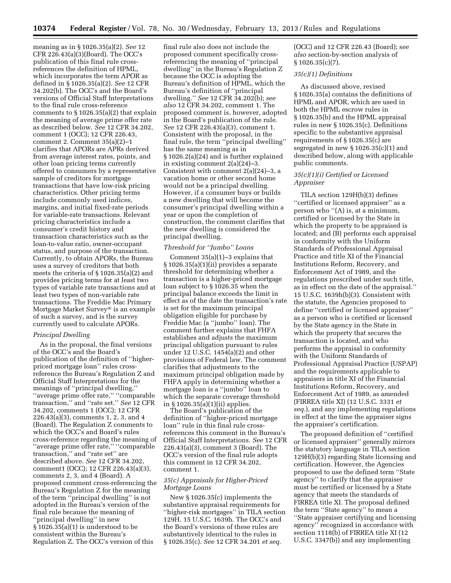meaning as in § 1026.35(a)(2). *See* 12 CFR 226.43(a)(3)(Board). The OCC's publication of this final rule crossreferences the definition of HPML, which incorporates the term APOR as defined in § 1026.35(a)(2). *See* 12 CFR 34.202(b). The OCC's and the Board's versions of Official Staff Interpretations to the final rule cross-reference comments to  $\S 1026.35(a)(2)$  that explain the meaning of average prime offer rate as described below. *See* 12 CFR 34.202, comment 1 (OCC); 12 CFR 226.43, comment 2. Comment 35(a)(2)–1 clarifies that APORs are APRs derived from average interest rates, points, and other loan pricing terms currently offered to consumers by a representative sample of creditors for mortgage transactions that have low-risk pricing characteristics. Other pricing terms include commonly used indices, margins, and initial fixed-rate periods for variable-rate transactions. Relevant pricing characteristics include a consumer's credit history and transaction characteristics such as the loan-to-value ratio, owner-occupant status, and purpose of the transaction. Currently, to obtain APORs, the Bureau uses a survey of creditors that both meets the criteria of § 1026.35(a)(2) and provides pricing terms for at least two types of variable rate transactions and at least two types of non-variable rate transactions. The Freddie Mac Primary Mortgage Market Survey® is an example of such a survey, and is the survey currently used to calculate APORs.

## *Principal Dwelling*

As in the proposal, the final versions of the OCC's and the Board's publication of the definition of ''higherpriced mortgage loan'' rules crossreference the Bureau's Regulation Z and Official Staff Interpretations for the meanings of ''principal dwelling,'' ''average prime offer rate,'' ''comparable transaction,'' and ''rate set.'' *See* 12 CFR 34.202, comments 1 (OCC); 12 CFR 226.43(a)(3), comments 1, 2, 3, and 4 (Board). The Regulation Z comments to which the OCC's and Board's rules cross-reference regarding the meaning of ''average prime offer rate,'' ''comparable transaction,'' and ''rate set'' are described above. *See* 12 CFR 34.202, comment1 (OCC); 12 CFR 226.43(a)(3), comments 2, 3, and 4 (Board). A proposed comment cross-referencing the Bureau's Regulation Z for the meaning of the term ''principal dwelling'' is not adopted in the Bureau's version of the final rule because the meaning of ''principal dwelling'' in new § 1026.35(a)(1) is understood to be consistent within the Bureau's Regulation Z. The OCC's version of this

final rule also does not include the proposed comment specifically crossreferencing the meaning of ''principal dwelling'' in the Bureau's Regulation Z because the OCC is adopting the Bureau's definition of HPML, which the Bureau's definition of ''principal dwelling.'' *See* 12 CFR 34.202(b); *see also* 12 CFR 34.202, comment 1. The proposed comment is, however, adopted in the Board's publication of the rule. *See* 12 CFR 226.43(a)(3), comment 1. Consistent with the proposal, in the final rule, the term ''principal dwelling'' has the same meaning as in § 1026.2(a)(24) and is further explained in existing comment 2(a)(24)–3. Consistent with comment  $2(a)(24)-3$ , a vacation home or other second home would not be a principal dwelling. However, if a consumer buys or builds a new dwelling that will become the consumer's principal dwelling within a year or upon the completion of construction, the comment clarifies that the new dwelling is considered the principal dwelling.

## *Threshold for ''Jumbo'' Loans*

Comment 35(a)(1)–3 explains that § 1026.35(a)(1)(ii) provides a separate threshold for determining whether a transaction is a higher-priced mortgage loan subject to § 1026.35 when the principal balance exceeds the limit in effect as of the date the transaction's rate is set for the maximum principal obligation eligible for purchase by Freddie Mac (a ''jumbo'' loan). The comment further explains that FHFA establishes and adjusts the maximum principal obligation pursuant to rules under 12 U.S.C. 1454(a)(2) and other provisions of Federal law. The comment clarifies that adjustments to the maximum principal obligation made by FHFA apply in determining whether a mortgage loan is a ''jumbo'' loan to which the separate coverage threshold in § 1026.35(a)(1)(ii) applies.

The Board's publication of the definition of ''higher-priced mortgage loan'' rule in this final rule crossreferences this comment in the Bureau's Official Staff Interpretations. *See* 12 CFR 226.43(a)(3), comment 3 (Board). The OCC's version of the final rule adopts this comment in 12 CFR 34.202, comment 1.

## *35(c) Appraisals for Higher-Priced Mortgage Loans*

New § 1026.35(c) implements the substantive appraisal requirements for ''higher-risk mortgages'' in TILA section 129H. 15 U.S.C. 1639h. The OCC's and the Board's versions of these rules are substantively identical to the rules in § 1026.35(c). *See* 12 CFR 34.201 *et seq.* 

(OCC) and 12 CFR 226.43 (Board); s*ee also* section-by-section analysis of § 1026.35(c)(7).

#### *35(c)(1) Definitions*

As discussed above, revised § 1026.35(a) contains the definitions of HPML and APOR, which are used in both the HPML escrow rules in § 1026.35(b) and the HPML appraisal rules in new § 1026.35(c). Definitions specific to the substantive appraisal requirements of § 1026.35(c) are segregated in new § 1026.35(c)(1) and described below, along with applicable public comments.

## *35(c)(1)(i) Certified or Licensed Appraiser*

TILA section 129H(b)(3) defines "certified or licensed appraiser" as a person who ''(A) is, at a minimum, certified or licensed by the State in which the property to be appraised is located; and (B) performs each appraisal in conformity with the Uniform Standards of Professional Appraisal Practice and title XI of the Financial Institutions Reform, Recovery, and Enforcement Act of 1989, and the regulations prescribed under such title, as in effect on the date of the appraisal.'' 15 U.S.C. 1639h(b)(3). Consistent with the statute, the Agencies proposed to define ''certified or licensed appraiser'' as a person who is certified or licensed by the State agency in the State in which the property that secures the transaction is located, and who performs the appraisal in conformity with the Uniform Standards of Professional Appraisal Practice (USPAP) and the requirements applicable to appraisers in title XI of the Financial Institutions Reform, Recovery, and Enforcement Act of 1989, as amended (FIRREA title XI) (12 U.S.C. 3331 *et seq.*), and any implementing regulations in effect at the time the appraiser signs the appraiser's certification.

The proposed definition of ''certified or licensed appraiser'' generally mirrors the statutory language in TILA section 129H(b)(3) regarding State licensing and certification. However, the Agencies proposed to use the defined term ''State agency'' to clarify that the appraiser must be certified or licensed by a State agency that meets the standards of FIRREA title XI. The proposal defined the term ''State agency'' to mean a ''State appraiser certifying and licensing agency'' recognized in accordance with section 1118(b) of FIRREA title XI (12 U.S.C. 3347(b)) and any implementing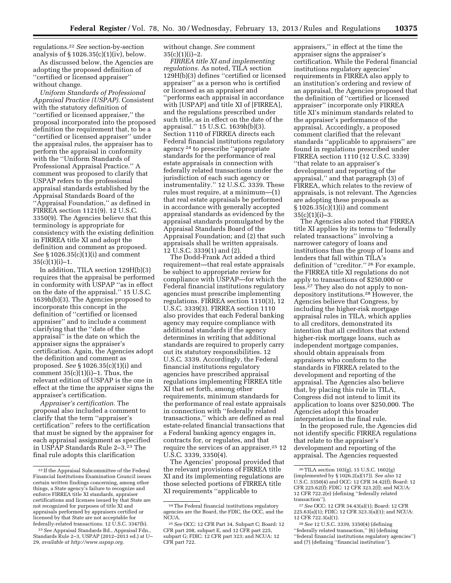regulations.22 *See* section-by-section analysis of  $\S 1026.35(c)(1)(iv)$ , below.

As discussed below, the Agencies are adopting the proposed definition of ''certified or licensed appraiser'' without change.

*Uniform Standards of Professional Appraisal Practice (USPAP).* Consistent with the statutory definition of ''certified or licensed appraiser,'' the proposal incorporated into the proposed definition the requirement that, to be a ''certified or licensed appraiser'' under the appraisal rules, the appraiser has to perform the appraisal in conformity with the ''Uniform Standards of Professional Appraisal Practice.'' A comment was proposed to clarify that USPAP refers to the professional appraisal standards established by the Appraisal Standards Board of the ''Appraisal Foundation,'' as defined in FIRREA section 1121(9). 12 U.S.C. 3350(9). The Agencies believe that this terminology is appropriate for consistency with the existing definition in FIRREA title XI and adopt the definition and comment as proposed. *See* § 1026.35(c)(1)(i) and comment  $35(c)(1)(i)-1.$ 

In addition, TILA section 129H(b)(3) requires that the appraisal be performed in conformity with USPAP ''as in effect on the date of the appraisal.'' 15 U.S.C. 1639h(b)(3). The Agencies proposed to incorporate this concept in the definition of ''certified or licensed appraiser'' and to include a comment clarifying that the ''date of the appraisal'' is the date on which the appraiser signs the appraiser's certification. Again, the Agencies adopt the definition and comment as proposed. *See* § 1026.35(c)(1)(i) and comment  $35(c)(1)(i)-1$ . Thus, the relevant edition of USPAP is the one in effect at the time the appraiser signs the appraiser's certification.

*Appraiser's certification.* The proposal also included a comment to clarify that the term ''appraiser's certification'' refers to the certification that must be signed by the appraiser for each appraisal assignment as specified in USPAP Standards Rule 2–3.23 The final rule adopts this clarification

without change. *See* comment  $35(c)(1)(i)-2.$ 

*FIRREA title XI and implementing regulations.* As noted, TILA section 129H(b)(3) defines ''certified or licensed appraiser'' as a person who is certified or licensed as an appraiser and ''performs each appraisal in accordance with [USPAP] and title XI of [FIRREA], and the regulations prescribed under such title, as in effect on the date of the appraisal.'' 15 U.S.C. 1639h(b)(3). Section 1110 of FIRREA directs each Federal financial institutions regulatory agency 24 to prescribe ''appropriate standards for the performance of real estate appraisals in connection with federally related transactions under the jurisdiction of each such agency or instrumentality.'' 12 U.S.C. 3339. These rules must require, at a minimum—(1) that real estate appraisals be performed in accordance with generally accepted appraisal standards as evidenced by the appraisal standards promulgated by the Appraisal Standards Board of the Appraisal Foundation; and (2) that such appraisals shall be written appraisals. 12 U.S.C. 3339(1) and (2).

The Dodd-Frank Act added a third requirement—that real estate appraisals be subject to appropriate review for compliance with USPAP—for which the Federal financial institutions regulatory agencies must prescribe implementing regulations. FIRREA section 1110(3), 12 U.S.C. 3339(3). FIRREA section 1110 also provides that each Federal banking agency may require compliance with additional standards if the agency determines in writing that additional standards are required to properly carry out its statutory responsibilities. 12 U.S.C. 3339. Accordingly, the Federal financial institutions regulatory agencies have prescribed appraisal regulations implementing FIRREA title XI that set forth, among other requirements, minimum standards for the performance of real estate appraisals in connection with ''federally related transactions,'' which are defined as real estate-related financial transactions that a Federal banking agency engages in, contracts for, or regulates, and that require the services of an appraiser.25 12 U.S.C. 3339, 3350(4).

The Agencies' proposal provided that the relevant provisions of FIRREA title XI and its implementing regulations are those selected portions of FIRREA title XI requirements ''applicable to

appraisers,'' in effect at the time the appraiser signs the appraiser's certification. While the Federal financial institutions regulatory agencies' requirements in FIRREA also apply to an institution's ordering and review of an appraisal, the Agencies proposed that the definition of ''certified or licensed appraiser'' incorporate only FIRREA title XI's minimum standards related to the appraiser's performance of the appraisal. Accordingly, a proposed comment clarified that the relevant standards ''applicable to appraisers'' are found in regulations prescribed under FIRREA section 1110 (12 U.S.C. 3339) ''that relate to an appraiser's development and reporting of the appraisal,'' and that paragraph (3) of FIRREA, which relates to the review of appraisals, is not relevant. The Agencies are adopting these proposals as § 1026.35(c)(1)(i) and comment  $35(c)(1)(i)-3.$ 

The Agencies also noted that FIRREA title XI applies by its terms to ''federally related transactions'' involving a narrower category of loans and institutions than the group of loans and lenders that fall within TILA's definition of ''creditor.'' 26 For example, the FIRREA title XI regulations do not apply to transactions of \$250,000 or less.27 They also do not apply to nondepository institutions.28 However, the Agencies believe that Congress, by including the higher-risk mortgage appraisal rules in TILA, which applies to all creditors, demonstrated its intention that all creditors that extend higher-risk mortgage loans, such as independent mortgage companies, should obtain appraisals from appraisers who conform to the standards in FIRREA related to the development and reporting of the appraisal. The Agencies also believe that, by placing this rule in TILA, Congress did not intend to limit its application to loans over \$250,000. The Agencies adopt this broader interpretation in the final rule.

In the proposed rule, the Agencies did not identify specific FIRREA regulations that relate to the appraiser's development and reporting of the appraisal. The Agencies requested

<sup>22</sup> If the Appraisal Subcommittee of the Federal Financial Institutions Examination Council issues certain written findings concerning, among other things, a State agency's failure to recognize and enforce FIRREA title XI standards, appraiser certifications and licenses issued by that State are not recognized for purposes of title XI and appraisals performed by appraisers certified or licensed by that State are not acceptable for federally-related transactions. 12 U.S.C. 3347(b).

<sup>23</sup>*See* Appraisal Standards Bd., Appraisal Fdn., Standards Rule 2–3, USPAP (2012–2013 ed.) at U– 29, *available at<http://www.uspap.org>*.

<sup>24</sup>The Federal financial institutions regulatory agencies are the Board, the FDIC, the OCC, and the NCUA.

<sup>25</sup>*See* OCC: 12 CFR Part 34, Subpart C; Board: 12 CFR part 208, subpart E, and 12 CFR part 225, subpart G; FDIC: 12 CFR part 323; and NCUA: 12 CFR part 722.

<sup>26</sup>TILA section 103(g), 15 U.S.C. 1602(g) (implemented by § 1026.2(a)(17)). *See also* 12 U.S.C. 3350(4) and OCC: 12 CFR 34.42(f); Board: 12 CFR 225.62(f); FDIC: 12 CFR 323.2(f); and NCUA: 12 CFR 722.2(e) (defining ''federally related transaction'').

<sup>27</sup>*See* OCC: 12 CFR 34.43(a)(1); Board: 12 CFR 225.63(a)(1); FDIC: 12 CFR 323.3(a)(1); and NCUA: 12 CFR 722.3(a)(1).

<sup>28</sup>*See* 12 U.S.C. 3339, 3350(4) (defining ''federally related transaction,'' (6) (defining ''federal financial institutions regulatory agencies'') and (7) (defining ''financial institution'').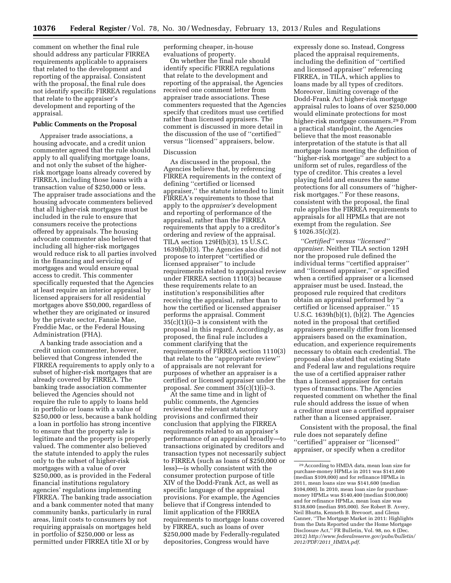comment on whether the final rule should address any particular FIRREA requirements applicable to appraisers that related to the development and reporting of the appraisal. Consistent with the proposal, the final rule does not identify specific FIRREA regulations that relate to the appraiser's development and reporting of the appraisal.

#### **Public Comments on the Proposal**

Appraiser trade associations, a housing advocate, and a credit union commenter agreed that the rule should apply to all qualifying mortgage loans, and not only the subset of the higherrisk mortgage loans already covered by FIRREA, including those loans with a transaction value of \$250,000 or less. The appraiser trade associations and the housing advocate commenters believed that all higher-risk mortgages must be included in the rule to ensure that consumers receive the protections offered by appraisals. The housing advocate commenter also believed that including all higher-risk mortgages would reduce risk to all parties involved in the financing and servicing of mortgages and would ensure equal access to credit. This commenter specifically requested that the Agencies at least require an interior appraisal by licensed appraisers for all residential mortgages above \$50,000, regardless of whether they are originated or insured by the private sector, Fannie Mae, Freddie Mac, or the Federal Housing Administration (FHA).

A banking trade association and a credit union commenter, however, believed that Congress intended the FIRREA requirements to apply only to a subset of higher-risk mortgages that are already covered by FIRREA. The banking trade association commenter believed the Agencies should not require the rule to apply to loans held in portfolio or loans with a value of \$250,000 or less, because a bank holding a loan in portfolio has strong incentive to ensure that the property sale is legitimate and the property is properly valued. The commenter also believed the statute intended to apply the rules only to the subset of higher-risk mortgages with a value of over \$250,000, as is provided in the Federal financial institutions regulatory agencies' regulations implementing FIRREA. The banking trade association and a bank commenter noted that many community banks, particularly in rural areas, limit costs to consumers by not requiring appraisals on mortgages held in portfolio of \$250,000 or less as permitted under FIRREA title XI or by

performing cheaper, in-house evaluations of property.

On whether the final rule should identify specific FIRREA regulations that relate to the development and reporting of the appraisal, the Agencies received one comment letter from appraiser trade associations. These commenters requested that the Agencies specify that creditors must use certified rather than licensed appraisers. The comment is discussed in more detail in the discussion of the use of ''certified'' versus ''licensed'' appraisers, below.

#### Discussion

As discussed in the proposal, the Agencies believe that, by referencing FIRREA requirements in the context of defining ''certified or licensed appraiser,'' the statute intended to limit FIRREA's requirements to those that apply to the *appraiser's* development and reporting of performance of the appraisal, rather than the FIRREA requirements that apply to a creditor's ordering and review of the appraisal. TILA section 129H(b)(3), 15 U.S.C. 1639h(b)(3). The Agencies also did not propose to interpret ''certified or licensed appraiser'' to include requirements related to appraisal review under FIRREA section 1110(3) because these requirements relate to an institution's responsibilities after receiving the appraisal, rather than to how the certified or licensed appraiser performs the appraisal. Comment  $35(c)(1)(i)-3$  is consistent with the proposal in this regard. Accordingly, as proposed, the final rule includes a comment clarifying that the requirements of FIRREA section 1110(3) that relate to the ''appropriate review'' of appraisals are not relevant for purposes of whether an appraiser is a certified or licensed appraiser under the proposal. *See* comment 35(c)(1)(i)–3.

At the same time and in light of public comments, the Agencies reviewed the relevant statutory provisions and confirmed their conclusion that applying the FIRREA requirements related to an appraiser's performance of an appraisal broadly—to transactions originated by creditors and transaction types not necessarily subject to FIRREA (such as loans of \$250,000 or less)—is wholly consistent with the consumer protection purpose of title XIV of the Dodd-Frank Act, as well as specific language of the appraisal provisions. For example, the Agencies believe that if Congress intended to limit application of the FIRREA requirements to mortgage loans covered by FIRREA, such as loans of over \$250,000 made by Federally-regulated depositories, Congress would have

expressly done so. Instead, Congress placed the appraisal requirements, including the definition of ''certified and licensed appraiser'' referencing FIRREA, in TILA, which applies to loans made by all types of creditors. Moreover, limiting coverage of the Dodd-Frank Act higher-risk mortgage appraisal rules to loans of over \$250,000 would eliminate protections for most higher-risk mortgage consumers.29 From a practical standpoint, the Agencies believe that the most reasonable interpretation of the statute is that all mortgage loans meeting the definition of ''higher-risk mortgage'' are subject to a uniform set of rules, regardless of the type of creditor. This creates a level playing field and ensures the same protections for all consumers of ''higherrisk mortgages.'' For these reasons, consistent with the proposal, the final rule applies the FIRREA requirements to appraisals for all HPMLs that are not exempt from the regulation. *See*  § 1026.35(c)(2).

*''Certified'' versus ''licensed'' appraiser.* Neither TILA section 129H nor the proposed rule defined the individual terms ''certified appraiser'' and ''licensed appraiser,'' or specified when a certified appraiser or a licensed appraiser must be used. Instead, the proposed rule required that creditors obtain an appraisal performed by ''a certified or licensed appraiser.'' 15 U.S.C. 1639h(b)(1), (b)(2). The Agencies noted in the proposal that certified appraisers generally differ from licensed appraisers based on the examination, education, and experience requirements necessary to obtain each credential. The proposal also stated that existing State and Federal law and regulations require the use of a certified appraiser rather than a licensed appraiser for certain types of transactions. The Agencies requested comment on whether the final rule should address the issue of when a creditor must use a certified appraiser rather than a licensed appraiser.

Consistent with the proposal, the final rule does not separately define ''certified'' appraiser or ''licensed'' appraiser, or specify when a creditor

<sup>29</sup>According to HMDA data, mean loan size for purchase-money HPMLs in 2011 was \$141,600 (median \$109,000) and for refinance HPMLs in 2011, mean loans size was \$141,600 (median \$104,000). In 2010, mean loan size for purchasemoney HPMLs was \$140,400 (median \$100,000) and for refinance HPMLs, mean loan size was \$138,600 (median \$95,000). *See* Robert B. Avery, Neil Bhutta, Kenneth B. Brevoort, and Glenn Canner, ''The Mortgage Market in 2011: Highlights from the Data Reported under the Home Mortgage Disclosure Act,'' FR Bulletin, Vol. 98, no. 6 (Dec. 2012) *[http://www.federalreserve.gov/pubs/bulletin/](http://www.federalreserve.gov/pubs/bulletin/2012/PDF/2011_HMDA.pdf) [2012/PDF/2011](http://www.federalreserve.gov/pubs/bulletin/2012/PDF/2011_HMDA.pdf)*\_*HMDA.pdf*.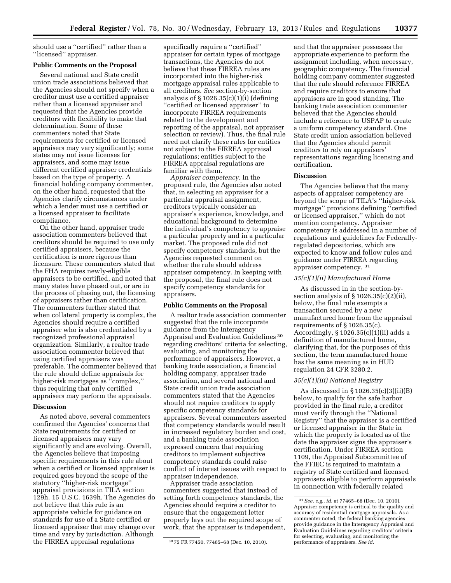should use a ''certified'' rather than a ''licensed'' appraiser.

#### **Public Comments on the Proposal**

Several national and State credit union trade associations believed that the Agencies should not specify when a creditor must use a certified appraiser rather than a licensed appraiser and requested that the Agencies provide creditors with flexibility to make that determination. Some of these commenters noted that State requirements for certified or licensed appraisers may vary significantly; some states may not issue licenses for appraisers, and some may issue different certified appraiser credentials based on the type of property. A financial holding company commenter, on the other hand, requested that the Agencies clarify circumstances under which a lender must use a certified or a licensed appraiser to facilitate compliance.

On the other hand, appraiser trade association commenters believed that creditors should be required to use only certified appraisers, because the certification is more rigorous than licensure. These commenters stated that the FHA requires newly-eligible appraisers to be certified, and noted that many states have phased out, or are in the process of phasing out, the licensing of appraisers rather than certification. The commenters further stated that when collateral property is complex, the Agencies should require a certified appraiser who is also credentialed by a recognized professional appraisal organization. Similarly, a realtor trade association commenter believed that using certified appraisers was preferable. The commenter believed that the rule should define appraisals for higher-risk mortgages as ''complex,'' thus requiring that only certified appraisers may perform the appraisals.

#### **Discussion**

As noted above, several commenters confirmed the Agencies' concerns that State requirements for certified or licensed appraisers may vary significantly and are evolving. Overall, the Agencies believe that imposing specific requirements in this rule about when a certified or licensed appraiser is required goes beyond the scope of the statutory ''higher-risk mortgage'' appraisal provisions in TILA section 129h. 15 U.S.C. 1639h. The Agencies do not believe that this rule is an appropriate vehicle for guidance on standards for use of a State certified or licensed appraiser that may change over time and vary by jurisdiction. Although the FIRREA appraisal regulations

specifically require a ''certified'' appraiser for certain types of mortgage transactions, the Agencies do not believe that these FIRREA rules are incorporated into the higher-risk mortgage appraisal rules applicable to all creditors. *See* section-by-section analysis of  $\S 1026.35(c)(1)(i)$  (defining ''certified or licensed appraiser'' to incorporate FIRREA requirements related to the development and reporting of the appraisal, not appraiser selection or review). Thus, the final rule need not clarify these rules for entities not subject to the FIRREA appraisal regulations; entities subject to the FIRREA appraisal regulations are familiar with them.

*Appraiser competency.* In the proposed rule, the Agencies also noted that, in selecting an appraiser for a particular appraisal assignment, creditors typically consider an appraiser's experience, knowledge, and educational background to determine the individual's competency to appraise a particular property and in a particular market. The proposed rule did not specify competency standards, but the Agencies requested comment on whether the rule should address appraiser competency. In keeping with the proposal, the final rule does not specify competency standards for appraisers.

#### **Public Comments on the Proposal**

A realtor trade association commenter suggested that the rule incorporate guidance from the Interagency Appraisal and Evaluation Guidelines 30 regarding creditors' criteria for selecting, evaluating, and monitoring the performance of appraisers. However, a banking trade association, a financial holding company, appraiser trade association, and several national and State credit union trade association commenters stated that the Agencies should not require creditors to apply specific competency standards for appraisers. Several commenters asserted that competency standards would result in increased regulatory burden and cost, and a banking trade association expressed concern that requiring creditors to implement subjective competency standards could raise conflict of interest issues with respect to appraiser independence.

Appraiser trade association commenters suggested that instead of setting forth competency standards, the Agencies should require a creditor to ensure that the engagement letter properly lays out the required scope of work, that the appraiser is independent,

and that the appraiser possesses the appropriate experience to perform the assignment including, when necessary, geographic competency. The financial holding company commenter suggested that the rule should reference FIRREA and require creditors to ensure that appraisers are in good standing. The banking trade association commenter believed that the Agencies should include a reference to USPAP to create a uniform competency standard. One State credit union association believed that the Agencies should permit creditors to rely on appraisers' representations regarding licensing and certification.

#### **Discussion**

The Agencies believe that the many aspects of appraiser competency are beyond the scope of TILA's ''higher-risk mortgage'' provisions defining ''certified or licensed appraiser,'' which do not mention competency. Appraiser competency is addressed in a number of regulations and guidelines for Federallyregulated depositories, which are expected to know and follow rules and guidance under FIRREA regarding appraiser competency. 31

#### *35(c)(1)(ii) Manufactured Home*

As discussed in in the section-bysection analysis of § 1026.35(c)(2)(ii), below, the final rule exempts a transaction secured by a new manufactured home from the appraisal requirements of § 1026.35(c). Accordingly, § 1026.35(c)(1)(ii) adds a definition of manufactured home, clarifying that, for the purposes of this section, the term manufactured home has the same meaning as in HUD regulation 24 CFR 3280.2.

#### *35(c)(1)(iii) National Registry*

As discussed in § 1026.35(c)(3)(ii)(B) below, to qualify for the safe harbor provided in the final rule, a creditor must verify through the ''National Registry'' that the appraiser is a certified or licensed appraiser in the State in which the property is located as of the date the appraiser signs the appraiser's certification. Under FIRREA section 1109, the Appraisal Subcommittee of the FFIEC is required to maintain a registry of State certified and licensed appraisers eligible to perform appraisals in connection with federally related

<sup>30</sup> 75 FR 77450, 77465–68 (Dec. 10, 2010).

<sup>31</sup>*See, e.g., id.* at 77465–68 (Dec. 10, 2010). Appraiser competency is critical to the quality and accuracy of residential mortgage appraisals. As a commenter noted, the federal banking agencies provide guidance in the Interagency Appraisal and Evaluation Guidelines regarding creditors' criteria for selecting, evaluating, and monitoring the performance of appraisers. *See id.*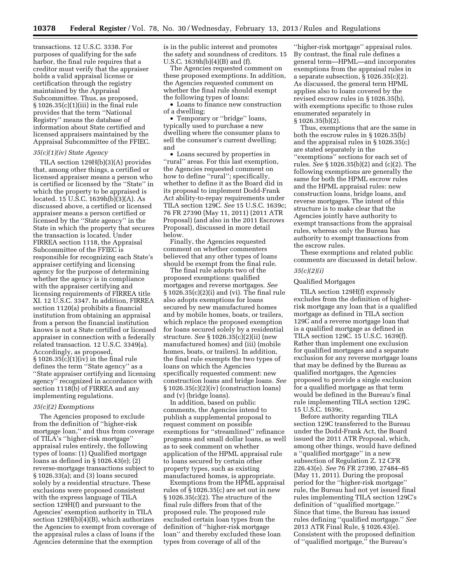transactions. 12 U.S.C. 3338. For purposes of qualifying for the safe harbor, the final rule requires that a creditor must verify that the appraiser holds a valid appraisal license or certification through the registry maintained by the Appraisal Subcommittee. Thus, as proposed, § 1026.35(c)(1)(iii) in the final rule provides that the term ''National Registry'' means the database of information about State certified and licensed appraisers maintained by the Appraisal Subcommittee of the FFIEC.

## *35(c)(1)(iv) State Agency*

TILA section 129H(b)(3)(A) provides that, among other things, a certified or licensed appraiser means a person who is certified or licensed by the ''State'' in which the property to be appraised is located. 15 U.S.C. 1639h(b)(3)(A). As discussed above, a certified or licensed appraiser means a person certified or licensed by the ''State agency'' in the State in which the property that secures the transaction is located. Under FIRREA section 1118, the Appraisal Subcommittee of the FFIEC is responsible for recognizing each State's appraiser certifying and licensing agency for the purpose of determining whether the agency is in compliance with the appraiser certifying and licensing requirements of FIRREA title XI. 12 U.S.C. 3347. In addition, FIRREA section 1120(a) prohibits a financial institution from obtaining an appraisal from a person the financial institution knows is not a State certified or licensed appraiser in connection with a federally related transaction. 12 U.S.C. 3349(a). Accordingly, as proposed,  $\S 1026.35(c)(1)(iv)$  in the final rule defines the term ''State agency'' as a ''State appraiser certifying and licensing agency'' recognized in accordance with section 1118(b) of FIRREA and any implementing regulations.

#### *35(c)(2) Exemptions*

The Agencies proposed to exclude from the definition of ''higher-risk mortgage loan,'' and thus from coverage of TILA's ''higher-risk mortgage'' appraisal rules entirely, the following types of loans: (1) Qualified mortgage loans as defined in § 1026.43(e); (2) reverse-mortgage transactions subject to § 1026.33(a); and (3) loans secured solely by a residential structure. These exclusions were proposed consistent with the express language of TILA section 129H(f) and pursuant to the Agencies' exemption authority in TILA section 129H(b)(4)(B), which authorizes the Agencies to exempt from coverage of the appraisal rules a class of loans if the Agencies determine that the exemption

is in the public interest and promotes the safety and soundness of creditors. 15 U.S.C. 1639h(b)(4)(B) and (f).

The Agencies requested comment on these proposed exemptions. In addition, the Agencies requested comment on whether the final rule should exempt the following types of loans:

• Loans to finance new construction of a dwelling;

• Temporary or "bridge" loans, typically used to purchase a new dwelling where the consumer plans to sell the consumer's current dwelling; and

• Loans secured by properties in ''rural'' areas. For this last exemption, the Agencies requested comment on how to define ''rural''; specifically, whether to define it as the Board did in its proposal to implement Dodd-Frank Act ability-to-repay requirements under TILA section 129C. *See* 15 U.S.C. 1639c; 76 FR 27390 (May 11, 2011) (2011 ATR Proposal) (and also in the 2011 Escrows Proposal), discussed in more detail below.

Finally, the Agencies requested comment on whether commenters believed that any other types of loans should be exempt from the final rule.

The final rule adopts two of the proposed exemptions: qualified mortgages and reverse mortgages. *See*  § 1026.35(c)(2)(i) and (vi). The final rule also adopts exemptions for loans secured by new manufactured homes and by mobile homes, boats, or trailers, which replace the proposed exemption for loans secured solely by a residential structure. *See* § 1026.35(c)(2)(ii) (new manufactured homes) and (iii) (mobile homes, boats, or trailers). In addition, the final rule exempts the two types of loans on which the Agencies specifically requested comment: new construction loans and bridge loans. *See*  § 1026.35(c)(2)(iv) (construction loans) and (v) (bridge loans).

In addition, based on public comments, the Agencies intend to publish a supplemental proposal to request comment on possible exemptions for ''streamlined'' refinance programs and small dollar loans, as well as to seek comment on whether application of the HPML appraisal rule to loans secured by certain other property types, such as existing manufactured homes, is appropriate.

Exemptions from the HPML appraisal rules of § 1026.35(c) are set out in new § 1026.35(c)(2). The structure of the final rule differs from that of the proposed rule. The proposed rule excluded certain loan types from the definition of ''higher-risk mortgage loan'' and thereby excluded these loan types from coverage of all of the

''higher-risk mortgage'' appraisal rules. By contrast, the final rule defines a general term—HPML—and incorporates exemptions from the appraisal rules in a separate subsection, § 1026.35(c)(2). As discussed, the general term HPML applies also to loans covered by the revised escrow rules in § 1026.35(b), with exemptions specific to those rules enumerated separately in § 1026.35(b)(2).

Thus, exemptions that are the same in both the escrow rules in § 1026.35(b) and the appraisal rules in § 1026.35(c) are stated separately in the ''exemptions'' sections for each set of rules. *See* § 1026.35(b)(2) and (c)(2). The following exemptions are generally the same for both the HPML escrow rules and the HPML appraisal rules: new construction loans, bridge loans, and reverse mortgages. The intent of this structure is to make clear that the Agencies jointly have authority to exempt transactions from the appraisal rules, whereas only the Bureau has authority to exempt transactions from the escrow rules.

These exemptions and related public comments are discussed in detail below.

## *35(c)(2)(i)*

## Qualified Mortgages

TILA section 129H(f) expressly excludes from the definition of higherrisk mortgage any loan that is a qualified mortgage as defined in TILA section 129C and a reverse mortgage loan that is a qualified mortgage as defined in TILA section 129C. 15 U.S.C. 1639(f). Rather than implement one exclusion for qualified mortgages and a separate exclusion for any reverse mortgage loans that may be defined by the Bureau as qualified mortgages, the Agencies proposed to provide a single exclusion for a qualified mortgage as that term would be defined in the Bureau's final rule implementing TILA section 129C. 15 U.S.C. 1639c.

Before authority regarding TILA section 129C transferred to the Bureau under the Dodd-Frank Act, the Board issued the 2011 ATR Proposal, which, among other things, would have defined a ''qualified mortgage'' in a new subsection of Regulation Z. 12 CFR 226.43(e). *See* 76 FR 27390, 27484–85 (May 11, 2011). During the proposal period for the ''higher-risk mortgage'' rule, the Bureau had not yet issued final rules implementing TILA section 129C's definition of ''qualified mortgage.'' Since that time, the Bureau has issued rules defining ''qualified mortgage.'' *See*  2013 ATR Final Rule, § 1026.43(e). Consistent with the proposed definition of ''qualified mortgage,'' the Bureau's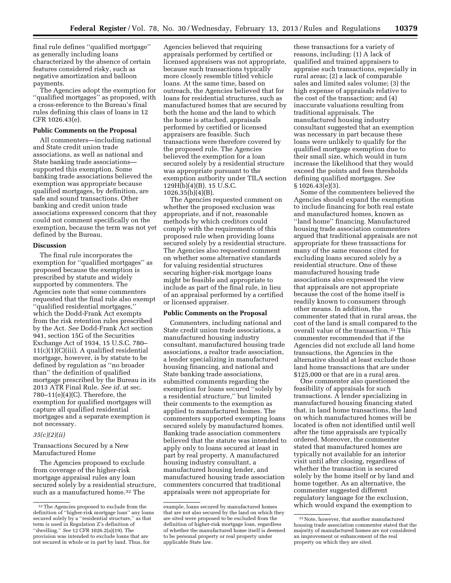final rule defines ''qualified mortgage'' as generally including loans characterized by the absence of certain features considered risky, such as negative amortization and balloon payments.

The Agencies adopt the exemption for ''qualified mortgages'' as proposed, with a cross-reference to the Bureau's final rules defining this class of loans in 12 CFR 1026.43(e).

#### **Public Comments on the Proposal**

All commenters—including national and State credit union trade associations, as well as national and State banking trade associations supported this exemption. Some banking trade associations believed the exemption was appropriate because qualified mortgages, by definition, are safe and sound transactions. Other banking and credit union trade associations expressed concern that they could not comment specifically on the exemption, because the term was not yet defined by the Bureau.

#### **Discussion**

The final rule incorporates the exemption for ''qualified mortgages'' as proposed because the exemption is prescribed by statute and widely supported by commenters. The Agencies note that some commenters requested that the final rule also exempt ''qualified residential mortgages,'' which the Dodd-Frank Act exempts from the risk retention rules prescribed by the Act. *See* Dodd-Frank Act section 941, section 15G of the Securities Exchange Act of 1934, 15 U.S.C. 780– 11(c)(1)(C)(iii). A qualified residential mortgage, however, is by statute to be defined by regulation as ''no broader than'' the definition of qualified mortgage prescribed by the Bureau in its 2013 ATR Final Rule. *See id.* at sec. 780–11(e)(4)(C). Therefore, the exemption for qualified mortgages will capture all qualified residential mortgages and a separate exemption is not necessary.

#### *35(c)(2)(ii)*

Transactions Secured by a New Manufactured Home

The Agencies proposed to exclude from coverage of the higher-risk mortgage appraisal rules any loan secured solely by a residential structure, such as a manufactured home.32 The

Agencies believed that requiring appraisals performed by certified or licensed appraisers was not appropriate, because such transactions typically more closely resemble titled vehicle loans. At the same time, based on outreach, the Agencies believed that for loans for residential structures, such as manufactured homes that are secured by both the home and the land to which the home is attached, appraisals performed by certified or licensed appraisers are feasible. Such transactions were therefore covered by the proposed rule. The Agencies believed the exemption for a loan secured solely by a residential structure was appropriate pursuant to the exemption authority under TILA section 129H(b)(4)(B). 15 U.S.C. 1026.35(b)(4)(B).

The Agencies requested comment on whether the proposed exclusion was appropriate, and if not, reasonable methods by which creditors could comply with the requirements of this proposed rule when providing loans secured solely by a residential structure. The Agencies also requested comment on whether some alternative standards for valuing residential structures securing higher-risk mortgage loans might be feasible and appropriate to include as part of the final rule, in lieu of an appraisal performed by a certified or licensed appraiser.

#### **Public Comments on the Proposal**

Commenters, including national and State credit union trade associations, a manufactured housing industry consultant, manufactured housing trade associations, a realtor trade association, a lender specializing in manufactured housing financing, and national and State banking trade associations, submitted comments regarding the exemption for loans secured ''solely by a residential structure,'' but limited their comments to the exemption as applied to manufactured homes. The commenters supported exempting loans secured solely by manufactured homes. Banking trade association commenters believed that the statute was intended to apply only to loans secured at least in part by real property. A manufactured housing industry consultant, a manufactured housing lender, and manufactured housing trade association commenters concurred that traditional appraisals were not appropriate for

these transactions for a variety of reasons, including: (1) A lack of qualified and trained appraisers to appraise such transactions, especially in rural areas; (2) a lack of comparable sales and limited sales volume; (3) the high expense of appraisals relative to the cost of the transaction; and (4) inaccurate valuations resulting from traditional appraisals. The manufactured housing industry consultant suggested that an exemption was necessary in part because these loans were unlikely to qualify for the qualified mortgage exemption due to their small size, which would in turn increase the likelihood that they would exceed the points and fees thresholds defining qualified mortgages. *See*  § 1026.43(e)(3).

Some of the commenters believed the Agencies should expand the exemption to include financing for both real estate and manufactured homes, known as ''land home'' financing. Manufactured housing trade association commenters argued that traditional appraisals are not appropriate for these transactions for many of the same reasons cited for excluding loans secured solely by a residential structure. One of these manufactured housing trade associations also expressed the view that appraisals are not appropriate because the cost of the home itself is readily known to consumers through other means. In addition, the commenter stated that in rural areas, the cost of the land is small compared to the overall value of the transaction.<sup>33</sup> This commenter recommended that if the Agencies did not exclude all land home transactions, the Agencies in the alternative should at least exclude those land home transactions that are under \$125,000 or that are in a rural area.

One commenter also questioned the feasibility of appraisals for such transactions. A lender specializing in manufactured housing financing stated that, in land home transactions, the land on which manufactured homes will be located is often not identified until well after the time appraisals are typically ordered. Moreover, the commenter stated that manufactured homes are typically not available for an interior visit until after closing, regardless of whether the transaction is secured solely by the home itself or by land and home together. As an alternative, the commenter suggested different regulatory language for the exclusion, which would expand the exemption to

<sup>32</sup>The Agencies proposed to exclude from the definition of ''higher-risk mortgage loan'' any loans secured solely by a ''residential structure,'' as that term is used in Regulation Z's definition of ''dwelling.'' *See* 12 CFR 1026.2(a)(19). The provision was intended to exclude loans that are not secured in whole or in part by land. Thus, for

example, loans secured by manufactured homes that are not also secured by the land on which they are sited were proposed to be excluded from the definition of higher-risk mortgage loan, regardless of whether the manufactured home itself is deemed to be personal property or real property under applicable State law.

<sup>33</sup>Note, however, that another manufactured housing trade association commenter stated that the majority of manufactured homes are not considered an improvement or enhancement of the real property on which they are sited.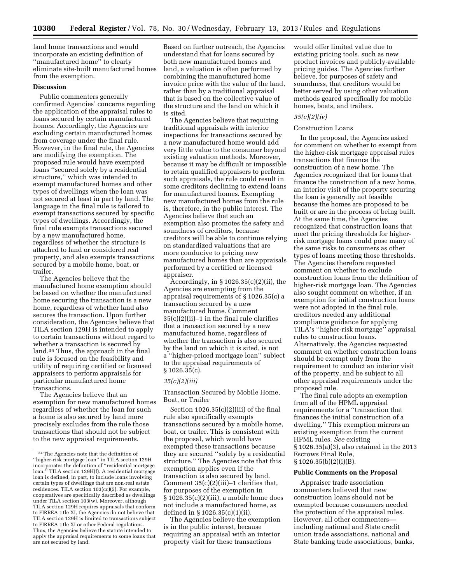land home transactions and would incorporate an existing definition of ''manufactured home'' to clearly eliminate site-built manufactured homes from the exemption.

## **Discussion**

Public commenters generally confirmed Agencies' concerns regarding the application of the appraisal rules to loans secured by certain manufactured homes. Accordingly, the Agencies are excluding certain manufactured homes from coverage under the final rule. However, in the final rule, the Agencies are modifying the exemption. The proposed rule would have exempted loans ''secured solely by a residential structure,'' which was intended to exempt manufactured homes and other types of dwellings when the loan was not secured at least in part by land. The language in the final rule is tailored to exempt transactions secured by specific types of dwellings. Accordingly, the final rule exempts transactions secured by a new manufactured home, regardless of whether the structure is attached to land or considered real property, and also exempts transactions secured by a mobile home, boat, or trailer.

The Agencies believe that the manufactured home exemption should be based on whether the manufactured home securing the transaction is a new home, regardless of whether land also secures the transaction. Upon further consideration, the Agencies believe that TILA section 129H is intended to apply to certain transactions without regard to whether a transaction is secured by land.34 Thus, the approach in the final rule is focused on the feasibility and utility of requiring certified or licensed appraisers to perform appraisals for particular manufactured home transactions.

The Agencies believe that an exemption for new manufactured homes regardless of whether the loan for such a home is also secured by land more precisely excludes from the rule those transactions that should not be subject to the new appraisal requirements.

Based on further outreach, the Agencies understand that for loans secured by both new manufactured homes and land, a valuation is often performed by combining the manufactured home invoice price with the value of the land, rather than by a traditional appraisal that is based on the collective value of the structure and the land on which it is sited.

The Agencies believe that requiring traditional appraisals with interior inspections for transactions secured by a new manufactured home would add very little value to the consumer beyond existing valuation methods. Moreover, because it may be difficult or impossible to retain qualified appraisers to perform such appraisals, the rule could result in some creditors declining to extend loans for manufactured homes. Exempting new manufactured homes from the rule is, therefore, in the public interest. The Agencies believe that such an exemption also promotes the safety and soundness of creditors, because creditors will be able to continue relying on standardized valuations that are more conducive to pricing new manufactured homes than are appraisals performed by a certified or licensed appraiser.

Accordingly, in § 1026.35(c)(2)(ii), the Agencies are exempting from the appraisal requirements of § 1026.35(c) a transaction secured by a new manufactured home. Comment 35(c)(2)(ii)–1 in the final rule clarifies that a transaction secured by a new manufactured home, regardless of whether the transaction is also secured by the land on which it is sited, is not a ''higher-priced mortgage loan'' subject to the appraisal requirements of § 1026.35(c).

#### *35(c)(2)(iii)*

Transaction Secured by Mobile Home, Boat, or Trailer

Section 1026.35(c)(2)(iii) of the final rule also specifically exempts transactions secured by a mobile home, boat, or trailer. This is consistent with the proposal, which would have exempted these transactions because they are secured ''solely by a residential structure.'' The Agencies note that this exemption applies even if the transaction is also secured by land. Comment 35(c)(2)(iii)–1 clarifies that, for purposes of the exemption in  $§ 1026.35(c)(2)(iii)$ , a mobile home does not include a manufactured home, as defined in § 1026.35(c)(1)(ii).

The Agencies believe the exemption is in the public interest, because requiring an appraisal with an interior property visit for these transactions

would offer limited value due to existing pricing tools, such as new product invoices and publicly-available pricing guides. The Agencies further believe, for purposes of safety and soundness, that creditors would be better served by using other valuation methods geared specifically for mobile homes, boats, and trailers.

## *35(c)(2)(iv)*

#### Construction Loans

In the proposal, the Agencies asked for comment on whether to exempt from the higher-risk mortgage appraisal rules transactions that finance the construction of a new home. The Agencies recognized that for loans that finance the construction of a new home, an interior visit of the property securing the loan is generally not feasible because the homes are proposed to be built or are in the process of being built. At the same time, the Agencies recognized that construction loans that meet the pricing thresholds for higherrisk mortgage loans could pose many of the same risks to consumers as other types of loans meeting those thresholds. The Agencies therefore requested comment on whether to exclude construction loans from the definition of higher-risk mortgage loan. The Agencies also sought comment on whether, if an exemption for initial construction loans were not adopted in the final rule, creditors needed any additional compliance guidance for applying TILA's ''higher-risk mortgage'' appraisal rules to construction loans. Alternatively, the Agencies requested comment on whether construction loans should be exempt only from the requirement to conduct an interior visit of the property, and be subject to all other appraisal requirements under the proposed rule.

The final rule adopts an exemption from all of the HPML appraisal requirements for a ''transaction that finances the initial construction of a dwelling.'' This exemption mirrors an existing exemption from the current HPML rules. *See* existing § 1026.35(a)(3), also retained in the 2013 Escrows Final Rule, § 1026.35(b)(2)(i)(B).

## **Public Comments on the Proposal**

Appraiser trade association commenters believed that new construction loans should not be exempted because consumers needed the protection of the appraisal rules. However, all other commenters including national and State credit union trade associations, national and State banking trade associations, banks,

<sup>34</sup>The Agencies note that the definition of ''higher-risk mortgage loan'' in TILA section 129H incorporates the definition of ''residential mortgage loan.'' TILA section 129H(f). A residential mortgage loan is defined, in part, to include loans involving certain types of dwellings that are non-real estate residences. TILA section 103(cc)(5). For example, cooperatives are specifically described as dwellings under TILA section 103(w). Moreover, although TILA section 129H requires appraisals that conform to FIRREA title XI, the Agencies do not believe that TILA section 129H is limited to transactions subject to FIRREA title XI or other Federal regulations. Thus, the Agencies believe the statute intended to apply the appraisal requirements to some loans that are not secured by land.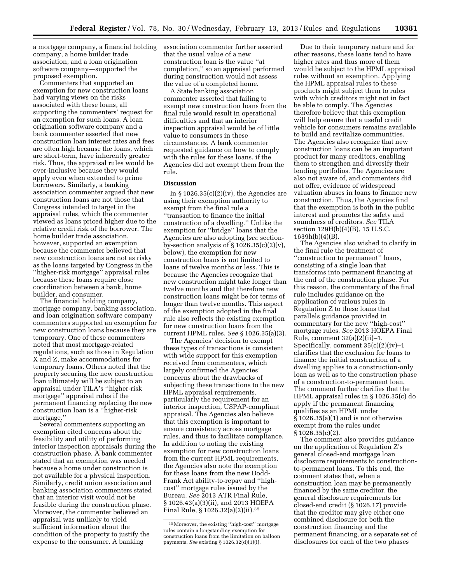a mortgage company, a financial holding company, a home builder trade association, and a loan origination software company—supported the proposed exemption.

Commenters that supported an exemption for new construction loans had varying views on the risks associated with these loans, all supporting the commenters' request for an exemption for such loans. A loan origination software company and a bank commenter asserted that new construction loan interest rates and fees are often high because the loans, which are short-term, have inherently greater risk. Thus, the appraisal rules would be over-inclusive because they would apply even when extended to prime borrowers. Similarly, a banking association commenter argued that new construction loans are not those that Congress intended to target in the appraisal rules, which the commenter viewed as loans priced higher due to the relative credit risk of the borrower. The home builder trade association, however, supported an exemption because the commenter believed that new construction loans are not as risky as the loans targeted by Congress in the ''higher-risk mortgage'' appraisal rules because these loans require close coordination between a bank, home builder, and consumer.

The financial holding company, mortgage company, banking association, and loan origination software company commenters supported an exemption for new construction loans because they are temporary. One of these commenters noted that most mortgage-related regulations, such as those in Regulation X and Z, make accommodations for temporary loans. Others noted that the property securing the new construction loan ultimately will be subject to an appraisal under TILA's ''higher-risk mortgage'' appraisal rules if the permanent financing replacing the new construction loan is a ''higher-risk mortgage.''

Several commenters supporting an exemption cited concerns about the feasibility and utility of performing interior inspection appraisals during the construction phase. A bank commenter stated that an exemption was needed because a home under construction is not available for a physical inspection. Similarly, credit union association and banking association commenters stated that an interior visit would not be feasible during the construction phase. Moreover, the commenter believed an appraisal was unlikely to yield sufficient information about the condition of the property to justify the expense to the consumer. A banking

association commenter further asserted that the usual value of a new construction loan is the value ''at completion,'' so an appraisal performed during construction would not assess the value of a completed home.

A State banking association commenter asserted that failing to exempt new construction loans from the final rule would result in operational difficulties and that an interior inspection appraisal would be of little value to consumers in these circumstances. A bank commenter requested guidance on how to comply with the rules for these loans, if the Agencies did not exempt them from the rule.

## **Discussion**

In  $\S 1026.35(c)(2)(iv)$ , the Agencies are using their exemption authority to exempt from the final rule a ''transaction to finance the initial construction of a dwelling.'' Unlike the exemption for ''bridge'' loans that the Agencies are also adopting (*see* sectionby-section analysis of  $\S 1026.35(c)(2)(v)$ , below), the exemption for new construction loans is not limited to loans of twelve months or less. This is because the Agencies recognize that new construction might take longer than twelve months and that therefore new construction loans might be for terms of longer than twelve months. This aspect of the exemption adopted in the final rule also reflects the existing exemption for new construction loans from the current HPML rules. *See* § 1026.35(a)(3).

The Agencies' decision to exempt these types of transactions is consistent with wide support for this exemption received from commenters, which largely confirmed the Agencies' concerns about the drawbacks of subjecting these transactions to the new HPML appraisal requirements, particularly the requirement for an interior inspection, USPAP-compliant appraisal. The Agencies also believe that this exemption is important to ensure consistency across mortgage rules, and thus to facilitate compliance. In addition to noting the existing exemption for new construction loans from the current HPML requirements, the Agencies also note the exemption for these loans from the new Dodd-Frank Act ability-to-repay and ''highcost'' mortgage rules issued by the Bureau. *See* 2013 ATR Final Rule, § 1026.43(a)(3)(ii), and 2013 HOEPA Final Rule, § 1026.32(a)(2)(ii).35

Due to their temporary nature and for other reasons, these loans tend to have higher rates and thus more of them would be subject to the HPML appraisal rules without an exemption. Applying the HPML appraisal rules to these products might subject them to rules with which creditors might not in fact be able to comply. The Agencies therefore believe that this exemption will help ensure that a useful credit vehicle for consumers remains available to build and revitalize communities. The Agencies also recognize that new construction loans can be an important product for many creditors, enabling them to strengthen and diversify their lending portfolios. The Agencies are also not aware of, and commenters did not offer, evidence of widespread valuation abuses in loans to finance new construction. Thus, the Agencies find that the exemption is both in the public interest and promotes the safety and soundness of creditors. *See* TILA section 129H(b)(4)(B), 15 U.S.C. 1639h(b)(4)(B).

The Agencies also wished to clarify in the final rule the treatment of ''construction to permanent'' loans, consisting of a single loan that transforms into permanent financing at the end of the construction phase. For this reason, the commentary of the final rule includes guidance on the application of various rules in Regulation Z to these loans that parallels guidance provided in commentary for the new ''high-cost'' mortgage rules. *See* 2013 HOEPA Final Rule, comment  $32(a)(2)(ii)-1$ . Specifically, comment 35(c)(2)(iv)–1 clarifies that the exclusion for loans to finance the initial construction of a dwelling applies to a construction-only loan as well as to the construction phase of a construction-to-permanent loan. The comment further clarifies that the HPML appraisal rules in § 1026.35(c) do apply if the permanent financing qualifies as an HPML under § 1026.35(a)(1) and is not otherwise exempt from the rules under § 1026.35(c)(2).

The comment also provides guidance on the application of Regulation Z's general closed-end mortgage loan disclosure requirements to constructionto-permanent loans. To this end, the comment states that, when a construction loan may be permanently financed by the same creditor, the general disclosure requirements for closed-end credit (§ 1026.17) provide that the creditor may give either one combined disclosure for both the construction financing and the permanent financing, or a separate set of disclosures for each of the two phases

<sup>35</sup>Moreover, the existing ''high-cost'' mortgage rules contain a longstanding exemption for construction loans from the limitation on balloon payments. *See* existing § 1026.32(d)(1)(i).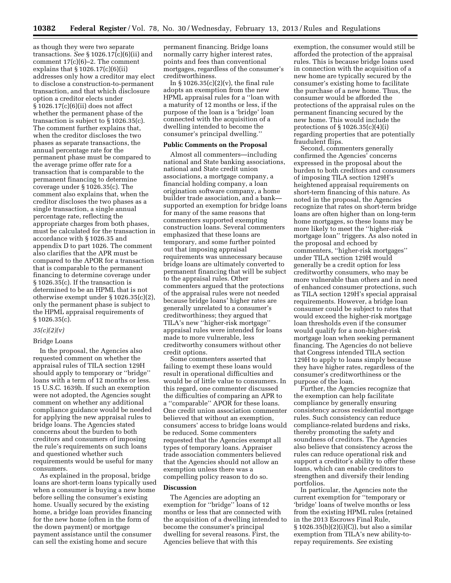as though they were two separate transactions. *See* § 1026.17(c)(6)(ii) and comment 17(c)(6)–2. The comment explains that  $\S 1026.17(c)(6)(ii)$ addresses only how a creditor may elect to disclose a construction-to-permanent transaction, and that which disclosure option a creditor elects under § 1026.17(c)(6)(ii) does not affect whether the permanent phase of the transaction is subject to § 1026.35(c). The comment further explains that, when the creditor discloses the two phases as separate transactions, the annual percentage rate for the permanent phase must be compared to the average prime offer rate for a transaction that is comparable to the permanent financing to determine coverage under § 1026.35(c). The comment also explains that, when the creditor discloses the two phases as a single transaction, a single annual percentage rate, reflecting the appropriate charges from both phases, must be calculated for the transaction in accordance with § 1026.35 and appendix D to part 1026. The comment also clarifies that the APR must be compared to the APOR for a transaction that is comparable to the permanent financing to determine coverage under § 1026.35(c). If the transaction is determined to be an HPML that is not otherwise exempt under § 1026.35(c)(2), only the permanent phase is subject to the HPML appraisal requirements of § 1026.35(c).

#### *35(c)(2)(v)*

#### Bridge Loans

In the proposal, the Agencies also requested comment on whether the appraisal rules of TILA section 129H should apply to temporary or ''bridge'' loans with a term of 12 months or less. 15 U.S.C. 1639h. If such an exemption were not adopted, the Agencies sought comment on whether any additional compliance guidance would be needed for applying the new appraisal rules to bridge loans. The Agencies stated concerns about the burden to both creditors and consumers of imposing the rule's requirements on such loans and questioned whether such requirements would be useful for many consumers.

As explained in the proposal, bridge loans are short-term loans typically used when a consumer is buying a new home before selling the consumer's existing home. Usually secured by the existing home, a bridge loan provides financing for the new home (often in the form of the down payment) or mortgage payment assistance until the consumer can sell the existing home and secure

permanent financing. Bridge loans normally carry higher interest rates, points and fees than conventional mortgages, regardless of the consumer's creditworthiness.

In § 1026.35(c)(2)(v), the final rule adopts an exemption from the new HPML appraisal rules for a ''loan with a maturity of 12 months or less, if the purpose of the loan is a 'bridge' loan connected with the acquisition of a dwelling intended to become the consumer's principal dwelling.''

## **Public Comments on the Proposal**

Almost all commenters—including national and State banking associations, national and State credit union associations, a mortgage company, a financial holding company, a loan origination software company, a home builder trade association, and a bank supported an exemption for bridge loans for many of the same reasons that commenters supported exempting construction loans. Several commenters emphasized that these loans are temporary, and some further pointed out that imposing appraisal requirements was unnecessary because bridge loans are ultimately converted to permanent financing that will be subject to the appraisal rules. Other commenters argued that the protections of the appraisal rules were not needed because bridge loans' higher rates are generally unrelated to a consumer's creditworthiness; they argued that TILA's new ''higher-risk mortgage'' appraisal rules were intended for loans made to more vulnerable, less creditworthy consumers without other credit options.

Some commenters asserted that failing to exempt these loans would result in operational difficulties and would be of little value to consumers. In this regard, one commenter discussed the difficulties of comparing an APR to a ''comparable'' APOR for these loans. One credit union association commenter believed that without an exemption, consumers' access to bridge loans would be reduced. Some commenters requested that the Agencies exempt all types of temporary loans. Appraiser trade association commenters believed that the Agencies should not allow an exemption unless there was a compelling policy reason to do so.

#### **Discussion**

The Agencies are adopting an exemption for ''bridge'' loans of 12 months or less that are connected with the acquisition of a dwelling intended to become the consumer's principal dwelling for several reasons. First, the Agencies believe that with this

exemption, the consumer would still be afforded the protection of the appraisal rules. This is because bridge loans used in connection with the acquisition of a new home are typically secured by the consumer's existing home to facilitate the purchase of a new home. Thus, the consumer would be afforded the protections of the appraisal rules on the permanent financing secured by the new home. This would include the protections of § 1026.35(c)(4)(i) regarding properties that are potentially fraudulent flips.

Second, commenters generally confirmed the Agencies' concerns expressed in the proposal about the burden to both creditors and consumers of imposing TILA section 129H's heightened appraisal requirements on short-term financing of this nature. As noted in the proposal, the Agencies recognize that rates on short-term bridge loans are often higher than on long-term home mortgages, so these loans may be more likely to meet the ''higher-risk mortgage loan'' triggers. As also noted in the proposal and echoed by commenters, ''higher-risk mortgages'' under TILA section 129H would generally be a credit option for less creditworthy consumers, who may be more vulnerable than others and in need of enhanced consumer protections, such as TILA section 129H's special appraisal requirements. However, a bridge loan consumer could be subject to rates that would exceed the higher-risk mortgage loan thresholds even if the consumer would qualify for a non-higher-risk mortgage loan when seeking permanent financing. The Agencies do not believe that Congress intended TILA section 129H to apply to loans simply because they have higher rates, regardless of the consumer's creditworthiness or the purpose of the loan.

Further, the Agencies recognize that the exemption can help facilitate compliance by generally ensuring consistency across residential mortgage rules. Such consistency can reduce compliance-related burdens and risks, thereby promoting the safety and soundness of creditors. The Agencies also believe that consistency across the rules can reduce operational risk and support a creditor's ability to offer these loans, which can enable creditors to strengthen and diversify their lending portfolios.

In particular, the Agencies note the current exemption for ''temporary or 'bridge' loans of twelve months or less from the existing HPML rules (retained in the 2013 Escrows Final Rule, § 1026.35(b)(2)(i)(C)), but also a similar exemption from TILA's new ability-torepay requirements. *See* existing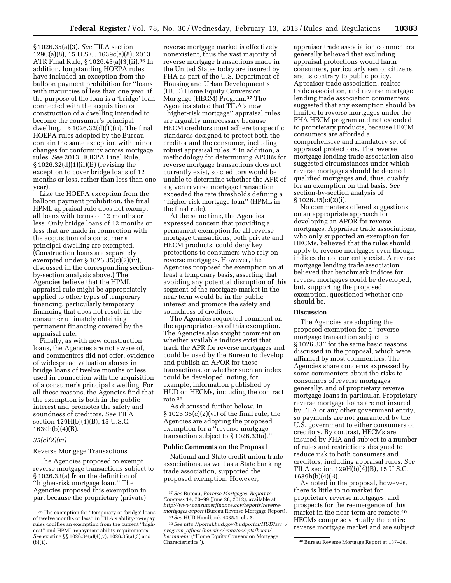§ 1026.35(a)(3). *See* TILA section 129C(a)(8), 15 U.S.C. 1639c(a)(8); 2013 ATR Final Rule, § 1026.43(a)(3)(ii).36 In addition, longstanding HOEPA rules have included an exception from the balloon payment prohibition for ''loans with maturities of less than one year, if the purpose of the loan is a 'bridge' loan connected with the acquisition or construction of a dwelling intended to become the consumer's principal dwelling.'' § 1026.32(d)(1)(ii). The final HOEPA rules adopted by the Bureau contain the same exception with minor changes for conformity across mortgage rules. *See* 2013 HOEPA Final Rule, § 1026.32(d)(1)(ii)(B) (revising the exception to cover bridge loans of 12 months or less, rather than less than one year).

Like the HOEPA exception from the balloon payment prohibition, the final HPML appraisal rule does not exempt all loans with terms of 12 months or less. Only bridge loans of 12 months or less that are made in connection with the acquisition of a consumer's principal dwelling are exempted. (Construction loans are separately exempted under § 1026.35(c)(2)(iv), discussed in the corresponding sectionby-section analysis above.) The Agencies believe that the HPML appraisal rule might be appropriately applied to other types of temporary financing, particularly temporary financing that does not result in the consumer ultimately obtaining permanent financing covered by the appraisal rule.

Finally, as with new construction loans, the Agencies are not aware of, and commenters did not offer, evidence of widespread valuation abuses in bridge loans of twelve months or less used in connection with the acquisition of a consumer's principal dwelling. For all these reasons, the Agencies find that the exemption is both in the public interest and promotes the safety and soundness of creditors. *See* TILA section 129H(b)(4)(B), 15 U.S.C. 1639h(b)(4)(B).

#### *35(c)(2)(vi)*

#### Reverse Mortgage Transactions

The Agencies proposed to exempt reverse mortgage transactions subject to § 1026.33(a) from the definition of ''higher-risk mortgage loan.'' The Agencies proposed this exemption in part because the proprietary (private)

reverse mortgage market is effectively nonexistent, thus the vast majority of reverse mortgage transactions made in the United States today are insured by FHA as part of the U.S. Department of Housing and Urban Development's (HUD) Home Equity Conversion Mortgage (HECM) Program.37 The Agencies stated that TILA's new ''higher-risk mortgage'' appraisal rules are arguably unnecessary because HECM creditors must adhere to specific standards designed to protect both the creditor and the consumer, including robust appraisal rules.38 In addition, a methodology for determining APORs for reverse mortgage transactions does not currently exist, so creditors would be unable to determine whether the APR of a given reverse mortgage transaction exceeded the rate thresholds defining a ''higher-risk mortgage loan'' (HPML in the final rule).

At the same time, the Agencies expressed concern that providing a permanent exemption for all reverse mortgage transactions, both private and HECM products, could deny key protections to consumers who rely on reverse mortgages. However, the Agencies proposed the exemption on at least a temporary basis, asserting that avoiding any potential disruption of this segment of the mortgage market in the near term would be in the public interest and promote the safety and soundness of creditors.

The Agencies requested comment on the appropriateness of this exemption. The Agencies also sought comment on whether available indices exist that track the APR for reverse mortgages and could be used by the Bureau to develop and publish an APOR for these transactions, or whether such an index could be developed, noting, for example, information published by HUD on HECMs, including the contract rate.39

As discussed further below, in § 1026.35(c)(2)(vi) of the final rule, the Agencies are adopting the proposed exemption for a ''reverse-mortgage transaction subject to § 1026.33(a).''

#### **Public Comments on the Proposal**

National and State credit union trade associations, as well as a State banking trade association, supported the proposed exemption. However,

appraiser trade association commenters generally believed that excluding appraisal protections would harm consumers, particularly senior citizens, and is contrary to public policy. Appraiser trade association, realtor trade association, and reverse mortgage lending trade association commenters suggested that any exemption should be limited to reverse mortgages under the FHA HECM program and not extended to proprietary products, because HECM consumers are afforded a comprehensive and mandatory set of appraisal protections. The reverse mortgage lending trade association also suggested circumstances under which reverse mortgages should be deemed qualified mortgages and, thus, qualify for an exemption on that basis. *See*  section-by-section analysis of § 1026.35(c)(2)(i).

No commenters offered suggestions on an appropriate approach for developing an APOR for reverse mortgages. Appraiser trade associations, who only supported an exemption for HECMs, believed that the rules should apply to reverse mortgages even though indices do not currently exist. A reverse mortgage lending trade association believed that benchmark indices for reverse mortgages could be developed, but, supporting the proposed exemption, questioned whether one should be.

#### **Discussion**

The Agencies are adopting the proposed exemption for a ''reversemortgage transaction subject to § 1026.33'' for the same basic reasons discussed in the proposal, which were affirmed by most commenters. The Agencies share concerns expressed by some commenters about the risks to consumers of reverse mortgages generally, and of proprietary reverse mortgage loans in particular. Proprietary reverse mortgage loans are not insured by FHA or any other government entity, so payments are not guaranteed by the U.S. government to either consumers or creditors. By contrast, HECMs are insured by FHA and subject to a number of rules and restrictions designed to reduce risk to both consumers and creditors, including appraisal rules. *See*  TILA section 129H(b)(4)(B), 15 U.S.C. 1639h(b)(4)(B).

As noted in the proposal, however, there is little to no market for proprietary reverse mortgages, and prospects for the reemergence of this market in the near-term are remote.40 HECMs comprise virtually the entire reverse mortgage market and are subject

<sup>36</sup>The exemption for ''temporary or 'bridge' loans of twelve months or less'' in TILA's ability-to-repay rules codifies an exemption from the current ''highcost'' and HPML repayment ability requirements. *See* existing §§ 1026.34(a)(4)(v), 1026.35(a)(3) and (b)(1).

<sup>37</sup>*See* Bureau, *Reverse Mortgages: Report to Congress* 14, 70–99 (June 28, 2012), available at *[http://www.consumerfinance.gov/reports/reverse](http://www.consumerfinance.gov/reports/reverse-mortgages-report)[mortgages-report](http://www.consumerfinance.gov/reports/reverse-mortgages-report)* (Bureau Reverse Mortgage Report). 38*See* HUD Handbook 4235.1, ch. 3.

<sup>39</sup>*See [http://portal.hud.gov/hudportal/HUD?src=/](http://portal.hud.gov/hudportal/HUD?src=/program_offices/housing/rmra/oe/rpts/hecm/hecmmenu) program*\_*[offices/housing/rmra/oe/rpts/hecm/](http://portal.hud.gov/hudportal/HUD?src=/program_offices/housing/rmra/oe/rpts/hecm/hecmmenu) [hecmmenu](http://portal.hud.gov/hudportal/HUD?src=/program_offices/housing/rmra/oe/rpts/hecm/hecmmenu)* (''Home Equity Conversion Mortgage

<sup>&</sup>lt;sup>40</sup> Bureau Reverse Mortgage Report at 137–38.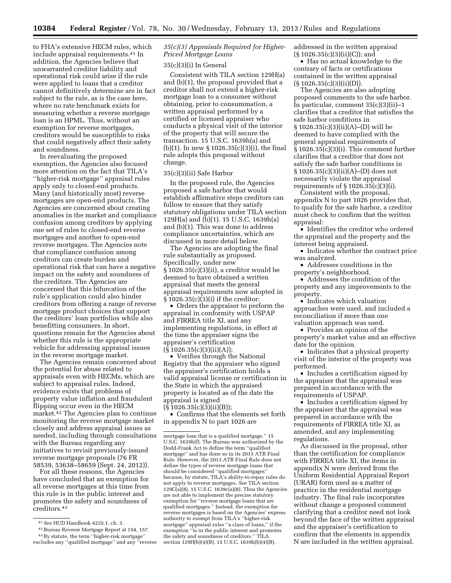to FHA's extensive HECM rules, which include appraisal requirements.41 In addition, the Agencies believe that unwarranted creditor liability and operational risk could arise if the rule were applied to loans that a creditor cannot definitively determine are in fact subject to the rule, as is the case here, where no rate benchmark exists for measuring whether a reverse mortgage loan is an HPML. Thus, without an exemption for reverse mortgages, creditors would be susceptible to risks that could negatively affect their safety and soundness.

In reevaluating the proposed exemption, the Agencies also focused more attention on the fact that TILA's ''higher-risk mortgage'' appraisal rules apply only to closed-end products. Many (and historically most) reverse mortgages are open-end products. The Agencies are concerned about creating anomalies in the market and compliance confusion among creditors by applying one set of rules to closed-end reverse mortgages and another to open-end reverse mortgages. The Agencies note that compliance confusion among creditors can create burden and operational risk that can have a negative impact on the safety and soundness of the creditors. The Agencies are concerned that this bifurcation of the rule's application could also hinder creditors from offering a range of reverse mortgage product choices that support the creditors' loan portfolios while also benefitting consumers. In short, questions remain for the Agencies about whether this rule is the appropriate vehicle for addressing appraisal issues in the reverse mortgage market.

The Agencies remain concerned about the potential for abuse related to appraisals even with HECMs, which are subject to appraisal rules. Indeed, evidence exists that problems of property value inflation and fraudulent flipping occur even in the HECM market.42 The Agencies plan to continue monitoring the reverse mortgage market closely and address appraisal issues as needed, including through consultations with the Bureau regarding any initiatives to revisit previously-issued reverse mortgage proposals (76 FR 58539, 53638–58659 (Sept. 24, 2012)).

For all these reasons, the Agencies have concluded that an exemption for all reverse mortgages at this time from this rule is in the public interest and promotes the safety and soundness of creditors.43

*35(c)(3) Appraisals Required for Higher-Priced Mortgage Loans* 

#### 35(c)(3)(i) In General

Consistent with TILA section 129H(a) and (b)(1), the proposal provided that a creditor shall not extend a higher-risk mortgage loan to a consumer without obtaining, prior to consummation, a written appraisal performed by a certified or licensed appraiser who conducts a physical visit of the interior of the property that will secure the transaction. 15 U.S.C. 1639h(a) and (b)(1). In new § 1026.35(c)(3)(i), the final rule adopts this proposal without change.

#### 35(c)(3)(ii) Safe Harbor

In the proposed rule, the Agencies proposed a safe harbor that would establish affirmative steps creditors can follow to ensure that they satisfy statutory obligations under TILA section 129H(a) and (b)(1). 15 U.S.C. 1639h(a) and (b)(1). This was done to address compliance uncertainties, which are discussed in more detail below.

The Agencies are adopting the final rule substantially as proposed. Specifically, under new § 1026.35(c)(3)(ii), a creditor would be deemed to have obtained a written appraisal that meets the general appraisal requirements now adopted in § 1026.35(c)(3)(i) if the creditor:

• Orders the appraiser to perform the appraisal in conformity with USPAP and FIRREA title XI, and any implementing regulations, in effect at the time the appraiser signs the appraiser's certification  $(S1026.35(c)(3)(ii)(A));$ 

• Verifies through the National Registry that the appraiser who signed the appraiser's certification holds a valid appraisal license or certification in the State in which the appraised property is located as of the date the appraisal is signed

 $(S1026.35(c)(3)(ii)(B));$ 

• Confirms that the elements set forth in appendix N to part 1026 are

addressed in the written appraisal  $(S 1026.35(c)(3)(ii)(C))$ ; and

• Has no actual knowledge to the contrary of facts or certifications contained in the written appraisal  $(\S 1026.35(c)(3)(ii)(D)).$ 

The Agencies are also adopting proposed comments to the safe harbor. In particular, comment 35(c)(3)(ii)–1 clarifies that a creditor that satisfies the safe harbor conditions in § 1026.35(c)(3)(ii)(A)–(D) will be deemed to have complied with the general appraisal requirements of § 1026.35(c)(3)(i). This comment further clarifies that a creditor that does not satisfy the safe harbor conditions in § 1026.35(c)(3)(ii)(A)–(D) does not necessarily violate the appraisal requirements of § 1026.35(c)(3)(i).

Consistent with the proposal, appendix N to part 1026 provides that, to qualify for the safe harbor, a creditor must check to confirm that the written appraisal:

• Identifies the creditor who ordered the appraisal and the property and the interest being appraised.

• Indicates whether the contract price was analyzed.

• Addresses conditions in the property's neighborhood.

• Addresses the condition of the property and any improvements to the property.

• Indicates which valuation approaches were used, and included a reconciliation if more than one valuation approach was used.

• Provides an opinion of the property's market value and an effective date for the opinion.

• Indicates that a physical property visit of the interior of the property was performed.

• Includes a certification signed by the appraiser that the appraisal was prepared in accordance with the requirements of USPAP.

• Includes a certification signed by the appraiser that the appraisal was prepared in accordance with the requirements of FIRREA title XI, as amended, and any implementing regulations.

As discussed in the proposal, other than the certification for compliance with FIRREA title XI, the items in appendix N were derived from the Uniform Residential Appraisal Report (URAR) form used as a matter of practice in the residential mortgage industry. The final rule incorporates without change a proposed comment clarifying that a creditor need not look beyond the face of the written appraisal and the appraiser's certification to confirm that the elements in appendix N are included in the written appraisal.

<sup>41</sup>*See* HUD Handbook 4235.1, ch. 3.

<sup>42</sup>Bureau Reverse Mortgage Report at 154, 157.

<sup>43</sup>By statute, the term ''higher-risk mortgage'' excludes any ''qualified mortgage'' and any ''reverse

mortgage loan that is a qualified mortgage.'' 15 U.S.C. 1639h(f). The Bureau was authorized by the Dodd-Frank Act to define the term ''qualified mortgage'' and has done so in its 2013 ATR Final Rule. However, the 2013 ATR Final Rule does not define the types of reverse mortgage loans that should be considered ''qualified mortgages'' because, by statute, TILA's ability-to-repay rules do not apply to reverse mortgages. *See* TILA section  $129C(a)(8)$ , 15 U.S.C. 1639 $c(a)(8)$ . Thus the Agencies are not able to implement the precise statutory exemption for ''reverse mortgage loans that are qualified mortgages.'' Instead, the exemption for reverse mortgages is based on the Agencies' express authority to exempt from TILA's ''higher-risk mortgage'' appraisal rules ''a class of loans,'' if the exemption "is in the public interest and promotes the safety and soundness of creditors.'' TILA section 129H(b)(4)(B), 15 U.S.C. 1639h(b)(4)(B).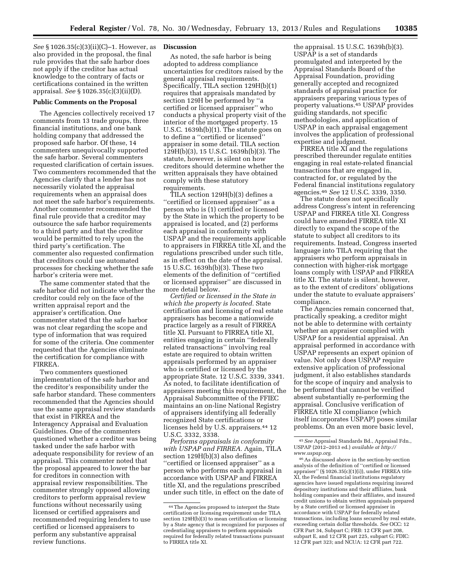*See* § 1026.35(c)(3)(ii)(C)–1. However, as also provided in the proposal, the final rule provides that the safe harbor does not apply if the creditor has actual knowledge to the contrary of facts or certifications contained in the written appraisal. *See* § 1026.35(c)(3)(ii)(D).

#### **Public Comments on the Proposal**

The Agencies collectively received 17 comments from 13 trade groups, three financial institutions, and one bank holding company that addressed the proposed safe harbor. Of these, 14 commenters unequivocally supported the safe harbor. Several commenters requested clarification of certain issues. Two commenters recommended that the Agencies clarify that a lender has not necessarily violated the appraisal requirements when an appraisal does not meet the safe harbor's requirements. Another commenter recommended the final rule provide that a creditor may outsource the safe harbor requirements to a third party and that the creditor would be permitted to rely upon the third party's certification. The commenter also requested confirmation that creditors could use automated processes for checking whether the safe harbor's criteria were met.

The same commenter stated that the safe harbor did not indicate whether the creditor could rely on the face of the written appraisal report and the appraiser's certification. One commenter stated that the safe harbor was not clear regarding the scope and type of information that was required for some of the criteria. One commenter requested that the Agencies eliminate the certification for compliance with FIRREA.

Two commenters questioned implementation of the safe harbor and the creditor's responsibility under the safe harbor standard. These commenters recommended that the Agencies should use the same appraisal review standards that exist in FIRREA and the Interagency Appraisal and Evaluation Guidelines. One of the commenters questioned whether a creditor was being tasked under the safe harbor with adequate responsibility for review of an appraisal. This commenter noted that the proposal appeared to lower the bar for creditors in connection with appraisal review responsibilities. The commenter strongly opposed allowing creditors to perform appraisal review functions without necessarily using licensed or certified appraisers and recommended requiring lenders to use certified or licensed appraisers to perform any substantive appraisal review functions.

#### **Discussion**

As noted, the safe harbor is being adopted to address compliance uncertainties for creditors raised by the general appraisal requirements. Specifically, TILA section 129H(b)(1) requires that appraisals mandated by section 129H be performed by ''a certified or licensed appraiser'' who conducts a physical property visit of the interior of the mortgaged property. 15 U.S.C. 1639h(b)(1). The statute goes on to define a ''certified or licensed'' appraiser in some detail. TILA section 129H(b)(3), 15 U.S.C. 1639h(b)(3). The statute, however, is silent on how creditors should determine whether the written appraisals they have obtained comply with these statutory requirements.

TILA section 129H(b)(3) defines a ''certified or licensed appraiser'' as a person who is (1) certified or licensed by the State in which the property to be appraised is located, and (2) performs each appraisal in conformity with USPAP and the requirements applicable to appraisers in FIRREA title XI, and the regulations prescribed under such title, as in effect on the date of the appraisal. 15 U.S.C. 1639h(b)(3). These two elements of the definition of ''certified or licensed appraiser'' are discussed in more detail below.

*Certified or licensed in the State in which the property is located.* State certification and licensing of real estate appraisers has become a nationwide practice largely as a result of FIRREA title XI. Pursuant to FIRREA title XI, entities engaging in certain ''federally related transactions'' involving real estate are required to obtain written appraisals performed by an appraiser who is certified or licensed by the appropriate State. 12 U.S.C. 3339, 3341. As noted, to facilitate identification of appraisers meeting this requirement, the Appraisal Subcommittee of the FFIEC maintains an on-line National Registry of appraisers identifying all federally recognized State certifications or licenses held by U.S. appraisers.44 12 U.S.C. 3332, 3338.

*Performs appraisals in conformity with USPAP and FIRREA.* Again, TILA section 129H(b)(3) also defines ''certified or licensed appraiser'' as a person who performs each appraisal in accordance with USPAP and FIRREA title XI, and the regulations prescribed under such title, in effect on the date of

the appraisal. 15 U.S.C. 1639h(b)(3). USPAP is a set of standards promulgated and interpreted by the Appraisal Standards Board of the Appraisal Foundation, providing generally accepted and recognized standards of appraisal practice for appraisers preparing various types of property valuations.45 USPAP provides guiding standards, not specific methodologies, and application of USPAP in each appraisal engagement involves the application of professional expertise and judgment.

FIRREA title XI and the regulations prescribed thereunder regulate entities engaging in real estate-related financial transactions that are engaged in, contracted for, or regulated by the Federal financial institutions regulatory agencies.46 *See* 12 U.S.C. 3339, 3350.

The statute does not specifically address Congress's intent in referencing USPAP and FIRREA title XI. Congress could have amended FIRREA title XI directly to expand the scope of the statute to subject all creditors to its requirements. Instead, Congress inserted language into TILA requiring that the appraisers who perform appraisals in connection with higher-risk mortgage loans comply with USPAP and FIRREA title XI. The statute is silent, however, as to the extent of creditors' obligations under the statute to evaluate appraisers' compliance.

The Agencies remain concerned that, practically speaking, a creditor might not be able to determine with certainty whether an appraiser complied with USPAP for a residential appraisal. An appraisal performed in accordance with USPAP represents an expert opinion of value. Not only does USPAP require extensive application of professional judgment, it also establishes standards for the scope of inquiry and analysis to be performed that cannot be verified absent substantially re-performing the appraisal. Conclusive verification of FIRREA title XI compliance (which itself incorporates USPAP) poses similar problems. On an even more basic level,

45*See* Appraisal Standards Bd., Appraisal Fdn., USPAP (2012–2013 ed.) *available at [http://](http://www.uspap.org)  [www.uspap.org](http://www.uspap.org)*.

46As discussed above in the section-by-section analysis of the definition of ''certified or licensed appraiser'' (§ 1026.35(c)(1)(i)), under FIRREA title XI, the Federal financial institutions regulatory agencies have issued regulations requiring insured depository institutions and their affiliates, bank holding companies and their affiliates, and insured credit unions to obtain written appraisals prepared by a State certified or licensed appraiser in accordance with USPAP for federally related transactions, including loans secured by real estate, exceeding certain dollar thresholds. *See* OCC: 12 CFR Part 34, Subpart C; FRB: 12 CFR part 208, subpart E, and 12 CFR part 225, subpart G; FDIC: 12 CFR part 323; and NCUA: 12 CFR part 722.

<sup>44</sup>The Agencies proposed to interpret the State certification or licensing requirement under TILA section 129H(b)(3) to mean certification or licensing by a State agency that is recognized for purposes of credentialing appraisers to perform appraisals required for federally related transactions pursuant to FIRREA title XI.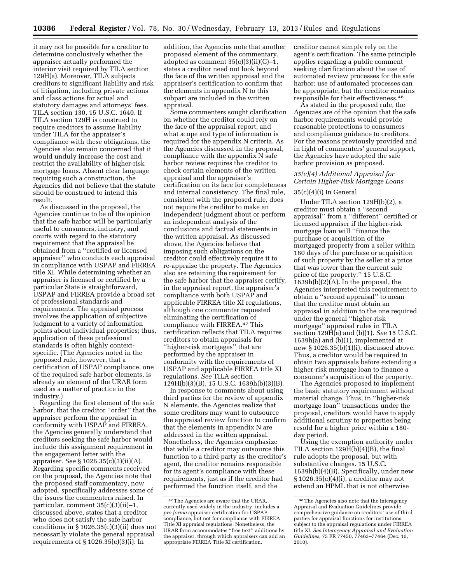it may not be possible for a creditor to determine conclusively whether the appraiser actually performed the interior visit required by TILA section 129H(a). Moreover, TILA subjects creditors to significant liability and risk of litigation, including private actions and class actions for actual and statutory damages and attorneys' fees. TILA section 130, 15 U.S.C. 1640. If TILA section 129H is construed to require creditors to assume liability under TILA for the appraiser's compliance with these obligations, the Agencies also remain concerned that it would unduly increase the cost and restrict the availability of higher-risk mortgage loans. Absent clear language requiring such a construction, the Agencies did not believe that the statute should be construed to intend this result.

As discussed in the proposal, the Agencies continue to be of the opinion that the safe harbor will be particularly useful to consumers, industry, and courts with regard to the statutory requirement that the appraisal be obtained from a ''certified or licensed appraiser'' who conducts each appraisal in compliance with USPAP and FIRREA title XI. While determining whether an appraiser is licensed or certified by a particular State is straightforward, USPAP and FIRREA provide a broad set of professional standards and requirements. The appraisal process involves the application of subjective judgment to a variety of information points about individual properties; thus, application of these professional standards is often highly contextspecific. (The Agencies noted in the proposed rule, however, that a certification of USPAP compliance, one of the required safe harbor elements, is already an element of the URAR form used as a matter of practice in the industry.)

Regarding the first element of the safe harbor, that the creditor ''order'' that the appraiser perform the appraisal in conformity with USPAP and FIRREA, the Agencies generally understand that creditors seeking the safe harbor would include this assignment requirement in the engagement letter with the appraiser. *See* § 1026.35(c)(3)(ii)(A). Regarding specific comments received on the proposal, the Agencies note that the proposed staff commentary, now adopted, specifically addresses some of the issues the commenters raised. In particular, comment 35(c)(3)(ii)–1, discussed above, states that a creditor who does not satisfy the safe harbor conditions in § 1026.35(c)(3)(ii) does not necessarily violate the general appraisal requirements of § 1026.35(c)(3)(i). In

addition, the Agencies note that another proposed element of the commentary, adopted as comment  $35(c)(3)(ii)(C)-1$ , states a creditor need not look beyond the face of the written appraisal and the appraiser's certification to confirm that the elements in appendix N to this subpart are included in the written appraisal.

Some commenters sought clarification on whether the creditor could rely on the face of the appraisal report, and what scope and type of information is required for the appendix N criteria. As the Agencies discussed in the proposal, compliance with the appendix N safe harbor review requires the creditor to check certain elements of the written appraisal and the appraiser's certification on its face for completeness and internal consistency. The final rule, consistent with the proposed rule, does not require the creditor to make an independent judgment about or perform an independent analysis of the conclusions and factual statements in the written appraisal. As discussed above, the Agencies believe that imposing such obligations on the creditor could effectively require it to re-appraise the property. The Agencies also are retaining the requirement for the safe harbor that the appraiser certify, in the appraisal report, the appraiser's compliance with both USPAP and applicable FIRREA title XI regulations, although one commenter requested eliminating the certification of compliance with FIRREA.47 This certification reflects that TILA requires creditors to obtain appraisals for ''higher-risk mortgages'' that are performed by the appraiser in conformity with the requirements of USPAP and applicable FIRREA title XI regulations. *See* TILA section 129H(b)(3)(B), 15 U.S.C. 1639h(b)(3)(B).

In response to comments about using third parties for the review of appendix N elements, the Agencies realize that some creditors may want to outsource the appraisal review function to confirm that the elements in appendix N are addressed in the written appraisal. Nonetheless, the Agencies emphasize that while a creditor may outsource this function to a third party as the creditor's agent, the creditor remains responsible for its agent's compliance with these requirements, just as if the creditor had performed the function itself, and the

creditor cannot simply rely on the agent's certification. The same principle applies regarding a public comment seeking clarification about the use of automated review processes for the safe harbor; use of automated processes can be appropriate, but the creditor remains responsible for their effectiveness.48

As stated in the proposed rule, the Agencies are of the opinion that the safe harbor requirements would provide reasonable protections to consumers and compliance guidance to creditors. For the reasons previously provided and in light of commenters' general support, the Agencies have adopted the safe harbor provision as proposed.

## *35(c)(4) Additional Appraisal for Certain Higher-Risk Mortgage Loans*

## 35(c)(4)(i) In General

Under TILA section 129H(b)(2), a creditor must obtain a ''second appraisal'' from a ''different'' certified or licensed appraiser if the higher-risk mortgage loan will ''finance the purchase or acquisition of the mortgaged property from a seller within 180 days of the purchase or acquisition of such property by the seller at a price that was lower than the current sale price of the property.'' 15 U.S.C. 1639h(b)(2)(A). In the proposal, the Agencies interpreted this requirement to obtain a ''second appraisal'' to mean that the creditor must obtain an appraisal in addition to the one required under the general ''higher-risk mortgage'' appraisal rules in TILA section 129H(a) and (b)(1). *See* 15 U.S.C. 1639h(a) and (b)(1), implemented at new § 1026.35(b)(1)(i), discussed above. Thus, a creditor would be required to obtain two appraisals before extending a higher-risk mortgage loan to finance a consumer's acquisition of the property.

The Agencies proposed to implement the basic statutory requirement without material change. Thus, in ''higher-risk mortgage loan'' transactions under the proposal, creditors would have to apply additional scrutiny to properties being resold for a higher price within a 180 day period.

Using the exemption authority under TILA section 129H(b)(4)(B), the final rule adopts the proposal, but with substantive changes. 15 U.S.C. 1639h(b)(4)(B). Specifically, under new § 1026.35(c)(4)(i), a creditor may not extend an HPML that is not otherwise

<sup>47</sup>The Agencies are aware that the URAR, currently used widely in the industry, includes a *pro forma* appraiser certification for USPAP compliance, but not for compliance with FIRREA Title XI appraisal regulations. Nonetheless, the URAR form accommodates ''free text'' additions by the appraiser, through which appraisers can add an appropriate FIRREA Title XI certification.

<sup>48</sup>The Agencies also note that the Interagency Appraisal and Evaluation Guidelines provide comprehensive guidance on creditors' use of third parties for appraisal functions for institutions subject to the appraisal regulations under FIRREA title XI. *See Interagency Appraisal and Evaluation Guidelines,* 75 FR 77450, 77463–77464 (Dec. 10, 2010).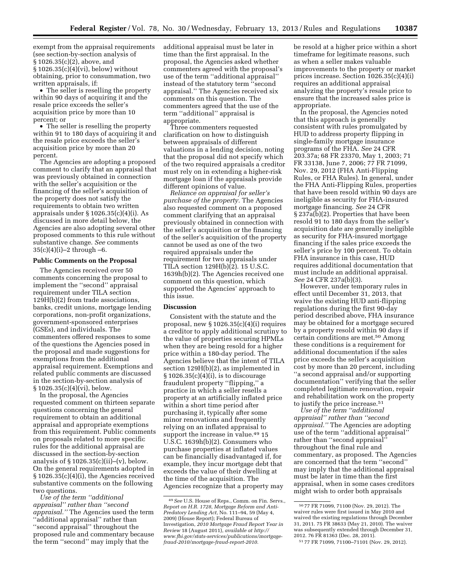exempt from the appraisal requirements (see section-by-section analysis of § 1026.35(c)(2), above, and § 1026.35(c)(4)(vi), below) without obtaining, prior to consummation, two written appraisals, if:

• The seller is reselling the property within 90 days of acquiring it and the resale price exceeds the seller's acquisition price by more than 10 percent; or

• The seller is reselling the property within 91 to 180 days of acquiring it and the resale price exceeds the seller's acquisition price by more than 20 percent.

The Agencies are adopting a proposed comment to clarify that an appraisal that was previously obtained in connection with the seller's acquisition or the financing of the seller's acquisition of the property does not satisfy the requirements to obtain two written appraisals under § 1026.35(c)(4)(i). As discussed in more detail below, the Agencies are also adopting several other proposed comments to this rule without substantive change. *See* comments  $35(c)(4)(i)-2$  through  $-6$ .

#### **Public Comments on the Proposal**

The Agencies received over 50 comments concerning the proposal to implement the ''second'' appraisal requirement under TILA section 129H(b)(2) from trade associations, banks, credit unions, mortgage lending corporations, non-profit organizations, government-sponsored enterprises (GSEs), and individuals. The commenters offered responses to some of the questions the Agencies posed in the proposal and made suggestions for exemptions from the additional appraisal requirement. Exemptions and related public comments are discussed in the section-by-section analysis of § 1026.35(c)(4)(vi), below.

In the proposal, the Agencies requested comment on thirteen separate questions concerning the general requirement to obtain an additional appraisal and appropriate exemptions from this requirement. Public comments on proposals related to more specific rules for the additional appraisal are discussed in the section-by-section analysis of  $\S 1026.35(c)(ii)$ –(v), below. On the general requirements adopted in § 1026.35(c)(4)(i), the Agencies received substantive comments on the following two questions.

*Use of the term ''additional appraisal'' rather than ''second appraisal.''* The Agencies used the term ''additional appraisal'' rather than ''second appraisal'' throughout the proposed rule and commentary because the term ''second'' may imply that the

additional appraisal must be later in time than the first appraisal. In the proposal, the Agencies asked whether commenters agreed with the proposal's use of the term ''additional appraisal'' instead of the statutory term ''second appraisal.'' The Agencies received six comments on this question. The commenters agreed that the use of the term ''additional'' appraisal is appropriate.

Three commenters requested clarification on how to distinguish between appraisals of different valuations in a lending decision, noting that the proposal did not specify which of the two required appraisals a creditor must rely on in extending a higher-risk mortgage loan if the appraisals provide different opinions of value.

*Reliance on appraisal for seller's purchase of the property.* The Agencies also requested comment on a proposed comment clarifying that an appraisal previously obtained in connection with the seller's acquisition or the financing of the seller's acquisition of the property cannot be used as one of the two required appraisals under the requirement for two appraisals under TILA section 129H(b)(2). 15 U.S.C. 1639h(b)(2). The Agencies received one comment on this question, which supported the Agencies' approach to this issue.

## **Discussion**

Consistent with the statute and the proposal, new § 1026.35(c)(4)(i) requires a creditor to apply additional scrutiny to the value of properties securing HPMLs when they are being resold for a higher price within a 180-day period. The Agencies believe that the intent of TILA section 129H(b)(2), as implemented in § 1026.35(c)(4)(i), is to discourage fraudulent property ''flipping,'' a practice in which a seller resells a property at an artificially inflated price within a short time period after purchasing it, typically after some minor renovations and frequently relying on an inflated appraisal to support the increase in value.<sup>49</sup> 15 U.S.C. 1639h(b)(2). Consumers who purchase properties at inflated values can be financially disadvantaged if, for example, they incur mortgage debt that exceeds the value of their dwelling at the time of the acquisition. The Agencies recognize that a property may

be resold at a higher price within a short timeframe for legitimate reasons, such as when a seller makes valuable improvements to the property or market prices increase. Section 1026.35(c)(4)(i) requires an additional appraisal analyzing the property's resale price to ensure that the increased sales price is appropriate.

In the proposal, the Agencies noted that this approach is generally consistent with rules promulgated by HUD to address property flipping in single-family mortgage insurance programs of the FHA. *See* 24 CFR 203.37a; 68 FR 23370, May 1, 2003; 71 FR 33138, June 7, 2006; 77 FR 71099, Nov. 29, 2012 (FHA Anti-Flipping Rules, or FHA Rules). In general, under the FHA Anti-Flipping Rules, properties that have been resold within 90 days are ineligible as security for FHA-insured mortgage financing. *See* 24 CFR § 237a(b)(2). Properties that have been resold 91 to 180 days from the seller's acquisition date are generally ineligible as security for FHA-insured mortgage financing if the sales price exceeds the seller's price by 100 percent. To obtain FHA insurance in this case, HUD requires additional documentation that must include an additional appraisal. *See* 24 CFR 237a(b)(3).

However, under temporary rules in effect until December 31, 2013, that waive the existing HUD anti-flipping regulations during the first 90-day period described above, FHA insurance may be obtained for a mortgage secured by a property resold within 90 days if certain conditions are met.50 Among these conditions is a requirement for additional documentation if the sales price exceeds the seller's acquisition cost by more than 20 percent, including ''a second appraisal and/or supporting documentation'' verifying that the seller completed legitimate renovation, repair and rehabilitation work on the property to justify the price increase.51

*Use of the term ''additional appraisal'' rather than ''second appraisal.''* The Agencies are adopting use of the term ''additional appraisal'' rather than ''second appraisal'' throughout the final rule and commentary, as proposed. The Agencies are concerned that the term ''second'' may imply that the additional appraisal must be later in time than the first appraisal, when in some cases creditors might wish to order both appraisals

<sup>49</sup>*See* U.S. House of Reps., Comm. on Fin. Servs., *Report on H.R. 1728, Mortgage Reform and Anti-Predatory Lending Act,* No. 111–94, 59 (May 4, 2009) (House Report); Federal Bureau of Investigation, *2010 Mortgage Fraud Report Year in Review* 18 (August 2011), *available at [http://](http://www.fbi.gov/stats-services/publications/mortgage-fraud-2010/mortgage-fraud-report-2010) [www.fbi.gov/stats-services/publications/mortgage](http://www.fbi.gov/stats-services/publications/mortgage-fraud-2010/mortgage-fraud-report-2010)[fraud-2010/mortgage-fraud-report-2010](http://www.fbi.gov/stats-services/publications/mortgage-fraud-2010/mortgage-fraud-report-2010)*.

<sup>50</sup> 77 FR 71099, 71100 (Nov. 29, 2012). The waiver rules were first issued in May 2010 and waived the existing regulations through December 31, 2011. 75 FR 38633 (May 21, 2010). The waiver was subsequently extended through December 31, 2012. 76 FR 81363 (Dec. 28, 2011).

<sup>51</sup> 77 FR 71099, 71100–71101 (Nov. 29, 2012).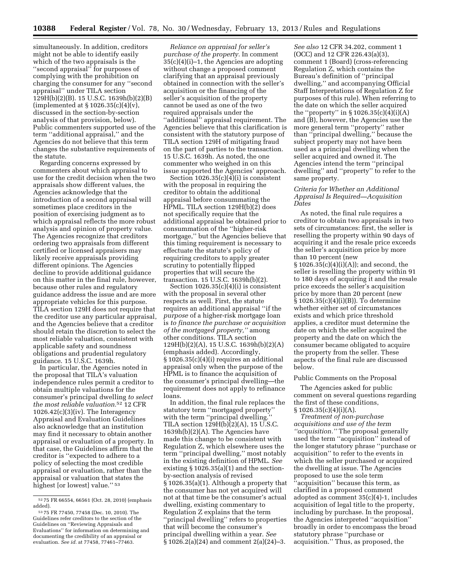simultaneously. In addition, creditors might not be able to identify easily which of the two appraisals is the ''second appraisal'' for purposes of complying with the prohibition on charging the consumer for any ''second appraisal'' under TILA section 129H(b)(2)(B). 15 U.S.C. 1639h(b)(2)(B) (implemented at § 1026.35(c)(4)(v), discussed in the section-by-section analysis of that provision, below). Public commenters supported use of the term ''additional appraisal,'' and the Agencies do not believe that this term changes the substantive requirements of the statute.

Regarding concerns expressed by commenters about which appraisal to use for the credit decision when the two appraisals show different values, the Agencies acknowledge that the introduction of a second appraisal will sometimes place creditors in the position of exercising judgment as to which appraisal reflects the more robust analysis and opinion of property value. The Agencies recognize that creditors ordering two appraisals from different certified or licensed appraisers may likely receive appraisals providing different opinions. The Agencies decline to provide additional guidance on this matter in the final rule, however, because other rules and regulatory guidance address the issue and are more appropriate vehicles for this purpose. TILA section 129H does not require that the creditor use any particular appraisal, and the Agencies believe that a creditor should retain the discretion to select the most reliable valuation, consistent with applicable safety and soundness obligations and prudential regulatory guidance. 15 U.S.C. 1639h.

In particular, the Agencies noted in the proposal that TILA's valuation independence rules permit a creditor to obtain multiple valuations for the consumer's principal dwelling *to select the most reliable valuation.*52 12 CFR 1026.42(c)(3)(iv). The Interagency Appraisal and Evaluation Guidelines also acknowledge that an institution may find it necessary to obtain another appraisal or evaluation of a property. In that case, the Guidelines affirm that the creditor is ''expected to adhere to a policy of selecting the most credible appraisal or evaluation, rather than the appraisal or valuation that states the highest [or lowest] value.'' 53

*Reliance on appraisal for seller's purchase of the property.* In comment 35(c)(4)(i)–1, the Agencies are adopting without change a proposed comment clarifying that an appraisal previously obtained in connection with the seller's acquisition or the financing of the seller's acquisition of the property cannot be used as one of the two required appraisals under the ''additional'' appraisal requirement. The Agencies believe that this clarification is consistent with the statutory purpose of TILA section 129H of mitigating fraud on the part of parties to the transaction. 15 U.S.C. 1639h. As noted, the one commenter who weighed in on this issue supported the Agencies' approach.

Section  $1026.35(c)(4)(i)$  is consistent with the proposal in requiring the creditor to obtain the additional appraisal before consummating the HPML. TILA section 129H(b)(2) does not specifically require that the additional appraisal be obtained prior to consummation of the ''higher-risk mortgage,'' but the Agencies believe that this timing requirement is necessary to effectuate the statute's policy of requiring creditors to apply greater scrutiny to potentially flipped properties that will secure the transaction. 15 U.S.C. 1639h(b)(2).

Section  $1026.35(c)(4)(i)$  is consistent with the proposal in several other respects as well. First, the statute requires an additional appraisal ''if the *purpose* of a higher-risk mortgage loan is *to finance the purchase or acquisition of the mortgaged property,''* among other conditions. TILA section 129H(b)(2)(A), 15 U.S.C. 1639h(b)(2)(A) (emphasis added). Accordingly, § 1026.35(c)(4)(i) requires an additional appraisal only when the purpose of the HPML is to finance the acquisition of the consumer's principal dwelling—the requirement does not apply to refinance loans.

In addition, the final rule replaces the statutory term ''mortgaged property'' with the term "principal dwelling." TILA section 129H(b)(2)(A), 15 U.S.C. 1639h(b)(2)(A). The Agencies have made this change to be consistent with Regulation Z, which elsewhere uses the term ''principal dwelling,'' most notably in the existing definition of HPML. *See*  existing § 1026.35(a)(1) and the sectionby-section analysis of revised § 1026.35(a)(1). Although a property that the consumer has not yet acquired will not at that time be the consumer's actual dwelling, existing commentary to Regulation Z explains that the term ''principal dwelling'' refers to properties that will become the consumer's principal dwelling within a year. *See*  § 1026.2(a)(24) and comment 2(a)(24)–3.

*See also* 12 CFR 34.202, comment 1 (OCC) and 12 CFR 226.43(a)(3), comment 1 (Board) (cross-referencing Regulation Z, which contains the Bureau's definition of ''principal dwelling,'' and accompanying Official Staff Interpretations of Regulation Z for purposes of this rule). When referring to the date on which the seller acquired the ''property'' in § 1026.35(c)(4)(i)(A) and (B), however, the Agencies use the more general term ''property'' rather than ''principal dwelling,'' because the subject property may not have been used as a principal dwelling when the seller acquired and owned it. The Agencies intend the term ''principal dwelling'' and ''property'' to refer to the same property.

#### *Criteria for Whether an Additional Appraisal Is Required—Acquisition Dates*

As noted, the final rule requires a creditor to obtain two appraisals in two sets of circumstances: first, the seller is reselling the property within 90 days of acquiring it and the resale price exceeds the seller's acquisition price by more than 10 percent (new  $\S 1026.35(c)(4)(i)(A);$  and second, the seller is reselling the property within 91 to 180 days of acquiring it and the resale price exceeds the seller's acquisition price by more than 20 percent (new § 1026.35(c)(4)(i)(B)). To determine whether either set of circumstances exists and which price threshold applies, a creditor must determine the date on which the seller acquired the property and the date on which the consumer became obligated to acquire the property from the seller. These aspects of the final rule are discussed below.

#### Public Comments on the Proposal

The Agencies asked for public comment on several questions regarding the first of these conditions,  $§ 1026.35(c)(4)(i)(A).$ 

*Treatment of non-purchase acquisitions and use of the term ''acquisition.''* The proposal generally used the term ''acquisition'' instead of the longer statutory phrase ''purchase or acquisition'' to refer to the events in which the seller purchased or acquired the dwelling at issue. The Agencies proposed to use the sole term ''acquisition'' because this term, as clarified in a proposed comment adopted as comment 35(c)(4)-1, includes acquisition of legal title to the property, including by purchase. In the proposal, the Agencies interpreted ''acquisition'' broadly in order to encompass the broad statutory phrase ''purchase or acquisition.'' Thus, as proposed, the

<sup>52</sup> 75 FR 66554, 66561 (Oct. 28, 2010) (emphasis added).

<sup>53</sup> 75 FR 77450, 77458 (Dec. 10, 2010). The Guidelines refer creditors to the section of the Guidelines on ''Reviewing Appraisals and Evaluations'' for information on determining and documenting the credibility of an appraisal or evaluation. *See id.* at 77458, 77461–77463.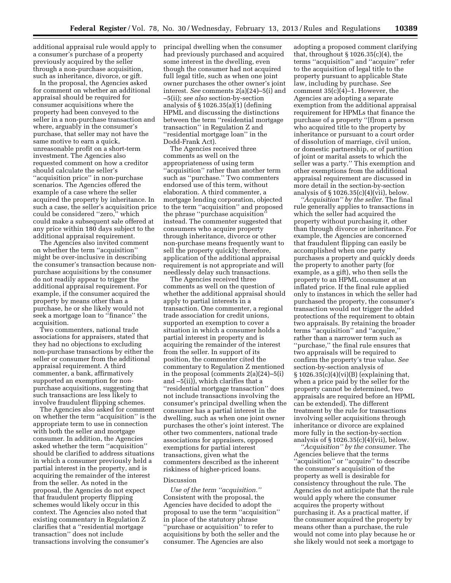additional appraisal rule would apply to a consumer's purchase of a property previously acquired by the seller through a non-purchase acquisition, such as inheritance, divorce, or gift.

In the proposal, the Agencies asked for comment on whether an additional appraisal should be required for consumer acquisitions where the property had been conveyed to the seller in a non-purchase transaction and where, arguably in the consumer's purchase, that seller may not have the same motive to earn a quick, unreasonable profit on a short-term investment. The Agencies also requested comment on how a creditor should calculate the seller's ''acquisition price'' in non-purchase scenarios. The Agencies offered the example of a case where the seller acquired the property by inheritance. In such a case, the seller's acquisition price could be considered ''zero,'' which could make a subsequent sale offered at any price within 180 days subject to the additional appraisal requirement.

The Agencies also invited comment on whether the term ''acquisition'' might be over-inclusive in describing the consumer's transaction because nonpurchase acquisitions by the consumer do not readily appear to trigger the additional appraisal requirement. For example, if the consumer acquired the property by means other than a purchase, he or she likely would not seek a mortgage loan to ''finance'' the acquisition.

Two commenters, national trade associations for appraisers, stated that they had no objections to excluding non-purchase transactions by either the seller or consumer from the additional appraisal requirement. A third commenter, a bank, affirmatively supported an exemption for nonpurchase acquisitions, suggesting that such transactions are less likely to involve fraudulent flipping schemes.

The Agencies also asked for comment on whether the term ''acquisition'' is the appropriate term to use in connection with both the seller and mortgage consumer. In addition, the Agencies asked whether the term ''acquisition'' should be clarified to address situations in which a consumer previously held a partial interest in the property, and is acquiring the remainder of the interest from the seller. As noted in the proposal, the Agencies do not expect that fraudulent property flipping schemes would likely occur in this context. The Agencies also noted that existing commentary in Regulation Z clarifies that a ''residential mortgage transaction'' does not include transactions involving the consumer's

principal dwelling when the consumer had previously purchased and acquired some interest in the dwelling, even though the consumer had not acquired full legal title, such as when one joint owner purchases the other owner's joint interest. *See* comments 2(a)(24)–5(i) and –5(ii); *see also* section-by-section analysis of § 1026.35(a)(1) (defining HPML and discussing the distinctions between the term ''residential mortgage transaction'' in Regulation Z and ''residential mortgage loan'' in the Dodd-Frank Act).

The Agencies received three comments as well on the appropriateness of using term ''acquisition'' rather than another term such as ''purchase.'' Two commenters endorsed use of this term, without elaboration. A third commenter, a mortgage lending corporation, objected to the term ''acquisition'' and proposed the phrase ''purchase acquisition'' instead. The commenter suggested that consumers who acquire property through inheritance, divorce or other non-purchase means frequently want to sell the property quickly; therefore, application of the additional appraisal requirement is not appropriate and will needlessly delay such transactions.

The Agencies received three comments as well on the question of whether the additional appraisal should apply to partial interests in a transaction. One commenter, a regional trade association for credit unions, supported an exemption to cover a situation in which a consumer holds a partial interest in property and is acquiring the remainder of the interest from the seller. In support of its position, the commenter cited the commentary to Regulation Z mentioned in the proposal (comments 2(a)(24)–5(i) and –5(ii)), which clarifies that a ''residential mortgage transaction'' does not include transactions involving the consumer's principal dwelling when the consumer has a partial interest in the dwelling, such as when one joint owner purchases the other's joint interest. The other two commenters, national trade associations for appraisers, opposed exemptions for partial interest transactions, given what the commenters described as the inherent riskiness of higher-priced loans.

## Discussion

*Use of the term ''acquisition.''*  Consistent with the proposal, the Agencies have decided to adopt the proposal to use the term ''acquisition'' in place of the statutory phrase ''purchase or acquisition'' to refer to acquisitions by both the seller and the consumer. The Agencies are also

adopting a proposed comment clarifying that, throughout § 1026.35(c)(4), the terms ''acquisition'' and ''acquire'' refer to the acquisition of legal title to the property pursuant to applicable State law, including by purchase. *See*  comment 35(c)(4)–1. However, the Agencies are adopting a separate exemption from the additional appraisal requirement for HPMLs that finance the purchase of a property ''[f]rom a person who acquired title to the property by inheritance or pursuant to a court order of dissolution of marriage, civil union, or domestic partnership, or of partition of joint or marital assets to which the seller was a party.'' This exemption and other exemptions from the additional appraisal requirement are discussed in more detail in the section-by-section analysis of  $\S 1026.35(c)(4)(vii)$ , below.

*''Acquisition'' by the seller.* The final rule generally applies to transactions in which the seller had acquired the property without purchasing it, other than through divorce or inheritance. For example, the Agencies are concerned that fraudulent flipping can easily be accomplished when one party purchases a property and quickly deeds the property to another party (for example, as a gift), who then sells the property to an HPML consumer at an inflated price. If the final rule applied only to instances in which the seller had purchased the property, the consumer's transaction would not trigger the added protections of the requirement to obtain two appraisals. By retaining the broader terms ''acquisition'' and ''acquire,'' rather than a narrower term such as ''purchase,'' the final rule ensures that two appraisals will be required to confirm the property's true value. *See*  section-by-section analysis of § 1026.35(c)(4)(vi)(B) (explaining that, when a price paid by the seller for the property cannot be determined, two appraisals are required before an HPML can be extended). The different treatment by the rule for transactions involving seller acquisitions through inheritance or divorce are explained more fully in the section-by-section analysis of  $\S 1026.35(c)(4)(vii)$ , below.

*''Acquisition'' by the consumer.* The Agencies believe that the terms "acquisition" or "acquire" to describe the consumer's acquisition of the property as well is desirable for consistency throughout the rule. The Agencies do not anticipate that the rule would apply where the consumer acquires the property without purchasing it. As a practical matter, if the consumer acquired the property by means other than a purchase, the rule would not come into play because he or she likely would not seek a mortgage to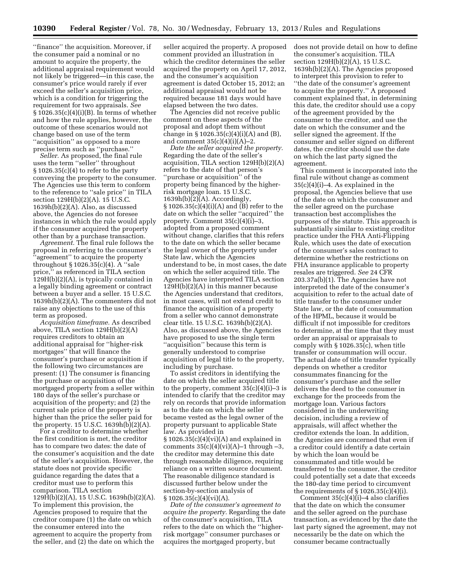''finance'' the acquisition. Moreover, if the consumer paid a nominal or no amount to acquire the property, the additional appraisal requirement would not likely be triggered—in this case, the consumer's price would rarely if ever exceed the seller's acquisition price, which is a condition for triggering the requirement for two appraisals. *See*  § 1026.35(c)(4)(i)(B). In terms of whether and how the rule applies, however, the outcome of these scenarios would not change based on use of the term ''acquisition'' as opposed to a more precise term such as ''purchase.''

*Seller.* As proposed, the final rule uses the term ''seller'' throughout § 1026.35(c)(4) to refer to the party conveying the property to the consumer. The Agencies use this term to conform to the reference to ''sale price'' in TILA section 129H(b)(2)(A). 15 U.S.C. 1639h(b)(2)(A). Also, as discussed above, the Agencies do not foresee instances in which the rule would apply if the consumer acquired the property other than by a purchase transaction.

*Agreement.* The final rule follows the proposal in referring to the consumer's 'agreement'' to acquire the property throughout § 1026.35(c)(4). A ''sale price,'' as referenced in TILA section 129H(b)(2)(A), is typically contained in a legally binding agreement or contract between a buyer and a seller. 15 U.S.C.  $1639h(b)(2)(A)$ . The commenters did not raise any objections to the use of this term as proposed.

*Acquisition timeframe.* As described above, TILA section 129H(b)(2)(A) requires creditors to obtain an additional appraisal for ''higher-risk mortgages'' that will finance the consumer's purchase or acquisition if the following two circumstances are present: (1) The consumer is financing the purchase or acquisition of the mortgaged property from a seller within 180 days of the seller's purchase or acquisition of the property; and (2) the current sale price of the property is higher than the price the seller paid for the property. 15 U.S.C. 1639h(b)(2)(A).

For a creditor to determine whether the first condition is met, the creditor has to compare two dates: the date of the consumer's acquisition and the date of the seller's acquisition. However, the statute does not provide specific guidance regarding the dates that a creditor must use to perform this comparison. TILA section 129H(b)(2)(A), 15 U.S.C. 1639h(b)(2)(A). To implement this provision, the Agencies proposed to require that the creditor compare (1) the date on which the consumer entered into the agreement to acquire the property from the seller, and (2) the date on which the

seller acquired the property. A proposed comment provided an illustration in which the creditor determines the seller acquired the property on April 17, 2012, and the consumer's acquisition agreement is dated October 15, 2012; an additional appraisal would not be required because 181 days would have elapsed between the two dates.

The Agencies did not receive public comment on these aspects of the proposal and adopt them without change in  $\S 1026.35(c)(4)(i)(A)$  and (B), and comment  $35(c)(4)(i)(A)-2$ .

*Date the seller acquired the property.*  Regarding the date of the seller's acquisition, TILA section 129H(b)(2)(A) refers to the date of that person's ''purchase or acquisition'' of the property being financed by the higherrisk mortgage loan. 15 U.S.C.  $1639h(b)(2)(A)$ . Accordingly, § 1026.35(c)(4)(i)(A) and (B) refer to the date on which the seller ''acquired'' the property. Comment 35(c)(4)(i)–3, adopted from a proposed comment without change, clarifies that this refers to the date on which the seller became the legal owner of the property under State law, which the Agencies understand to be, in most cases, the date on which the seller acquired title. The Agencies have interpreted TILA section 129H(b)(2)(A) in this manner because the Agencies understand that creditors, in most cases, will not extend credit to finance the acquisition of a property from a seller who cannot demonstrate clear title. 15 U.S.C. 1639h(b)(2)(A). Also, as discussed above, the Agencies have proposed to use the single term ''acquisition'' because this term is generally understood to comprise acquisition of legal title to the property, including by purchase.

To assist creditors in identifying the date on which the seller acquired title to the property, comment  $35(c)(4)(i)-3$  is intended to clarify that the creditor may rely on records that provide information as to the date on which the seller became vested as the legal owner of the property pursuant to applicable State law. As provided in § 1026.35(c)(4)(vi)(A) and explained in comments  $35(c)(4)(vi)(A)-1$  through  $-3$ , the creditor may determine this date through reasonable diligence, requiring reliance on a written source document. The reasonable diligence standard is discussed further below under the section-by-section analysis of  $§ 1026.35(c)(4)(vi)(A).$ 

*Date of the consumer's agreement to acquire the property.* Regarding the date of the consumer's acquisition, TILA refers to the date on which the ''higherrisk mortgage'' consumer purchases or acquires the mortgaged property, but

does not provide detail on how to define the consumer's acquisition. TILA section 129H(b)(2)(A), 15 U.S.C. 1639h(b)(2)(A). The Agencies proposed to interpret this provision to refer to ''the date of the consumer's agreement to acquire the property.'' A proposed comment explained that, in determining this date, the creditor should use a copy of the agreement provided by the consumer to the creditor, and use the date on which the consumer and the seller signed the agreement. If the consumer and seller signed on different dates, the creditor should use the date on which the last party signed the agreement.

This comment is incorporated into the final rule without change as comment 35(c)(4)(i)–4. As explained in the proposal, the Agencies believe that use of the date on which the consumer and the seller agreed on the purchase transaction best accomplishes the purposes of the statute. This approach is substantially similar to existing creditor practice under the FHA Anti-Flipping Rule, which uses the date of execution of the consumer's sales contract to determine whether the restrictions on FHA insurance applicable to property resales are triggered. *See* 24 CFR 203.37a(b)(1). The Agencies have not interpreted the date of the consumer's acquisition to refer to the actual date of title transfer to the consumer under State law, or the date of consummation of the HPML, because it would be difficult if not impossible for creditors to determine, at the time that they must order an appraisal or appraisals to comply with § 1026.35(c), when title transfer or consummation will occur. The actual date of title transfer typically depends on whether a creditor consummates financing for the consumer's purchase and the seller delivers the deed to the consumer in exchange for the proceeds from the mortgage loan. Various factors considered in the underwriting decision, including a review of appraisals, will affect whether the creditor extends the loan. In addition, the Agencies are concerned that even if a creditor could identify a date certain by which the loan would be consummated and title would be transferred to the consumer, the creditor could potentially set a date that exceeds the 180-day time period to circumvent the requirements of  $\S 1026.35(c)(4)(i)$ .

Comment 35(c)(4)(i)–4 also clarifies that the date on which the consumer and the seller agreed on the purchase transaction, as evidenced by the date the last party signed the agreement, may not necessarily be the date on which the consumer became contractually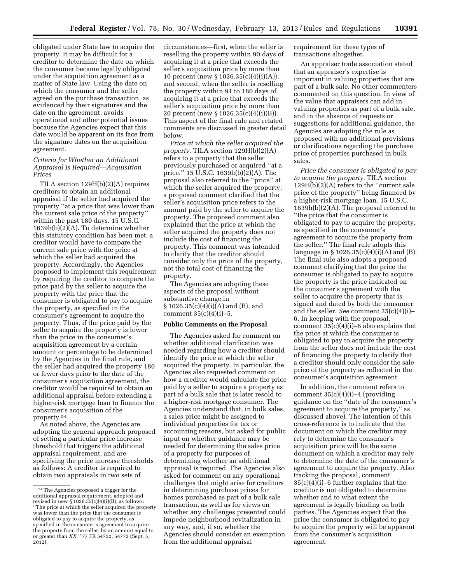obligated under State law to acquire the property. It may be difficult for a creditor to determine the date on which the consumer became legally obligated under the acquisition agreement as a matter of State law. Using the date on which the consumer and the seller agreed on the purchase transaction, as evidenced by their signatures and the date on the agreement, avoids operational and other potential issues because the Agencies expect that this date would be apparent on its face from the signature dates on the acquisition agreement.

## *Criteria for Whether an Additional Appraisal Is Required—Acquisition Prices*

TILA section 129H(b)(2)(A) requires creditors to obtain an additional appraisal if the seller had acquired the property ''at a price that was lower than the current sale price of the property'' within the past 180 days. 15 U.S.C.  $1639h(b)(2)(A)$ . To determine whether this statutory condition has been met, a creditor would have to compare the current sale price with the price at which the seller had acquired the property. Accordingly, the Agencies proposed to implement this requirement by requiring the creditor to compare the price paid by the seller to acquire the property with the price that the consumer is obligated to pay to acquire the property, as specified in the consumer's agreement to acquire the property. Thus, if the price paid by the seller to acquire the property is lower than the price in the consumer's acquisition agreement by a certain amount or percentage to be determined by the Agencies in the final rule, and the seller had acquired the property 180 or fewer days prior to the date of the consumer's acquisition agreement, the creditor would be required to obtain an additional appraisal before extending a higher-risk mortgage loan to finance the consumer's acquisition of the property.54

As noted above, the Agencies are adopting the general approach proposed of setting a particular price increase threshold that triggers the additional appraisal requirement, and are specifying the price increase thresholds as follows: A creditor is required to obtain two appraisals in two sets of

circumstances—first, when the seller is reselling the property within 90 days of acquiring it at a price that exceeds the seller's acquisition price by more than 10 percent (new § 1026.35(c)(4)(i)(A)); and second, when the seller is reselling the property within 91 to 180 days of acquiring it at a price that exceeds the seller's acquisition price by more than 20 percent (new § 1026.35(c)(4)(i)(B)). This aspect of the final rule and related comments are discussed in greater detail below.

*Price at which the seller acquired the property.* TILA section 129H(b)(2)(A) refers to a property that the seller previously purchased or acquired ''at a price.'' 15 U.S.C. 1639h(b)(2)(A). The proposal also referred to the ''price'' at which the seller acquired the property; a proposed comment clarified that the seller's acquisition price refers to the amount paid by the seller to acquire the property. The proposed comment also explained that the price at which the seller acquired the property does not include the cost of financing the property. This comment was intended to clarify that the creditor should consider only the price of the property, not the total cost of financing the property.

The Agencies are adopting these aspects of the proposal without substantive change in § 1026.35(c)(4)(i)(A) and (B), and comment  $35(c)(4)(i)-5$ .

#### **Public Comments on the Proposal**

The Agencies asked for comment on whether additional clarification was needed regarding how a creditor should identify the price at which the seller acquired the property. In particular, the Agencies also requested comment on how a creditor would calculate the price paid by a seller to acquire a property as part of a bulk sale that is later resold to a higher-risk mortgage consumer. The Agencies understand that, in bulk sales, a sales price might be assigned to individual properties for tax or accounting reasons, but asked for public input on whether guidance may be needed for determining the sales price of a property for purposes of determining whether an additional appraisal is required. The Agencies also asked for comment on any operational challenges that might arise for creditors in determining purchase prices for homes purchased as part of a bulk sale transaction, as well as for views on whether any challenges presented could impede neighborhood revitalization in any way, and, if so, whether the Agencies should consider an exemption from the additional appraisal

requirement for these types of transactions altogether.

An appraiser trade association stated that an appraiser's expertise is important in valuing properties that are part of a bulk sale. No other commenters commented on this question. In view of the value that appraisers can add in valuing properties as part of a bulk sale, and in the absence of requests or suggestions for additional guidance, the Agencies are adopting the rule as proposed with no additional provisions or clarifications regarding the purchase price of properties purchased in bulk sales.

*Price the consumer is obligated to pay to acquire the property.* TILA section  $129H(b)(2)(A)$  refers to the "current sale price of the property'' being financed by a higher-risk mortgage loan. 15 U.S.C. 1639h(b)(2)(A). The proposal referred to ''the price that the consumer is obligated to pay to acquire the property, as specified in the consumer's agreement to acquire the property from the seller.'' The final rule adopts this language in  $\S 1026.35(c)(4)(i)(A)$  and (B). The final rule also adopts a proposed comment clarifying that the price the consumer is obligated to pay to acquire the property is the price indicated on the consumer's agreement with the seller to acquire the property that is signed and dated by both the consumer and the seller. *See* comment 35(c)(4)(i)– 6. In keeping with the proposal, comment 35(c)(4)(i)–6 also explains that the price at which the consumer is obligated to pay to acquire the property from the seller does not include the cost of financing the property to clarify that a creditor should only consider the sale price of the property as reflected in the consumer's acquisition agreement.

In addition, the comment refers to comment  $35(c)(4)(i)$ –4 (providing guidance on the ''date of the consumer's agreement to acquire the property,'' as discussed above). The intention of this cross-reference is to indicate that the document on which the creditor may rely to determine the consumer's acquisition price will be the same document on which a creditor may rely to determine the date of the consumer's agreement to acquire the property. Also tracking the proposal, comment 35(c)(4)(i)–6 further explains that the creditor is not obligated to determine whether and to what extent the agreement is legally binding on both parties. The Agencies expect that the price the consumer is obligated to pay to acquire the property will be apparent from the consumer's acquisition agreement.

<sup>54</sup>The Agencies proposed a trigger for the additional appraisal requirement, adopted and revised in new  $\S 1026.35(c)(4)(i)(B)$ , as follows: ''The price at which the seller acquired the property was lower than the price that the consumer is obligated to pay to acquire the property, as specified in the consumer's agreement to acquire the property from the seller, by an amount equal to or greater than *XX.''* 77 FR 54722, 54772 (Sept. 5, 2012).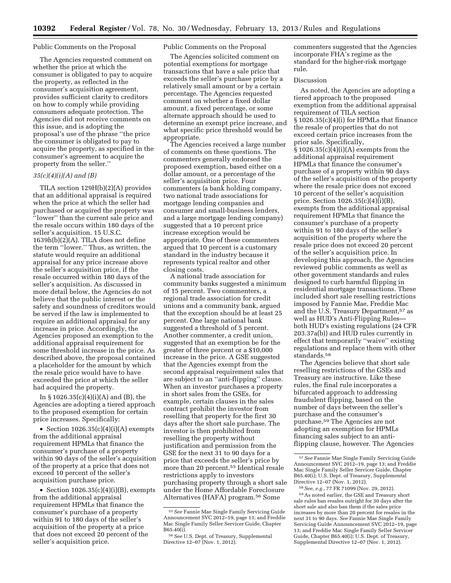#### Public Comments on the Proposal

The Agencies requested comment on whether the price at which the consumer is obligated to pay to acquire the property, as reflected in the consumer's acquisition agreement, provides sufficient clarity to creditors on how to comply while providing consumers adequate protection. The Agencies did not receive comments on this issue, and is adopting the proposal's use of the phrase ''the price the consumer is obligated to pay to acquire the property, as specified in the consumer's agreement to acquire the property from the seller.''

#### *35(c)(4)(i)(A) and (B)*

TILA section 129H(b)(2)(A) provides that an additional appraisal is required when the price at which the seller had purchased or acquired the property was ''lower'' than the current sale price and the resale occurs within 180 days of the seller's acquisition. 15 U.S.C. 1639h(b)(2)(A). TILA does not define the term ''lower.'' Thus, as written, the statute would require an additional appraisal for any price increase above the seller's acquisition price, if the resale occurred within 180 days of the seller's acquisition. As discussed in more detail below, the Agencies do not believe that the public interest or the safety and soundness of creditors would be served if the law is implemented to require an additional appraisal for any increase in price. Accordingly, the Agencies proposed an exemption to the additional appraisal requirement for some threshold increase in the price. As described above, the proposal contained a placeholder for the amount by which the resale price would have to have exceeded the price at which the seller had acquired the property.

In § 1026.35(c)(4)(i)(A) and (B), the Agencies are adopting a tiered approach to the proposed exemption for certain price increases. Specifically:

• Section  $1026.35(c)(4)(i)(A)$  exempts from the additional appraisal requirement HPMLs that finance the consumer's purchase of a property within 90 days of the seller's acquisition of the property at a price that does not exceed 10 percent of the seller's acquisition purchase price.

• Section  $1026.35(c)(4)(i)(B)$ , exempts from the additional appraisal requirement HPMLs that finance the consumer's purchase of a property within 91 to 180 days of the seller's acquisition of the property at a price that does not exceed 20 percent of the seller's acquisition price.

## Public Comments on the Proposal

The Agencies solicited comment on potential exemptions for mortgage transactions that have a sale price that exceeds the seller's purchase price by a relatively small amount or by a certain percentage. The Agencies requested comment on whether a fixed dollar amount, a fixed percentage, or some alternate approach should be used to determine an exempt price increase, and what specific price threshold would be appropriate.

The Agencies received a large number of comments on these questions. The commenters generally endorsed the proposed exemption, based either on a dollar amount, or a percentage of the seller's acquisition price. Four commenters (a bank holding company, two national trade associations for mortgage lending companies and consumer and small-business lenders, and a large mortgage lending company) suggested that a 10 percent price increase exception would be appropriate. One of these commenters argued that 10 percent is a customary standard in the industry because it represents typical realtor and other closing costs.

A national trade association for community banks suggested a minimum of 15 percent. Two commenters, a regional trade association for credit unions and a community bank, argued that the exception should be at least 25 percent. One large national bank suggested a threshold of 5 percent. Another commenter, a credit union, suggested that an exemption be for the greater of three percent or a \$10,000 increase in the price. A GSE suggested that the Agencies exempt from the second appraisal requirement sales that are subject to an ''anti-flipping'' clause. When an investor purchases a property in short sales from the GSEs, for example, certain clauses in the sales contract prohibit the investor from reselling that property for the first 30 days after the short sale purchase. The investor is then prohibited from reselling the property without justification and permission from the GSE for the next 31 to 90 days for a price that exceeds the seller's price by more than 20 percent.55 Identical resale restrictions apply to investors purchasing property through a short sale under the Home Affordable Foreclosure Alternatives (HAFA) program.56 Some

commenters suggested that the Agencies incorporate FHA's regime as the standard for the higher-risk mortgage rule.

## Discussion

As noted, the Agencies are adopting a tiered approach to the proposed exemption from the additional appraisal requirement of TILA section § 1026.35(c)(4)(i) for HPMLs that finance the resale of properties that do not exceed certain price increases from the prior sale. Specifically, § 1026.35(c)(4)(i)(A) exempts from the additional appraisal requirement HPMLs that finance the consumer's purchase of a property within 90 days of the seller's acquisition of the property where the resale price does not exceed 10 percent of the seller's acquisition price. Section 1026.35(c)(4)(i)(B), exempts from the additional appraisal requirement HPMLs that finance the consumer's purchase of a property within 91 to 180 days of the seller's acquisition of the property where the resale price does not exceed 20 percent of the seller's acquisition price. In developing this approach, the Agencies reviewed public comments as well as other government standards and rules designed to curb harmful flipping in residential mortgage transactions. These included short sale reselling restrictions imposed by Fannie Mae, Freddie Mac and the U.S. Treasury Department,<sup>57</sup> as well as HUD's Anti-Flipping Rules both HUD's existing regulations (24 CFR 203.37a(b)) and HUD rules currently in effect that temporarily ''waive'' existing regulations and replace them with other standards.58

The Agencies believe that short sale reselling restrictions of the GSEs and Treasury are instructive. Like these rules, the final rule incorporates a bifurcated approach to addressing fraudulent flipping, based on the number of days between the seller's purchase and the consumer's purchase.59 The Agencies are not adopting an exemption for HPMLs financing sales subject to an antiflipping clause, however. The Agencies

<sup>55</sup>*See* Fannie Mae Single Family Servicing Guide Announcement SVC 2012–19, page 13; and Freddie Mac Single Family Seller Servicer Guide, Chapter B65.40(i).

<sup>56</sup>*See* U.S. Dept. of Treasury, Supplemental Directive 12–07 (Nov. 1, 2012).

<sup>57</sup>*See* Fannie Mae Single Family Servicing Guide Announcement SVC 2012–19, page 13; and Freddie Mac Single Family Seller Servicer Guide, Chapter B65.40(i); U.S. Dept. of Treasury, Supplemental Directive 12–07 (Nov. 1, 2012).

<sup>58</sup>*See, e.g.,* 77 FR 71099 (Nov. 29, 2012).

<sup>59</sup>As noted earlier, the GSE and Treasury short sale rules ban resales outright for 30 days after the short sale and also ban them if the sales price increases by more than 20 percent for resales in the next 31 to 90 days. *See* Fannie Mae Single Family Servicing Guide Announcement SVC 2012–19, page 13; and Freddie Mac Single Family Seller Servicer Guide, Chapter B65.40(i); U.S. Dept. of Treasury, Supplemental Directive 12–07 (Nov. 1, 2012).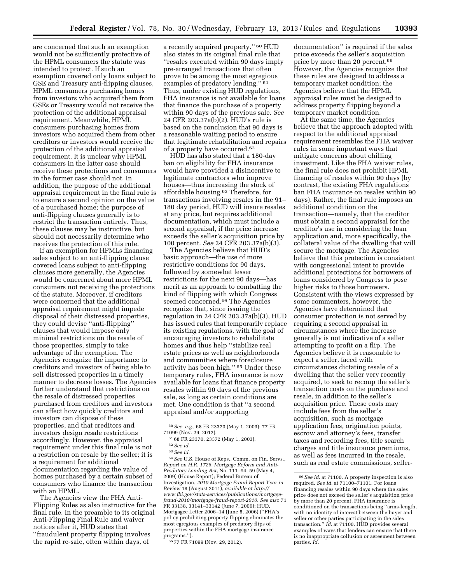are concerned that such an exemption would not be sufficiently protective of the HPML consumers the statute was intended to protect. If such an exemption covered only loans subject to GSE and Treasury anti-flipping clauses, HPML consumers purchasing homes from investors who acquired them from GSEs or Treasury would not receive the protection of the additional appraisal requirement. Meanwhile, HPML consumers purchasing homes from investors who acquired them from other creditors or investors would receive the protection of the additional appraisal requirement. It is unclear why HPML consumers in the latter case should receive these protections and consumers in the former case should not. In addition, the purpose of the additional appraisal requirement in the final rule is to ensure a second opinion on the value of a purchased home; the purpose of anti-flipping clauses generally is to restrict the transaction entirely. Thus, these clauses may be instructive, but should not necessarily determine who receives the protection of this rule.

If an exemption for HPMLs financing sales subject to an anti-flipping clause covered loans subject to anti-flipping clauses more generally, the Agencies would be concerned about more HPML consumers not receiving the protections of the statute. Moreover, if creditors were concerned that the additional appraisal requirement might impede disposal of their distressed properties, they could devise ''anti-flipping'' clauses that would impose only minimal restrictions on the resale of those properties, simply to take advantage of the exemption. The Agencies recognize the importance to creditors and investors of being able to sell distressed properties in a timely manner to decrease losses. The Agencies further understand that restrictions on the resale of distressed properties purchased from creditors and investors can affect how quickly creditors and investors can dispose of these properties, and that creditors and investors design resale restrictions accordingly. However, the appraisal requirement under this final rule is not a restriction on resale by the seller; it is a requirement for additional documentation regarding the value of homes purchased by a certain subset of consumers who finance the transaction with an HPML.

The Agencies view the FHA Anti-Flipping Rules as also instructive for the final rule. In the preamble to its original Anti-Flipping Final Rule and waiver notices after it, HUD states that ''fraudulent property flipping involves the rapid re-sale, often within days, of

a recently acquired property.'' 60 HUD also states in its original final rule that ''resales executed within 90 days imply pre-arranged transactions that often prove to be among the most egregious examples of predatory lending.'' 61 Thus, under existing HUD regulations, FHA insurance is not available for loans that finance the purchase of a property within 90 days of the previous sale. *See*  24 CFR 203.37a(b)(2). HUD's rule is based on the conclusion that 90 days is a reasonable waiting period to ensure that legitimate rehabilitation and repairs of a property have occurred.62

HUD has also stated that a 180-day ban on eligibility for FHA insurance would have provided a disincentive to legitimate contractors who improve houses—thus increasing the stock of affordable housing.63 Therefore, for transactions involving resales in the 91– 180 day period, HUD will insure resales at any price, but requires additional documentation, which must include a second appraisal, if the price increase exceeds the seller's acquisition price by 100 percent. *See* 24 CFR 203.37a(b)(3).

The Agencies believe that HUD's basic approach—the use of more restrictive conditions for 90 days, followed by somewhat lesser restrictions for the next 90 days—has merit as an approach to combatting the kind of flipping with which Congress seemed concerned.<sup>64</sup> The Agencies recognize that, since issuing the regulation in 24 CFR 203.37a(b)(3), HUD has issued rules that temporarily replace its existing regulations, with the goal of encouraging investors to rehabilitate homes and thus help ''stabilize real estate prices as well as neighborhoods and communities where foreclosure activity has been high.'' 65 Under these temporary rules, FHA insurance is now available for loans that finance property resales within 90 days of the previous sale, as long as certain conditions are met. One condition is that ''a second appraisal and/or supporting

64*See* U.S. House of Reps., Comm. on Fin. Servs., *Report on H.R. 1728, Mortgage Reform and Anti-Predatory Lending Act,* No. 111–94, 59 (May 4, 2009) (House Report); Federal Bureau of Investigation, *2010 Mortgage Fraud Report Year in Review* 18 (August 2011), *available at [http://](http://www.fbi.gov/stats-services/publications/mortgage-fraud-2010/mortgage-fraud-report-2010) [www.fbi.gov/stats-services/publications/mortgage](http://www.fbi.gov/stats-services/publications/mortgage-fraud-2010/mortgage-fraud-report-2010)[fraud-2010/mortgage-fraud-report-2010](http://www.fbi.gov/stats-services/publications/mortgage-fraud-2010/mortgage-fraud-report-2010)*. *See also* 71 FR 33138, 33141–33142 (June 7, 2006); HUD, Mortgagee Letter 2006–14 (June 8, 2006) (''FHA's policy prohibiting property flipping eliminates the most egregious examples of predatory flips of properties within the FHA mortgage insurance programs.'').

65 77 FR 71099 (Nov. 29, 2012).

documentation'' is required if the sales price exceeds the seller's acquisition price by more than 20 percent.66 However, the Agencies recognize that these rules are designed to address a temporary market condition; the Agencies believe that the HPML appraisal rules must be designed to address property flipping beyond a temporary market condition.

At the same time, the Agencies believe that the approach adopted with respect to the additional appraisal requirement resembles the FHA waiver rules in some important ways that mitigate concerns about chilling investment. Like the FHA waiver rules, the final rule does not prohibit HPML financing of resales within 90 days (by contrast, the existing FHA regulations ban FHA insurance on resales within 90 days). Rather, the final rule imposes an additional condition on the transaction—namely, that the creditor must obtain a second appraisal for the creditor's use in considering the loan application and, more specifically, the collateral value of the dwelling that will secure the mortgage. The Agencies believe that this protection is consistent with congressional intent to provide additional protections for borrowers of loans considered by Congress to pose higher risks to those borrowers. Consistent with the views expressed by some commenters, however, the Agencies have determined that consumer protection is not served by requiring a second appraisal in circumstances where the increase generally is not indicative of a seller attempting to profit on a flip. The Agencies believe it is reasonable to expect a seller, faced with circumstances dictating resale of a dwelling that the seller very recently acquired, to seek to recoup the seller's transaction costs on the purchase and resale, in addition to the seller's acquisition price. These costs may include fees from the seller's acquisition, such as mortgage application fees, origination points, escrow and attorney's fees, transfer taxes and recording fees, title search charges and title insurance premiums, as well as fees incurred in the resale, such as real estate commissions, seller-

<sup>60</sup>*See, e.g.,* 68 FR 23370 (May 1, 2003); 77 FR 71099 (Nov. 29, 2012).

<sup>61</sup> 68 FR 23370, 23372 (May 1, 2003).

<sup>62</sup>*See id.* 

<sup>63</sup>*See id.* 

<sup>66</sup>*See id.* at 71100. A property inspection is also required. *See id.* at 71100–71101. For loans financing resales within 90 days where the sales price does not exceed the seller's acquisition price by more than 20 percent, FHA insurance is conditioned on the transactions being ''arms-length, with no identity of interest between the buyer and seller or other parties participating in the sales transaction.'' *Id.* at 71100. HUD provides several examples of ways that lenders can ensure that there is no inappropriate collusion or agreement between parties. *Id.*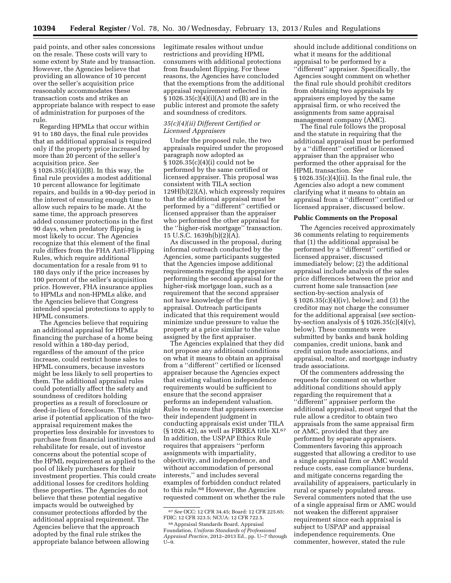paid points, and other sales concessions on the resale. These costs will vary to some extent by State and by transaction. However, the Agencies believe that providing an allowance of 10 percent over the seller's acquisition price reasonably accommodates these transaction costs and strikes an appropriate balance with respect to ease of administration for purposes of the rule.

Regarding HPMLs that occur within 91 to 180 days, the final rule provides that an additional appraisal is required only if the property price increased by more than 20 percent of the seller's acquisition price. *See*  § 1026.35(c)(4)(i)(B). In this way, the final rule provides a modest additional 10 percent allowance for legitimate repairs, and builds in a 90-day period in the interest of ensuring enough time to allow such repairs to be made. At the same time, the approach preserves added consumer protections in the first 90 days, when predatory flipping is most likely to occur. The Agencies recognize that this element of the final rule differs from the FHA Anti-Flipping Rules, which require additional documentation for a resale from 91 to 180 days only if the price increases by 100 percent of the seller's acquisition price. However, FHA insurance applies to HPMLs and non-HPMLs alike, and the Agencies believe that Congress intended special protections to apply to HPML consumers.

The Agencies believe that requiring an additional appraisal for HPMLs financing the purchase of a home being resold within a 180-day period, regardless of the amount of the price increase, could restrict home sales to HPML consumers, because investors might be less likely to sell properties to them. The additional appraisal rules could potentially affect the safety and soundness of creditors holding properties as a result of foreclosure or deed-in-lieu of foreclosure. This might arise if potential application of the twoappraisal requirement makes the properties less desirable for investors to purchase from financial institutions and rehabilitate for resale, out of investor concerns about the potential scope of the HPML requirement as applied to the pool of likely purchasers for their investment properties. This could create additional losses for creditors holding these properties. The Agencies do not believe that these potential negative impacts would be outweighed by consumer protections afforded by the additional appraisal requirement. The Agencies believe that the approach adopted by the final rule strikes the appropriate balance between allowing

legitimate resales without undue restrictions and providing HPML consumers with additional protections from fraudulent flipping. For these reasons, the Agencies have concluded that the exemptions from the additional appraisal requirement reflected in § 1026.35(c)(4)(i)(A) and (B) are in the public interest and promote the safety and soundness of creditors.

#### *35(c)(4)(ii) Different Certified or Licensed Appraisers*

Under the proposed rule, the two appraisals required under the proposed paragraph now adopted as § 1026.35(c)(4)(i) could not be performed by the same certified or licensed appraiser. This proposal was consistent with TILA section 129H(b)(2)(A), which expressly requires that the additional appraisal must be performed by a ''different'' certified or licensed appraiser than the appraiser who performed the other appraisal for the ''higher-risk mortgage'' transaction. 15 U.S.C. 1639h(b)(2)(A).

As discussed in the proposal, during informal outreach conducted by the Agencies, some participants suggested that the Agencies impose additional requirements regarding the appraiser performing the second appraisal for the higher-risk mortgage loan, such as a requirement that the second appraiser not have knowledge of the first appraisal. Outreach participants indicated that this requirement would minimize undue pressure to value the property at a price similar to the value assigned by the first appraiser.

The Agencies explained that they did not propose any additional conditions on what it means to obtain an appraisal from a ''different'' certified or licensed appraiser because the Agencies expect that existing valuation independence requirements would be sufficient to ensure that the second appraiser performs an independent valuation. Rules to ensure that appraisers exercise their independent judgment in conducting appraisals exist under TILA  $(S 1026.42)$ , as well as FIRREA title XI.<sup>67</sup> In addition, the USPAP Ethics Rule requires that appraisers ''perform assignments with impartiality, objectivity, and independence, and without accommodation of personal interests,'' and includes several examples of forbidden conduct related to this rule.<sup>68</sup> However, the Agencies requested comment on whether the rule

should include additional conditions on what it means for the additional appraisal to be performed by a ''different'' appraiser. Specifically, the Agencies sought comment on whether the final rule should prohibit creditors from obtaining two appraisals by appraisers employed by the same appraisal firm, or who received the assignments from same appraisal management company (AMC).

The final rule follows the proposal and the statute in requiring that the additional appraisal must be performed by a ''different'' certified or licensed appraiser than the appraiser who performed the other appraisal for the HPML transaction. *See*  § 1026.35(c)(4)(ii). In the final rule, the Agencies also adopt a new comment clarifying what it means to obtain an appraisal from a ''different'' certified or licensed appraiser, discussed below.

#### **Public Comments on the Proposal**

The Agencies received approximately 36 comments relating to requirements that (1) the additional appraisal be performed by a ''different'' certified or licensed appraiser, discussed immediately below; (2) the additional appraisal include analysis of the sales price differences between the prior and current home sale transaction (*see*  section-by-section analysis of § 1026.35(c)(4)(iv), below); and (3) the creditor may not charge the consumer for the additional appraisal (*see* sectionby-section analysis of  $\S 1026.35(c)(4)(v)$ , below). These comments were submitted by banks and bank holding companies, credit unions, bank and credit union trade associations, and appraisal, realtor, and mortgage industry trade associations.

Of the commenters addressing the requests for comment on whether additional conditions should apply regarding the requirement that a ''different'' appraiser perform the additional appraisal, most urged that the rule allow a creditor to obtain two appraisals from the same appraisal firm or AMC, provided that they are performed by separate appraisers. Commenters favoring this approach suggested that allowing a creditor to use a single appraisal firm or AMC would reduce costs, ease compliance burdens, and mitigate concerns regarding the availability of appraisers, particularly in rural or sparsely populated areas. Several commenters noted that the use of a single appraisal firm or AMC would not weaken the different appraiser requirement since each appraisal is subject to USPAP and appraisal independence requirements. One commenter, however, stated the rule

<sup>67</sup>*See* OCC: 12 CFR 34.45; Board: 12 CFR 225.65; FDIC: 12 CFR 323.5; NCUA: 12 CFR 722.5. <sup>68</sup> Appraisal Standards Board, Appraisal<br>Foundation, Uniform Standards of Professional

Foundation, *Uniform Standards of Professional Appraisal Practice,* 2012–2013 Ed., pp. U–7 through U–9.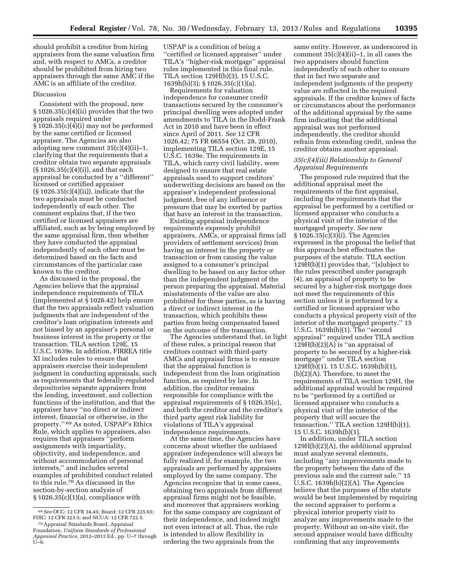should prohibit a creditor from hiring appraisers from the same valuation firm and, with respect to AMCs, a creditor should be prohibited from hiring two appraisers through the same AMC if the AMC is an affiliate of the creditor.

#### Discussion

Consistent with the proposal, new § 1026.35(c)(4)(ii) provides that the two appraisals required under § 1026.35(c)(4)(i) may not be performed by the same certified or licensed appraiser. The Agencies are also adopting new comment 35(c)(4)(ii)–1, clarifying that the requirements that a creditor obtain two separate appraisals (§ 1026.35(c)(4)(i)), and that each appraisal be conducted by a ''different'' licensed or certified appraiser (§ 1026.35(c)(4)(ii)), indicate that the two appraisals must be conducted independently of each other. The comment explains that, if the two certified or licensed appraisers are affiliated, such as by being employed by the same appraisal firm, then whether they have conducted the appraisal independently of each other must be determined based on the facts and circumstances of the particular case known to the creditor.

As discussed in the proposal, the Agencies believe that the appraisal independence requirements of TILA (implemented at § 1026.42) help ensure that the two appraisals reflect valuation judgments that are independent of the creditor's loan origination interests and not biased by an appraiser's personal or business interest in the property or the transaction. TILA section 129E, 15 U.S.C. 1639e. In addition, FIRREA title XI includes rules to ensure that appraisers exercise their independent judgment in conducting appraisals, such as requirements that federally-regulated depositories separate appraisers from the lending, investment, and collection functions of the institution, and that the appraiser have ''no direct or indirect interest, financial or otherwise, in the property.'' 69 As noted, USPAP's Ethics Rule, which applies to appraisers, also requires that appraisers ''perform assignments with impartiality, objectivity, and independence, and without accommodation of personal interests,'' and includes several examples of prohibited conduct related to this rule.70 As discussed in the section-by-section analysis of § 1026.35(c)(1)(a), compliance with

USPAP is a condition of being a ''certified or licensed appraiser'' under TILA's ''higher-risk mortgage'' appraisal rules implemented in this final rule. TILA section 129H(b)(3), 15 U.S.C. 1639h(b)(3); § 1026.35(c)(1)(a).

Requirements for valuation independence for consumer credit transactions secured by the consumer's principal dwelling were adopted under amendments to TILA in the Dodd-Frank Act in 2010 and have been in effect since April of 2011. *See* 12 CFR 1026.42; 75 FR 66554 (Oct. 28, 2010), implementing TILA section 129E, 15 U.S.C. 1639e. The requirements in TILA, which carry civil liability, were designed to ensure that real estate appraisals used to support creditors' underwriting decisions are based on the appraiser's independent professional judgment, free of any influence or pressure that may be exerted by parties that have an interest in the transaction.

Existing appraisal independence requirements expressly prohibit appraisers, AMCs, or appraisal firms (all providers of settlement services) from having an interest in the property or transaction or from causing the value assigned to a consumer's principal dwelling to be based on any factor other than the independent judgment of the person preparing the appraisal. Material misstatements of the value are also prohibited for these parties, as is having a direct or indirect interest in the transaction, which prohibits these parties from being compensated based on the outcome of the transaction.

The Agencies understand that, in light of these rules, a principal reason that creditors contract with third-party AMCs and appraisal firms is to ensure that the appraisal function is independent from the loan origination function, as required by law. In addition, the creditor remains responsible for compliance with the appraisal requirements of § 1026.35(c), and both the creditor and the creditor's third party agent risk liability for violations of TILA's appraisal independence requirements.

At the same time, the Agencies have concerns about whether the unbiased appraiser independence will always be fully realized if, for example, the two appraisals are performed by appraisers employed by the same company. The Agencies recognize that in some cases, obtaining two appraisals from different appraisal firms might not be feasible, and moreover that appraisers working for the same company are cognizant of their independence, and indeed might not even interact at all. Thus, the rule is intended to allow flexibility in ordering the two appraisals from the

same entity. However, as underscored in comment  $35(c)(4)(ii)-1$ , in all cases the two appraisers should function independently of each other to ensure that in fact two separate and independent judgments of the property value are reflected in the required appraisals. If the creditor knows of facts or circumstances about the performance of the additional appraisal by the same firm indicating that the additional appraisal was not performed independently, the creditor should refrain from extending credit, unless the creditor obtains another appraisal.

#### *35(c)(4)(iii) Relationship to General Appraisal Requirements*

The proposed rule required that the additional appraisal meet the requirements of the first appraisal, including the requirements that the appraisal be performed by a certified or licensed appraiser who conducts a physical visit of the interior of the mortgaged property. *See* new  $§ 1026.35(c)(3)(i)$ . The Agencies expressed in the proposal the belief that this approach best effectuates the purposes of the statute. TILA section 129H(b)(1) provides that, ''[s]ubject to the rules prescribed under paragraph (4), an appraisal of property to be secured by a higher-risk mortgage does not meet the requirements of this section unless it is performed by a certified or licensed appraiser who conducts a physical property visit of the interior of the mortgaged property.'' 15 U.S.C. 1639h(b)(1). The ''second appraisal'' required under TILA section  $129H(b)(2)(A)$  is "an appraisal of property to be secured by a higher-risk mortgage'' under TILA section 129H(b)(1). 15 U.S.C. 1639h(b)(1), (b)(2)(A). Therefore, to meet the requirements of TILA section 129H, the additional appraisal would be required to be ''performed by a certified or licensed appraiser who conducts a physical visit of the interior of the property that will secure the transaction.'' TILA section 129H(b)(1), 15 U.S.C. 1639h(b)(1).

In addition, under TILA section 129H(b)(2)(A), the additional appraisal must analyze several elements, including ''any improvements made to the property between the date of the previous sale and the current sale.'' 15 U.S.C. 1639h(b)(2)(A). The Agencies believe that the purposes of the statute would be best implemented by requiring the second appraiser to perform a physical interior property visit to analyze any improvements made to the property. Without an on-site visit, the second appraiser would have difficulty confirming that any improvements

<sup>69</sup>*See* OCC: 12 CFR 34.45; Board: 12 CFR 225.65; FDIC: 12 CFR 323.5; and NCUA: 12 CFR 722.5.

<sup>70</sup>Appraisal Standards Board, Appraisal Foundation, *Uniform Standards of Professional Appraisal Practice,* 2012–2013 Ed., pp. U–7 through U–9.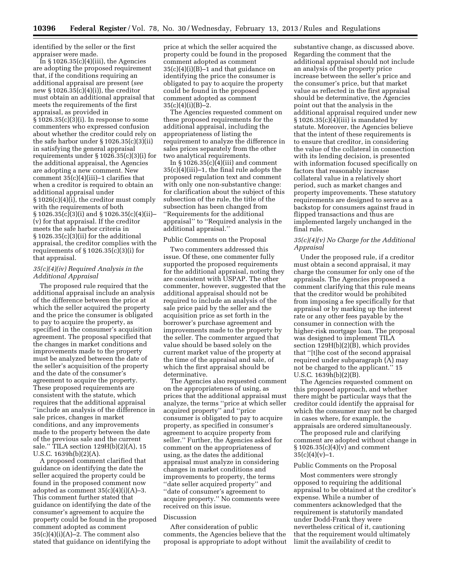identified by the seller or the first appraiser were made.

In  $\S 1026.35(c)(4)(iii)$ , the Agencies are adopting the proposed requirement that, if the conditions requiring an additional appraisal are present (*see*  new § 1026.35(c)(4)(i)), the creditor must obtain an additional appraisal that meets the requirements of the first appraisal, as provided in § 1026.35(c)(3)(i). In response to some commenters who expressed confusion about whether the creditor could rely on the safe harbor under § 1026.35(c)(3)(ii) in satisfying the general appraisal requirements under § 1026.35(c)(3)(i) for the additional appraisal, the Agencies are adopting a new comment. New comment  $35(c)(4)(iii)-1$  clarifies that when a creditor is required to obtain an additional appraisal under § 1026(c)(4)(i), the creditor must comply with the requirements of both § 1026.35(c)(3)(i) and § 1026.35(c)(4)(ii)– (v) for that appraisal. If the creditor meets the safe harbor criteria in § 1026.35(c)(3)(ii) for the additional appraisal, the creditor complies with the requirements of § 1026.35(c)(3)(i) for that appraisal.

## *35(c)(4)(iv) Required Analysis in the Additional Appraisal*

The proposed rule required that the additional appraisal include an analysis of the difference between the price at which the seller acquired the property and the price the consumer is obligated to pay to acquire the property, as specified in the consumer's acquisition agreement. The proposal specified that the changes in market conditions and improvements made to the property must be analyzed between the date of the seller's acquisition of the property and the date of the consumer's agreement to acquire the property. These proposed requirements are consistent with the statute, which requires that the additional appraisal ''include an analysis of the difference in sale prices, changes in market conditions, and any improvements made to the property between the date of the previous sale and the current sale.'' TILA section 129H(b)(2)(A), 15 U.S.C. 1639h(b)(2)(A).

A proposed comment clarified that guidance on identifying the date the seller acquired the property could be found in the proposed comment now adopted as comment  $35(c)(4)(i)(A)-3$ . This comment further stated that guidance on identifying the date of the consumer's agreement to acquire the property could be found in the proposed comment adopted as comment  $35(c)(4)(i)(A)-2$ . The comment also stated that guidance on identifying the

price at which the seller acquired the property could be found in the proposed comment adopted as comment  $35(c)(4)(i)(B)-1$  and that guidance on identifying the price the consumer is obligated to pay to acquire the property could be found in the proposed comment adopted as comment  $35(c)(4)(i)(B)-2.$ 

The Agencies requested comment on these proposed requirements for the additional appraisal, including the appropriateness of listing the requirement to analyze the difference in sales prices separately from the other two analytical requirements.

In  $\S 1026.35(c)(4)(iii)$  and comment 35(c)(4)(iii)–1, the final rule adopts the proposed regulation text and comment with only one non-substantive change: for clarification about the subject of this subsection of the rule, the title of the subsection has been changed from ''Requirements for the additional appraisal'' to ''Required analysis in the additional appraisal.''

#### Public Comments on the Proposal

Two commenters addressed this issue. Of these, one commenter fully supported the proposed requirements for the additional appraisal, noting they are consistent with USPAP. The other commenter, however, suggested that the additional appraisal should not be required to include an analysis of the sale price paid by the seller and the acquisition price as set forth in the borrower's purchase agreement and improvements made to the property by the seller. The commenter argued that value should be based solely on the current market value of the property at the time of the appraisal and sale, of which the first appraisal should be determinative.

The Agencies also requested comment on the appropriateness of using, as prices that the additional appraisal must analyze, the terms ''price at which seller acquired property'' and ''price consumer is obligated to pay to acquire property, as specified in consumer's agreement to acquire property from seller.'' Further, the Agencies asked for comment on the appropriateness of using, as the dates the additional appraisal must analyze in considering changes in market conditions and improvements to property, the terms ''date seller acquired property'' and ''date of consumer's agreement to acquire property.'' No comments were received on this issue.

## Discussion

After consideration of public comments, the Agencies believe that the proposal is appropriate to adopt without

substantive change, as discussed above. Regarding the comment that the additional appraisal should not include an analysis of the property price increase between the seller's price and the consumer's price, but that market value as reflected in the first appraisal should be determinative, the Agencies point out that the analysis in the additional appraisal required under new  $§ 1026.35(c)(4)(iii)$  is mandated by statute. Moreover, the Agencies believe that the intent of these requirements is to ensure that creditor, in considering the value of the collateral in connection with its lending decision, is presented with information focused specifically on factors that reasonably increase collateral value in a relatively short period, such as market changes and property improvements. These statutory requirements are designed to serve as a backstop for consumers against fraud in flipped transactions and thus are implemented largely unchanged in the final rule.

## *35(c)(4)(v) No Charge for the Additional Appraisal*

Under the proposed rule, if a creditor must obtain a second appraisal, it may charge the consumer for only one of the appraisals. The Agencies proposed a comment clarifying that this rule means that the creditor would be prohibited from imposing a fee specifically for that appraisal or by marking up the interest rate or any other fees payable by the consumer in connection with the higher-risk mortgage loan. The proposal was designed to implement TILA section 129H(b)(2)(B), which provides that ''[t]he cost of the second appraisal required under subparagraph (A) may not be charged to the applicant.'' 15 U.S.C. 1639h(b)(2)(B).

The Agencies requested comment on this proposed approach, and whether there might be particular ways that the creditor could identify the appraisal for which the consumer may not be charged in cases where, for example, the appraisals are ordered simultaneously.

The proposed rule and clarifying comment are adopted without change in  $§ 1026.35(c)(4)(v)$  and comment  $35(c)(4)(v)-1.$ 

#### Public Comments on the Proposal

Most commenters were strongly opposed to requiring the additional appraisal to be obtained at the creditor's expense. While a number of commenters acknowledged that the requirement is statutorily mandated under Dodd-Frank they were nevertheless critical of it, cautioning that the requirement would ultimately limit the availability of credit to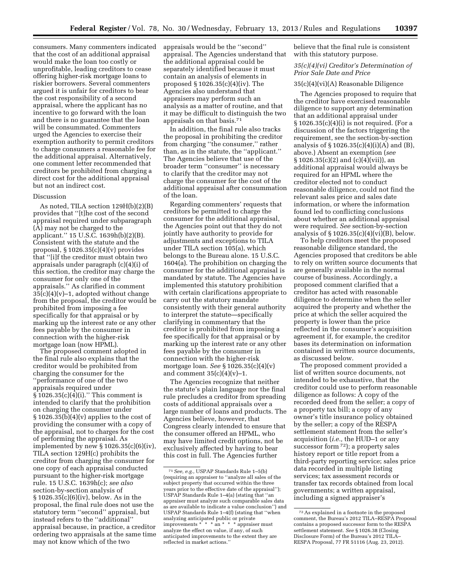consumers. Many commenters indicated that the cost of an additional appraisal would make the loan too costly or unprofitable, leading creditors to cease offering higher-risk mortgage loans to riskier borrowers. Several commenters argued it is unfair for creditors to bear the cost responsibility of a second appraisal, where the applicant has no incentive to go forward with the loan and there is no guarantee that the loan will be consummated. Commenters urged the Agencies to exercise their exemption authority to permit creditors to charge consumers a reasonable fee for the additional appraisal. Alternatively, one comment letter recommended that creditors be prohibited from charging a direct cost for the additional appraisal but not an indirect cost.

## Discussion

As noted, TILA section 129H(b)(2)(B) provides that ''[t]he cost of the second appraisal required under subparagraph (A) may not be charged to the applicant.'' 15 U.S.C. 1639h(b)(2)(B). Consistent with the statute and the proposal,  $\S 1026.35(c)(4)(v)$  provides that ''[i]f the creditor must obtain two appraisals under paragraph (c)(4)(i) of this section, the creditor may charge the consumer for only one of the appraisals.'' As clarified in comment  $35(c)(4)(v)-1$ , adopted without change from the proposal, the creditor would be prohibited from imposing a fee specifically for that appraisal or by marking up the interest rate or any other fees payable by the consumer in connection with the higher-risk mortgage loan (now HPML).

The proposed comment adopted in the final rule also explains that the creditor would be prohibited from charging the consumer for the ''performance of one of the two appraisals required under  $\frac{1}{2}$  1026.35(c)(4)(i)." This comment is intended to clarify that the prohibition on charging the consumer under  $§ 1026.35(b)(4)(v)$  applies to the cost of providing the consumer with a copy of the appraisal, not to charges for the cost of performing the appraisal. As implemented by new § 1026.35(c)(6)(iv), TILA section 129H(c) prohibits the creditor from charging the consumer for one copy of each appraisal conducted pursuant to the higher-risk mortgage rule. 15 U.S.C. 1639h(c); *see also*  section-by-section analysis of § 1026.35(c)(6)(iv), below. As in the proposal, the final rule does not use the statutory term ''second'' appraisal, but instead refers to the ''additional'' appraisal because, in practice, a creditor ordering two appraisals at the same time may not know which of the two

appraisals would be the ''second'' appraisal. The Agencies understand that the additional appraisal could be separately identified because it must contain an analysis of elements in proposed § 1026.35(c)(4)(iv). The Agencies also understand that appraisers may perform such an analysis as a matter of routine, and that it may be difficult to distinguish the two appraisals on that basis.71

In addition, the final rule also tracks the proposal in prohibiting the creditor from charging ''the consumer,'' rather than, as in the statute, the ''applicant.'' The Agencies believe that use of the broader term ''consumer'' is necessary to clarify that the creditor may not charge the consumer for the cost of the additional appraisal after consummation of the loan.

Regarding commenters' requests that creditors be permitted to charge the consumer for the additional appraisal, the Agencies point out that they do not jointly have authority to provide for adjustments and exceptions to TILA under TILA section 105(a), which belongs to the Bureau alone. 15 U.S.C. 1604(a). The prohibition on charging the consumer for the additional appraisal is mandated by statute. The Agencies have implemented this statutory prohibition with certain clarifications appropriate to carry out the statutory mandate consistently with their general authority to interpret the statute—specifically clarifying in commentary that the creditor is prohibited from imposing a fee specifically for that appraisal or by marking up the interest rate or any other fees payable by the consumer in connection with the higher-risk mortgage loan. *See* § 1026.35(c)(4)(v) and comment  $35(c)(4)(v)-1$ .

The Agencies recognize that neither the statute's plain language nor the final rule precludes a creditor from spreading costs of additional appraisals over a large number of loans and products. The Agencies believe, however, that Congress clearly intended to ensure that the consumer offered an HPML, who may have limited credit options, not be exclusively affected by having to bear this cost in full. The Agencies further

believe that the final rule is consistent with this statutory purpose.

## *35(c)(4)(vi) Creditor's Determination of Prior Sale Date and Price*

#### 35(c)(4)(vi)(A) Reasonable Diligence

The Agencies proposed to require that the creditor have exercised reasonable diligence to support any determination that an additional appraisal under § 1026.35(c)(4)(i) is not required. (For a discussion of the factors triggering the requirement, see the section-by-section analysis of  $\S 1026.35(c)(4)(i)(A)$  and  $(B)$ , above.) Absent an exemption (*see*   $\S 1026.35(c)(2)$  and  $(c)(4)(vii)$ , an additional appraisal would always be required for an HPML where the creditor elected not to conduct reasonable diligence, could not find the relevant sales price and sales date information, or where the information found led to conflicting conclusions about whether an additional appraisal were required. *See* section-by-section analysis of  $\S 1026.35(c)(4)(vi)(B)$ , below.

To help creditors meet the proposed reasonable diligence standard, the Agencies proposed that creditors be able to rely on written source documents that are generally available in the normal course of business. Accordingly, a proposed comment clarified that a creditor has acted with reasonable diligence to determine when the seller acquired the property and whether the price at which the seller acquired the property is lower than the price reflected in the consumer's acquisition agreement if, for example, the creditor bases its determination on information contained in written source documents, as discussed below.

The proposed comment provided a list of written source documents, not intended to be exhaustive, that the creditor could use to perform reasonable diligence as follows: A copy of the recorded deed from the seller; a copy of a property tax bill; a copy of any owner's title insurance policy obtained by the seller; a copy of the RESPA settlement statement from the seller's acquisition (*i.e.,* the HUD–1 or any successor form <sup>72</sup>); a property sales history report or title report from a third-party reporting service; sales price data recorded in multiple listing services; tax assessment records or transfer tax records obtained from local governments; a written appraisal, including a signed appraiser's

<sup>71</sup>*See, e.g.,* USPAP Standards Rule 1–5(b) (requiring an appraiser to ''analyze all sales of the subject property that occurred within the three years prior to the effective date of the appraisal''); USPAP Standards Rule 1–4(a) (stating that ''an appraiser must analyze such comparable sales data as are available to indicate a value conclusion'') and USPAP Standards Rule 1–4(f) (stating that ''when analyzing anticipated public or private improvements \* \* \* an \* \* \* appraiser must analyze the effect on value, if any, of such anticipated improvements to the extent they are reflected in market actions.''

<sup>72</sup>As explained in a footnote in the proposed comment, the Bureau's 2012 TILA–RESPA Proposal contains a proposed successor form to the RESPA settlement statement. *See* § 1026.38 (Closing Disclosure Form) of the Bureau's 2012 TILA– RESPA Proposal, 77 FR 51116 (Aug. 23, 2012).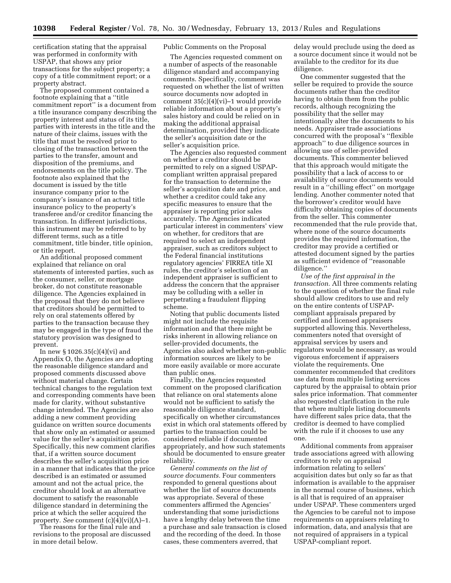certification stating that the appraisal was performed in conformity with USPAP, that shows any prior transactions for the subject property; a copy of a title commitment report; or a property abstract.

The proposed comment contained a footnote explaining that a ''title commitment report'' is a document from a title insurance company describing the property interest and status of its title, parties with interests in the title and the nature of their claims, issues with the title that must be resolved prior to closing of the transaction between the parties to the transfer, amount and disposition of the premiums, and endorsements on the title policy. The footnote also explained that the document is issued by the title insurance company prior to the company's issuance of an actual title insurance policy to the property's transferee and/or creditor financing the transaction. In different jurisdictions, this instrument may be referred to by different terms, such as a title commitment, title binder, title opinion, or title report.

An additional proposed comment explained that reliance on oral statements of interested parties, such as the consumer, seller, or mortgage broker, do not constitute reasonable diligence. The Agencies explained in the proposal that they do not believe that creditors should be permitted to rely on oral statements offered by parties to the transaction because they may be engaged in the type of fraud the statutory provision was designed to prevent.

In new § 1026.35(c)(4)(vi) and Appendix O, the Agencies are adopting the reasonable diligence standard and proposed comments discussed above without material change. Certain technical changes to the regulation text and corresponding comments have been made for clarity, without substantive change intended. The Agencies are also adding a new comment providing guidance on written source documents that show only an estimated or assumed value for the seller's acquisition price. Specifically, this new comment clarifies that, if a written source document describes the seller's acquisition price in a manner that indicates that the price described is an estimated or assumed amount and not the actual price, the creditor should look at an alternative document to satisfy the reasonable diligence standard in determining the price at which the seller acquired the property. *See* comment (c)(4)(vi)(A)–1.

The reasons for the final rule and revisions to the proposal are discussed in more detail below.

## Public Comments on the Proposal

The Agencies requested comment on a number of aspects of the reasonable diligence standard and accompanying comments. Specifically, comment was requested on whether the list of written source documents now adopted in comment 35(c)(4)(vi)–1 would provide reliable information about a property's sales history and could be relied on in making the additional appraisal determination, provided they indicate the seller's acquisition date or the seller's acquisition price.

The Agencies also requested comment on whether a creditor should be permitted to rely on a signed USPAPcompliant written appraisal prepared for the transaction to determine the seller's acquisition date and price, and whether a creditor could take any specific measures to ensure that the appraiser is reporting prior sales accurately. The Agencies indicated particular interest in commenters' view on whether, for creditors that are required to select an independent appraiser, such as creditors subject to the Federal financial institutions regulatory agencies' FIRREA title XI rules, the creditor's selection of an independent appraiser is sufficient to address the concern that the appraiser may be colluding with a seller in perpetrating a fraudulent flipping scheme.

Noting that public documents listed might not include the requisite information and that there might be risks inherent in allowing reliance on seller-provided documents, the Agencies also asked whether non-public information sources are likely to be more easily available or more accurate than public ones.

Finally, the Agencies requested comment on the proposed clarification that reliance on oral statements alone would not be sufficient to satisfy the reasonable diligence standard, specifically on whether circumstances exist in which oral statements offered by parties to the transaction could be considered reliable if documented appropriately, and how such statements should be documented to ensure greater reliability.

*General comments on the list of source documents.* Four commenters responded to general questions about whether the list of source documents was appropriate. Several of these commenters affirmed the Agencies' understanding that some jurisdictions have a lengthy delay between the time a purchase and sale transaction is closed and the recording of the deed. In those cases, these commenters averred, that

delay would preclude using the deed as a source document since it would not be available to the creditor for its due diligence.

One commenter suggested that the seller be required to provide the source documents rather than the creditor having to obtain them from the public records, although recognizing the possibility that the seller may intentionally alter the documents to his needs. Appraiser trade associations concurred with the proposal's ''flexible approach'' to due diligence sources in allowing use of seller-provided documents. This commenter believed that this approach would mitigate the possibility that a lack of access to or availability of source documents would result in a ''chilling effect'' on mortgage lending. Another commenter noted that the borrower's creditor would have difficulty obtaining copies of documents from the seller. This commenter recommended that the rule provide that, where none of the source documents provides the required information, the creditor may provide a certified or attested document signed by the parties as sufficient evidence of ''reasonable diligence.''

*Use of the first appraisal in the transaction.* All three comments relating to the question of whether the final rule should allow creditors to use and rely on the entire contents of USPAPcompliant appraisals prepared by certified and licensed appraisers supported allowing this. Nevertheless, commenters noted that oversight of appraisal services by users and regulators would be necessary, as would vigorous enforcement if appraisers violate the requirements. One commenter recommended that creditors use data from multiple listing services captured by the appraisal to obtain prior sales price information. That commenter also requested clarification in the rule that where multiple listing documents have different sales price data, that the creditor is deemed to have complied with the rule if it chooses to use any one.

Additional comments from appraiser trade associations agreed with allowing creditors to rely on appraisal information relating to sellers' acquisition dates but only so far as that information is available to the appraiser in the normal course of business, which is all that is required of an appraiser under USPAP. These commenters urged the Agencies to be careful not to impose requirements on appraisers relating to information, data, and analysis that are not required of appraisers in a typical USPAP-compliant report.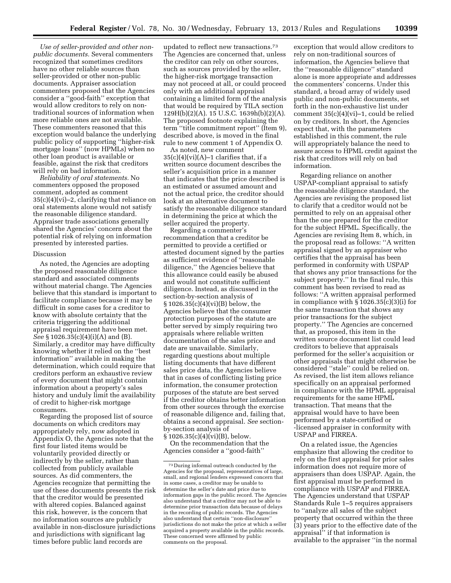*Use of seller-provided and other nonpublic documents.* Several commenters recognized that sometimes creditors have no other reliable sources than seller-provided or other non-public documents. Appraiser association commenters proposed that the Agencies consider a ''good-faith'' exception that would allow creditors to rely on nontraditional sources of information when more reliable ones are not available. These commenters reasoned that this exception would balance the underlying public policy of supporting ''higher-risk mortgage loans'' (now HPMLs) when no other loan product is available or feasible, against the risk that creditors will rely on bad information.

*Reliability of oral statements.* No commenters opposed the proposed comment, adopted as comment 35(c)(4)(vi)–2, clarifying that reliance on oral statements alone would not satisfy the reasonable diligence standard. Appraiser trade associations generally shared the Agencies' concern about the potential risk of relying on information presented by interested parties.

#### Discussion

As noted, the Agencies are adopting the proposed reasonable diligence standard and associated comments without material change. The Agencies believe that this standard is important to facilitate compliance because it may be difficult in some cases for a creditor to know with absolute certainty that the criteria triggering the additional appraisal requirement have been met. *See* § 1026.35(c)(4)(i)(A) and (B). Similarly, a creditor may have difficulty knowing whether it relied on the ''best information'' available in making the determination, which could require that creditors perform an exhaustive review of every document that might contain information about a property's sales history and unduly limit the availability of credit to higher-risk mortgage consumers.

Regarding the proposed list of source documents on which creditors may appropriately rely, now adopted in Appendix O, the Agencies note that the first four listed items would be voluntarily provided directly or indirectly by the seller, rather than collected from publicly available sources. As did commenters, the Agencies recognize that permitting the use of these documents presents the risk that the creditor would be presented with altered copies. Balanced against this risk, however, is the concern that no information sources are publicly available in non-disclosure jurisdictions and jurisdictions with significant lag times before public land records are

updated to reflect new transactions.73 The Agencies are concerned that, unless the creditor can rely on other sources, such as sources provided by the seller, the higher-risk mortgage transaction may not proceed at all, or could proceed only with an additional appraisal containing a limited form of the analysis that would be required by TILA section 129H(b)(2)(A). 15 U.S.C. 1639h(b)(2)(A). The proposed footnote explaining the term ''title commitment report'' (Item 9), described above, is moved in the final rule to new comment 1 of Appendix O.

As noted, new comment  $35(c)(4)(vi)(A)-1$  clarifies that, if a written source document describes the seller's acquisition price in a manner that indicates that the price described is an estimated or assumed amount and not the actual price, the creditor should look at an alternative document to satisfy the reasonable diligence standard in determining the price at which the seller acquired the property.

Regarding a commenter's recommendation that a creditor be permitted to provide a certified or attested document signed by the parties as sufficient evidence of ''reasonable diligence,'' the Agencies believe that this allowance could easily be abused and would not constitute sufficient diligence. Instead, as discussed in the section-by-section analysis of § 1026.35(c)(4)(vi)(B) below, the Agencies believe that the consumer protection purposes of the statute are better served by simply requiring two appraisals where reliable written documentation of the sales price and date are unavailable. Similarly, regarding questions about multiple listing documents that have different sales price data, the Agencies believe that in cases of conflicting listing price information, the consumer protection purposes of the statute are best served if the creditor obtains better information from other sources through the exercise of reasonable diligence and, failing that, obtains a second appraisal. *See* sectionby-section analysis of

 $§ 1026.35(c)(4)(vi)(B)$ , below. On the recommendation that the Agencies consider a ''good-faith''

exception that would allow creditors to rely on non-traditional sources of information, the Agencies believe that the ''reasonable diligence'' standard alone is more appropriate and addresses the commenters' concerns. Under this standard, a broad array of widely used public and non-public documents, set forth in the non-exhaustive list under comment 35(c)(4)(vi)–1, could be relied on by creditors. In short, the Agencies expect that, with the parameters established in this comment, the rule will appropriately balance the need to assure access to HPML credit against the risk that creditors will rely on bad information.

Regarding reliance on another USPAP-compliant appraisal to satisfy the reasonable diligence standard, the Agencies are revising the proposed list to clarify that a creditor would not be permitted to rely on an appraisal other than the one prepared for the creditor for the subject HPML. Specifically, the Agencies are revising Item 8, which, in the proposal read as follows: ''A written appraisal signed by an appraiser who certifies that the appraisal has been performed in conformity with USPAP that shows any prior transactions for the subject property.'' In the final rule, this comment has been revised to read as follows: ''A written appraisal performed in compliance with § 1026.35(c)(3)(i) for the same transaction that shows any prior transactions for the subject property.'' The Agencies are concerned that, as proposed, this item in the written source document list could lead creditors to believe that appraisals performed for the seller's acquisition or other appraisals that might otherwise be considered ''stale'' could be relied on. As revised, the list item allows reliance specifically on an appraisal performed in compliance with the HPML appraisal requirements for the same HPML transaction. That means that the appraisal would have to have been performed by a state-certified or -licensed appraiser in conformity with USPAP and FIRREA.

On a related issue, the Agencies emphasize that allowing the creditor to rely on the first appraisal for prior sales information does not require more of appraisers than does USPAP. Again, the first appraisal must be performed in compliance with USPAP and FIRREA. The Agencies understand that USPAP Standards Rule 1–5 requires appraisers to ''analyze all sales of the subject property that occurred within the three (3) years prior to the effective date of the appraisal'' if that information is available to the appraiser ''in the normal

<sup>73</sup> During informal outreach conducted by the Agencies for the proposal, representatives of large, small, and regional lenders expressed concern that in some cases, a creditor may be unable to determine the seller's date and price due to information gaps in the public record. The Agencies also understand that a creditor may not be able to determine prior transaction data because of delays in the recording of public records. The Agencies also understand that certain ''non-disclosure'' jurisdictions do not make the price at which a seller acquired a property available in the public records. These concerned were affirmed by public comments on the proposal.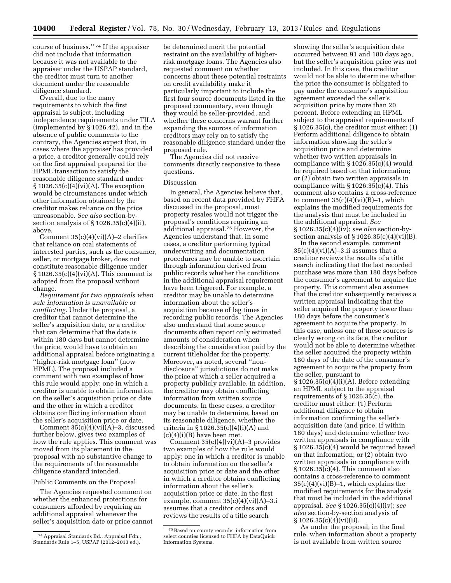course of business.'' 74 If the appraiser did not include that information because it was not available to the appraiser under the USPAP standard, the creditor must turn to another document under the reasonable diligence standard.

Overall, due to the many requirements to which the first appraisal is subject, including independence requirements under TILA (implemented by § 1026.42), and in the absence of public comments to the contrary, the Agencies expect that, in cases where the appraiser has provided a price, a creditor generally could rely on the first appraisal prepared for the HPML transaction to satisfy the reasonable diligence standard under § 1026.35(c)(4)(vi)(A). The exception would be circumstances under which other information obtained by the creditor makes reliance on the price unreasonable. *See also* section-bysection analysis of  $\S 1026.35(c)(4)(ii)$ , above.

Comment  $35(c)(4)(vi)(A)-2$  clarifies that reliance on oral statements of interested parties, such as the consumer, seller, or mortgage broker, does not constitute reasonable diligence under § 1026.35(c)(4)(vi)(A). This comment is adopted from the proposal without change.

*Requirement for two appraisals when sale information is unavailable or conflicting.* Under the proposal, a creditor that cannot determine the seller's acquisition date, or a creditor that can determine that the date is within 180 days but cannot determine the price, would have to obtain an additional appraisal before originating a ''higher-risk mortgage loan'' (now HPML). The proposal included a comment with two examples of how this rule would apply: one in which a creditor is unable to obtain information on the seller's acquisition price or date and the other in which a creditor obtains conflicting information about the seller's acquisition price or date.

Comment 35(c)(4)(vi)(A)–3, discussed further below, gives two examples of how the rule applies. This comment was moved from its placement in the proposal with no substantive change to the requirements of the reasonable diligence standard intended.

Public Comments on the Proposal

The Agencies requested comment on whether the enhanced protections for consumers afforded by requiring an additional appraisal whenever the seller's acquisition date or price cannot

be determined merit the potential restraint on the availability of higherrisk mortgage loans. The Agencies also requested comment on whether concerns about these potential restraints on credit availability make it particularly important to include the first four source documents listed in the proposed commentary, even though they would be seller-provided, and whether these concerns warrant further expanding the sources of information creditors may rely on to satisfy the reasonable diligence standard under the proposed rule.

The Agencies did not receive comments directly responsive to these questions.

## Discussion

In general, the Agencies believe that, based on recent data provided by FHFA discussed in the proposal, most property resales would not trigger the proposal's conditions requiring an additional appraisal.75 However, the Agencies understand that, in some cases, a creditor performing typical underwriting and documentation procedures may be unable to ascertain through information derived from public records whether the conditions in the additional appraisal requirement have been triggered. For example, a creditor may be unable to determine information about the seller's acquisition because of lag times in recording public records. The Agencies also understand that some source documents often report only estimated amounts of consideration when describing the consideration paid by the current titleholder for the property. Moreover, as noted, several ''nondisclosure'' jurisdictions do not make the price at which a seller acquired a property publicly available. In addition, the creditor may obtain conflicting information from written source documents. In these cases, a creditor may be unable to determine, based on its reasonable diligence, whether the criteria in § 1026.35(c)(4)(i)(A) and  $(c)(4)(i)(B)$  have been met.

Comment 35(c)(4)(vi)(A)–3 provides two examples of how the rule would apply: one in which a creditor is unable to obtain information on the seller's acquisition price or date and the other in which a creditor obtains conflicting information about the seller's acquisition price or date. In the first example, comment  $35(c)(4)(vi)(A)-3.i$ assumes that a creditor orders and reviews the results of a title search

showing the seller's acquisition date occurred between 91 and 180 days ago, but the seller's acquisition price was not included. In this case, the creditor would not be able to determine whether the price the consumer is obligated to pay under the consumer's acquisition agreement exceeded the seller's acquisition price by more than 20 percent. Before extending an HPML subject to the appraisal requirements of § 1026.35(c), the creditor must either: (1) Perform additional diligence to obtain information showing the seller's acquisition price and determine whether two written appraisals in compliance with § 1026.35(c)(4) would be required based on that information; or (2) obtain two written appraisals in compliance with  $\S 1026.35(c)(4)$ . This comment also contains a cross-reference to comment  $35(c)(4)(vi)(B)-1$ , which explains the modified requirements for the analysis that must be included in the additional appraisal. *See*  § 1026.35(c)(4)(iv); *see also* section-bysection analysis of  $\S 1026.35(c)(4)(vi)(B)$ .

In the second example, comment  $35(c)(4)(vi)(A)-3.ii$  assumes that a creditor reviews the results of a title search indicating that the last recorded purchase was more than 180 days before the consumer's agreement to acquire the property. This comment also assumes that the creditor subsequently receives a written appraisal indicating that the seller acquired the property fewer than 180 days before the consumer's agreement to acquire the property. In this case, unless one of these sources is clearly wrong on its face, the creditor would not be able to determine whether the seller acquired the property within 180 days of the date of the consumer's agreement to acquire the property from the seller, pursuant to § 1026.35(c)(4)(i)(A). Before extending an HPML subject to the appraisal requirements of § 1026.35(c), the creditor must either: (1) Perform additional diligence to obtain information confirming the seller's acquisition date (and price, if within 180 days) and determine whether two written appraisals in compliance with § 1026.35(c)(4) would be required based on that information; or (2) obtain two written appraisals in compliance with § 1026.35(c)(4). This comment also contains a cross-reference to comment  $35(c)(4)(vi)(B)-1$ , which explains the modified requirements for the analysis that must be included in the additional appraisal. *See* § 1026.35(c)(4)(iv); *see also* section-by-section analysis of  $\S 1026.35(c)(4)(vi)(B).$ 

As under the proposal, in the final rule, when information about a property is not available from written source

<sup>74</sup>Appraisal Standards Bd., Appraisal Fdn., Standards Rule 1–5, USPAP (2012–2013 ed.).

<sup>75</sup>Based on county recorder information from select counties licensed to FHFA by DataQuick Information Systems.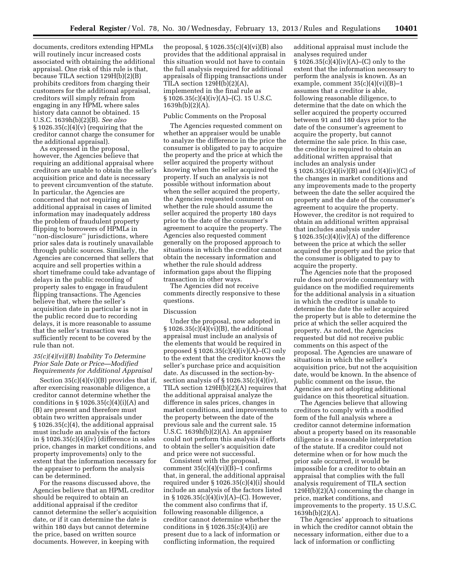documents, creditors extending HPMLs will routinely incur increased costs associated with obtaining the additional appraisal. One risk of this rule is that, because TILA section 129H(b)(2)(B) prohibits creditors from charging their customers for the additional appraisal, creditors will simply refrain from engaging in any HPML where sales history data cannot be obtained. 15 U.S.C. 1639h(b)(2)(B). *See also*   $\S 1026.35(c)(4)(v)$  (requiring that the creditor cannot charge the consumer for the additional appraisal).

As expressed in the proposal, however, the Agencies believe that requiring an additional appraisal where creditors are unable to obtain the seller's acquisition price and date is necessary to prevent circumvention of the statute. In particular, the Agencies are concerned that not requiring an additional appraisal in cases of limited information may inadequately address the problem of fraudulent property flipping to borrowers of HPMLs in ''non-disclosure'' jurisdictions, where prior sales data is routinely unavailable through public sources. Similarly, the Agencies are concerned that sellers that acquire and sell properties within a short timeframe could take advantage of delays in the public recording of property sales to engage in fraudulent flipping transactions. The Agencies believe that, where the seller's acquisition date in particular is not in the public record due to recording delays, it is more reasonable to assume that the seller's transaction was sufficiently recent to be covered by the rule than not.

## *35(c)(4)(vi)(B) Inability To Determine Prior Sale Date or Price—Modified Requirements for Additional Appraisal*

Section  $35(c)(4)(vi)(B)$  provides that if, after exercising reasonable diligence, a creditor cannot determine whether the conditions in  $\S 1026.35(c)(4)(i)(A)$  and (B) are present and therefore must obtain two written appraisals under § 1026.35(c)(4), the additional appraisal must include an analysis of the factors in § 1026.35(c)(4)(iv) (difference in sales price, changes in market conditions, and property improvements) only to the extent that the information necessary for the appraiser to perform the analysis can be determined.

For the reasons discussed above, the Agencies believe that an HPML creditor should be required to obtain an additional appraisal if the creditor cannot determine the seller's acquisition date, or if it can determine the date is within 180 days but cannot determine the price, based on written source documents. However, in keeping with

the proposal,  $\S 1026.35(c)(4)(vi)(B)$  also provides that the additional appraisal in this situation would not have to contain the full analysis required for additional appraisals of flipping transactions under TILA section  $129H(b)(2)(A)$ , implemented in the final rule as  $\S 1026.35(c)(4)(iv)(A)$ –(C). 15 U.S.C. 1639h(b)(2)(A).

## Public Comments on the Proposal

The Agencies requested comment on whether an appraiser would be unable to analyze the difference in the price the consumer is obligated to pay to acquire the property and the price at which the seller acquired the property without knowing when the seller acquired the property. If such an analysis is not possible without information about when the seller acquired the property, the Agencies requested comment on whether the rule should assume the seller acquired the property 180 days prior to the date of the consumer's agreement to acquire the property. The Agencies also requested comment generally on the proposed approach to situations in which the creditor cannot obtain the necessary information and whether the rule should address information gaps about the flipping transaction in other ways.

The Agencies did not receive comments directly responsive to these questions.

#### Discussion

Under the proposal, now adopted in § 1026.35(c)(4)(vi)(B), the additional appraisal must include an analysis of the elements that would be required in proposed § 1026.35(c)(4)(iv)(A)–(C) only to the extent that the creditor knows the seller's purchase price and acquisition date. As discussed in the section-bysection analysis of  $\S 1026.35(c)(4)(iv)$ TILA section 129H(b)(2)(A) requires that the additional appraisal analyze the difference in sales prices, changes in market conditions, and improvements to the property between the date of the previous sale and the current sale. 15 U.S.C. 1639h(b)(2)(A). An appraiser could not perform this analysis if efforts to obtain the seller's acquisition date and price were not successful.

Consistent with the proposal, comment  $35(c)(4)(vi)(B)-1$  confirms that, in general, the additional appraisal required under § 1026.35(c)(4)(i) should include an analysis of the factors listed in § 1026.35(c)(4)(iv)(A)–(C). However, the comment also confirms that if, following reasonable diligence, a creditor cannot determine whether the conditions in  $\S 1026.35(c)(4)(i)$  are present due to a lack of information or conflicting information, the required

additional appraisal must include the analyses required under § 1026.35(c)(4)(iv)(A)–(C) only to the extent that the information necessary to perform the analysis is known. As an example, comment  $35(c)(4)(vi)(B)-1$ assumes that a creditor is able, following reasonable diligence, to determine that the date on which the seller acquired the property occurred between 91 and 180 days prior to the date of the consumer's agreement to acquire the property, but cannot determine the sale price. In this case, the creditor is required to obtain an additional written appraisal that includes an analysis under  $\S 1026.35(c)(4)(iv)(B)$  and  $(c)(4)(iv)(C)$  of the changes in market conditions and any improvements made to the property between the date the seller acquired the property and the date of the consumer's agreement to acquire the property. However, the creditor is not required to obtain an additional written appraisal that includes analysis under  $\S 1026.35(c)(4)(iv)(A)$  of the difference between the price at which the seller acquired the property and the price that the consumer is obligated to pay to acquire the property.

The Agencies note that the proposed rule does not provide commentary with guidance on the modified requirements for the additional analysis in a situation in which the creditor is unable to determine the date the seller acquired the property but is able to determine the price at which the seller acquired the property. As noted, the Agencies requested but did not receive public comments on this aspect of the proposal. The Agencies are unaware of situations in which the seller's acquisition price, but not the acquisition date, would be known. In the absence of public comment on the issue, the Agencies are not adopting additional guidance on this theoretical situation.

The Agencies believe that allowing creditors to comply with a modified form of the full analysis where a creditor cannot determine information about a property based on its reasonable diligence is a reasonable interpretation of the statute. If a creditor could not determine when or for how much the prior sale occurred, it would be impossible for a creditor to obtain an appraisal that complies with the full analysis requirement of TILA section 129H(b)(2)(A) concerning the change in price, market conditions, and improvements to the property. 15 U.S.C.  $1639h(b)(2)(A)$ .

The Agencies' approach to situations in which the creditor cannot obtain the necessary information, either due to a lack of information or conflicting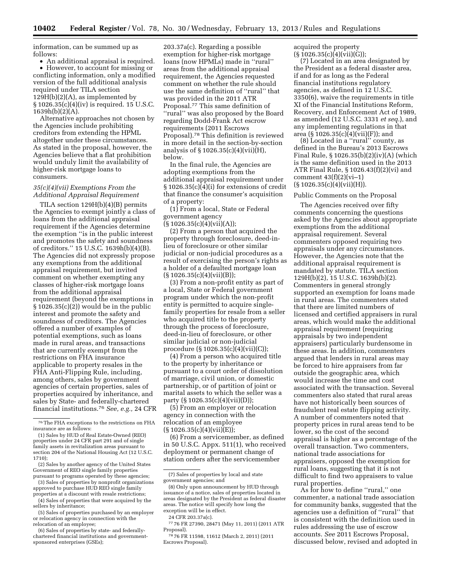information, can be summed up as follows:

• An additional appraisal is required. • However, to account for missing or conflicting information, only a modified version of the full additional analysis required under TILA section  $129H(b)(2)(A)$ , as implemented by § 1026.35(c)(4)(iv) is required. 15 U.S.C.  $1639h(b)(2)(A)$ .

Alternative approaches not chosen by the Agencies include prohibiting creditors from extending the HPML altogether under these circumstances. As stated in the proposal, however, the Agencies believe that a flat prohibition would unduly limit the availability of higher-risk mortgage loans to consumers.

#### *35(c)(4)(vii) Exemptions From the Additional Appraisal Requirement*

TILA section 129H(b)(4)(B) permits the Agencies to exempt jointly a class of loans from the additional appraisal requirement if the Agencies determine the exemption ''is in the public interest and promotes the safety and soundness of creditors.'' 15 U.S.C. 1639h(b)(4)(B). The Agencies did not expressly propose any exemptions from the additional appraisal requirement, but invited comment on whether exempting any classes of higher-risk mortgage loans from the additional appraisal requirement (beyond the exemptions in  $§ 1026.35(c)(2))$  would be in the public interest and promote the safety and soundness of creditors. The Agencies offered a number of examples of potential exemptions, such as loans made in rural areas, and transactions that are currently exempt from the restrictions on FHA insurance applicable to property resales in the FHA Anti-Flipping Rule, including, among others, sales by government agencies of certain properties, sales of properties acquired by inheritance, and sales by State- and federally-chartered financial institutions.76 *See, e.g.,* 24 CFR

203.37a(c). Regarding a possible exemption for higher-risk mortgage loans (now HPMLs) made in ''rural'' areas from the additional appraisal requirement, the Agencies requested comment on whether the rule should use the same definition of ''rural'' that was provided in the 2011 ATR Proposal.77 This same definition of ''rural'' was also proposed by the Board regarding Dodd-Frank Act escrow requirements (2011 Escrows Proposal).78 This definition is reviewed in more detail in the section-by-section analysis of § 1026.35(c)(4)(vii)(H), below.

In the final rule, the Agencies are adopting exemptions from the additional appraisal requirement under § 1026.35(c)(4)(i) for extensions of credit that finance the consumer's acquisition of a property:

(1) From a local, State or Federal government agency  $(S 1026.35(c)(4)(vii)(A))$ ;

(2) From a person that acquired the property through foreclosure, deed-inlieu of foreclosure or other similar judicial or non-judicial procedures as a result of exercising the person's rights as a holder of a defaulted mortgage loan

 $(S 1026.35(c)(4)(vii)(B));$ (3) From a non-profit entity as part of a local, State or Federal government program under which the non-profit entity is permitted to acquire singlefamily properties for resale from a seller who acquired title to the property through the process of foreclosure, deed-in-lieu of foreclosure, or other similar judicial or non-judicial procedure (§ 1026.35(c)(4)(vii)(C));

(4) From a person who acquired title to the property by inheritance or pursuant to a court order of dissolution of marriage, civil union, or domestic partnership, or of partition of joint or marital assets to which the seller was a party (§ 1026.35(c)(4)(vii)(D));

(5) From an employer or relocation agency in connection with the relocation of an employee  $(S 1026.35(c)(4)(vii)(E));$ 

(6) From a servicemember, as defined in 50 U.S.C. Appx. 511(1), who received deployment or permanent change of station orders after the servicemember

acquired the property  $(S1026.35(c)(4)(vii)(G));$ 

(7) Located in an area designated by the President as a federal disaster area, if and for as long as the Federal financial institutions regulatory agencies, as defined in 12 U.S.C. 3350(6), waive the requirements in title XI of the Financial Institutions Reform, Recovery, and Enforcement Act of 1989, as amended (12 U.S.C. 3331 *et seq.*), and any implementing regulations in that area  $(S 1026.35(c)(4)(vii)(F))$ ; and

(8) Located in a ''rural'' county, as defined in the Bureau's 2013 Escrows Final Rule, § 1026.35(b)(2)(iv)(A) (which is the same definition used in the 2013 ATR Final Rule, § 1026.43(f)(2)(vi) and comment  $43(f)(2)(vi-1)$  $(S 1026.35(c)(4)(vii)(H)).$ 

#### Public Comments on the Proposal

The Agencies received over fifty comments concerning the questions asked by the Agencies about appropriate exemptions from the additional appraisal requirement. Several commenters opposed requiring two appraisals under any circumstances. However, the Agencies note that the additional appraisal requirement is mandated by statute. TILA section 129H(b)(2), 15 U.S.C. 1639h(b)(2). Commenters in general strongly supported an exemption for loans made in rural areas. The commenters stated that there are limited numbers of licensed and certified appraisers in rural areas, which would make the additional appraisal requirement (requiring appraisals by two independent appraisers) particularly burdensome in these areas. In addition, commenters argued that lenders in rural areas may be forced to hire appraisers from far outside the geographic area, which would increase the time and cost associated with the transaction. Several commenters also stated that rural areas have not historically been sources of fraudulent real estate flipping activity. A number of commenters noted that property prices in rural areas tend to be lower, so the cost of the second appraisal is higher as a percentage of the overall transaction. Two commenters, national trade associations for appraisers, opposed the exemption for rural loans, suggesting that it is not difficult to find two appraisers to value rural properties.

As for how to define ''rural,'' one commenter, a national trade association for community banks, suggested that the agencies use a definition of ''rural'' that is consistent with the definition used in rules addressing the use of escrow accounts. *See* 2011 Escrows Proposal, discussed below, revised and adopted in

 $^{76}\mathrm{The}$  FHA exceptions to the restrictions on FHA insurance are as follows:

<sup>(1)</sup> Sales by HUD of Real Estate-Owned (REO) properties under 24 CFR part 291 and of single family assets in revitalization areas pursuant to section 204 of the National Housing Act (12 U.S.C. 1710);

<sup>(2)</sup> Sales by another agency of the United States Government of REO single family properties pursuant to programs operated by these agencies;

<sup>(3)</sup> Sales of properties by nonprofit organizations approved to purchase HUD REO single family properties at a discount with resale restrictions;

<sup>(4)</sup> Sales of properties that were acquired by the sellers by inheritance;

<sup>(5)</sup> Sales of properties purchased by an employer or relocation agency in connection with the relocation of an employee;

<sup>(6)</sup> Sales of properties by state- and federallychartered financial institutions and governmentsponsored enterprises (GSEs);

<sup>(7)</sup> Sales of properties by local and state government agencies; and

<sup>(8)</sup> Only upon announcement by HUD through issuance of a notice, sales of properties located in areas designated by the President as federal disaster areas. The notice will specify how long the exception will be in effect.

<sup>24</sup> CFR 203.37a(c).

<sup>77</sup> 76 FR 27390, 28471 (May 11, 2011) (2011 ATR Proposal).

<sup>78</sup> 76 FR 11598, 11612 (March 2, 2011) (2011 Escrows Proposal).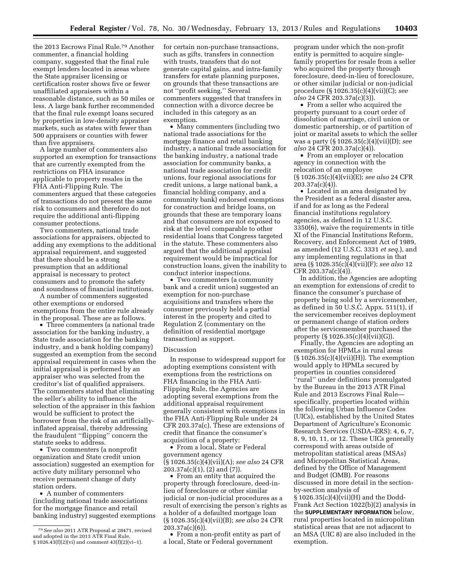the 2013 Escrows Final Rule.79 Another commenter, a financial holding company, suggested that the final rule exempt lenders located in areas where the State appraiser licensing or certification roster shows five or fewer unaffiliated appraisers within a reasonable distance, such as 50 miles or less. A large bank further recommended that the final rule exempt loans secured by properties in low-density appraiser markets, such as states with fewer than 500 appraisers or counties with fewer than five appraisers.

A large number of commenters also supported an exemption for transactions that are currently exempted from the restrictions on FHA insurance applicable to property resales in the FHA Anti-Flipping Rule. The commenters argued that these categories of transactions do not present the same risk to consumers and therefore do not require the additional anti-flipping consumer protections.

Two commenters, national trade associations for appraisers, objected to adding any exemptions to the additional appraisal requirement, and suggested that there should be a strong presumption that an additional appraisal is necessary to protect consumers and to promote the safety and soundness of financial institutions.

A number of commenters suggested other exemptions or endorsed exemptions from the entire rule already in the proposal. These are as follows.

• Three commenters (a national trade association for the banking industry, a State trade association for the banking industry, and a bank holding company) suggested an exemption from the second appraisal requirement in cases when the initial appraisal is performed by an appraiser who was selected from the creditor's list of qualified appraisers. The commenters stated that eliminating the seller's ability to influence the selection of the appraiser in this fashion would be sufficient to protect the borrower from the risk of an artificiallyinflated appraisal, thereby addressing the fraudulent ''flipping'' concern the statute seeks to address.

• Two commenters (a nonprofit organization and State credit union association) suggested an exemption for active duty military personnel who receive permanent change of duty station orders.

• A number of commenters (including national trade associations for the mortgage finance and retail banking industry) suggested exemptions for certain non-purchase transactions, such as gifts, transfers in connection with trusts, transfers that do not generate capital gains, and intra-family transfers for estate planning purposes, on grounds that these transactions are not ''profit seeking.'' Several commenters suggested that transfers in connection with a divorce decree be included in this category as an exemption.

• Many commenters (including two national trade associations for the mortgage finance and retail banking industry, a national trade association for the banking industry, a national trade association for community banks, a national trade association for credit unions, four regional associations for credit unions, a large national bank, a financial holding company, and a community bank) endorsed exemptions for construction and bridge loans, on grounds that these are temporary loans and that consumers are not exposed to risk at the level comparable to other residential loans that Congress targeted in the statute. These commenters also argued that the additional appraisal requirement would be impractical for construction loans, given the inability to conduct interior inspections.

• Two commenters (a community bank and a credit union) suggested an exemption for non-purchase acquisitions and transfers where the consumer previously held a partial interest in the property and cited to Regulation Z (commentary on the definition of residential mortgage transaction) as support.

#### Discussion

In response to widespread support for adopting exemptions consistent with exemptions from the restrictions on FHA financing in the FHA Anti-Flipping Rule, the Agencies are adopting several exemptions from the additional appraisal requirement generally consistent with exemptions in the FHA Anti-Flipping Rule under 24 CFR 203.37a(c). These are extensions of credit that finance the consumer's acquisition of a property:

• From a local, State or Federal government agency (§ 1026.35(c)(4)(vii)(A); *see also* 24 CFR 203.37a(c)(1), (2) and (7)).

• From an entity that acquired the property through foreclosure, deed-inlieu of foreclosure or other similar judicial or non-judicial procedures as a result of exercising the person's rights as a holder of a defaulted mortgage loan (§ 1026.35(c)(4)(vii)(B); *see also* 24 CFR 203.37a(c)(6)).

• From a non-profit entity as part of a local, State or Federal government

program under which the non-profit entity is permitted to acquire singlefamily properties for resale from a seller who acquired the property through foreclosure, deed-in-lieu of foreclosure, or other similar judicial or non-judicial procedure (§ 1026.35(c)(4)(vii)(C); *see also* 24 CFR 203.37a(c)(3)).

• From a seller who acquired the property pursuant to a court order of dissolution of marriage, civil union or domestic partnership, or of partition of joint or marital assets to which the seller was a party (§ 1026.35(c)(4)(vii)(D); *see also* 24 CFR 203.37a(c)(4)).

• From an employer or relocation agency in connection with the relocation of an employee (§ 1026.35(c)(4)(vii)(E); *see also* 24 CFR 203.37a(c)(4)).

• Located in an area designated by the President as a federal disaster area, if and for as long as the Federal financial institutions regulatory agencies, as defined in 12 U.S.C. 3350(6), waive the requirements in title XI of the Financial Institutions Reform, Recovery, and Enforcement Act of 1989, as amended (12 U.S.C. 3331 *et seq.*), and any implementing regulations in that area (§ 1026.35(c)(4)(vii)(F); *see also* 12 CFR 203.37a(c)(4)).

In addition, the Agencies are adopting an exemption for extensions of credit to finance the consumer's purchase of property being sold by a servicemember, as defined in 50 U.S.C. Appx. 511(1), if the servicemember receives deployment or permanent change of station orders after the servicemember purchased the property  $(\S 1026.35(c)(4)(vii)(G)).$ 

Finally, the Agencies are adopting an exemption for HPMLs in rural areas (§ 1026.35(c)(4)(vii)(H)). The exemption would apply to HPMLs secured by properties in counties considered ''rural'' under definitions promulgated by the Bureau in the 2013 ATR Final Rule and 2013 Escrows Final Rule specifically, properties located within the following Urban Influence Codes (UICs), established by the United States Department of Agriculture's Economic Research Services (USDA–ERS): 4, 6, 7, 8, 9, 10, 11, or 12. These UICs generally correspond with areas outside of metropolitan statistical areas (MSAs) and Micropolitan Statistical Areas, defined by the Office of Management and Budget (OMB). For reasons discussed in more detail in the sectionby-section analysis of § 1026.35(c)(4)(vii)(H) and the Dodd-Frank Act Section 1022(b)(2) analysis in

the **SUPPLEMENTARY INFORMATION** below, rural properties located in micropolitan statistical areas that are not adjacent to an MSA (UIC 8) are also included in the exemption.

<sup>79</sup>*See also* 2011 ATR Proposal at 28471, revised and adopted in the 2013 ATR Final Rule, § 1026.43(f)(2)(vi) and comment 43(f)(2)(vi–1).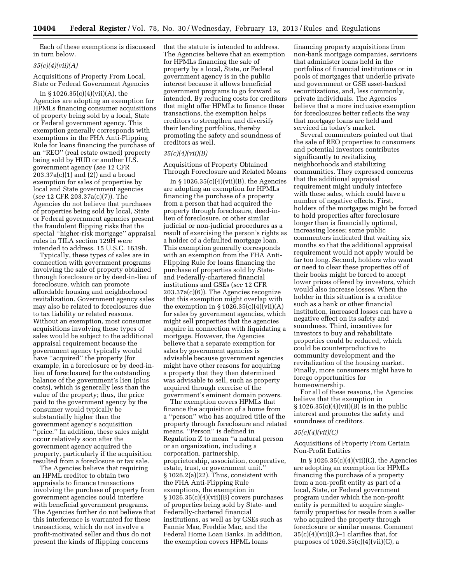Each of these exemptions is discussed in turn below.

## *35(c)(4)(vii)(A)*

Acquisitions of Property From Local, State or Federal Government Agencies

In  $\S 1026.35(c)(4)(vii)(A)$ , the Agencies are adopting an exemption for HPMLs financing consumer acquisitions of property being sold by a local, State or Federal government agency. This exemption generally corresponds with exemptions in the FHA Anti-Flipping Rule for loans financing the purchase of an ''REO'' (real estate owned) property being sold by HUD or another U.S. government agency (*see* 12 CFR 203.37a(c)(1) and (2)) and a broad exemption for sales of properties by local and State government agencies (*see* 12 CFR 203.37a(c)(7)). The Agencies do not believe that purchases of properties being sold by local, State or Federal government agencies present the fraudulent flipping risks that the special ''higher-risk mortgage'' appraisal rules in TILA section 129H were intended to address. 15 U.S.C. 1639h.

Typically, these types of sales are in connection with government programs involving the sale of property obtained through foreclosure or by deed-in-lieu of foreclosure, which can promote affordable housing and neighborhood revitalization. Government agency sales may also be related to foreclosures due to tax liability or related reasons. Without an exemption, most consumer acquisitions involving these types of sales would be subject to the additional appraisal requirement because the government agency typically would have ''acquired'' the property (for example, in a foreclosure or by deed-inlieu of foreclosure) for the outstanding balance of the government's lien (plus costs), which is generally less than the value of the property; thus, the price paid to the government agency by the consumer would typically be substantially higher than the government agency's acquisition 'price." In addition, these sales might occur relatively soon after the government agency acquired the property, particularly if the acquisition resulted from a foreclosure or tax sale.

The Agencies believe that requiring an HPML creditor to obtain two appraisals to finance transactions involving the purchase of property from government agencies could interfere with beneficial government programs. The Agencies further do not believe that this interference is warranted for these transactions, which do not involve a profit-motivated seller and thus do not present the kinds of flipping concerns

that the statute is intended to address. The Agencies believe that an exemption for HPMLs financing the sale of property by a local, State, or Federal government agency is in the public interest because it allows beneficial government programs to go forward as intended. By reducing costs for creditors that might offer HPMLs to finance these transactions, the exemption helps creditors to strengthen and diversify their lending portfolios, thereby promoting the safety and soundness of creditors as well.

### *35(c)(4)(vii)(B)*

Acquisitions of Property Obtained Through Foreclosure and Related Means

In  $\S 1026.35(c)(4)(vii)(B)$ , the Agencies are adopting an exemption for HPMLs financing the purchase of a property from a person that had acquired the property through foreclosure, deed-inlieu of foreclosure, or other similar judicial or non-judicial procedures as a result of exercising the person's rights as a holder of a defaulted mortgage loan. This exemption generally corresponds with an exemption from the FHA Anti-Flipping Rule for loans financing the purchase of properties sold by Stateand Federally-chartered financial institutions and GSEs (*see* 12 CFR 203.37a(c)(6)). The Agencies recognize that this exemption might overlap with the exemption in  $\S 1026.35(c)(4)(vii)(A)$ for sales by government agencies, which might sell properties that the agencies acquire in connection with liquidating a mortgage. However, the Agencies believe that a separate exemption for sales by government agencies is advisable because government agencies might have other reasons for acquiring a property that they then determined was advisable to sell, such as property acquired through exercise of the government's eminent domain powers.

The exemption covers HPMLs that finance the acquisition of a home from a ''person'' who has acquired title of the property through foreclosure and related means. ''Person'' is defined in Regulation Z to mean ''a natural person or an organization, including a corporation, partnership, proprietorship, association, cooperative, estate, trust, or government unit.'' § 1026.2(a)(22). Thus, consistent with the FHA Anti-Flipping Rule exemptions, the exemption in  $§ 1026.35(c)(4)(vii)(B) covers purchases$ of properties being sold by State- and Federally-chartered financial institutions, as well as by GSEs such as Fannie Mae, Freddie Mac, and the Federal Home Loan Banks. In addition, the exemption covers HPML loans

financing property acquisitions from non-bank mortgage companies, servicers that administer loans held in the portfolios of financial institutions or in pools of mortgages that underlie private and government or GSE asset-backed securitizations, and, less commonly, private individuals. The Agencies believe that a more inclusive exemption for foreclosures better reflects the way that mortgage loans are held and serviced in today's market.

Several commenters pointed out that the sale of REO properties to consumers and potential investors contributes significantly to revitalizing neighborhoods and stabilizing communities. They expressed concerns that the additional appraisal requirement might unduly interfere with these sales, which could have a number of negative effects. First, holders of the mortgages might be forced to hold properties after foreclosure longer than is financially optimal, increasing losses; some public commenters indicated that waiting six months so that the additional appraisal requirement would not apply would be far too long. Second, holders who want or need to clear these properties off of their books might be forced to accept lower prices offered by investors, which would also increase losses. When the holder in this situation is a creditor such as a bank or other financial institution, increased losses can have a negative effect on its safety and soundness. Third, incentives for investors to buy and rehabilitate properties could be reduced, which could be counterproductive to community development and the revitalization of the housing market. Finally, more consumers might have to forego opportunities for homeownership.

For all of these reasons, the Agencies believe that the exemption in  $\S 1026.35(c)(4)(vii)(B)$  is in the public interest and promotes the safety and soundness of creditors.

#### *35(c)(4)(vii)(C)*

Acquisitions of Property From Certain Non-Profit Entities

In  $\S 1026.35(c)(4)(vii)(C)$ , the Agencies are adopting an exemption for HPMLs financing the purchase of a property from a non-profit entity as part of a local, State, or Federal government program under which the non-profit entity is permitted to acquire singlefamily properties for resale from a seller who acquired the property through foreclosure or similar means. Comment  $35(c)(4)(vii)(C)-1$  clarifies that, for purposes of 1026.35(c)(4)(vii)(C), a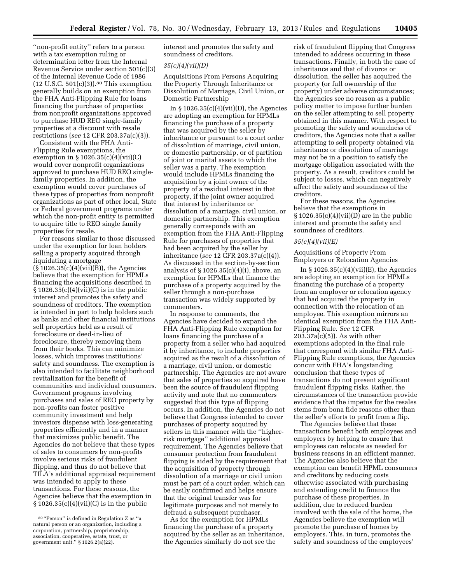''non-profit entity'' refers to a person with a tax exemption ruling or determination letter from the Internal Revenue Service under section 501(c)(3) of the Internal Revenue Code of 1986 (12 U.S.C. 501(c)(3)).80 This exemption generally builds on an exemption from the FHA Anti-Flipping Rule for loans financing the purchase of properties from nonprofit organizations approved to purchase HUD REO single-family properties at a discount with resale restrictions (*see* 12 CFR 203.37a(c)(3)).

Consistent with the FHA Anti-Flipping Rule exemptions, the exemption in § 1026.35(c)(4)(vii)(C) would cover nonprofit organizations approved to purchase HUD REO singlefamily properties. In addition, the exemption would cover purchases of these types of properties from nonprofit organizations as part of other local, State or Federal government programs under which the non-profit entity is permitted to acquire title to REO single family properties for resale.

For reasons similar to those discussed under the exemption for loan holders selling a property acquired through liquidating a mortgage (§ 1026.35(c)(4)(vii)(B)), the Agencies believe that the exemption for HPMLs financing the acquisitions described in § 1026.35(c)(4)(vii)(C) is in the public interest and promotes the safety and soundness of creditors. The exemption is intended in part to help holders such as banks and other financial institutions sell properties held as a result of foreclosure or deed-in-lieu of foreclosure, thereby removing them from their books. This can minimize losses, which improves institutions' safety and soundness. The exemption is also intended to facilitate neighborhood revitalization for the benefit of communities and individual consumers. Government programs involving purchases and sales of REO property by non-profits can foster positive community investment and help investors dispense with loss-generating properties efficiently and in a manner that maximizes public benefit. The Agencies do not believe that these types of sales to consumers by non-profits involve serious risks of fraudulent flipping, and thus do not believe that TILA's additional appraisal requirement was intended to apply to these transactions. For these reasons, the Agencies believe that the exemption in § 1026.35(c)(4)(vii)(C) is in the public

interest and promotes the safety and soundness of creditors.

### *35(c)(4)(vii)(D)*

Acquisitions From Persons Acquiring the Property Through Inheritance or Dissolution of Marriage, Civil Union, or Domestic Partnership

In  $\S 1026.35(c)(4)(vii)(D)$ , the Agencies are adopting an exemption for HPMLs financing the purchase of a property that was acquired by the seller by inheritance or pursuant to a court order of dissolution of marriage, civil union, or domestic partnership, or of partition of joint or marital assets to which the seller was a party. The exemption would include HPMLs financing the acquisition by a joint owner of the property of a residual interest in that property, if the joint owner acquired that interest by inheritance or dissolution of a marriage, civil union, or domestic partnership. This exemption generally corresponds with an exemption from the FHA Anti-Flipping Rule for purchases of properties that had been acquired by the seller by inheritance (*see* 12 CFR 203.37a(c)(4)). As discussed in the section-by-section analysis of § 1026.35(c)(4)(i), above, an exemption for HPMLs that finance the purchase of a property acquired by the seller through a non-purchase transaction was widely supported by commenters.

In response to comments, the Agencies have decided to expand the FHA Anti-Flipping Rule exemption for loans financing the purchase of a property from a seller who had acquired it by inheritance, to include properties acquired as the result of a dissolution of a marriage, civil union, or domestic partnership. The Agencies are not aware that sales of properties so acquired have been the source of fraudulent flipping activity and note that no commenters suggested that this type of flipping occurs. In addition, the Agencies do not believe that Congress intended to cover purchases of property acquired by sellers in this manner with the ''higherrisk mortgage'' additional appraisal requirement. The Agencies believe that consumer protection from fraudulent flipping is aided by the requirement that the acquisition of property through dissolution of a marriage or civil union must be part of a court order, which can be easily confirmed and helps ensure that the original transfer was for legitimate purposes and not merely to defraud a subsequent purchaser.

As for the exemption for HPMLs financing the purchase of a property acquired by the seller as an inheritance, the Agencies similarly do not see the

risk of fraudulent flipping that Congress intended to address occurring in these transactions. Finally, in both the case of inheritance and that of divorce or dissolution, the seller has acquired the property (or full ownership of the property) under adverse circumstances; the Agencies see no reason as a public policy matter to impose further burden on the seller attempting to sell property obtained in this manner. With respect to promoting the safety and soundness of creditors, the Agencies note that a seller attempting to sell property obtained via inheritance or dissolution of marriage may not be in a position to satisfy the mortgage obligation associated with the property. As a result, creditors could be subject to losses, which can negatively affect the safety and soundness of the creditors.

For these reasons, the Agencies believe that the exemptions in  $\S 1026.35(c)(4)(vii)(D)$  are in the public interest and promote the safety and soundness of creditors.

#### *35(c)(4)(vii)(E)*

Acquisitions of Property From Employers or Relocation Agencies

In  $\S 1026.35(c)(4)(vii)(E)$ , the Agencies are adopting an exemption for HPMLs financing the purchase of a property from an employer or relocation agency that had acquired the property in connection with the relocation of an employee. This exemption mirrors an identical exemption from the FHA Anti-Flipping Rule. *See* 12 CFR 203.37a(c)(5)). As with other exemptions adopted in the final rule that correspond with similar FHA Anti-Flipping Rule exemptions, the Agencies concur with FHA's longstanding conclusion that these types of transactions do not present significant fraudulent flipping risks. Rather, the circumstances of the transaction provide evidence that the impetus for the resales stems from bona fide reasons other than the seller's efforts to profit from a flip.

The Agencies believe that these transactions benefit both employees and employers by helping to ensure that employees can relocate as needed for business reasons in an efficient manner. The Agencies also believe that the exemption can benefit HPML consumers and creditors by reducing costs otherwise associated with purchasing and extending credit to finance the purchase of these properties. In addition, due to reduced burden involved with the sale of the home, the Agencies believe the exemption will promote the purchase of homes by employers. This, in turn, promotes the safety and soundness of the employees'

<sup>80</sup> ''Person'' is defined in Regulation Z as ''a natural person or an organization, including a corporation, partnership, proprietorship, association, cooperative, estate, trust, or government unit.'' § 1026.2(a)(22).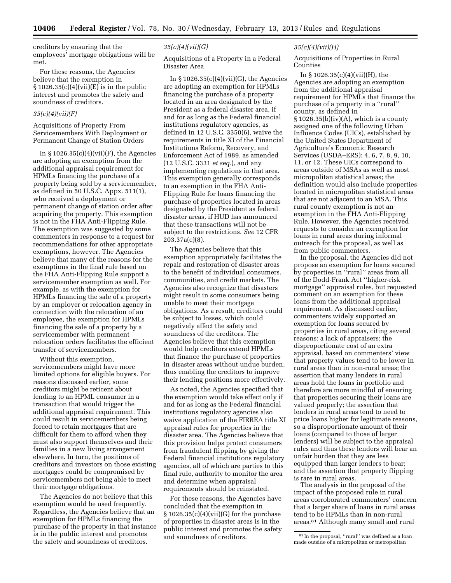creditors by ensuring that the employees' mortgage obligations will be met.

For these reasons, the Agencies believe that the exemption in  $\S 1026.35(c)(4)(vii)(E)$  is in the public interest and promotes the safety and soundness of creditors.

## *35(c)(4)(vii)(F)*

Acquisitions of Property From Servicemembers With Deployment or Permanent Change of Station Orders

In  $\S 1026.35(c)(4)(vii)(F)$ , the Agencies are adopting an exemption from the additional appraisal requirement for HPMLs financing the purchase of a property being sold by a servicemember, as defined in 50 U.S.C. Appx. 511(1), who received a deployment or permanent change of station order after acquiring the property. This exemption is not in the FHA Anti-Flipping Rule. The exemption was suggested by some commenters in response to a request for recommendations for other appropriate exemptions, however. The Agencies believe that many of the reasons for the exemptions in the final rule based on the FHA Anti-Flipping Rule support a servicemember exemption as well. For example, as with the exemption for HPMLs financing the sale of a property by an employer or relocation agency in connection with the relocation of an employee, the exemption for HPMLs financing the sale of a property by a servicemember with permanent relocation orders facilitates the efficient transfer of servicemembers.

Without this exemption, servicemembers might have more limited options for eligible buyers. For reasons discussed earlier, some creditors might be reticent about lending to an HPML consumer in a transaction that would trigger the additional appraisal requirement. This could result in servicemembers being forced to retain mortgages that are difficult for them to afford when they must also support themselves and their families in a new living arrangement elsewhere. In turn, the positions of creditors and investors on those existing mortgages could be compromised by servicemembers not being able to meet their mortgage obligations.

The Agencies do not believe that this exemption would be used frequently. Regardless, the Agencies believe that an exemption for HPMLs financing the purchase of the property in that instance is in the public interest and promotes the safety and soundness of creditors.

## *35(c)(4)(vii)(G)*

Acquisitions of a Property in a Federal Disaster Area

In  $\S 1026.35(c)(4)(vii)(G)$ , the Agencies are adopting an exemption for HPMLs financing the purchase of a property located in an area designated by the President as a federal disaster area, if and for as long as the Federal financial institutions regulatory agencies, as defined in 12 U.S.C. 3350(6), waive the requirements in title XI of the Financial Institutions Reform, Recovery, and Enforcement Act of 1989, as amended (12 U.S.C. 3331 *et seq.*), and any implementing regulations in that area. This exemption generally corresponds to an exemption in the FHA Anti-Flipping Rule for loans financing the purchase of properties located in areas designated by the President as federal disaster areas, if HUD has announced that these transactions will not be subject to the restrictions. *See* 12 CFR 203.37a(c)(8).

The Agencies believe that this exemption appropriately facilitates the repair and restoration of disaster areas to the benefit of individual consumers, communities, and credit markets. The Agencies also recognize that disasters might result in some consumers being unable to meet their mortgage obligations. As a result, creditors could be subject to losses, which could negatively affect the safety and soundness of the creditors. The Agencies believe that this exemption would help creditors extend HPMLs that finance the purchase of properties in disaster areas without undue burden, thus enabling the creditors to improve their lending positions more effectively.

As noted, the Agencies specified that the exemption would take effect only if and for as long as the Federal financial institutions regulatory agencies also waive application of the FIRREA title XI appraisal rules for properties in the disaster area. The Agencies believe that this provision helps protect consumers from fraudulent flipping by giving the Federal financial institutions regulatory agencies, all of which are parties to this final rule, authority to monitor the area and determine when appraisal requirements should be reinstated.

For these reasons, the Agencies have concluded that the exemption in  $§ 1026.35(c)(4)(vii)(G)$  for the purchase of properties in disaster areas is in the public interest and promotes the safety and soundness of creditors.

# *35(c)(4)(vii)(H)*

Acquisitions of Properties in Rural Counties

In  $\S 1026.35(c)(4)(vii)(H)$ , the Agencies are adopting an exemption from the additional appraisal requirement for HPMLs that finance the purchase of a property in a ''rural'' county, as defined in  $\S 1026.35(b)(iv)(A)$ , which is a county assigned one of the following Urban Influence Codes (UICs), established by the United States Department of Agriculture's Economic Research Services (USDA–ERS): 4, 6, 7, 8, 9, 10, 11, or 12. These UICs correspond to areas outside of MSAs as well as most micropolitan statistical areas; the definition would also include properties located in micropolitan statistical areas that are not adjacent to an MSA. This rural county exemption is not an exemption in the FHA Anti-Flipping Rule. However, the Agencies received requests to consider an exemption for loans in rural areas during informal outreach for the proposal, as well as from public commenters.

In the proposal, the Agencies did not propose an exemption for loans secured by properties in ''rural'' areas from all of the Dodd-Frank Act ''higher-risk mortgage'' appraisal rules, but requested comment on an exemption for these loans from the additional appraisal requirement. As discussed earlier, commenters widely supported an exemption for loans secured by properties in rural areas, citing several reasons: a lack of appraisers; the disproportionate cost of an extra appraisal, based on commenters' view that property values tend to be lower in rural areas than in non-rural areas; the assertion that many lenders in rural areas hold the loans in portfolio and therefore are more mindful of ensuring that properties securing their loans are valued properly; the assertion that lenders in rural areas tend to need to price loans higher for legitimate reasons, so a disproportionate amount of their loans (compared to those of larger lenders) will be subject to the appraisal rules and thus these lenders will bear an unfair burden that they are less equipped than larger lenders to bear; and the assertion that property flipping is rare in rural areas.

The analysis in the proposal of the impact of the proposed rule in rural areas corroborated commenters' concern that a larger share of loans in rural areas tend to be HPMLs than in non-rural areas.81 Although many small and rural

<sup>81</sup> In the proposal, ''rural'' was defined as a loan made outside of a micropolitan or metropolitan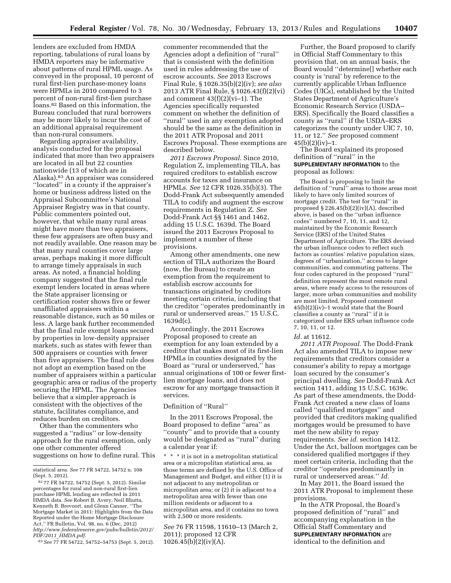lenders are excluded from HMDA reporting, tabulations of rural loans by HMDA reporters may be informative about patterns of rural HPML usage. As conveyed in the proposal, 10 percent of rural first-lien purchase-money loans were HPMLs in 2010 compared to 3 percent of non-rural first-lien purchase loans.82 Based on this information, the Bureau concluded that rural borrowers may be more likely to incur the cost of an additional appraisal requirement than non-rural consumers.

Regarding appraiser availability, analysis conducted for the proposal indicated that more than two appraisers are located in all but 22 counties nationwide (13 of which are in Alaska).83 An appraiser was considered ''located'' in a county if the appraiser's home or business address listed on the Appraisal Subcommittee's National Appraiser Registry was in that county. Public commenters pointed out, however, that while many rural areas might have more than two appraisers, these few appraisers are often busy and not readily available. One reason may be that many rural counties cover large areas, perhaps making it more difficult to arrange timely appraisals in such areas. As noted, a financial holding company suggested that the final rule exempt lenders located in areas where the State appraiser licensing or certification roster shows five or fewer unaffiliated appraisers within a reasonable distance, such as 50 miles or less. A large bank further recommended that the final rule exempt loans secured by properties in low-density appraiser markets, such as states with fewer than 500 appraisers or counties with fewer than five appraisers. The final rule does not adopt an exemption based on the number of appraisers within a particular geographic area or radius of the property securing the HPML. The Agencies believe that a simpler approach is consistent with the objectives of the statute, facilitates compliance, and reduces burden on creditors.

Other than the commenters who suggested a ''radius'' or low-density approach for the rural exemption, only one other commenter offered suggestions on how to define rural. This

83*See* 77 FR 54722, 54752–54753 (Sept. 5, 2012).

commenter recommended that the Agencies adopt a definition of ''rural'' that is consistent with the definition used in rules addressing the use of escrow accounts. *See* 2013 Escrows Final Rule, § 1026.35(b)(2)(iv); *see also*  2013 ATR Final Rule, § 1026.43(f)(2)(vi) and comment 43(f)(2)(vi–1). The Agencies specifically requested comment on whether the definition of ''rural'' used in any exemption adopted should be the same as the definition in the 2011 ATR Proposal and 2011 Escrows Proposal. These exemptions are described below.

*2011 Escrows Proposal.* Since 2010, Regulation Z, implementing TILA, has required creditors to establish escrow accounts for taxes and insurance on HPMLs. *See* 12 CFR 1026.35(b)(3). The Dodd-Frank Act subsequently amended TILA to codify and augment the escrow requirements in Regulation Z. *See*  Dodd-Frank Act §§ 1461 and 1462, adding 15 U.S.C. 1639d. The Board issued the 2011 Escrows Proposal to implement a number of these provisions.

Among other amendments, one new section of TILA authorizes the Board (now, the Bureau) to create an exemption from the requirement to establish escrow accounts for transactions originated by creditors meeting certain criteria, including that the creditor ''operates predominantly in rural or underserved areas.'' 15 U.S.C. 1639d(c).

Accordingly, the 2011 Escrows Proposal proposed to create an exemption for any loan extended by a creditor that makes most of its first-lien HPMLs in counties designated by the Board as ''rural or underserved,'' has annual originations of 100 or fewer firstlien mortgage loans, and does not escrow for any mortgage transaction it services.

#### Definition of ''Rural''

In the 2011 Escrows Proposal, the Board proposed to define ''area'' as ''county'' and to provide that a county would be designated as ''rural'' during a calendar year if:

\* \* \* it is not in a metropolitan statistical area or a micropolitan statistical area, as those terms are defined by the U.S. Office of Management and Budget, and either (1) it is not adjacent to any metropolitan or micropolitan area; or (2) it is adjacent to a metropolitan area with fewer than one million residents or adjacent to a micropolitan area, and it contains no town with 2,500 or more residents.

*See* 76 FR 11598, 11610–13 (March 2, 2011); proposed 12 CFR 1026.45(b)(2)(iv)(A).

Further, the Board proposed to clarify in Official Staff Commentary to this provision that, on an annual basis, the Board would ''determine[] whether each county is 'rural' by reference to the currently applicable Urban Influence Codes (UICs), established by the United States Department of Agriculture's Economic Research Service (USDA– ERS). Specifically the Board classifies a county as ''rural'' if the USDA–ERS categorizes the county under UIC 7, 10, 11, or 12.'' *See* proposed comment  $45(b)(2)(iv)-1.$ 

The Board explained its proposed definition of ''rural'' in the **SUPPLEMENTARY INFORMATION** to the proposal as follows:

The Board is proposing to limit the definition of ''rural'' areas to those areas most likely to have only limited sources of mortgage credit. The test for ''rural'' in proposed § 226.45(b)(2)(iv)(A), described above, is based on the ''urban influence codes'' numbered 7, 10, 11, and 12, maintained by the Economic Research Service (ERS) of the United States Department of Agriculture. The ERS devised the urban influence codes to reflect such factors as counties' relative population sizes, degrees of ''urbanization,'' access to larger communities, and commuting patterns. The four codes captured in the proposed ''rural'' definition represent the most remote rural areas, where ready access to the resources of larger, more urban communities and mobility are most limited. Proposed comment 45(b)(2)(iv)–1 would state that the Board classifies a county as ''rural'' if it is categorized under ERS urban influence code 7, 10, 11, or 12.

#### *Id.* at 11612.

*2011 ATR Proposal.* The Dodd-Frank Act also amended TILA to impose new requirements that creditors consider a consumer's ability to repay a mortgage loan secured by the consumer's principal dwelling. *See* Dodd-Frank Act section 1411, adding 15 U.S.C. 1639c. As part of these amendments, the Dodd-Frank Act created a new class of loans called ''qualified mortgages'' and provided that creditors making qualified mortgages would be presumed to have met the new ability to repay requirements. *See id.* section 1412. Under the Act, balloon mortgages can be considered qualified mortgages if they meet certain criteria, including that the creditor ''operates predominantly in rural or underserved areas.'' *Id.* 

In May 2011, the Board issued the 2011 ATR Proposal to implement these provisions.

In the ATR Proposal, the Board's proposed definition of ''rural'' and accompanying explanation in the Official Staff Commentary and **SUPPLEMENTARY INFORMATION** are identical to the definition and

statistical area. *See* 77 FR 54722, 54752 n. 108 (Sept. 5, 2012).

<sup>82</sup> 77 FR 54722, 54752 (Sept. 5, 2012). Similar percentages for rural and non-rural first-lien purchase HPML lending are reflected in 2011 HMDA data. *See* Robert B. Avery, Neil Bhutta, Kenneth B. Brevoort, and Glenn Canner, ''The Mortgage Market in 2011: Highlights from the Data Reported under the Home Mortgage Disclosure Act,'' FR Bulletin, Vol. 98, no. 6 (Dec. 2012) *[http://www.federalreserve.gov/pubs/bulletin/2012/](http://www.federalreserve.gov/pubs/bulletin/2012/PDF/2011_HMDA.pdf) PDF/2011*\_*[HMDA.pdf](http://www.federalreserve.gov/pubs/bulletin/2012/PDF/2011_HMDA.pdf)*.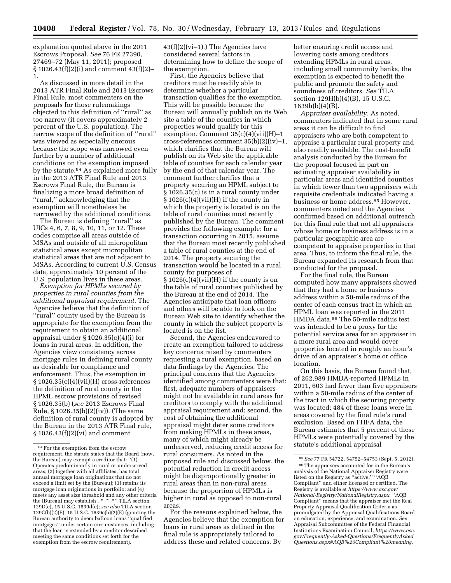explanation quoted above in the 2011 Escrows Proposal. *See* 76 FR 27390, 27469–72 (May 11, 2011); proposed § 1026.43(f)(2)(i) and comment 43(f)(2)– 1.

As discussed in more detail in the 2013 ATR Final Rule and 2013 Escrows Final Rule, most commenters on the proposals for those rulemakings objected to this definition of ''rural'' as too narrow (it covers approximately 2 percent of the U.S. population). The narrow scope of the definition of ''rural'' was viewed as especially onerous because the scope was narrowed even further by a number of additional conditions on the exemption imposed by the statute.<sup>84</sup> As explained more fully in the 2013 ATR Final Rule and 2013 Escrows Final Rule, the Bureau is finalizing a more broad definition of ''rural,'' acknowledging that the exemption will nonetheless be narrowed by the additional conditions.

The Bureau is defining ''rural'' as UICs 4, 6, 7, 8, 9, 10, 11, or 12. These codes comprise all areas outside of MSAs and outside of all micropolitan statistical areas except micropolitan statistical areas that are not adjacent to MSAs. According to current U.S. Census data, approximately 10 percent of the U.S. population lives in these areas.

*Exemption for HPMLs secured by properties in rural counties from the additional appraisal requirement.* The Agencies believe that the definition of ''rural'' county used by the Bureau is appropriate for the exemption from the requirement to obtain an additional appraisal under § 1026.35(c)(4)(i) for loans in rural areas. In addition, the Agencies view consistency across mortgage rules in defining rural county as desirable for compliance and enforcement. Thus, the exemption in  $\S 1026.35(c)(4)(vii)(H)$  cross-references the definition of rural county in the HPML escrow provisions of revised § 1026.35(b) (*see* 2013 Escrows Final Rule, § 1026.35(b)(2)(iv)). (The same definition of rural county is adopted by the Bureau in the 2013 ATR Final rule, § 1026.43(f)(2)(vi) and comment

43(f)(2)(vi–1).) The Agencies have considered several factors in determining how to define the scope of the exemption.

First, the Agencies believe that creditors must be readily able to determine whether a particular transaction qualifies for the exemption. This will be possible because the Bureau will annually publish on its Web site a table of the counties in which properties would qualify for this exemption. Comment 35(c)(4)(vii)(H)–1 cross-references comment 35(b)(2)(iv)–1, which clarifies that the Bureau will publish on its Web site the applicable table of counties for each calendar year by the end of that calendar year. The comment further clarifies that a property securing an HPML subject to § 1026.35(c) is in a rural county under  $\S 1026(c)(4)(vii)(H)$  if the county in which the property is located is on the table of rural counties most recently published by the Bureau. The comment provides the following example: for a transaction occurring in 2015, assume that the Bureau most recently published a table of rural counties at the end of 2014. The property securing the transaction would be located in a rural county for purposes of  $§ 1026(c)(4)(vii)(H)$  if the county is on the table of rural counties published by the Bureau at the end of 2014. The Agencies anticipate that loan officers and others will be able to look on the Bureau Web site to identify whether the county in which the subject property is located is on the list.

Second, the Agencies endeavored to create an exemption tailored to address key concerns raised by commenters requesting a rural exemption, based on data findings by the Agencies. The principal concerns that the Agencies identified among commenters were that: first, adequate numbers of appraisers might not be available in rural areas for creditors to comply with the additional appraisal requirement and; second, the cost of obtaining the additional appraisal might deter some creditors from making HPMLs in these areas, many of which might already be underserved, reducing credit access for rural consumers. As noted in the proposed rule and discussed below, the potential reduction in credit access might be disproportionally greater in rural areas than in non-rural areas because the proportion of HPMLs is higher in rural as opposed to non-rural areas.

For the reasons explained below, the Agencies believe that the exemption for loans in rural areas as defined in the final rule is appropriately tailored to address these and related concerns. By

better ensuring credit access and lowering costs among creditors extending HPMLs in rural areas, including small community banks, the exemption is expected to benefit the public and promote the safety and soundness of creditors. *See* TILA section 129H(b)(4)(B), 15 U.S.C. 1639h(b)(4)(B).

*Appraiser availability.* As noted, commenters indicated that in some rural areas it can be difficult to find appraisers who are both competent to appraise a particular rural property and also readily available. The cost-benefit analysis conducted by the Bureau for the proposal focused in part on estimating appraiser availability in particular areas and identified counties in which fewer than two appraisers with requisite credentials indicated having a business or home address.85 However, commenters noted and the Agencies confirmed based on additional outreach for this final rule that not all appraisers whose home or business address is in a particular geographic area are competent to appraise properties in that area. Thus, to inform the final rule, the Bureau expanded its research from that conducted for the proposal.

For the final rule, the Bureau computed how many appraisers showed that they had a home or business address within a 50-mile radius of the center of each census tract in which an HPML loan was reported in the 2011 HMDA data.86 The 50-mile radius test was intended to be a proxy for the potential service area for an appraiser in a more rural area and would cover properties located in roughly an hour's drive of an appraiser's home or office location.

On this basis, the Bureau found that, of 262,989 HMDA-reported HPMLs in 2011, 603 had fewer than five appraisers within a 50-mile radius of the center of the tract in which the securing property was located; 484 of these loans were in areas covered by the final rule's rural exclusion. Based on FHFA data, the Bureau estimates that 5 percent of these HPMLs were potentially covered by the statute's additional appraisal

<sup>84</sup>For the exemption from the escrow requirement, the statute states that the Board (now, the Bureau) may exempt a creditor that: ''(1) Operates predominantly in rural or underserved areas; (2) together with all affiliates, has total annual mortgage loan originations that do not exceed a limit set by the [Bureau]; (3) retains its mortgage loan originations in portfolio; and (4) meets any asset size threshold and any other criteria the [Bureau] may establish . \* \* \*'' TILA section 129D(c), 15 U.S.C. 1639d(c); *see also* TILA section 129C(b)(2)(E), 15 U.S.C. 1639c(b)(2)(E) (granting the Bureau authority to deem balloon loans ''qualified mortgages'' under certain circumstances, including that the loan is extended by a creditor described meeting the same conditions set forth for the exemption from the escrow requirement).

<sup>85</sup>*See* 77 FR 54722, 54752–54753 (Sept. 5, 2012). 86The appraisers accounted for in the Bureau's analysis of the National Appraiser Registry were listed on the Registry as ''active,'' ''AQB Compliant'' and either licensed or certified. The Registry is available at *[https://www.asc.gov/](https://www.asc.gov/National-Registry/NationalRegistry.aspx) [National-Registry/NationalRegistry.aspx](https://www.asc.gov/National-Registry/NationalRegistry.aspx)*. ''AQB Compliant'' means that the appraiser met the Real Property Appraisal Qualification Criteria as promulgated by the Appraisal Qualifications Board on education, experience, and examination. *See*  Appraisal Subcommittee of the Federal Financial Institutions Examination Council, *[https://www.asc.](https://www.asc.gov/Frequently-Asked-Questions/FrequentlyAskedQuestions.aspx#AQB%20Compliant%20meaning) [gov/Frequently-Asked-Questions/FrequentlyAsked](https://www.asc.gov/Frequently-Asked-Questions/FrequentlyAskedQuestions.aspx#AQB%20Compliant%20meaning) [Questions.aspx#AQB%20Compliant%20meaning](https://www.asc.gov/Frequently-Asked-Questions/FrequentlyAskedQuestions.aspx#AQB%20Compliant%20meaning)*.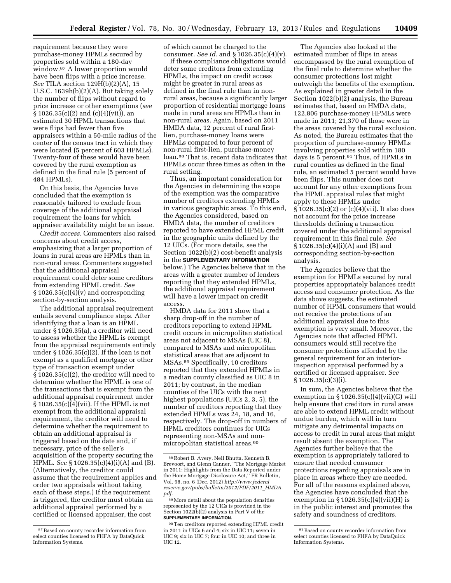requirement because they were purchase-money HPMLs secured by properties sold within a 180-day window.87 A lower proportion would have been flips with a price increase. *See* TILA section 129H(b)(2)(A), 15 U.S.C. 1639h(b)(2)(A). But taking solely the number of flips without regard to price increase or other exemptions (*see*   $\S 1026.35(c)(2)$  and (c)(4)(vii)), an estimated 30 HPML transactions that were flips had fewer than five appraisers within a 50-mile radius of the center of the census tract in which they were located (5 percent of 603 HPMLs). Twenty-four of these would have been covered by the rural exemption as defined in the final rule (5 percent of 484 HPMLs).

On this basis, the Agencies have concluded that the exemption is reasonably tailored to exclude from coverage of the additional appraisal requirement the loans for which appraiser availability might be an issue.

*Credit access.* Commenters also raised concerns about credit access, emphasizing that a larger proportion of loans in rural areas are HPMLs than in non-rural areas. Commenters suggested that the additional appraisal requirement could deter some creditors from extending HPML credit. *See*   $\S 1026.35(c)(4)(v)$  and corresponding section-by-section analysis.

The additional appraisal requirement entails several compliance steps. After identifying that a loan is an HPML under § 1026.35(a), a creditor will need to assess whether the HPML is exempt from the appraisal requirements entirely under  $\S 1026.35(c)(2)$ . If the loan is not exempt as a qualified mortgage or other type of transaction exempt under § 1026.35(c)(2), the creditor will need to determine whether the HPML is one of the transactions that is exempt from the additional appraisal requirement under  $\S 1026.35(c)(4)(vii)$ . If the HPML is not exempt from the additional appraisal requirement, the creditor will need to determine whether the requirement to obtain an additional appraisal is triggered based on the date and, if necessary, price of the seller's acquisition of the property securing the HPML. *See* § 1026.35(c)(4)(i)(A) and (B). (Alternatively, the creditor could assume that the requirement applies and order two appraisals without taking each of these steps.) If the requirement is triggered, the creditor must obtain an additional appraisal performed by a certified or licensed appraiser, the cost

of which cannot be charged to the consumer. *See id.* and § 1026.35(c)(4)(v).

If these compliance obligations would deter some creditors from extending HPMLs, the impact on credit access might be greater in rural areas as defined in the final rule than in nonrural areas, because a significantly larger proportion of residential mortgage loans made in rural areas are HPMLs than in non-rural areas. Again, based on 2011 HMDA data, 12 percent of rural firstlien, purchase-money loans were HPMLs compared to four percent of non-rural first-lien, purchase-money loan.88 That is, recent data indicates that HPMLs occur three times as often in the rural setting.

Thus, an important consideration for the Agencies in determining the scope of the exemption was the comparative number of creditors extending HPMLs in various geographic areas. To this end, the Agencies considered, based on HMDA data, the number of creditors reported to have extended HPML credit in the geographic units defined by the 12 UICs. (For more details, see the Section 1022(b)(2) cost-benefit analysis in the **SUPPLEMENTARY INFORMATION** below.) The Agencies believe that in the areas with a greater number of lenders reporting that they extended HPMLs, the additional appraisal requirement will have a lower impact on credit access.

HMDA data for 2011 show that a sharp drop-off in the number of creditors reporting to extend HPML credit occurs in micropolitan statistical areas not adjacent to MSAs (UIC 8), compared to MSAs and micropolitan statistical areas that are adjacent to MSAs.89 Specifically, 10 creditors reported that they extended HPMLs in a median county classified as UIC 8 in 2011; by contrast, in the median counties of the UICs with the next highest populations (UICs 2, 3, 5), the number of creditors reporting that they extended HPMLs was 24, 18, and 16, respectively. The drop-off in numbers of HPML creditors continues for UICs representing non-MSAs and nonmicropolitan statistical areas.90

The Agencies also looked at the estimated number of flips in areas encompassed by the rural exemption of the final rule to determine whether the consumer protections lost might outweigh the benefits of the exemption. As explained in greater detail in the Section 1022(b)(2) analysis, the Bureau estimates that, based on HMDA data, 122,806 purchase-money HPMLs were made in 2011; 21,370 of those were in the areas covered by the rural exclusion. As noted, the Bureau estimates that the proportion of purchase-money HPMLs involving properties sold within 180 days is 5 percent.91 Thus, of HPMLs in rural counties as defined in the final rule, an estimated 5 percent would have been flips. This number does not account for any other exemptions from the HPML appraisal rules that might apply to these HPMLs under § 1026.35(c)(2) or (c)(4)(vii). It also does not account for the price increase thresholds defining a transaction covered under the additional appraisal requirement in this final rule. *See*  § 1026.35(c)(4)(i)(A) and (B) and corresponding section-by-section analysis.

The Agencies believe that the exemption for HPMLs secured by rural properties appropriately balances credit access and consumer protection. As the data above suggests, the estimated number of HPML consumers that would not receive the protections of an additional appraisal due to this exemption is very small. Moreover, the Agencies note that affected HPML consumers would still receive the consumer protections afforded by the general requirement for an interiorinspection appraisal performed by a certified or licensed appraiser. *See*  § 1026.35(c)(3)(i).

In sum, the Agencies believe that the exemption in  $\S$  1026.35(c)(4)(vii)(G) will help ensure that creditors in rural areas are able to extend HPML credit without undue burden, which will in turn mitigate any detrimental impacts on access to credit in rural areas that might result absent the exemption. The Agencies further believe that the exemption is appropriately tailored to ensure that needed consumer protections regarding appraisals are in place in areas where they are needed. For all of the reasons explained above, the Agencies have concluded that the exemption in  $\S 1026.35(c)(4)(vii)(H)$  is in the public interest and promotes the safety and soundness of creditors.

<sup>87</sup>Based on county recorder information from select counties licensed to FHFA by DataQuick Information Systems.

<sup>88</sup>Robert B. Avery, Neil Bhutta, Kenneth B. Brevoort, and Glenn Canner, ''The Mortgage Market in 2011: Highlights from the Data Reported under the Home Mortgage Disclosure Act,'' FR Bulletin, Vol. 98, no. 6 (Dec. 2012) *[http://www.federal](http://www.federalreserve.gov/pubs/bulletin/2012/PDF/2011_HMDA.pdf) [reserve.gov/pubs/bulletin/2012/PDF/2011](http://www.federalreserve.gov/pubs/bulletin/2012/PDF/2011_HMDA.pdf)*\_*HMDA. [pdf](http://www.federalreserve.gov/pubs/bulletin/2012/PDF/2011_HMDA.pdf)*.

<sup>89</sup>More detail about the population densities represented by the 12 UICs is provided in the Section 1022(b)(2) analysis in Part V of the **SUPPLEMENTARY INFORMATION**.

<sup>90</sup>Ten creditors reported extending HPML credit in 2011 in UICs 6 and 4; six in UIC 11; seven in UIC 9; six in UIC 7; four in UIC 10; and three in UIC 12.

<sup>91</sup>Based on county recorder information from select counties licensed to FHFA by DataQuick Information Systems.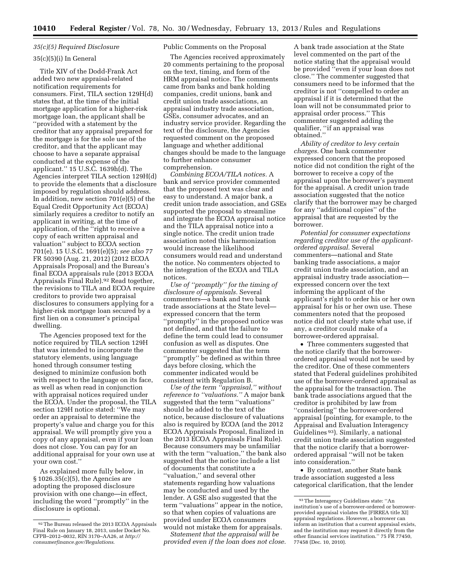### *35(c)(5) Required Disclosure*

### 35(c)(5)(i) In General

Title XIV of the Dodd-Frank Act added two new appraisal-related notification requirements for consumers. First, TILA section 129H(d) states that, at the time of the initial mortgage application for a higher-risk mortgage loan, the applicant shall be ''provided with a statement by the creditor that any appraisal prepared for the mortgage is for the sole use of the creditor, and that the applicant may choose to have a separate appraisal conducted at the expense of the applicant.'' 15 U.S.C. 1639h(d). The Agencies interpret TILA section 129H(d) to provide the elements that a disclosure imposed by regulation should address. In addition, new section 701(e)(5) of the Equal Credit Opportunity Act (ECOA) similarly requires a creditor to notify an applicant in writing, at the time of application, of the ''right to receive a copy of each written appraisal and valuation'' subject to ECOA section 701(e). 15 U.S.C. 1691(e)(5); *see also* 77 FR 50390 (Aug. 21, 2012) (2012 ECOA Appraisals Proposal) and the Bureau's final ECOA appraisals rule (2013 ECOA Appraisals Final Rule).<sup>92</sup> Read together, the revisions to TILA and ECOA require creditors to provide two appraisal disclosures to consumers applying for a higher-risk mortgage loan secured by a first lien on a consumer's principal dwelling.

The Agencies proposed text for the notice required by TILA section 129H that was intended to incorporate the statutory elements, using language honed through consumer testing designed to minimize confusion both with respect to the language on its face, as well as when read in conjunction with appraisal notices required under the ECOA. Under the proposal, the TILA section 129H notice stated: ''We may order an appraisal to determine the property's value and charge you for this appraisal. We will promptly give you a copy of any appraisal, even if your loan does not close. You can pay for an additional appraisal for your own use at your own cost.''

As explained more fully below, in § 1026.35(c)(5), the Agencies are adopting the proposed disclosure provision with one change—in effect, including the word ''promptly'' in the disclosure is optional.

Public Comments on the Proposal

The Agencies received approximately 20 comments pertaining to the proposal on the text, timing, and form of the HRM appraisal notice. The comments came from banks and bank holding companies, credit unions, bank and credit union trade associations, an appraisal industry trade association, GSEs, consumer advocates, and an industry service provider. Regarding the text of the disclosure, the Agencies requested comment on the proposed language and whether additional changes should be made to the language to further enhance consumer comprehension.

*Combining ECOA/TILA notices.* A bank and service provider commented that the proposed text was clear and easy to understand. A major bank, a credit union trade association, and GSEs supported the proposal to streamline and integrate the ECOA appraisal notice and the TILA appraisal notice into a single notice. The credit union trade association noted this harmonization would increase the likelihood consumers would read and understand the notice. No commenters objected to the integration of the ECOA and TILA notices.

*Use of ''promptly'' for the timing of disclosure of appraisals.* Several commenters—a bank and two bank trade associations at the State level expressed concern that the term ''promptly'' in the proposed notice was not defined, and that the failure to define the term could lead to consumer confusion as well as disputes. One commenter suggested that the term ''promptly'' be defined as within three days before closing, which the commenter indicated would be consistent with Regulation B.

*Use of the term ''appraisal,'' without reference to ''valuations.''* A major bank suggested that the term ''valuations'' should be added to the text of the notice, because disclosure of valuations also is required by ECOA (and the 2012 ECOA Appraisals Proposal, finalized in the 2013 ECOA Appraisals Final Rule). Because consumers may be unfamiliar with the term ''valuation,'' the bank also suggested that the notice include a list of documents that constitute a ''valuation,'' and several other statements regarding how valuations may be conducted and used by the lender. A GSE also suggested that the term ''valuations'' appear in the notice, so that when copies of valuations are provided under ECOA consumers would not mistake them for appraisals.

*Statement that the appraisal will be provided even if the loan does not close.* 

A bank trade association at the State level commented on the part of the notice stating that the appraisal would be provided ''even if your loan does not close.'' The commenter suggested that consumers need to be informed that the creditor is not ''compelled to order an appraisal if it is determined that the loan will not be consummated prior to appraisal order process.'' This commenter suggested adding the qualifier, ''if an appraisal was obtained.''

*Ability of creditor to levy certain charges.* One bank commenter expressed concern that the proposed notice did not condition the right of the borrower to receive a copy of the appraisal upon the borrower's payment for the appraisal. A credit union trade association suggested that the notice clarify that the borrower may be charged for any ''additional copies'' of the appraisal that are requested by the borrower.

*Potential for consumer expectations regarding creditor use of the applicantordered appraisal.* Several commenters—national and State banking trade associations, a major credit union trade association, and an appraisal industry trade association expressed concern over the text informing the applicant of the applicant's right to order his or her own appraisal for his or her own use. These commenters noted that the proposed notice did not clearly state what use, if any, a creditor could make of a borrower-ordered appraisal.

• Three commenters suggested that the notice clarify that the borrowerordered appraisal would not be used by the creditor. One of these commenters stated that Federal guidelines prohibited use of the borrower-ordered appraisal as the appraisal for the transaction. The bank trade associations argued that the creditor is prohibited by law from ''considering'' the borrower-ordered appraisal (pointing, for example, to the Appraisal and Evaluation Interagency Guidelines 93). Similarly, a national credit union trade association suggested that the notice clarify that a borrowerordered appraisal ''will not be taken into consideration.''

• By contrast, another State bank trade association suggested a less categorical clarification, that the lender

<sup>92</sup>The Bureau released the 2013 ECOA Appraisals Final Rule on January 18, 2013, under Docket No. CFPB–2012–0032, RIN 3170–AA26, at *[http://](http://consumerfinance.gov/Regulations) [consumerfinance.gov/Regulations](http://consumerfinance.gov/Regulations)*.

<sup>93</sup>The Interagency Guidelines state: ''An institution's use of a borrower-ordered or borrowerprovided appraisal violates the [FIRREA title XI] appraisal regulations. However, a borrower can inform an institution that a current appraisal exists, and the institution may request it directly from the other financial services institution.'' 75 FR 77450, 77458 (Dec. 10, 2010).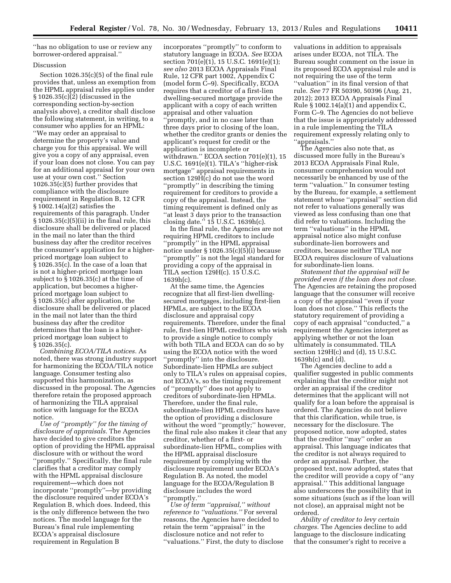''has no obligation to use or review any borrower-ordered appraisal.''

### Discussion

Section 1026.35(c)(5) of the final rule provides that, unless an exemption from the HPML appraisal rules applies under  $\S 1026.35(c)\overline{2}$  (discussed in the corresponding section-by-section analysis above), a creditor shall disclose the following statement, in writing, to a consumer who applies for an HPML: ''We may order an appraisal to determine the property's value and charge you for this appraisal. We will give you a copy of any appraisal, even if your loan does not close. You can pay for an additional appraisal for your own use at your own cost.'' Section 1026.35(c)(5) further provides that compliance with the disclosure requirement in Regulation B, 12 CFR § 1002.14(a)(2) satisfies the requirements of this paragraph. Under § 1026.35(c)(5)(ii) in the final rule, this disclosure shall be delivered or placed in the mail no later than the third business day after the creditor receives the consumer's application for a higherpriced mortgage loan subject to § 1026.35(c). In the case of a loan that is not a higher-priced mortgage loan subject to § 1026.35(c) at the time of application, but becomes a higherpriced mortgage loan subject to § 1026.35(c) after application, the disclosure shall be delivered or placed in the mail not later than the third business day after the creditor determines that the loan is a higherpriced mortgage loan subject to § 1026.35(c).

*Combining ECOA/TILA notices.* As noted, there was strong industry support for harmonizing the ECOA/TILA notice language. Consumer testing also supported this harmonization, as discussed in the proposal. The Agencies therefore retain the proposed approach of harmonizing the TILA appraisal notice with language for the ECOA notice.

*Use of ''promptly'' for the timing of disclosure of appraisals.* The Agencies have decided to give creditors the option of providing the HPML appraisal disclosure with or without the word ''promptly.'' Specifically, the final rule clarifies that a creditor may comply with the HPML appraisal disclosure requirement—which does not incorporate ''promptly''—by providing the disclosure required under ECOA's Regulation B, which does. Indeed, this is the only difference between the two notices. The model language for the Bureau's final rule implementing ECOA's appraisal disclosure requirement in Regulation B

incorporates ''promptly'' to conform to statutory language in ECOA. *See* ECOA section 701(e)(1), 15 U.S.C. 1691(e)(1); *see also* 2013 ECOA Appraisals Final Rule, 12 CFR part 1002, Appendix C (model form C–9). Specifically, ECOA requires that a creditor of a first-lien dwelling-secured mortgage provide the applicant with a copy of each written appraisal and other valuation ''promptly, and in no case later than three days prior to closing of the loan, whether the creditor grants or denies the applicant's request for credit or the application is incomplete or withdrawn.'' ECOA section 701(e)(1), 15 U.S.C. 1691(e)(1). TILA's ''higher-risk mortgage'' appraisal requirements in section 129H(c) do not use the word ''promptly'' in describing the timing requirement for creditors to provide a copy of the appraisal. Instead, the timing requirement is defined only as ''at least 3 days prior to the transaction closing date.'' 15 U.S.C. 1639h(c).

In the final rule, the Agencies are not requiring HPML creditors to include ''promptly'' in the HPML appraisal notice under § 1026.35(c)(5)(i) because ''promptly'' is not the legal standard for providing a copy of the appraisal in TILA section 129H(c). 15 U.S.C. 1639h(c).

At the same time, the Agencies recognize that all first-lien dwellingsecured mortgages, including first-lien HPMLs, are subject to the ECOA disclosure and appraisal copy requirements. Therefore, under the final rule, first-lien HPML creditors who wish to provide a single notice to comply with both TILA and ECOA can do so by using the ECOA notice with the word ''promptly'' into the disclosure. Subordinate-lien HPMLs are subject only to TILA's rules on appraisal copies, not ECOA's, so the timing requirement of ''promptly'' does not apply to creditors of subordinate-lien HPMLs. Therefore, under the final rule, subordinate-lien HPML creditors have the option of providing a disclosure without the word ''promptly;'' however, the final rule also makes it clear that any creditor, whether of a first- or subordinate-lien HPML, complies with the HPML appraisal disclosure requirement by complying with the disclosure requirement under ECOA's Regulation B. As noted, the model language for the ECOA/Regulation B disclosure includes the word ''promptly.''

*Use of term ''appraisal,'' without reference to ''valuations.''* For several reasons, the Agencies have decided to retain the term ''appraisal'' in the disclosure notice and not refer to ''valuations.'' First, the duty to disclose

valuations in addition to appraisals arises under ECOA, not TILA. The Bureau sought comment on the issue in its proposed ECOA appraisal rule and is not requiring the use of the term ''valuation'' in its final version of that rule. *See* 77 FR 50390, 50396 (Aug. 21, 2012); 2013 ECOA Appraisals Final Rule § 1002.14(a)(1) and appendix C, Form C–9. The Agencies do not believe that the issue is appropriately addressed in a rule implementing the TILA requirement expressly relating only to ''appraisals.''

The Agencies also note that, as discussed more fully in the Bureau's 2013 ECOA Appraisals Final Rule, consumer comprehension would not necessarily be enhanced by use of the term ''valuation.'' In consumer testing by the Bureau, for example, a settlement statement whose ''appraisal'' section did not refer to valuations generally was viewed as less confusing than one that did refer to valuations. Including the term ''valuations'' in the HPML appraisal notice also might confuse subordinate-lien borrowers and creditors, because neither TILA nor ECOA requires disclosure of valuations for subordinate-lien loans.

*Statement that the appraisal will be provided even if the loan does not close.*  The Agencies are retaining the proposed language that the consumer will receive a copy of the appraisal ''even if your loan does not close.'' This reflects the statutory requirement of providing a copy of each appraisal ''conducted,'' a requirement the Agencies interpret as applying whether or not the loan ultimately is consummated. TILA section 129H(c) and (d), 15 U.S.C. 1639h(c) and (d).

The Agencies decline to add a qualifier suggested in public comments explaining that the creditor might not order an appraisal if the creditor determines that the applicant will not qualify for a loan before the appraisal is ordered. The Agencies do not believe that this clarification, while true, is necessary for the disclosure. The proposed notice, now adopted, states that the creditor ''may'' order an appraisal. This language indicates that the creditor is not always required to order an appraisal. Further, the proposed text, now adopted, states that the creditor will provide a copy of ''any appraisal.'' This additional language also underscores the possibility that in some situations (such as if the loan will not close), an appraisal might not be ordered.

*Ability of creditor to levy certain charges.* The Agencies decline to add language to the disclosure indicating that the consumer's right to receive a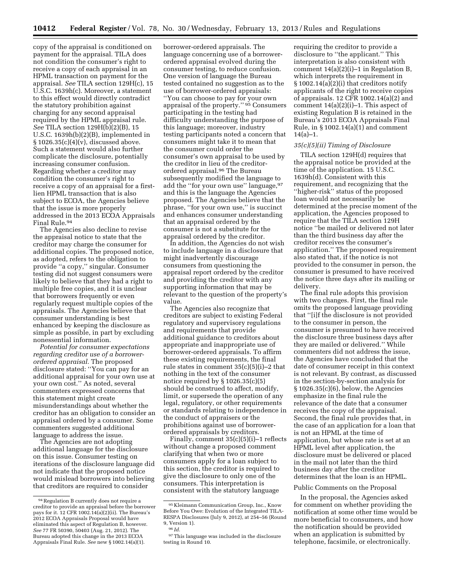copy of the appraisal is conditioned on payment for the appraisal. TILA does not condition the consumer's right to receive a copy of each appraisal in an HPML transaction on payment for the appraisal. *See* TILA section 129H(c), 15 U.S.C. 1639h(c). Moreover, a statement to this effect would directly contradict the statutory prohibition against charging for any second appraisal required by the HPML appraisal rule. *See* TILA section 129H(b)(2)(B), 15 U.S.C. 1639h(b)(2)(B), implemented in  $§ 1026.35(c)(4)(v)$ , discussed above. Such a statement would also further complicate the disclosure, potentially increasing consumer confusion. Regarding whether a creditor may condition the consumer's right to receive a copy of an appraisal for a firstlien HPML transaction that is also subject to ECOA, the Agencies believe that the issue is more properly addressed in the 2013 ECOA Appraisals Final Rule.94

The Agencies also decline to revise the appraisal notice to state that the creditor may charge the consumer for additional copies. The proposed notice, as adopted, refers to the obligation to provide ''a copy,'' singular. Consumer testing did not suggest consumers were likely to believe that they had a right to multiple free copies, and it is unclear that borrowers frequently or even regularly request multiple copies of the appraisals. The Agencies believe that consumer understanding is best enhanced by keeping the disclosure as simple as possible, in part by excluding nonessential information.

*Potential for consumer expectations regarding creditor use of a borrowerordered appraisal.* The proposed disclosure stated: ''You can pay for an additional appraisal for your own use at your own cost.'' As noted, several commenters expressed concerns that this statement might create misunderstandings about whether the creditor has an obligation to consider an appraisal ordered by a consumer. Some commenters suggested additional language to address the issue.

The Agencies are not adopting additional language for the disclosure on this issue. Consumer testing on iterations of the disclosure language did not indicate that the proposed notice would mislead borrowers into believing that creditors are required to consider

borrower-ordered appraisals. The language concerning use of a borrowerordered appraisal evolved during the consumer testing, to reduce confusion. One version of language the Bureau tested contained no suggestion as to the use of borrower-ordered appraisals: ''You can choose to pay for your own appraisal of the property.'' 95 Consumers participating in the testing had difficulty understanding the purpose of this language; moreover, industry testing participants noted a concern that consumers might take it to mean that the consumer could order the consumer's own appraisal to be used by the creditor in lieu of the creditorordered appraisal.96 The Bureau subsequently modified the language to add the "for your own use" language, 97 and this is the language the Agencies proposed. The Agencies believe that the phrase, ''for your own use,'' is succinct and enhances consumer understanding that an appraisal ordered by the consumer is not a substitute for the appraisal ordered by the creditor.

In addition, the Agencies do not wish to include language in a disclosure that might inadvertently discourage consumers from questioning the appraisal report ordered by the creditor and providing the creditor with any supporting information that may be relevant to the question of the property's value.

The Agencies also recognize that creditors are subject to existing Federal regulatory and supervisory regulations and requirements that provide additional guidance to creditors about appropriate and inappropriate use of borrower-ordered appraisals. To affirm these existing requirements, the final rule states in comment 35(c)(5)(i)–2 that nothing in the text of the consumer notice required by  $\S 1026.35(c)(5)$ should be construed to affect, modify, limit, or supersede the operation of any legal, regulatory, or other requirements or standards relating to independence in the conduct of appraisers or the prohibitions against use of borrowerordered appraisals by creditors.

Finally, comment 35(c)(5)(i)–1 reflects without change a proposed comment clarifying that when two or more consumers apply for a loan subject to this section, the creditor is required to give the disclosure to only one of the consumers. This interpretation is consistent with the statutory language

requiring the creditor to provide a disclosure to ''the applicant.'' This interpretation is also consistent with comment  $14(a)(2)(i)-1$  in Regulation B, which interprets the requirement in § 1002.14(a)(2)(i) that creditors notify applicants of the right to receive copies of appraisals. 12 CFR 1002.14(a)(2) and comment  $14(a)(2)(i)-1$ . This aspect of existing Regulation B is retained in the Bureau's 2013 ECOA Appraisals Final Rule, in § 1002.14(a)(1) and comment  $14(a)-1.$ 

#### *35(c)(5)(ii) Timing of Disclosure*

TILA section 129H(d) requires that the appraisal notice be provided at the time of the application. 15 U.S.C. 1639h(d). Consistent with this requirement, and recognizing that the ''higher-risk'' status of the proposed loan would not necessarily be determined at the precise moment of the application, the Agencies proposed to require that the TILA section 129H notice ''be mailed or delivered not later than the third business day after the creditor receives the consumer's application.'' The proposed requirement also stated that, if the notice is not provided to the consumer in person, the consumer is presumed to have received the notice three days after its mailing or delivery.

The final rule adopts this provision with two changes. First, the final rule omits the proposed language providing that ''[i]f the disclosure is not provided to the consumer in person, the consumer is presumed to have received the disclosure three business days after they are mailed or delivered.'' While commenters did not address the issue, the Agencies have concluded that the date of consumer receipt in this context is not relevant. By contrast, as discussed in the section-by-section analysis for § 1026.35(c)(6), below, the Agencies emphasize in the final rule the relevance of the date that a consumer receives the copy of the appraisal. Second, the final rule provides that, in the case of an application for a loan that is not an HPML at the time of application, but whose rate is set at an HPML level after application, the disclosure must be delivered or placed in the mail not later than the third business day after the creditor determines that the loan is an HPML.

#### Public Comments on the Proposal

In the proposal, the Agencies asked for comment on whether providing the notification at some other time would be more beneficial to consumers, and how the notification should be provided when an application is submitted by telephone, facsimile, or electronically.

<sup>94</sup>Regulation B currently does not require a creditor to provide an appraisal before the borrower pays for it. 12 CFR 1002.14(a)(2)(ii). The Bureau's 2012 ECOA Appraisals Proposal would have eliminated this aspect of Regulation B, however. *See* 77 FR 50390, 50403 (Aug. 21, 2012). The Bureau adopted this change in the 2013 ECOA Appraisals Final Rule. *See* new § 1002.14(a)(1).

<sup>95</sup> Kleimann Communication Group, Inc., Know Before You Owe: Evolution of the Integrated TILA-RESPA Disclosures (July 9, 2012), at 254–56 (Round 9, Version 1).

<sup>96</sup> *Id.* 

<sup>97</sup>This language was included in the disclosure testing in Round 10.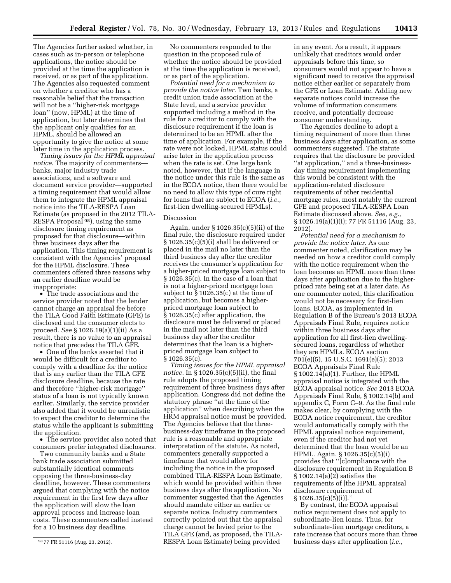The Agencies further asked whether, in cases such as in-person or telephone applications, the notice should be provided at the time the application is received, or as part of the application. The Agencies also requested comment on whether a creditor who has a reasonable belief that the transaction will not be a ''higher-risk mortgage loan'' (now, HPML) at the time of application, but later determines that the applicant only qualifies for an HPML, should be allowed an opportunity to give the notice at some later time in the application process.

*Timing issues for the HPML appraisal notice.* The majority of commenters banks, major industry trade associations, and a software and document service provider—supported a timing requirement that would allow them to integrate the HPML appraisal notice into the TILA-RESPA Loan Estimate (as proposed in the 2012 TILA-RESPA Proposal 98), using the same disclosure timing requirement as proposed for that disclosure—within three business days after the application. This timing requirement is consistent with the Agencies' proposal for the HPML disclosure. These commenters offered three reasons why an earlier deadline would be inappropriate:

• The trade associations and the service provider noted that the lender cannot charge an appraisal fee before the TILA Good Faith Estimate (GFE) is disclosed and the consumer elects to proceed. *See* § 1026.19(a)(1)(ii) As a result, there is no value to an appraisal notice that precedes the TILA GFE.

• One of the banks asserted that it would be difficult for a creditor to comply with a deadline for the notice that is any earlier than the TILA GFE disclosure deadline, because the rate and therefore ''higher-risk mortgage'' status of a loan is not typically known earlier. Similarly, the service provider also added that it would be unrealistic to expect the creditor to determine the status while the applicant is submitting the application.

• The service provider also noted that consumers prefer integrated disclosures.

Two community banks and a State bank trade association submitted substantially identical comments opposing the three-business-day deadline, however. These commenters argued that complying with the notice requirement in the first few days after the application will slow the loan approval process and increase loan costs. These commenters called instead for a 10 business day deadline.

No commenters responded to the question in the proposed rule of whether the notice should be provided at the time the application is received, or as part of the application.

*Potential need for a mechanism to provide the notice later.* Two banks, a credit union trade association at the State level, and a service provider supported including a method in the rule for a creditor to comply with the disclosure requirement if the loan is determined to be an HPML after the time of application. For example, if the rate were not locked, HPML status could arise later in the application process when the rate is set. One large bank noted, however, that if the language in the notice under this rule is the same as in the ECOA notice, then there would be no need to allow this type of cure right for loans that are subject to ECOA (*i.e.,*  first-lien dwelling-secured HPMLs).

## Discussion

Again, under § 1026.35(c)(5)(ii) of the final rule, the disclosure required under § 1026.35(c)(5)(i) shall be delivered or placed in the mail no later than the third business day after the creditor receives the consumer's application for a higher-priced mortgage loan subject to § 1026.35(c). In the case of a loan that is not a higher-priced mortgage loan subject to § 1026.35(c) at the time of application, but becomes a higherpriced mortgage loan subject to § 1026.35(c) after application, the disclosure must be delivered or placed in the mail not later than the third business day after the creditor determines that the loan is a higherpriced mortgage loan subject to § 1026.35(c).

*Timing issues for the HPML appraisal notice.* In § 1026.35(c)(5)(ii), the final rule adopts the proposed timing requirement of three business days after application. Congress did not define the statutory phrase ''at the time of the application'' when describing when the HRM appraisal notice must be provided. The Agencies believe that the threebusiness-day timeframe in the proposed rule is a reasonable and appropriate interpretation of the statute. As noted, commenters generally supported a timeframe that would allow for including the notice in the proposed combined TILA-RESPA Loan Estimate, which would be provided within three business days after the application. No commenter suggested that the Agencies should mandate either an earlier or separate notice. Industry commenters correctly pointed out that the appraisal charge cannot be levied prior to the TILA GFE (and, as proposed, the TILA-RESPA Loan Estimate) being provided

in any event. As a result, it appears unlikely that creditors would order appraisals before this time, so consumers would not appear to have a significant need to receive the appraisal notice either earlier or separately from the GFE or Loan Estimate. Adding new separate notices could increase the volume of information consumers receive, and potentially decrease consumer understanding.

The Agencies decline to adopt a timing requirement of more than three business days after application, as some commenters suggested. The statute requires that the disclosure be provided ''at application,'' and a three-businessday timing requirement implementing this would be consistent with the application-related disclosure requirements of other residential mortgage rules, most notably the current GFE and proposed TILA-RESPA Loan Estimate discussed above. *See, e.g.,*  § 1026.19(a)(1)(i); 77 FR 51116 (Aug. 23, 2012).

*Potential need for a mechanism to provide the notice later.* As one commenter noted, clarification may be needed on how a creditor could comply with the notice requirement when the loan becomes an HPML more than three days after application due to the higherpriced rate being set at a later date. As one commenter noted, this clarification would not be necessary for first-lien loans. ECOA, as implemented in Regulation B of the Bureau's 2013 ECOA Appraisals Final Rule, requires notice within three business days after application for all first-lien dwellingsecured loans, regardless of whether they are HPMLs. ECOA section 701(e)(5), 15 U.S.C. 1691(e)(5); 2013 ECOA Appraisals Final Rule § 1002.14(a)(1). Further, the HPML appraisal notice is integrated with the ECOA appraisal notice. *See* 2013 ECOA Appraisals Final Rule, § 1002.14(b) and appendix C, Form C–9. As the final rule makes clear, by complying with the ECOA notice requirement, the creditor would automatically comply with the HPML appraisal notice requirement, even if the creditor had not yet determined that the loan would be an HPML. Again, § 1026.35(c)(5)(i) provides that ''[c]ompliance with the disclosure requirement in Regulation B § 1002.14(a)(2) satisfies the requirements of [the HPML appraisal disclosure requirement of  $§ 1026.35(c)(5)(i)].$ 

By contrast, the ECOA appraisal notice requirement does not apply to subordinate-lien loans. Thus, for subordinate-lien mortgage creditors, a rate increase that occurs more than three business days after application (*i.e.,* 

<sup>98</sup> 77 FR 51116 (Aug. 23, 2012).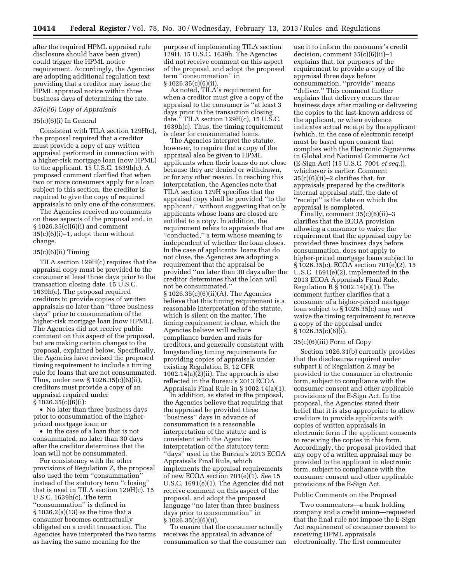after the required HPML appraisal rule disclosure should have been given) could trigger the HPML notice requirement. Accordingly, the Agencies are adopting additional regulation text providing that a creditor may issue the HPML appraisal notice within three business days of determining the rate.

#### *35(c)(6) Copy of Appraisals*

## 35(c)(6)(i) In General

Consistent with TILA section 129H(c), the proposal required that a creditor must provide a copy of any written appraisal performed in connection with a higher-risk mortgage loan (now HPML) to the applicant. 15 U.S.C. 1639h(c). A proposed comment clarified that when two or more consumers apply for a loan subject to this section, the creditor is required to give the copy of required appraisals to only one of the consumers.

The Agencies received no comments on these aspects of the proposal and, in § 1026.35(c)(6)(i) and comment  $35(c)(6)(i)-1$ , adopt them without change.

#### 35(c)(6)(ii) Timing

TILA section 129H(c) requires that the appraisal copy must be provided to the consumer at least three days prior to the transaction closing date. 15 U.S.C. 1639h(c). The proposal required creditors to provide copies of written appraisals no later than ''three business days'' prior to consummation of the higher-risk mortgage loan (now HPML). The Agencies did not receive public comment on this aspect of the proposal, but are making certain changes to the proposal, explained below. Specifically, the Agencies have revised the proposed timing requirement to include a timing rule for loans that are not consummated. Thus, under new § 1026.35(c)(6)(ii), creditors must provide a copy of an appraisal required under § 1026.35(c)(6)(i):

• No later than three business days prior to consummation of the higherpriced mortgage loan; or

• In the case of a loan that is not consummated, no later than 30 days after the creditor determines that the loan will not be consummated.

For consistency with the other provisions of Regulation Z, the proposal also used the term ''consummation'' instead of the statutory term ''closing'' that is used in TILA section 129H(c). 15 U.S.C. 1639h(c). The term ''consummation'' is defined in § 1026.2(a)(13) as the time that a consumer becomes contractually obligated on a credit transaction. The Agencies have interpreted the two terms as having the same meaning for the

purpose of implementing TILA section 129H. 15 U.S.C. 1639h. The Agencies did not receive comment on this aspect of the proposal, and adopt the proposed term ''consummation'' in § 1026.35(c)(6)(ii).

As noted, TILA's requirement for when a creditor must give a copy of the appraisal to the consumer is ''at least 3 days prior to the transaction closing date.'' TILA section 129H(c), 15 U.S.C. 1639h(c). Thus, the timing requirement is clear for consummated loans.

The Agencies interpret the statute, however, to require that a copy of the appraisal also be given to HPML applicants when their loans do not close because they are denied or withdrawn, or for any other reason. In reaching this interpretation, the Agencies note that TILA section 129H specifies that the appraisal copy shall be provided ''to the applicant,'' without suggesting that only applicants whose loans are closed are entitled to a copy. In addition, the requirement refers to appraisals that are ''conducted,'' a term whose meaning is independent of whether the loan closes. In the case of applicants' loans that do not close, the Agencies are adopting a requirement that the appraisal be provided ''no later than 30 days after the creditor determines that the loan will not be consummated.'' § 1026.35(c)(6)(ii)(A). The Agencies believe that this timing requirement is a reasonable interpretation of the statute, which is silent on the matter. The timing requirement is clear, which the Agencies believe will reduce compliance burden and risks for creditors, and generally consistent with longstanding timing requirements for providing copies of appraisals under existing Regulation B, 12 CFR 1002.14(a)(2)(ii). The approach is also reflected in the Bureau's 2013 ECOA Appraisals Final Rule in § 1002.14(a)(1).

In addition, as stated in the proposal, the Agencies believe that requiring that the appraisal be provided three ''business'' days in advance of consummation is a reasonable interpretation of the statute and is consistent with the Agencies' interpretation of the statutory term ''days'' used in the Bureau's 2013 ECOA Appraisals Final Rule, which implements the appraisal requirements of new ECOA section 701(e)(1). *See* 15 U.S.C. 1691(e)(1). The Agencies did not receive comment on this aspect of the proposal, and adopt the proposed language ''no later than three business days prior to consummation'' in  $§ 1026.35(c)(6)(ii).$ 

To ensure that the consumer actually receives the appraisal in advance of consummation so that the consumer can

use it to inform the consumer's credit decision, comment 35(c)(6)(ii)–1 explains that, for purposes of the requirement to provide a copy of the appraisal three days before consummation, ''provide'' means ''deliver.'' This comment further explains that delivery occurs three business days after mailing or delivering the copies to the last-known address of the applicant, or when evidence indicates actual receipt by the applicant (which, in the case of electronic receipt must be based upon consent that complies with the Electronic Signatures in Global and National Commerce Act (E-Sign Act) (15 U.S.C. 7001 *et seq.*)), whichever is earlier. Comment 35(c)(6)(ii)–2 clarifies that, for appraisals prepared by the creditor's internal appraisal staff, the date of ''receipt'' is the date on which the appraisal is completed.

Finally, comment  $35(c)(6)(ii)-3$ clarifies that the ECOA provision allowing a consumer to waive the requirement that the appraisal copy be provided three business days before consummation, does not apply to higher-priced mortgage loans subject to § 1026.35(c). ECOA section 701(e)(2), 15 U.S.C. 1691(e)(2), implemented in the 2013 ECOA Appraisals Final Rule, Regulation B § 1002.14(a)(1). The comment further clarifies that a consumer of a higher-priced mortgage loan subject to § 1026.35(c) may not waive the timing requirement to receive a copy of the appraisal under § 1026.35(c)(6)(i).

### 35(c)(6)(iii) Form of Copy

Section 1026.31(b) currently provides that the disclosures required under subpart E of Regulation Z may be provided to the consumer in electronic form, subject to compliance with the consumer consent and other applicable provisions of the E-Sign Act. In the proposal, the Agencies stated their belief that it is also appropriate to allow creditors to provide applicants with copies of written appraisals in electronic form if the applicant consents to receiving the copies in this form. Accordingly, the proposal provided that any copy of a written appraisal may be provided to the applicant in electronic form, subject to compliance with the consumer consent and other applicable provisions of the E-Sign Act.

#### Public Comments on the Proposal

Two commenters—a bank holding company and a credit union—requested that the final rule not impose the E-Sign Act requirement of consumer consent to receiving HPML appraisals electronically. The first commenter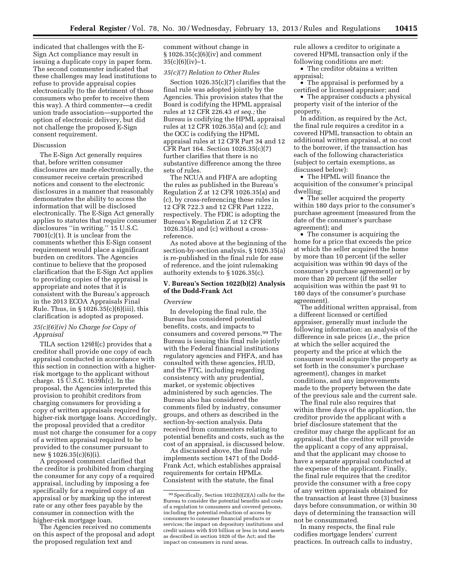indicated that challenges with the E-Sign Act compliance may result in issuing a duplicate copy in paper form. The second commenter indicated that these challenges may lead institutions to refuse to provide appraisal copies electronically (to the detriment of those consumers who prefer to receive them this way). A third commenter—a credit union trade association—supported the option of electronic delivery, but did not challenge the proposed E-Sign consent requirement.

#### Discussion

The E-Sign Act generally requires that, before written consumer disclosures are made electronically, the consumer receive certain prescribed notices and consent to the electronic disclosures in a manner that reasonably demonstrates the ability to access the information that will be disclosed electronically. The E-Sign Act generally applies to statutes that require consumer disclosures "in writing." 15 U.S.C. 7001(c)(1). It is unclear from the comments whether this E-Sign consent requirement would place a significant burden on creditors. The Agencies continue to believe that the proposed clarification that the E-Sign Act applies to providing copies of the appraisal is appropriate and notes that it is consistent with the Bureau's approach in the 2013 ECOA Appraisals Final Rule. Thus, in § 1026.35(c)(6)(iii), this clarification is adopted as proposed.

### *35(c)(6)(iv) No Charge for Copy of Appraisal*

TILA section 129H(c) provides that a creditor shall provide one copy of each appraisal conducted in accordance with this section in connection with a higherrisk mortgage to the applicant without charge. 15 U.S.C. 1639h(c). In the proposal, the Agencies interpreted this provision to prohibit creditors from charging consumers for providing a copy of written appraisals required for higher-risk mortgage loans. Accordingly, the proposal provided that a creditor must not charge the consumer for a copy of a written appraisal required to be provided to the consumer pursuant to new § 1026.35(c)(6)(i).

A proposed comment clarified that the creditor is prohibited from charging the consumer for any copy of a required appraisal, including by imposing a fee specifically for a required copy of an appraisal or by marking up the interest rate or any other fees payable by the consumer in connection with the higher-risk mortgage loan.

The Agencies received no comments on this aspect of the proposal and adopt the proposed regulation text and

comment without change in § 1026.35(c)(6)(iv) and comment  $35(c)(6)(iv)-1.$ 

#### *35(c)(7) Relation to Other Rules*

Section 1026.35(c)(7) clarifies that the final rule was adopted jointly by the Agencies. This provision states that the Board is codifying the HPML appraisal rules at 12 CFR 226.43 *et seq.;* the Bureau is codifying the HPML appraisal rules at 12 CFR 1026.35(a) and (c); and the OCC is codifying the HPML appraisal rules at 12 CFR Part 34 and 12 CFR Part 164. Section 1026.35(c)(7) further clarifies that there is no substantive difference among the three sets of rules.

The NCUA and FHFA are adopting the rules as published in the Bureau's Regulation Z at 12 CFR 1026.35(a) and (c), by cross-referencing these rules in 12 CFR 722.3 and 12 CFR Part 1222, respectively. The FDIC is adopting the Bureau's Regulation Z at 12 CFR 1026.35(a) and (c) without a crossreference.

As noted above at the beginning of the section-by-section analysis, § 1026.35(a) is re-published in the final rule for ease of reference, and the joint rulemaking authority extends to § 1026.35(c).

### **V. Bureau's Section 1022(b)(2) Analysis of the Dodd-Frank Act**

### *Overview*

In developing the final rule, the Bureau has considered potential benefits, costs, and impacts to consumers and covered persons.99 The Bureau is issuing this final rule jointly with the Federal financial institutions regulatory agencies and FHFA, and has consulted with these agencies, HUD, and the FTC, including regarding consistency with any prudential, market, or systemic objectives administered by such agencies. The Bureau also has considered the comments filed by industry, consumer groups, and others as described in the section-by-section analysis. Data received from commenters relating to potential benefits and costs, such as the cost of an appraisal, is discussed below.

As discussed above, the final rule implements section 1471 of the Dodd-Frank Act, which establishes appraisal requirements for certain HPMLs. Consistent with the statute, the final

rule allows a creditor to originate a covered HPML transaction only if the following conditions are met:

• The creditor obtains a written appraisal;

• The appraisal is performed by a certified or licensed appraiser; and

• The appraiser conducts a physical property visit of the interior of the property.

In addition, as required by the Act, the final rule requires a creditor in a covered HPML transaction to obtain an additional written appraisal, at no cost to the borrower, if the transaction has each of the following characteristics (subject to certain exemptions, as discussed below):

• The HPML will finance the acquisition of the consumer's principal dwelling;

• The seller acquired the property within 180 days prior to the consumer's purchase agreement (measured from the date of the consumer's purchase agreement); and

• The consumer is acquiring the home for a price that exceeds the price at which the seller acquired the home by more than 10 percent (if the seller acquisition was within 90 days of the consumer's purchase agreement) or by more than 20 percent (if the seller acquisition was within the past 91 to 180 days of the consumer's purchase agreement).

The additional written appraisal, from a different licensed or certified appraiser, generally must include the following information: an analysis of the difference in sale prices (*i.e.,* the price at which the seller acquired the property and the price at which the consumer would acquire the property as set forth in the consumer's purchase agreement), changes in market conditions, and any improvements made to the property between the date of the previous sale and the current sale.

The final rule also requires that within three days of the application, the creditor provide the applicant with a brief disclosure statement that the creditor may charge the applicant for an appraisal, that the creditor will provide the applicant a copy of any appraisal, and that the applicant may choose to have a separate appraisal conducted at the expense of the applicant. Finally, the final rule requires that the creditor provide the consumer with a free copy of any written appraisals obtained for the transaction at least three (3) business days before consummation, or within 30 days of determining the transaction will not be consummated.

In many respects, the final rule codifies mortgage lenders' current practices. In outreach calls to industry,

<sup>99</sup>Specifically, Section 1022(b)(2)(A) calls for the Bureau to consider the potential benefits and costs of a regulation to consumers and covered persons, including the potential reduction of access by consumers to consumer financial products or services; the impact on depository institutions and credit unions with \$10 billion or less in total assets as described in section 1026 of the Act; and the impact on consumers in rural areas.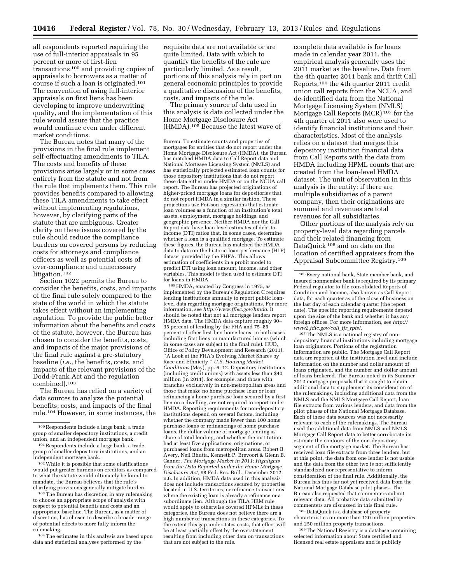all respondents reported requiring the use of full-interior appraisals in 95 percent or more of first-lien transactions 100 and providing copies of appraisals to borrowers as a matter of course if such a loan is originated.101 The convention of using full-interior appraisals on first liens has been developing to improve underwriting quality, and the implementation of this rule would assure that the practice would continue even under different market conditions.

The Bureau notes that many of the provisions in the final rule implement self-effectuating amendments to TILA. The costs and benefits of these provisions arise largely or in some cases entirely from the statute and not from the rule that implements them. This rule provides benefits compared to allowing these TILA amendments to take effect without implementing regulations, however, by clarifying parts of the statute that are ambiguous. Greater clarity on these issues covered by the rule should reduce the compliance burdens on covered persons by reducing costs for attorneys and compliance officers as well as potential costs of over-compliance and unnecessary litigation.<sup>102</sup>

Section 1022 permits the Bureau to consider the benefits, costs, and impacts of the final rule solely compared to the state of the world in which the statute takes effect without an implementing regulation. To provide the public better information about the benefits and costs of the statute, however, the Bureau has chosen to consider the benefits, costs, and impacts of the major provisions of the final rule against a pre-statutory baseline (*i.e.,* the benefits, costs, and impacts of the relevant provisions of the Dodd-Frank Act and the regulation combined).103

The Bureau has relied on a variety of data sources to analyze the potential benefits, costs, and impacts of the final rule.104 However, in some instances, the

102While it is possible that some clarifications would put greater burdens on creditors as compared to what the statute would ultimately be found to mandate, the Bureau believes that the rule's clarifying provisions generally mitigate burden.

103The Bureau has discretion in any rulemaking to choose an appropriate scope of analysis with respect to potential benefits and costs and an appropriate baseline. The Bureau, as a matter of discretion, has chosen to describe a broader range of potential effects to more fully inform the rulemaking.

104The estimates in this analysis are based upon data and statistical analyses performed by the

requisite data are not available or are quite limited. Data with which to quantify the benefits of the rule are particularly limited. As a result, portions of this analysis rely in part on general economic principles to provide a qualitative discussion of the benefits, costs, and impacts of the rule.

The primary source of data used in this analysis is data collected under the Home Mortgage Disclosure Act (HMDA).105 Because the latest wave of

105HMDA, enacted by Congress in 1975, as implemented by the Bureau's Regulation C requires lending institutions annually to report public loanlevel data regarding mortgage originations. For more information, see *<http://www.ffiec.gov/hmda>*. It should be noted that not all mortgage lenders report HMDA data. The HMDA data capture roughly 90-95 percent of lending by the FHA and 75–85 percent of other first-lien home loans, in both cases including first liens on manufactured homes (which in some cases are subject to the final rule). HUD, Office of Policy Development and Research (2011), ''A Look at the FHA's Evolving Market Shares by Race and Ethnicity,'' *U.S. Housing Market Conditions* (May), pp. 6–12. Depository institutions (including credit unions) with assets less than \$40 million (in 2011), for example, and those with branches exclusively in non-metropolitan areas and those that make no home purchase loan or loan refinancing a home purchase loan secured by a first lien on a dwelling, are not required to report under HMDA. Reporting requirements for non-depository institutions depend on several factors, including whether the company made fewer than 100 home purchase loans or refinancings of home purchase loans, the dollar volume of mortgage lending as share of total lending, and whether the institution had at least five applications, originations, or purchased loans from metropolitan areas. Robert B. Avery, Neil Bhutta, Kenneth P. Brevoort & Glenn B. Canner, *The Mortgage Market in 2011: Highlights from the Data Reported under the Home Mortgage Disclosure Act,* 98 Fed. Res. Bull., December 2012, n.6. In addition, HMDA data used in this analysis does not include transactions secured by properties located in U.S. territories, or refinance transactions where the existing loan is already a refinance or a subordinate lien. Although the TILA HRM rule would apply to otherwise covered HPMLs in these categories, the Bureau does not believe there are a high number of transactions in these categories. To the extent this gap understates costs, that effect will be at least partially offset by the overstatement resulting from including other data on transactions that are not subject to the rule.

complete data available is for loans made in calendar year 2011, the empirical analysis generally uses the 2011 market as the baseline. Data from the 4th quarter 2011 bank and thrift Call Reports,106 the 4th quarter 2011 credit union call reports from the NCUA, and de-identified data from the National Mortgage Licensing System (NMLS) Mortgage Call Reports (MCR) 107 for the 4th quarter of 2011 also were used to identify financial institutions and their characteristics. Most of the analysis relies on a dataset that merges this depository institution financial data from Call Reports with the data from HMDA including HPML counts that are created from the loan-level HMDA dataset. The unit of observation in this analysis is the entity: if there are multiple subsidiaries of a parent company, then their originations are summed and revenues are total revenues for all subsidiaries.

Other portions of the analysis rely on property-level data regarding parcels and their related financing from DataQuick 108 and on data on the location of certified appraisers from the Appraisal Subcommittee Registry.109

107The NMLS is a national registry of nondepository financial institutions including mortgage loan originators. Portions of the registration information are public. The Mortgage Call Report data are reported at the institution level and include information on the number and dollar amount of loans originated, and the number and dollar amount of loans brokered. The Bureau noted in its Summer 2012 mortgage proposals that it sought to obtain additional data to supplement its consideration of the rulemakings, including additional data from the NMLS and the NMLS Mortgage Call Report, loan file extracts from various lenders, and data from the pilot phases of the National Mortgage Database. Each of these data sources was not necessarily relevant to each of the rulemakings. The Bureau used the additional data from NMLS and NMLS Mortgage Call Report data to better corroborate its estimate the contours of the non-depository segment of the mortgage market. The Bureau has received loan file extracts from three lenders, but at this point, the data from one lender is not usable and the data from the other two is not sufficiently standardized nor representative to inform consideration of the final rule. Additionally, the Bureau has thus far not yet received data from the National Mortgage Database pilot phases. The Bureau also requested that commenters submit relevant data. All probative data submitted by commenters are discussed in this final rule.

108 DataQuick is a database of property characteristics on more than 120 million properties and 250 million property transactions.

109The National Registry is a database containing selected information about State certified and licensed real estate appraisers and is publicly

<sup>100</sup>Respondents include a large bank, a trade group of smaller depository institutions, a credit union, and an independent mortgage bank.

<sup>101</sup>Respondents include a large bank, a trade group of smaller depository institutions, and an independent mortgage bank.

Bureau. To estimate counts and properties of mortgages for entities that do not report under the Home Mortgage Disclosure Act (HMDA), the Bureau has matched HMDA data to Call Report data and National Mortgage Licensing System (NMLS) and has statistically projected estimated loan counts for those depository institutions that do not report these data either under HMDA or on the NCUA call report. The Bureau has projected originations of higher-priced mortgage loans for depositories that do not report HMDA in a similar fashion. These projections use Poisson regressions that estimate loan volumes as a function of an institution's total assets, employment, mortgage holdings, and geographic presence. Neither HMDA nor the Call Report data have loan level estimates of debt-toincome (DTI) ratios that, in some cases, determine whether a loan is a qualified mortgage. To estimate these figures, the Bureau has matched the HMDA data to data on the historic-loan-performance (HLP) dataset provided by the FHFA. This allows estimation of coefficients in a probit model to predict DTI using loan amount, income, and other variables. This model is then used to estimate DTI for loans in HMDA.

<sup>106</sup>Every national bank, State member bank, and insured nonmember bank is required by its primary Federal regulator to file consolidated Reports of Condition and Income, also known as Call Report data, for each quarter as of the close of business on the last day of each calendar quarter (the report date). The specific reporting requirements depend upon the size of the bank and whether it has any foreign offices. For more information, see *[http://](http://www2.fdic.gov/call_tfr_rpts/) [www2.fdic.gov/call](http://www2.fdic.gov/call_tfr_rpts/)*\_*tfr*\_*rpts/*.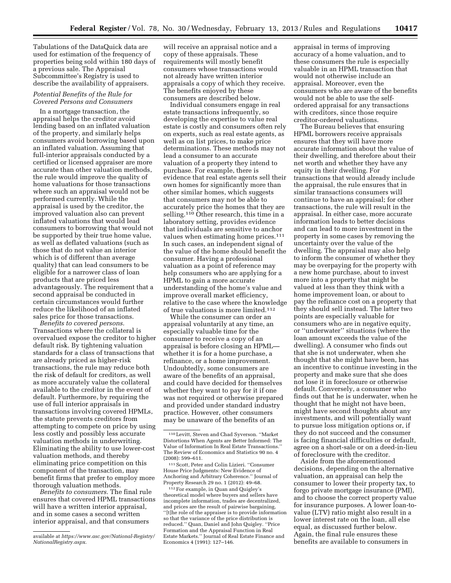Tabulations of the DataQuick data are used for estimation of the frequency of properties being sold within 180 days of a previous sale. The Appraisal Subcommittee's Registry is used to describe the availability of appraisers.

## *Potential Benefits of the Rule for Covered Persons and Consumers*

In a mortgage transaction, the appraisal helps the creditor avoid lending based on an inflated valuation of the property, and similarly helps consumers avoid borrowing based upon an inflated valuation. Assuming that full-interior appraisals conducted by a certified or licensed appraiser are more accurate than other valuation methods, the rule would improve the quality of home valuations for those transactions where such an appraisal would not be performed currently. While the appraisal is used by the creditor, the improved valuation also can prevent inflated valuations that would lead consumers to borrowing that would not be supported by their true home value, as well as deflated valuations (such as those that do not value an interior which is of different than average quality) that can lead consumers to be eligible for a narrower class of loan products that are priced less advantageously. The requirement that a second appraisal be conducted in certain circumstances would further reduce the likelihood of an inflated sales price for those transactions.

*Benefits to covered persons.*  Transactions where the collateral is overvalued expose the creditor to higher default risk. By tightening valuation standards for a class of transactions that are already priced as higher-risk transactions, the rule may reduce both the risk of default for creditors, as well as more accurately value the collateral available to the creditor in the event of default. Furthermore, by requiring the use of full interior appraisals in transactions involving covered HPMLs, the statute prevents creditors from attempting to compete on price by using less costly and possibly less accurate valuation methods in underwriting. Eliminating the ability to use lower-cost valuation methods, and thereby eliminating price competition on this component of the transaction, may benefit firms that prefer to employ more thorough valuation methods.

*Benefits to consumers.* The final rule ensures that covered HPML transactions will have a written interior appraisal, and in some cases a second written interior appraisal, and that consumers

will receive an appraisal notice and a copy of these appraisals. These requirements will mostly benefit consumers whose transactions would not already have written interior appraisals a copy of which they receive. The benefits enjoyed by these consumers are described below.

Individual consumers engage in real estate transactions infrequently, so developing the expertise to value real estate is costly and consumers often rely on experts, such as real estate agents, as well as on list prices, to make price determinations. These methods may not lead a consumer to an accurate valuation of a property they intend to purchase. For example, there is evidence that real estate agents sell their own homes for significantly more than other similar homes, which suggests that consumers may not be able to accurately price the homes that they are selling.110 Other research, this time in a laboratory setting, provides evidence that individuals are sensitive to anchor values when estimating home prices.111 In such cases, an independent signal of the value of the home should benefit the consumer. Having a professional valuation as a point of reference may help consumers who are applying for a HPML to gain a more accurate understanding of the home's value and improve overall market efficiency, relative to the case where the knowledge of true valuations is more limited.112

While the consumer can order an appraisal voluntarily at any time, an especially valuable time for the consumer to receive a copy of an appraisal is before closing an HPML whether it is for a home purchase, a refinance, or a home improvement. Undoubtedly, some consumers are aware of the benefits of an appraisal, and could have decided for themselves whether they want to pay for it if one was not required or otherwise prepared and provided under standard industry practice. However, other consumers may be unaware of the benefits of an

111Scott, Peter and Colin Lizieri. ''Consumer House Price Judgments: New Evidence of Anchoring and Arbitrary Coherence.'' Journal of Property Research 29 no. 1 (2012): 49–68.

112For example, in Quan and Quigley's theoretical model where buyers and sellers have incomplete information, trades are decentralized, and prices are the result of pairwise bargaining, ''[t]he role of the appraiser is to provide information so that the variance of the price distribution is reduced.'' Quan, Daniel and John Quigley. ''Price Formation and the Appraisal Function in Real Estate Markets.'' Journal of Real Estate Finance and Economics 4 (1991): 127–146.

appraisal in terms of improving accuracy of a home valuation, and to these consumers the rule is especially valuable in an HPML transaction that would not otherwise include an appraisal. Moreover, even the consumers who are aware of the benefits would not be able to use the selfordered appraisal for any transactions with creditors, since those require creditor-ordered valuations.

The Bureau believes that ensuring HPML borrowers receive appraisals ensures that they will have more accurate information about the value of their dwelling, and therefore about their net worth and whether they have any equity in their dwelling. For transactions that would already include the appraisal, the rule ensures that in similar transactions consumers will continue to have an appraisal; for other transactions, the rule will result in the appraisal. In either case, more accurate information leads to better decisions and can lead to more investment in the property in some cases by removing the uncertainty over the value of the dwelling. The appraisal may also help to inform the consumer of whether they may be overpaying for the property with a new home purchase, about to invest more into a property that might be valued at less than they think with a home improvement loan, or about to pay the refinance cost on a property that they should sell instead. The latter two points are especially valuable for consumers who are in negative equity, or ''underwater'' situations (where the loan amount exceeds the value of the dwelling). A consumer who finds out that she is not underwater, when she thought that she might have been, has an incentive to continue investing in the property and make sure that she does not lose it in foreclosure or otherwise default. Conversely, a consumer who finds out that he is underwater, when he thought that he might not have been, might have second thoughts about any investments, and will potentially want to pursue loss mitigation options or, if they do not succeed and the consumer is facing financial difficulties or default, agree on a short-sale or on a deed-in-lieu of foreclosure with the creditor.

Aside from the aforementioned decisions, depending on the alternative valuation, an appraisal can help the consumer to lower their property tax, to forgo private mortgage insurance (PMI), and to choose the correct property value for insurance purposes. A lower loan-tovalue (LTV) ratio might also result in a lower interest rate on the loan, all else equal, as discussed further below. Again, the final rule ensures these benefits are available to consumers in

available at *[https://www.asc.gov/National-Registry/](https://www.asc.gov/National-Registry/NationalRegistry.aspx) [NationalRegistry.aspx](https://www.asc.gov/National-Registry/NationalRegistry.aspx)*.

<sup>110</sup>Levitt, Steven and Chad Syverson. ''Market Distortions When Agents are Better Informed: The Value of Information In Real Estate Transactions.'' The Review of Economics and Statistics 90 no. 4 (2008): 599–611.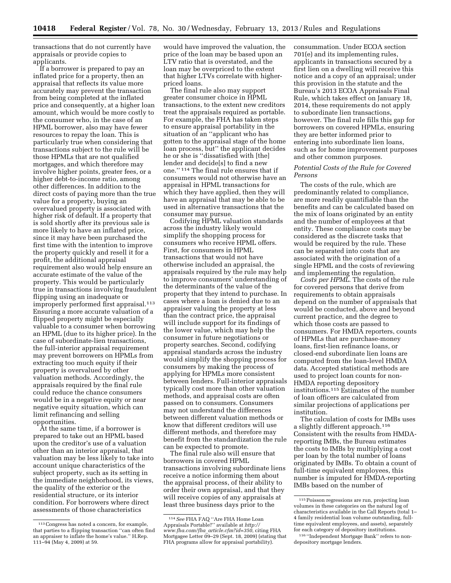transactions that do not currently have appraisals or provide copies to applicants.

If a borrower is prepared to pay an inflated price for a property, then an appraisal that reflects its value more accurately may prevent the transaction from being completed at the inflated price and consequently, at a higher loan amount, which would be more costly to the consumer who, in the case of an HPML borrower, also may have fewer resources to repay the loan. This is particularly true when considering that transactions subject to the rule will be those HPMLs that are not qualified mortgages, and which therefore may involve higher points, greater fees, or a higher debt-to-income ratio, among other differences. In addition to the direct costs of paying more than the true value for a property, buying an overvalued property is associated with higher risk of default. If a property that is sold shortly after its previous sale is more likely to have an inflated price, since it may have been purchased the first time with the intention to improve the property quickly and resell it for a profit, the additional appraisal requirement also would help ensure an accurate estimate of the value of the property. This would be particularly true in transactions involving fraudulent flipping using an inadequate or improperly performed first appraisal.113 Ensuring a more accurate valuation of a flipped property might be especially valuable to a consumer when borrowing an HPML (due to its higher price). In the case of subordinate-lien transactions, the full-interior appraisal requirement may prevent borrowers on HPMLs from extracting too much equity if their property is overvalued by other valuation methods. Accordingly, the appraisals required by the final rule could reduce the chance consumers would be in a negative equity or near negative equity situation, which can limit refinancing and selling opportunities.

At the same time, if a borrower is prepared to take out an HPML based upon the creditor's use of a valuation other than an interior appraisal, that valuation may be less likely to take into account unique characteristics of the subject property, such as its setting in the immediate neighborhood, its views, the quality of the exterior or the residential structure, or its interior condition. For borrowers where direct assessments of those characteristics

would have improved the valuation, the price of the loan may be based upon an LTV ratio that is overstated, and the loan may be overpriced to the extent that higher LTVs correlate with higherpriced loans.

The final rule also may support greater consumer choice in HPML transactions, to the extent new creditors treat the appraisals required as portable. For example, the FHA has taken steps to ensure appraisal portability in the situation of an ''applicant who has gotten to the appraisal stage of the home loan process, but'' the applicant decides he or she is ''dissatisfied with [the] lender and decide[s] to find a new one.'' 114 The final rule ensures that if consumers would not otherwise have an appraisal in HPML transactions for which they have applied, then they will have an appraisal that may be able to be used in alternative transactions that the consumer may pursue.

Codifying HPML valuation standards across the industry likely would simplify the shopping process for consumers who receive HPML offers. First, for consumers in HPML transactions that would not have otherwise included an appraisal, the appraisals required by the rule may help to improve consumers' understanding of the determinants of the value of the property that they intend to purchase. In cases where a loan is denied due to an appraiser valuing the property at less than the contract price, the appraisal will include support for its findings of the lower value, which may help the consumer in future negotiations or property searches. Second, codifying appraisal standards across the industry would simplify the shopping process for consumers by making the process of applying for HPMLs more consistent between lenders. Full-interior appraisals typically cost more than other valuation methods, and appraisal costs are often passed on to consumers. Consumers may not understand the differences between different valuation methods or know that different creditors will use different methods, and therefore may benefit from the standardization the rule can be expected to promote.

The final rule also will ensure that borrowers in covered HPML transactions involving subordinate liens receive a notice informing them about the appraisal process, of their ability to order their own appraisal, and that they will receive copies of any appraisals at least three business days prior to the

consummation. Under ECOA section 701(e) and its implementing rules, applicants in transactions secured by a first lien on a dwelling will receive this notice and a copy of an appraisal; under this provision in the statute and the Bureau's 2013 ECOA Appraisals Final Rule, which takes effect on January 18, 2014, these requirements do not apply to subordinate lien transactions, however. The final rule fills this gap for borrowers on covered HPMLs, ensuring they are better informed prior to entering into subordinate lien loans, such as for home improvement purposes and other common purposes.

## *Potential Costs of the Rule for Covered Persons*

The costs of the rule, which are predominantly related to compliance, are more readily quantifiable than the benefits and can be calculated based on the mix of loans originated by an entity and the number of employees at that entity. These compliance costs may be considered as the discrete tasks that would be required by the rule. These can be separated into costs that are associated with the origination of a single HPML and the costs of reviewing and implementing the regulation.

*Costs per HPML.* The costs of the rule for covered persons that derive from requirements to obtain appraisals depend on the number of appraisals that would be conducted, above and beyond current practice, and the degree to which those costs are passed to consumers. For HMDA reporters, counts of HPMLs that are purchase-money loans, first-lien refinance loans, or closed-end subordinate lien loans are computed from the loan-level HMDA data. Accepted statistical methods are used to project loan counts for non-HMDA reporting depository institutions.115 Estimates of the number of loan officers are calculated from similar projections of applications per institution.

The calculation of costs for IMBs uses a slightly different approach.116 Consistent with the results from HMDAreporting IMBs, the Bureau estimates the costs to IMBs by multiplying a cost per loan by the total number of loans originated by IMBs. To obtain a count of full-time equivalent employees, this number is imputed for HMDA-reporting IMBs based on the number of

<sup>113</sup>Congress has noted a concern, for example, that parties to a flipping transaction ''can often find an appraiser to inflate the home's value.'' H.Rep. 111–94 (May 4, 2009) at 59.

<sup>114</sup>*See* FHA FAQ ''Are FHA Home Loan Appraisals Portable?'' available at *[http://](http://www.fha.com/fha_article.cfm?id=350)  www.fha.com/fha*\_*[article.cfm?id=350](http://www.fha.com/fha_article.cfm?id=350)*, citing FHA Mortgagee Letter  $09-29$  (Sept. 18, 2009) (stating that FHA programs allow for appraisal portability).

<sup>115</sup>Poisson regressions are run, projecting loan volumes in these categories on the natural log of characteristics available in the Call Reports (total 1– 4 family residential loan volume outstanding, fulltime equivalent employees, and assets), separately for each category of depository institutions.

<sup>116</sup> ''Independent Mortgage Bank'' refers to nondepository mortgage lenders.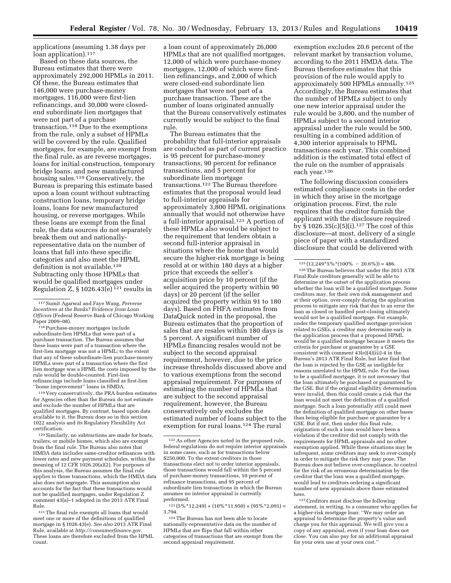applications (assuming 1.38 days per loan application).<sup>117</sup>

Based on these data sources, the Bureau estimates that there were approximately 292,000 HPMLs in 2011. Of these, the Bureau estimates that 146,000 were purchase-money mortgages, 116,000 were first-lien refinancings, and 30,000 were closedend subordinate lien mortgages that were not part of a purchase transaction.118 Due to the exemptions from the rule, only a subset of HPMLs will be covered by the rule. Qualified mortgages, for example, are exempt from the final rule, as are reverse mortgages, loans for initial construction, temporary bridge loans, and new manufactured housing sales.<sup>119</sup> Conservatively, the Bureau is preparing this estimate based upon a loan count without subtracting construction loans, temporary bridge loans, loans for new manufactured housing, or reverse mortgages. While these loans are exempt from the final rule, the data sources do not separately break them out and nationallyrepresentative data on the number of loans that fall into these specific categories and also meet the HPML definition is not available.<sup>120</sup> Subtracting only those HPMLs that would be qualified mortgages under Regulation Z, § 1026.43(e)<sup>121</sup> results in

118Purchase-money mortgages include subordinate-lien HPMLs that were part of a purchase transaction. The Bureau assumes that these loans were part of a transaction where the first-lien mortgage was not a HPML; to the extent that any of these subordinate-lien purchase-money HPMLs were part of a transaction where the first lien mortgage was a HPML the costs imposed by the rule would be double-counted. First-lien refinancings include loans classified as first-lien ''home improvement'' loans in HMDA.

119 Very conservatively, the PRA burden estimates for Agencies other than the Bureau do not estimate and exclude the number of HPMLs that are qualified mortgages. By contrast, based upon data available to it, the Bureau does so in this section 1022 analysis and its Regulatory Flexibility Act certification.

120Similarly, no subtractions are made for boats, trailers, or mobile homes, which also are exempt from the final rule. The Bureau also notes that HMDA data includes same-creditor refinances with lower rates and new payment schedules, within the meaning of 12 CFR 1026.20(a)(2). For purposes of this analysis, the Bureau assumes the final rule applies to those transactions, which the HMDA data also does not segregate. This assumption also accounts for the fact that these transactions would not be qualified mortgages, under Regulation Z comment 43(a)–1 adopted in the 2013 ATR Final Rule.

121The final rule exempts all loans that would meet one or more of the definitions of qualified mortgage in § 1026.43(e). *See also* 2013 ATR Final Rule, available at *<http://consumerfinance.gov>*. These loans are therefore excluded from the HPML count.

a loan count of approximately 26,000 HPMLs that are not qualified mortgages, 12,000 of which were purchase-money mortgages, 12,000 of which were firstlien refinancings, and 2,000 of which were closed-end subordinate lien mortgages that were not part of a purchase transaction. These are the number of loans originated annually that the Bureau conservatively estimates currently would be subject to the final rule.

The Bureau estimates that the probability that full-interior appraisals are conducted as part of current practice is 95 percent for purchase-money transactions, 90 percent for refinance transactions, and 5 percent for subordinate lien mortgage transactions.122 The Bureau therefore estimates that the proposal would lead to full-interior appraisals for approximately 3,800 HPML originations annually that would not otherwise have a full-interior appraisal.123 A portion of these HPMLs also would be subject to the requirement that lenders obtain a second full-interior appraisal in situations where the home that would secure the higher-risk mortgage is being resold at or within 180 days at a higher price that exceeds the seller's acquisition price by 10 percent (if the seller acquired the property within 90 days) or 20 percent (if the seller acquired the property within 91 to 180 days). Based on FHFA estimates from DataQuick noted in the proposal, the Bureau estimates that the proportion of sales that are resales within 180 days is 5 percent. A significant number of HPMLs financing resales would not be subject to the second appraisal requirement, however, due to the price increase thresholds discussed above and to various exemptions from the second appraisal requirement. For purposes of estimating the number of HPMLs that are subject to the second appraisal requirement, however, the Bureau conservatively only excludes the estimated number of loans subject to the exemption for rural loans.<sup>124</sup> The rural

 $^{123} \left(5\% \, {}^{\ast} 12.249\right) + \left(10\% \, {}^{\ast} 11.950\right) + \left(95\% \, {}^{\ast} 2.091\right) =$ 3,794.

exemption excludes 20.6 percent of the relevant market by transaction volume, according to the 2011 HMDA data. The Bureau therefore estimates that this provision of the rule would apply to approximately 500 HPMLs annually.125 Accordingly, the Bureau estimates that the number of HPMLs subject to only one new interior appraisal under the rule would be 3,800, and the number of HPMLs subject to a second interior appraisal under the rule would be 500, resulting in a combined addition of 4,300 interior appraisals to HPML transactions each year. This combined addition is the estimated total effect of the rule on the number of appraisals each year.126

The following discussion considers estimated compliance costs in the order in which they arise in the mortgage origination process. First, the rule requires that the creditor furnish the applicant with the disclosure required by § 1026.35(c)(5)(i).<sup>127</sup> The cost of this disclosure—at most, delivery of a single piece of paper with a standardized disclosure that could be delivered with

126The Bureau believes that under the 2013 ATR Final Rule creditors generally will be able to determine at the outset of the application process whether the loan will be a qualified mortgage. Some creditors may, for their own risk management and at their option, over-comply during the application process to mitigate any risk that due to an error the loan as closed or handled post-closing ultimately would not be a qualified mortgage. For example, under the temporary qualified mortgage provision related to GSEs, a creditor may determine early in the application process that a proposed HPML would be a qualified mortgage because it meets the criteria for purchase or guarantee by a GSE consistent with comment 43(e)(4)(iii)-4 in the Bureau's 2013 ATR Final Rule, but later find that the loan is rejected by the GSE as ineligible for reasons unrelated to the HPML rule. For the loan to be a qualified mortgage, it is not necessary that the loan ultimately be purchased or guaranteed by the GSE. But if the original eligibility determination were invalid, then this could create a risk that the loan would not meet the definition of a qualified mortgage. Such a loan potentially still could meet the definition of qualified mortgage on other bases than being eligible for purchase or guarantee by a GSE. But if not, then under this final rule, origination of such a loan would have been a violation if the creditor did not comply with the requirements for HPML appraisals and no other exemption applied. While these situations may be infrequent, some creditors may seek to over-comply in order to mitigate the risk they may pose. The Bureau does not believe over-compliance, to control for the risk of an erroneous determination by the creditor that the loan was a qualified mortgage, would lead to creditors ordering a significant number of new appraisals above those estimated here.

127Creditors must disclose the following statement, in writing, to a consumer who applies for a higher-risk mortgage loan: ''We may order an appraisal to determine the property's value and charge you for this appraisal. We will give you a copy of any appraisal, even if your loan does not close. You can also pay for an additional appraisal for your own use at your own cost.''

<sup>117</sup>Sumit Agarwal and Faye Wang, *Perverse Incentives at the Banks? Evidence from Loan Officers* (Federal Reserve Bank of Chicago Working Paper 2009–08).

<sup>122</sup>As other Agencies noted in the proposed rule, federal regulations do not require interior appraisals in some cases, such as for transactions below \$250,000. To the extent creditors in those transactions elect not to order interior appraisals, those transactions would fall within the 5 percent of purchase-money transactions, 10 percent of refinance transactions, and 95 percent of subordinate lien transactions in which the Bureau assumes no interior appraisal is currently performed.

<sup>124</sup>The Bureau has not been able to locate nationally-representative data on the number of HPMLs that are flips that fall within other categories of transactions that are exempt from the second appraisal requirement.

 $125(12,249*5\%*(100\% - 20.6\%)) = 486.$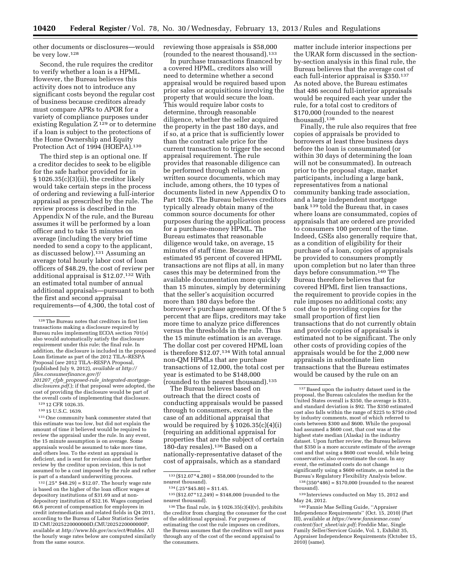other documents or disclosures—would be very low.128

Second, the rule requires the creditor to verify whether a loan is a HPML. However, the Bureau believes this activity does not to introduce any significant costs beyond the regular cost of business because creditors already must compare APRs to APOR for a variety of compliance purposes under existing Regulation  $Z^{129}$  or to determine if a loan is subject to the protections of the Home Ownership and Equity Protection Act of 1994 (HOEPA).<sup>130</sup>

The third step is an optional one. If a creditor decides to seek to be eligible for the safe harbor provided for in § 1026.35(c)(3)(ii), the creditor likely would take certain steps in the process of ordering and reviewing a full-interior appraisal as prescribed by the rule. The review process is described in the Appendix N of the rule, and the Bureau assumes it will be performed by a loan officer and to take 15 minutes on average (including the very brief time needed to send a copy to the applicant, as discussed below).131 Assuming an average total hourly labor cost of loan officers of \$48.29, the cost of review per additional appraisal is \$12.07.132 With an estimated total number of annual additional appraisals—pursuant to both the first and second appraisal requirements—of 4,300, the total cost of

*[disclosures.pdf](http://files.consumerfinance.gov/f/201207_cfpb_proposed-rule_integrated-mortgage-disclosures.pdf)*.); if that proposal were adopted, the cost of providing the disclosure would be part of the overall costs of implementing that disclosure. 129 12 CFR 1026.35.

130 15 U.S.C. 1639.

131One community bank commenter stated that this estimate was too low, but did not explain the amount of time it believed would be required to review the appraisal under the rule. In any event, the 15 minute assumption is on average. Some appraisals would be assumed to take more time, and others less. To the extent an appraisal is deficient, and is sent for revision and then further review by the creditor upon revision, this is not assumed to be a cost imposed by the rule and rather is part of a standard underwriting process.

 $132$  (.25\* \$48.29) = \$12.07. The hourly wage rate is based on the higher of the loan officer wages at depository institutions of \$31.69 and at nondepository institution of \$32.16. Wages comprised 66.6 percent of compensation for employees in credit intermediation and related fields in Q4 2011, according to the Bureau of Labor Statistics Series ID CMU2025220000000D,CMU2025220000000P, available at *<http://www.bls.gov/ncs/ect/#tables>*. All the hourly wage rates below are computed similarly from the same source.

reviewing those appraisals is \$58,000 (rounded to the nearest thousand).133

In purchase transactions financed by a covered HPML, creditors also will need to determine whether a second appraisal would be required based upon prior sales or acquisitions involving the property that would secure the loan. This would require labor costs to determine, through reasonable diligence, whether the seller acquired the property in the past 180 days, and if so, at a price that is sufficiently lower than the contract sale price for the current transaction to trigger the second appraisal requirement. The rule provides that reasonable diligence can be performed through reliance on written source documents, which may include, among others, the 10 types of documents listed in new Appendix O to Part 1026. The Bureau believes creditors typically already obtain many of the common source documents for other purposes during the application process for a purchase-money HPML. The Bureau estimates that reasonable diligence would take, on average, 15 minutes of staff time. Because an estimated 95 percent of covered HPML transactions are not flips at all, in many cases this may be determined from the available documentation more quickly than 15 minutes, simply by determining that the seller's acquisition occurred more than 180 days before the borrower's purchase agreement. Of the 5 percent that are flips, creditors may take more time to analyze price differences versus the thresholds in the rule. Thus the 15 minute estimation is an average. The dollar cost per covered HPML loan is therefore \$12.07.134 With total annual non-QM HPMLs that are purchase transactions of 12,000, the total cost per year is estimated to be \$148,000 (rounded to the nearest thousand).135

The Bureau believes based on outreach that the direct costs of conducting appraisals would be passed through to consumers, except in the case of an additional appraisal that would be required by  $\S 1026.35(c)(4)(i)$ (requiring an additional appraisal for properties that are the subject of certain 180-day resales).136 Based on a nationally-representative dataset of the cost of appraisals, which as a standard

 $134 \,( .25 * $45.80) = $11.45.$  135 (\$12.07\*12,249) = \$148,000 (rounded to the nearest thousand).

matter include interior inspections per the URAR form discussed in the sectionby-section analysis in this final rule, the Bureau believes that the average cost of each full-interior appraisal is \$350.137 As noted above, the Bureau estimates that 486 second full-interior appraisals would be required each year under the rule, for a total cost to creditors of \$170,000 (rounded to the nearest thousand).138

Finally, the rule also requires that free copies of appraisals be provided to borrowers at least three business days before the loan is consummated (or within 30 days of determining the loan will not be consummated). In outreach prior to the proposal stage, market participants, including a large bank, representatives from a national community banking trade association, and a large independent mortgage bank 139 told the Bureau that, in cases where loans are consummated, copies of appraisals that are ordered are provided to consumers 100 percent of the time. Indeed, GSEs also generally require that, as a condition of eligibility for their purchase of a loan, copies of appraisals be provided to consumers promptly upon completion but no later than three days before consummation.140 The Bureau therefore believes that for covered HPML first lien transactions, the requirement to provide copies in the rule imposes no additional costs; any cost due to providing copies for the small proportion of first lien transactions that do not currently obtain and provide copies of appraisals is estimated not to be significant. The only other costs of providing copies of the appraisals would be for the 2,000 new appraisals in subordinate lien transactions that the Bureau estimates would be caused by the rule on an

 $138 (350*486) = $170,000$  (rounded to the nearest thousand).

<sup>128</sup>The Bureau notes that creditors in first lien transactions making a disclosure required by Bureau rules implementing ECOA section 701(e) also would automatically satisfy the disclosure requirement under this rule; the final rule. In addition, the disclosure is included in the proposed Loan Estimate as part of the 2012 TILA–RESPA Proposal (*see* 2012 TILA–RESPA Proposal, (published July 9, 2012), *available at [http://](http://files.consumerfinance.gov/f/201207_cfpb_proposed-rule_integrated-mortgage-disclosures.pdf)  [files.consumerfinance.gov/f/](http://files.consumerfinance.gov/f/201207_cfpb_proposed-rule_integrated-mortgage-disclosures.pdf)  201207*\_*cfpb*\_*proposed-rule*\_*[integrated-mortgage-](http://files.consumerfinance.gov/f/201207_cfpb_proposed-rule_integrated-mortgage-disclosures.pdf)*

 $^{133}\left({\$12.07{*}4{,}280}\right)=\$58{,}000$  (rounded to the nearest thousand).

<sup>&</sup>lt;sup>136</sup>The final rule, in § 1026.35(c)(4)(v), prohibits the creditor from charging the consumer for the cost of the additional appraisal. For purposes of estimating the cost the rule imposes on creditors, the Bureau assumes that the creditors will not pass through any of the cost of the second appraisal to the consumers.

<sup>137</sup>Based upon the industry dataset used in the proposal, the Bureau calculates the median for the United States overall is \$350, the average is \$351, and standard deviation is \$92. The \$350 estimated cost also falls within the range of \$225 to \$750 cited by industry comments, most of which referred to costs between \$300 and \$600. While the proposal had assumed a \$600 cost, that cost was at the highest state median (Alaska) in the industry dataset. Upon further review, the Bureau believes that \$350 is a more accurate estimate of the average cost and that using a \$600 cost would, while being conservative, also overestimate the cost. In any event, the estimated costs do not change significantly using a \$600 estimate, as noted in the Bureau's Regulatory Flexibility Analysis below.

<sup>139</sup> Interviews conducted on May 15, 2012 and May 24, 2012.

<sup>140</sup>Fannie Mae Selling Guide, ''Appraiser Independence Requirements'' (Oct. 15, 2010) (Part III), available at *[https://www.fanniemae.com/](https://www.fanniemae.com/content/fact_sheet/air.pdf)  content/fact*\_*[sheet/air.pdf;](https://www.fanniemae.com/content/fact_sheet/air.pdf)* Freddie Mac, Single Family Seller/Servicer Guide, Vol. 1, Exhibit 35, Appraiser Independence Requirements (October 15,  $2010$  (same).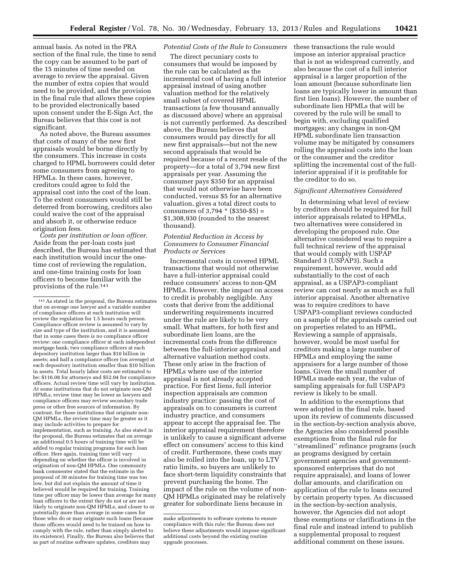annual basis. As noted in the PRA section of the final rule, the time to send the copy can be assumed to be part of the 15 minutes of time needed on average to review the appraisal. Given the number of extra copies that would need to be provided, and the provision in the final rule that allows these copies to be provided electronically based upon consent under the E-Sign Act, the Bureau believes that this cost is not significant.

As noted above, the Bureau assumes that costs of many of the new first appraisals would be borne directly by the consumers. This increase in costs charged to HPML borrowers could deter some consumers from agreeing to HPMLs. In these cases, however, creditors could agree to fold the appraisal cost into the cost of the loan. To the extent consumers would still be deterred from borrowing, creditors also could waive the cost of the appraisal and absorb it, or otherwise reduce origination fees.

*Costs per institution or loan officer.*  Aside from the per-loan costs just described, the Bureau has estimated that each institution would incur the onetime cost of reviewing the regulation, and one-time training costs for loan officers to become familiar with the provisions of the rule.141

# *Potential Costs of the Rule to Consumers*

The direct pecuniary costs to consumers that would be imposed by the rule can be calculated as the incremental cost of having a full interior appraisal instead of using another valuation method for the relatively small subset of covered HPML transactions (a few thousand annually as discussed above) where an appraisal is not currently performed. As described above, the Bureau believes that consumers would pay directly for all new first appraisals—but not the new second appraisals that would be required because of a recent resale of the property—for a total of 3,794 new first appraisals per year. Assuming the consumer pays \$350 for an appraisal that would not otherwise have been conducted, versus \$5 for an alternative valuation, gives a total direct costs to consumers of  $3,794 * (\$350 - \$5) =$ \$1,308,930 (rounded to the nearest thousand).

## *Potential Reduction in Access by Consumers to Consumer Financial Products or Services*

Incremental costs in covered HPML transactions that would not otherwise have a full-interior appraisal could reduce consumers' access to non-QM HPMLs. However, the impact on access to credit is probably negligible. Any costs that derive from the additional underwriting requirements incurred under the rule are likely to be very small. What matters, for both first and subordinate lien loans, are the incremental costs from the difference between the full-interior appraisal and alternative valuation method costs. These only arise in the fraction of HPMLs where use of the interior appraisal is not already accepted practice. For first liens, full interior inspection appraisals are common industry practice: passing the cost of appraisals on to consumers is current industry practice, and consumers appear to accept the appraisal fee. The interior appraisal requirement therefore is unlikely to cause a significant adverse effect on consumers' access to this kind of credit. Furthermore, these costs may also be rolled into the loan, up to LTV ratio limits, so buyers are unlikely to face short-term liquidity constraints that prevent purchasing the home. The impact of the rule on the volume of non-QM HPMLs originated may be relatively greater for subordinate liens because in

these transactions the rule would impose an interior appraisal practice that is not as widespread currently, and also because the cost of a full interior appraisal is a larger proportion of the loan amount (because subordinate lien loans are typically lower in amount than first lien loans). However, the number of subordinate lien HPMLs that will be covered by the rule will be small to begin with, excluding qualified mortgages; any changes in non-QM HPML subordinate lien transaction volume may be mitigated by consumers rolling the appraisal costs into the loan or the consumer and the creditor splitting the incremental cost of the fullinterior appraisal if it is profitable for the creditor to do so.

#### *Significant Alternatives Considered*

In determining what level of review by creditors should be required for full interior appraisals related to HPMLs, two alternatives were considered in developing the proposed rule. One alternative considered was to require a full technical review of the appraisal that would comply with USPAP Standard 3 (USPAP3). Such a requirement, however, would add substantially to the cost of each appraisal, as a USPAP3-compliant review can cost nearly as much as a full interior appraisal. Another alternative was to require creditors to have USPAP3-compliant reviews conducted on a sample of the appraisals carried out on properties related to an HPML. Reviewing a sample of appraisals, however, would be most useful for creditors making a large number of HPMLs and employing the same appraisers for a large number of those loans. Given the small number of HPMLs made each year, the value of sampling appraisals for full USPAP3 review is likely to be small.

In addition to the exemptions that were adopted in the final rule, based upon its review of comments discussed in the section-by-section analysis above, the Agencies also considered possible exemptions from the final rule for ''streamlined'' refinance programs (such as programs designed by certain government agencies and governmentsponsored enterprises that do not require appraisals), and loans of lower dollar amounts, and clarification on application of the rule to loans secured by certain property types. As discussed in the section-by-section analysis, however, the Agencies did not adopt these exemptions or clarifications in the final rule and instead intend to publish a supplemental proposal to request additional comment on these issues.

<sup>141</sup>As stated in the proposal, the Bureau estimates that on average one lawyer and a variable number of compliance officers at each institution will review the regulation for 1.5 hours each person. Compliance officer review is assumed to vary by size and type of the institution, and it is assumed that in some cases there is no compliance officer review: one compliance officer at each independent mortgage bank; two compliance officers at each depository institution larger than \$10 billion in assets; and half a compliance officer (on average) at each depository institution smaller than \$10 billion in assets. Total hourly labor costs are estimated to be: \$116.08 for attorneys and \$52.04 for compliance officers. Actual review time will vary by institution. At some institutions that do not originate non-QM HPMLs, review time may be lower as lawyers and compliance officers may review secondary trade press or other free sources of information. By contrast, for those institutions that originate non-QM HPMLs, the review time may be greater as it may include activities to prepare for implementation, such as training. As also stated in the proposal, the Bureau estimates that on average an additional 0.5 hours of training time will be added to regular training programs for each loan officer. Here again, training time will vary depending on whether the officer is involved in origination of non-QM HPMLs. One community bank commenter stated that the estimate in the proposal of 30 minutes for training time was too low, but did not explain the amount of time it believed would be required for training. Training time per officer may be lower than average for many loan officers to the extent they do not or are not likely to originate non-QM HPMLs, and closer to or potentially more than average in some cases for those who do or may originate such loans (because those officers would need to be trained on how to comply with the rule, rather than simply alerted to its existence). Finally, the Bureau also believes that as part of routine software updates, creditors may

make adjustments to software systems to ensure compliance with this rule; the Bureau does not believe these adjustments would impose significant additional costs beyond the existing routine upgrade processes.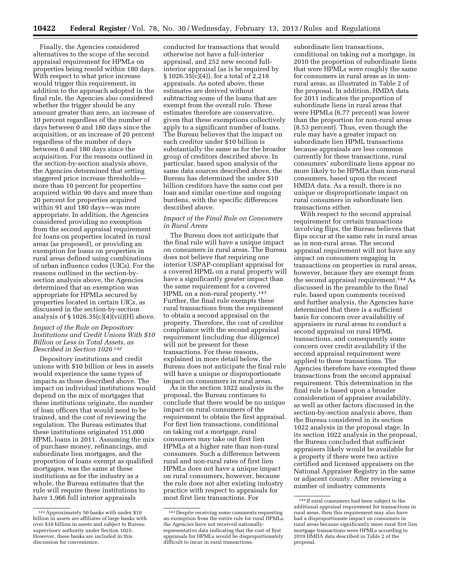Finally, the Agencies considered alternatives to the scope of the second appraisal requirement for HPMLs on properties being resold within 180 days. With respect to what price increase would trigger this requirement, in addition to the approach adopted in the final rule, the Agencies also considered whether the trigger should be any amount greater than zero, an increase of 10 percent regardless of the number of days between 0 and 180 days since the acquisition, or an increase of 20 percent regardless of the number of days between 0 and 180 days since the acquisition. For the reasons outlined in the section-by-section analysis above, the Agencies determined that setting staggered price increase thresholds more than 10 percent for properties acquired within 90 days and more than 20 percent for properties acquired within 91 and 180 days—was more appropriate. In addition, the Agencies considered providing no exemption from the second appraisal requirement for loans on properties located in rural areas (as proposed), or providing an exemption for loans on properties in rural areas defined using combinations of urban influence codes (UICs). For the reasons outlined in the section-bysection analysis above, the Agencies determined that an exemption was appropriate for HPMLs secured by properties located in certain UICs, as discussed in the section-by-section analysis of  $\S 1026.35(c)(4)(vii)(H)$  above.

## *Impact of the Rule on Depository Institutions and Credit Unions With \$10 Billion or Less in Total Assets, as Described in Section 1026 142*

Depository institutions and credit unions with \$10 billion or less in assets would experience the same types of impacts as those described above. The impact on individual institutions would depend on the mix of mortgages that these institutions originate, the number of loan officers that would need to be trained, and the cost of reviewing the regulation. The Bureau estimates that these institutions originated 151,000 HPML loans in 2011. Assuming the mix of purchase money, refinancings, and subordinate lien mortgages, and the proportion of loans exempt as qualified mortgages, was the same at these institutions as for the industry as a whole, the Bureau estimates that the rule will require these institutions to have 1,966 full interior appraisals

conducted for transactions that would otherwise not have a full-interior appraisal, and 252 new second fullinterior appraisal (as is be required by § 1026.35(c)(4)), for a total of 2,218 appraisals. As noted above, these estimates are derived without subtracting some of the loans that are exempt from the overall rule. These estimates therefore are conservative, given that these exemptions collectively apply to a significant number of loans. The Bureau believes that the impact on each creditor under \$10 billion is substantially the same as for the broader group of creditors described above. In particular, based upon analysis of the same data sources described above, the Bureau has determined the under \$10 billion creditors have the same cost per loan and similar one-time and ongoing burdens, with the specific differences described above.

# *Impact of the Final Rule on Consumers in Rural Areas*

The Bureau does not anticipate that the final rule will have a unique impact on consumers in rural areas. The Bureau does not believe that requiring one interior USPAP-compliant appraisal for a covered HPML on a rural property will have a significantly greater impact than the same requirement for a covered HPML on a non-rural property.143 Further, the final rule exempts these rural transactions from the requirement to obtain a second appraisal on the property. Therefore, the cost of creditor compliance with the second appraisal requirement (including due diligence) will not be present for these transactions. For these reasons, explained in more detail below, the Bureau does not anticipate the final rule will have a unique or disproportionate impact on consumers in rural areas.

As in the section 1022 analysis in the proposal, the Bureau continues to conclude that there would be no unique impact on rural consumers of the requirement to obtain the first appraisal. For first lien transactions, conditional on taking out a mortgage, rural consumers may take out first lien HPMLs at a higher rate than non-rural consumers. Such a difference between rural and non-rural rates of first lien HPMLs does not have a unique impact on rural consumers, however, because the rule does not alter existing industry practice with respect to appraisals for most first lien transactions. For

subordinate lien transactions, conditional on taking out a mortgage, in 2010 the proportion of subordinate liens that were HPMLs were roughly the same for consumers in rural areas as in nonrural areas, as illustrated in Table 2 of the proposal. In addition, HMDA data for 2011 indicates the proportion of subordinate liens in rural areas that were HPMLs (6.77 percent) was lower than the proportion for non-rural areas (8.53 percent). Thus, even though the rule may have a greater impact on subordinate lien HPML transactions because appraisals are less common currently for these transactions, rural consumers' subordinate liens appear no more likely to be HPMLs than non-rural consumers, based upon the recent HMDA data. As a result, there is no unique or disproportionate impact on rural consumers in subordinate lien transactions either.

With respect to the second appraisal requirement for certain transactions involving flips, the Bureau believes that flips occur at the same rate in rural areas as in non-rural areas. The second appraisal requirement will not have any impact on consumers engaging in transactions on properties in rural areas, however, because they are exempt from the second appraisal requirement.144 As discussed in the preamble to the final rule, based upon comments received and further analysis, the Agencies have determined that there is a sufficient basis for concern over availability of appraisers in rural areas to conduct a second appraisal on rural HPML transactions, and consequently some concern over credit availability if the second appraisal requirement were applied to these transactions. The Agencies therefore have exempted these transactions from the second appraisal requirement. This determination in the final rule is based upon a broader consideration of appraiser availability, as well as other factors discussed in the section-by-section analysis above, than the Bureau considered in its section 1022 analysis in the proposal stage. In its section 1022 analysis in the proposal, the Bureau concluded that sufficient appraisers likely would be available for a property if there were two active certified and licensed appraisers on the National Appraiser Registry in the same or adjacent county. After reviewing a number of industry comments

<sup>142</sup>Approximately 50 banks with under \$10 billion in assets are affiliates of large banks with over \$10 billion in assets and subject to Bureau supervisory authority under Section 1025. However, these banks are included in this discussion for convenience.

<sup>143</sup> Despite receiving some comments requesting an exemption from the entire rule for rural HPMLs, the Agencies have not received nationallyrepresentative data indicating that the cost of first appraisals for HPMLs would be disproportionately difficult to incur in rural transactions.

<sup>144</sup> If rural consumers had been subject to the additional appraisal requirement for transactions in rural areas, then this requirement may also have had a disproportionate impact on consumers in rural areas because significantly more rural first lien mortgage transactions were HPMLs according to 2010 HMDA data described in Table 2 of the proposal.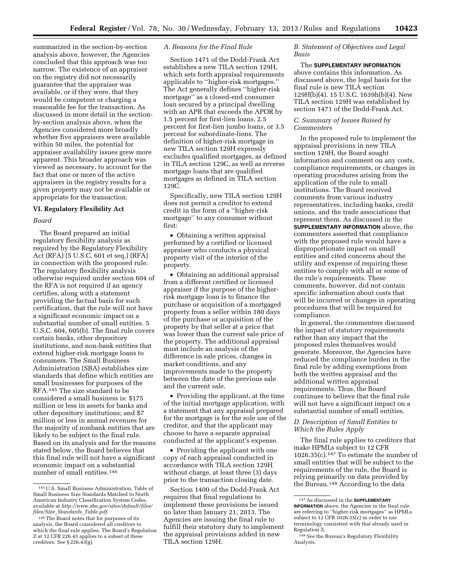summarized in the section-by-section analysis above, however, the Agencies concluded that this approach was too narrow. The existence of an appraiser on the registry did not necessarily guarantee that the appraiser was available, or if they were, that they would be competent or charging a reasonable fee for the transaction. As discussed in more detail in the sectionby-section analysis above, when the Agencies considered more broadly whether five appraisers were available within 50 miles, the potential for appraiser availability issues grew more apparent. This broader approach was viewed as necessary, to account for the fact that one or more of the active appraisers in the registry results for a given property may not be available or appropriate for the transaction.

#### **VI. Regulatory Flexibility Act**

#### *Board*

The Board prepared an initial regulatory flexibility analysis as required by the Regulatory Flexibility Act (RFA) (5 U.S.C. 601 et seq.) (RFA) in connection with the proposed rule. The regulatory flexibility analysis otherwise required under section 604 of the RFA is not required if an agency certifies, along with a statement providing the factual basis for such certification, that the rule will not have a significant economic impact on a substantial number of small entities. 5 U.S.C. 604, 605(b). The final rule covers certain banks, other depository institutions, and non-bank entities that extend higher-risk mortgage loans to consumers. The Small Business Administration (SBA) establishes size standards that define which entities are small businesses for purposes of the RFA.145 The size standard to be considered a small business is: \$175 million or less in assets for banks and other depository institutions; and \$7 million or less in annual revenues for the majority of nonbank entities that are likely to be subject to the final rule. Based on its analysis and for the reasons stated below, the Board believes that this final rule will not have a significant economic impact on a substantial number of small entities.146

## *A. Reasons for the Final Rule*

Section 1471 of the Dodd-Frank Act establishes a new TILA section 129H, which sets forth appraisal requirements applicable to ''higher-risk mortgages.'' The Act generally defines ''higher-risk mortgage'' as a closed-end consumer loan secured by a principal dwelling with an APR that exceeds the APOR by 1.5 percent for first-lien loans, 2.5 percent for first-lien jumbo loans, or 3.5 percent for subordinate-liens. The definition of higher-risk mortgage in new TILA section 129H expressly excludes qualified mortgages, as defined in TILA section 129C, as well as reverse mortgage loans that are qualified mortgages as defined in TILA section 129C.

Specifically, new TILA section 129H does not permit a creditor to extend credit in the form of a ''higher-risk mortgage'' to any consumer without first:

• Obtaining a written appraisal performed by a certified or licensed appraiser who conducts a physical property visit of the interior of the property.

• Obtaining an additional appraisal from a different certified or licensed appraiser if the purpose of the higherrisk mortgage loan is to finance the purchase or acquisition of a mortgaged property from a seller within 180 days of the purchase or acquisition of the property by that seller at a price that was lower than the current sale price of the property. The additional appraisal must include an analysis of the difference in sale prices, changes in market conditions, and any improvements made to the property between the date of the previous sale and the current sale.

• Providing the applicant, at the time of the initial mortgage application, with a statement that any appraisal prepared for the mortgage is for the sole use of the creditor, and that the applicant may choose to have a separate appraisal conducted at the applicant's expense.

• Providing the applicant with one copy of each appraisal conducted in accordance with TILA section 129H without charge, at least three (3) days prior to the transaction closing date.

Section 1400 of the Dodd-Frank Act requires that final regulations to implement these provisions be issued no later than January 21, 2013. The Agencies are issuing the final rule to fulfill their statutory duty to implement the appraisal provisions added in new TILA section 129H.

## *B. Statement of Objectives and Legal Basis*

The **SUPPLEMENTARY INFORMATION** above contains this information. As discussed above, the legal basis for the final rule is new TILA section 129H(b)(4). 15 U.S.C. 1639h(b)(4). New TILA section 129H was established by section 1471 of the Dodd-Frank Act.

### *C. Summary of Issues Raised by Commenters*

In the proposed rule to implement the appraisal provisions in new TILA section 129H, the Board sought information and comment on any costs, compliance requirements, or changes in operating procedures arising from the application of the rule to small institutions. The Board received comments from various industry representatives, including banks, credit unions, and the trade associations that represent them. As discussed in the **SUPPLEMENTARY INFORMATION** above, the commenters asserted that compliance with the proposed rule would have a disproportionate impact on small entities and cited concerns about the utility and expense of requiring these entities to comply with all or some of the rule's requirements. These comments, however, did not contain specific information about costs that will be incurred or changes in operating procedures that will be required for compliance.

In general, the commenters discussed the impact of statutory requirements rather than any impact that the proposed rules themselves would generate. Moreover, the Agencies have reduced the compliance burden in the final rule by adding exemptions from both the written appraisal and the additional written appraisal requirements. Thus, the Board continues to believe that the final rule will not have a significant impact on a substantial number of small entities.

## *D. Description of Small Entities to Which the Rules Apply*

The final rule applies to creditors that make HPMLs subject to 12 CFR 1026.35(c).147 To estimate the number of small entities that will be subject to the requirements of the rule, the Board is relying primarily on data provided by the Bureau.148 According to the data

<sup>145</sup>U.S. Small Business Administration, Table of Small Business Size Standards Matched to North American Industry Classification System Codes, available at *[http://www.sba.gov/sites/default/files/](http://www.sba.gov/sites/default/files/files/Size_Standards_Table.pdf) files/Size*\_*Standards*\_*[Table.pdf.](http://www.sba.gov/sites/default/files/files/Size_Standards_Table.pdf)* 

<sup>146</sup>The Board notes that for purposes of its analysis, the Board considered all creditors to which the final rule applies. The Board's Regulation Z at 12 CFR 226.43 applies to a subset of these creditors. *See* § 226.43(g).

<sup>147</sup>As discussed in the **SUPPLEMENTARY INFORMATION** above, the Agencies in the final rule are referring to ''higher-risk mortgages'' as HPMLs subject to 12 CFR 1026.35(c) in order to use terminology consistent with that already used in Regulation Z.

<sup>148</sup>*See* the Bureau's Regulatory Flexibility Analysis.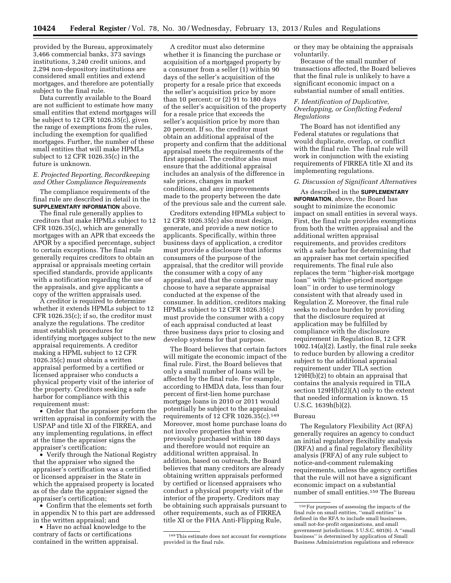provided by the Bureau, approximately 3,466 commercial banks, 373 savings institutions, 3,240 credit unions, and 2,294 non-depository institutions are considered small entities and extend mortgages, and therefore are potentially subject to the final rule.

Data currently available to the Board are not sufficient to estimate how many small entities that extend mortgages will be subject to 12 CFR 1026.35(c), given the range of exemptions from the rules, including the exemption for qualified mortgages. Further, the number of these small entities that will make HPMLs subject to 12 CFR 1026.35(c) in the future is unknown.

## *E. Projected Reporting, Recordkeeping and Other Compliance Requirements*

The compliance requirements of the final rule are described in detail in the **SUPPLEMENTARY INFORMATION** above.

The final rule generally applies to creditors that make HPMLs subject to 12 CFR 1026.35(c), which are generally mortgages with an APR that exceeds the APOR by a specified percentage, subject to certain exceptions. The final rule generally requires creditors to obtain an appraisal or appraisals meeting certain specified standards, provide applicants with a notification regarding the use of the appraisals, and give applicants a copy of the written appraisals used.

A creditor is required to determine whether it extends HPMLs subject to 12 CFR 1026.35(c); if so, the creditor must analyze the regulations. The creditor must establish procedures for identifying mortgages subject to the new appraisal requirements. A creditor making a HPML subject to 12 CFR 1026.35(c) must obtain a written appraisal performed by a certified or licensed appraiser who conducts a physical property visit of the interior of the property. Creditors seeking a safe harbor for compliance with this requirement must:

• Order that the appraiser perform the written appraisal in conformity with the USPAP and title XI of the FIRREA, and any implementing regulations, in effect at the time the appraiser signs the appraiser's certification;

• Verify through the National Registry that the appraiser who signed the appraiser's certification was a certified or licensed appraiser in the State in which the appraised property is located as of the date the appraiser signed the appraiser's certification;

• Confirm that the elements set forth in appendix N to this part are addressed in the written appraisal; and

• Have no actual knowledge to the contrary of facts or certifications contained in the written appraisal.

A creditor must also determine whether it is financing the purchase or acquisition of a mortgaged property by a consumer from a seller (1) within 90 days of the seller's acquisition of the property for a resale price that exceeds the seller's acquisition price by more than 10 percent; or  $(2)$  91 to 180 days of the seller's acquisition of the property for a resale price that exceeds the seller's acquisition price by more than 20 percent. If so, the creditor must obtain an additional appraisal of the property and confirm that the additional appraisal meets the requirements of the first appraisal. The creditor also must ensure that the additional appraisal includes an analysis of the difference in sale prices, changes in market conditions, and any improvements made to the property between the date of the previous sale and the current sale.

Creditors extending HPMLs subject to 12 CFR 1026.35(c) also must design, generate, and provide a new notice to applicants. Specifically, within three business days of application, a creditor must provide a disclosure that informs consumers of the purpose of the appraisal, that the creditor will provide the consumer with a copy of any appraisal, and that the consumer may choose to have a separate appraisal conducted at the expense of the consumer. In addition, creditors making HPMLs subject to 12 CFR 1026.35(c) must provide the consumer with a copy of each appraisal conducted at least three business days prior to closing and develop systems for that purpose.

The Board believes that certain factors will mitigate the economic impact of the final rule. First, the Board believes that only a small number of loans will be affected by the final rule. For example, according to HMDA data, less than four percent of first-lien home purchase mortgage loans in 2010 or 2011 would potentially be subject to the appraisal requirements of 12 CFR 1026.35(c).149 Moreover, most home purchase loans do not involve properties that were previously purchased within 180 days and therefore would not require an additional written appraisal. In addition, based on outreach, the Board believes that many creditors are already obtaining written appraisals performed by certified or licensed appraisers who conduct a physical property visit of the interior of the property. Creditors may be obtaining such appraisals pursuant to other requirements, such as of FIRREA title XI or the FHA Anti-Flipping Rule,

or they may be obtaining the appraisals voluntarily.

Because of the small number of transactions affected, the Board believes that the final rule is unlikely to have a significant economic impact on a substantial number of small entities.

### *F. Identification of Duplicative, Overlapping, or Conflicting Federal Regulations*

The Board has not identified any Federal statutes or regulations that would duplicate, overlap, or conflict with the final rule. The final rule will work in conjunction with the existing requirements of FIRREA title XI and its implementing regulations.

### *G. Discussion of Significant Alternatives*

As described in the **SUPPLEMENTARY INFORMATION**, above, the Board has sought to minimize the economic impact on small entities in several ways. First, the final rule provides exemptions from both the written appraisal and the additional written appraisal requirements, and provides creditors with a safe harbor for determining that an appraiser has met certain specified requirements. The final rule also replaces the term ''higher-risk mortgage loan'' with ''higher-priced mortgage loan'' in order to use terminology consistent with that already used in Regulation Z. Moreover, the final rule seeks to reduce burden by providing that the disclosure required at application may be fulfilled by compliance with the disclosure requirement in Regulation B, 12 CFR 1002.14(a)(2). Lastly, the final rule seeks to reduce burden by allowing a creditor subject to the additional appraisal requirement under TILA section 129H(b)(2) to obtain an appraisal that contains the analysis required in TILA section 129H(b)(2)(A) only to the extent that needed information is known. 15 U.S.C. 1639h(b)(2).

#### Bureau

The Regulatory Flexibility Act (RFA) generally requires an agency to conduct an initial regulatory flexibility analysis (IRFA) and a final regulatory flexibility analysis (FRFA) of any rule subject to notice-and-comment rulemaking requirements, unless the agency certifies that the rule will not have a significant economic impact on a substantial number of small entities.150 The Bureau

<sup>149</sup>This estimate does not account for exemptions provided in the final rule.

<sup>150</sup>For purposes of assessing the impacts of the final rule on small entities, ''small entities'' is defined in the RFA to include small businesses, small not-for-profit organizations, and small government jurisdictions. 5 U.S.C. 601(6). A ''small business'' is determined by application of Small Business Administration regulations and reference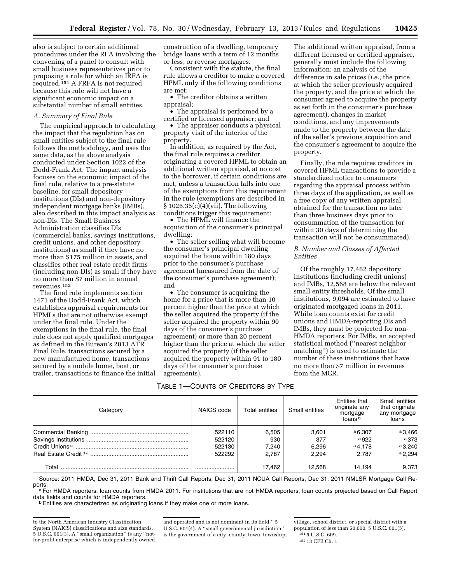also is subject to certain additional procedures under the RFA involving the convening of a panel to consult with small business representatives prior to proposing a rule for which an IRFA is required.151 A FRFA is not required because this rule will not have a significant economic impact on a substantial number of small entities.

## *A. Summary of Final Rule*

The empirical approach to calculating the impact that the regulation has on small entities subject to the final rule follows the methodology, and uses the same data, as the above analysis conducted under Section 1022 of the Dodd-Frank Act. The impact analysis focuses on the economic impact of the final rule, relative to a pre-statute baseline, for small depository institutions (DIs) and non-depository independent mortgage banks (IMBs), also described in this impact analysis as non-DIs. The Small Business Administration classifies DIs (commercial banks, savings institutions, credit unions, and other depository institutions) as small if they have no more than \$175 million in assets, and classifies other real estate credit firms (including non-DIs) as small if they have no more than \$7 million in annual revenues.152

The final rule implements section 1471 of the Dodd-Frank Act, which establishes appraisal requirements for HPMLs that are not otherwise exempt under the final rule. Under the exemptions in the final rule, the final rule does not apply qualified mortgages as defined in the Bureau's 2013 ATR Final Rule, transactions secured by a new manufactured home, transactions secured by a mobile home, boat, or trailer, transactions to finance the initial

construction of a dwelling, temporary bridge loans with a term of 12 months or less, or reverse mortgages.

Consistent with the statute, the final rule allows a creditor to make a covered HPML only if the following conditions are met:

• The creditor obtains a written appraisal;

• The appraisal is performed by a certified or licensed appraiser; and

• The appraiser conducts a physical property visit of the interior of the property.

In addition, as required by the Act, the final rule requires a creditor originating a covered HPML to obtain an additional written appraisal, at no cost to the borrower, if certain conditions are met, unless a transaction falls into one of the exemptions from this requirement in the rule (exemptions are described in  $§ 1026.35(c)(4)(vii)$ . The following conditions trigger this requirement:

• The HPML will finance the acquisition of the consumer's principal dwelling;

• The seller selling what will become the consumer's principal dwelling acquired the home within 180 days prior to the consumer's purchase agreement (measured from the date of the consumer's purchase agreement); and

• The consumer is acquiring the home for a price that is more than 10 percent higher than the price at which the seller acquired the property (if the seller acquired the property within 90 days of the consumer's purchase agreement) or more than 20 percent higher than the price at which the seller acquired the property (if the seller acquired the property within 91 to 180 days of the consumer's purchase agreements).

The additional written appraisal, from a different licensed or certified appraiser, generally must include the following information: an analysis of the difference in sale prices (*i.e.,* the price at which the seller previously acquired the property, and the price at which the consumer agreed to acquire the property as set forth in the consumer's purchase agreement), changes in market conditions, and any improvements made to the property between the date of the seller's previous acquisition and the consumer's agreement to acquire the property.

Finally, the rule requires creditors in covered HPML transactions to provide a standardized notice to consumers regarding the appraisal process within three days of the application, as well as a free copy of any written appraisal obtained for the transaction no later than three business days prior to consummation of the transaction (or within 30 days of determining the transaction will not be consummated).

# *B. Number and Classes of Affected Entities*

Of the roughly 17,462 depository institutions (including credit unions) and IMBs, 12,568 are below the relevant small entity thresholds. Of the small institutions, 9,094 are estimated to have originated mortgaged loans in 2011. While loan counts exist for credit unions and HMDA-reporting DIs and IMBs, they must be projected for non-HMDA reporters. For IMBs, an accepted statistical method (''nearest neighbor matching'') is used to estimate the number of these institutions that have no more than \$7 million in revenues from the MCR.

| TABLE 1-COUNTS OF CREDITORS BY TYPE |
|-------------------------------------|
|-------------------------------------|

| Category | NAICS code       | Total entities | Small entities | Entities that<br>originate any<br>mortgage<br>loans <sup>b</sup> | <b>Small entities</b><br>that originate<br>any mortgage<br>loans |
|----------|------------------|----------------|----------------|------------------------------------------------------------------|------------------------------------------------------------------|
|          | 522110           | 6,505          | 3,601<br>377   | $a$ 6,307<br>$a$ 922                                             | $a$ 3,466<br>a373                                                |
|          | 522120<br>522130 | 930<br>7.240   | 6,296          | $a$ 4.178                                                        | a3,240                                                           |
|          | 522292           | 2.787          | 2.294          | 2.787                                                            | $a$ 2.294                                                        |
| Total    |                  | 17,462         | 12.568         | 14.194                                                           | 9.373                                                            |

Source: 2011 HMDA, Dec 31, 2011 Bank and Thrift Call Reports, Dec 31, 2011 NCUA Call Reports, Dec 31, 2011 NMLSR Mortgage Call Reports.

a For HMDA reporters, loan counts from HMDA 2011. For institutions that are not HMDA reporters, loan counts projected based on Call Report data fields and counts for HMDA reporters.

<sup>b</sup> Entities are characterized as originating loans if they make one or more loans.

to the North American Industry Classification System (NAICS) classifications and size standards. 5 U.S.C. 601(3). A ''small organization'' is any ''notfor-profit enterprise which is independently owned

and operated and is not dominant in its field.'' 5 U.S.C. 601(4). A ''small governmental jurisdiction'' is the government of a city, county, town, township,

village, school district, or special district with a population of less than 50,000. 5 U.S.C. 601(5).

<sup>151</sup> 5 U.S.C. 609. 152 13 CFR Ch. 1.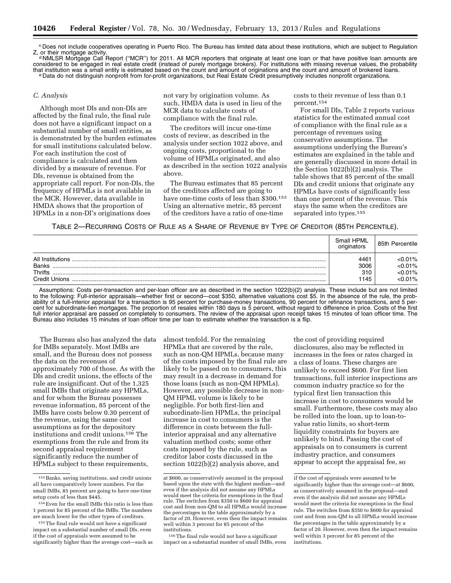c Does not include cooperatives operating in Puerto Rico. The Bureau has limited data about these institutions, which are subject to Regulation<br>Z, or their mortgage activity.

<sup>d</sup> NMLSR Mortgage Call Report ("MCR") for 2011. All MCR reporters that originate at least one loan or that have positive loan amounts are considered to be engaged in real estate credit (instead of purely mortgage brokers). For institutions with missing revenue values, the probability<br>that institution was a small entity is estimated based on the count and amo e Data do not distinguish nonprofit from for-profit organizations, but Real Estate Credit presumptively includes nonprofit organizations.

### *C. Analysis*

Although most DIs and non-DIs are affected by the final rule, the final rule does not have a significant impact on a substantial number of small entities, as is demonstrated by the burden estimates for small institutions calculated below. For each institution the cost of compliance is calculated and then divided by a measure of revenue. For DIs, revenue is obtained from the appropriate call report. For non-DIs, the frequency of HPMLs is not available in the MCR. However, data available in HMDA shows that the proportion of HPMLs in a non-DI's originations does

not vary by origination volume. As such, HMDA data is used in lieu of the MCR data to calculate costs of compliance with the final rule.

The creditors will incur one-time costs of review, as described in the analysis under section 1022 above, and ongoing costs, proportional to the volume of HPMLs originated, and also as described in the section 1022 analysis above.

The Bureau estimates that 85 percent of the creditors affected are going to have one-time costs of less than \$300.153 Using an alternative metric, 85 percent of the creditors have a ratio of one-time

costs to their revenue of less than 0.1 percent.154

For small DIs, Table 2 reports various statistics for the estimated annual cost of compliance with the final rule as a percentage of revenues using conservative assumptions. The assumptions underlying the Bureau's estimates are explained in the table and are generally discussed in more detail in the Section 1022(b)(2) analysis. The table shows that 85 percent of the small DIs and credit unions that originate any HPMLs have costs of significantly less than one percent of the revenue. This stays the same when the creditors are separated into types.<sup>155</sup>

# TABLE 2—RECURRING COSTS OF RULE AS A SHARE OF REVENUE BY TYPE OF CREDITOR (85TH PERCENTILE).

|                  | Small HPML<br>originators | 85th Percentile |
|------------------|---------------------------|-----------------|
| All Institutions | 4461                      | < 0.01%         |
| <b>Banks</b>     | 3006                      | < 0.01%         |
| <b>Thrifts</b>   | 310                       | < 0.01%         |
| Credit Unions    | 1145                      | $< 0.01\%$      |

Assumptions: Costs per-transaction and per-loan officer are as described in the section 1022(b)(2) analysis. These include but are not limited to the following: Full-interior appraisals—whether first or second—cost \$350, alternative valuations cost \$5. In the absence of the rule, the probability of a full-interior appraisal for a transaction is 95 percent for purchase-money transactions, 90 percent for refinance transactions, and 5 percent for subordinate-lien mortgages. The proportion of resales within 180 days is 5 percent, without regard to difference in price. Costs of the first full interior appraisal are passed on completely to consumers. The review of the appraisal upon receipt takes 15 minutes of loan officer time. The Bureau also includes 15 minutes of loan officer time per loan to estimate whether the transaction is a flip.

The Bureau also has analyzed the data for IMBs separately. Most IMBs are small, and the Bureau does not possess the data on the revenues of approximately 700 of those. As with the DIs and credit unions, the effects of the rule are insignificant. Out of the 1,325 small IMBs that originate any HPMLs, and for whom the Bureau possesses revenue information, 85 percent of the IMBs have costs below 0.30 percent of the revenue, using the same cost assumptions as for the depository institutions and credit unions.156 The exemptions from the rule and from its second appraisal requirement significantly reduce the number of HPMLs subject to these requirements,

almost tenfold. For the remaining HPMLs that are covered by the rule, such as non-QM HPMLs, because many of the costs imposed by the final rule are likely to be passed on to consumers, this may result in a decrease in demand for those loans (such as non-QM HPMLs). However, any possible decrease in non-QM HPML volume is likely to be negligible. For both first-lien and subordinate-lien HPMLs, the principal increase in cost to consumers is the difference in costs between the fullinterior appraisal and any alternative valuation method costs; some other costs imposed by the rule, such as creditor labor costs discussed in the section 1022(b)(2) analysis above, and

156The final rule would not have a significant impact on a substantial number of small IMBs, even

the cost of providing required disclosures, also may be reflected in increases in the fees or rates charged in a class of loans. These charges are unlikely to exceed \$600. For first lien transactions, full interior inspections are common industry practice so for the typical first lien transaction this increase in cost to consumers would be small. Furthermore, these costs may also be rolled into the loan, up to loan-tovalue ratio limits, so short-term liquidity constraints for buyers are unlikely to bind. Passing the cost of appraisals on to consumers is current industry practice, and consumers appear to accept the appraisal fee, so

<sup>153</sup>Banks, saving institutions, and credit unions all have comparatively lower numbers. For the small IMBs, 85 percent are going to have one-time setup costs of less than \$445.

<sup>154</sup>Even for the small IMBs this ratio is less than 1 percent for 85 percent of the IMBs. The numbers are much lower for the other types of creditors.

<sup>155</sup>The final rule would not have a significant impact on a substantial number of small DIs, even if the cost of appraisals were assumed to be significantly higher than the average cost—such as

at \$600, as conservatively assumed in the proposal based upon the state with the highest median—and even if the analysis did not assume any HPMLs would meet the criteria for exemptions in the final rule. The switches from \$350 to \$600 for appraisal cost and from non-QM to all HPMLs would increase the percentages in the table approximately by a factor of 20. However, even then the impact remains well within 3 percent for 85 percent of the institutions.

if the cost of appraisals were assumed to be significantly higher than the average cost—at \$600, as conservatively assumed in the proposal—and even if the analysis did not assume any HPMLs would meet the criteria for exemptions in the final rule. The switches from \$350 to \$600 for appraisal cost and from non-QM to all HPMLs would increase the percentages in the table approximately by a factor of 20. However, even then the impact remains well within 3 percent for 85 percent of the institutions.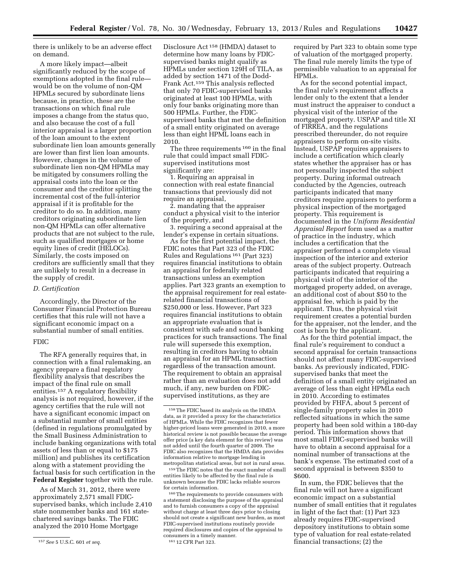there is unlikely to be an adverse effect on demand.

A more likely impact—albeit significantly reduced by the scope of exemptions adopted in the final rule would be on the volume of non-QM HPMLs secured by subordinate liens because, in practice, these are the transactions on which final rule imposes a change from the status quo, and also because the cost of a full interior appraisal is a larger proportion of the loan amount to the extent subordinate lien loan amounts generally are lower than first lien loan amounts. However, changes in the volume of subordinate lien non-QM HPMLs may be mitigated by consumers rolling the appraisal costs into the loan or the consumer and the creditor splitting the incremental cost of the full-interior appraisal if it is profitable for the creditor to do so. In addition, many creditors originating subordinate lien non-QM HPMLs can offer alternative products that are not subject to the rule, such as qualified mortgages or home equity lines of credit (HELOCs). Similarly, the costs imposed on creditors are sufficiently small that they are unlikely to result in a decrease in the supply of credit.

#### *D. Certification*

Accordingly, the Director of the Consumer Financial Protection Bureau certifies that this rule will not have a significant economic impact on a substantial number of small entities.

# FDIC

The RFA generally requires that, in connection with a final rulemaking, an agency prepare a final regulatory flexibility analysis that describes the impact of the final rule on small entities.157 A regulatory flexibility analysis is not required, however, if the agency certifies that the rule will not have a significant economic impact on a substantial number of small entities (defined in regulations promulgated by the Small Business Administration to include banking organizations with total assets of less than or equal to \$175 million) and publishes its certification along with a statement providing the factual basis for such certification in the **Federal Register** together with the rule.

As of March 31, 2012, there were approximately 2,571 small FDICsupervised banks, which include 2,410 state nonmember banks and 161 statechartered savings banks. The FDIC analyzed the 2010 Home Mortgage

Disclosure Act 158 (HMDA) dataset to determine how many loans by FDICsupervised banks might qualify as HPMLs under section 129H of TILA, as added by section 1471 of the Dodd-Frank Act.159 This analysis reflected that only 70 FDIC-supervised banks originated at least 100 HPMLs, with only four banks originating more than 500 HPMLs. Further, the FDICsupervised banks that met the definition of a small entity originated on average less than eight HPML loans each in 2010.

The three requirements 160 in the final rule that could impact small FDICsupervised institutions most significantly are:

1. Requiring an appraisal in connection with real estate financial transactions that previously did not require an appraisal,

2. mandating that the appraiser conduct a physical visit to the interior of the property, and

3. requiring a second appraisal at the lender's expense in certain situations.

As for the first potential impact, the FDIC notes that Part 323 of the FDIC Rules and Regulations 161 (Part 323) requires financial institutions to obtain an appraisal for federally related transactions unless an exemption applies. Part 323 grants an exemption to the appraisal requirement for real estaterelated financial transactions of \$250,000 or less. However, Part 323 requires financial institutions to obtain an appropriate evaluation that is consistent with safe and sound banking practices for such transactions. The final rule will supersede this exemption, resulting in creditors having to obtain an appraisal for an HPML transaction regardless of the transaction amount. The requirement to obtain an appraisal rather than an evaluation does not add much, if any, new burden on FDICsupervised institutions, as they are

159The FDIC notes that the exact number of small entities likely to be affected by the final rule is unknown because the FDIC lacks reliable sources for certain information.

160The requirements to provide consumers with a statement disclosing the purpose of the appraisal and to furnish consumers a copy of the appraisal without charge at least three days prior to closing should not create a significant new burden, as most FDIC-supervised institutions routinely provide required disclosures and copies of the appraisal to consumers in a timely manner. 161 12 CFR Part 323.

required by Part 323 to obtain some type of valuation of the mortgaged property. The final rule merely limits the type of permissible valuation to an appraisal for HPMLs.

As for the second potential impact, the final rule's requirement affects a lender only to the extent that a lender must instruct the appraiser to conduct a physical visit of the interior of the mortgaged property. USPAP and title XI of FIRREA, and the regulations prescribed thereunder, do not require appraisers to perform on-site visits. Instead, USPAP requires appraisers to include a certification which clearly states whether the appraiser has or has not personally inspected the subject property. During informal outreach conducted by the Agencies, outreach participants indicated that many creditors require appraisers to perform a physical inspection of the mortgaged property. This requirement is documented in the *Uniform Residential Appraisal Report* form used as a matter of practice in the industry, which includes a certification that the appraiser performed a complete visual inspection of the interior and exterior areas of the subject property. Outreach participants indicated that requiring a physical visit of the interior of the mortgaged property added, on average, an additional cost of about \$50 to the appraisal fee, which is paid by the applicant. Thus, the physical visit requirement creates a potential burden for the appraiser, not the lender, and the cost is born by the applicant.

As for the third potential impact, the final rule's requirement to conduct a second appraisal for certain transactions should not affect many FDIC-supervised banks. As previously indicated, FDICsupervised banks that meet the definition of a small entity originated an average of less than eight HPMLs each in 2010. According to estimates provided by FHFA, about 5 percent of single-family property sales in 2010 reflected situations in which the same property had been sold within a 180-day period. This information shows that most small FDIC-supervised banks will have to obtain a second appraisal for a nominal number of transactions at the bank's expense. The estimated cost of a second appraisal is between \$350 to \$600.

In sum, the FDIC believes that the final rule will not have a significant economic impact on a substantial number of small entities that it regulates in light of the fact that: (1) Part 323 already requires FDIC-supervised depository institutions to obtain some type of valuation for real estate-related financial transactions; (2) the

<sup>157</sup>*See* 5 U.S.C. 601 *et seq.* 

<sup>158</sup>The FDIC based its analysis on the HMDA data, as it provided a proxy for the characteristics of HPMLs. While the FDIC recognizes that fewer higher-priced loans were generated in 2010, a more historical review is not possible because the average offer price (a key data element for this review) was not added until the fourth quarter of 2009. The FDIC also recognizes that the HMDA data provides information relative to mortgage lending in metropolitan statistical areas, but not in rural areas.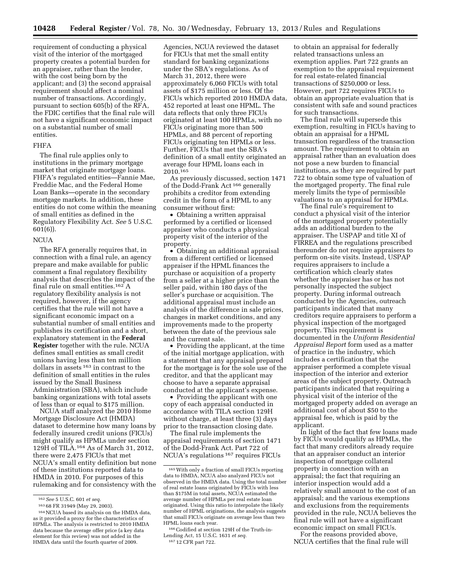requirement of conducting a physical visit of the interior of the mortgaged property creates a potential burden for an appraiser, rather than the lender, with the cost being born by the applicant; and (3) the second appraisal requirement should affect a nominal number of transactions. Accordingly, pursuant to section 605(b) of the RFA, the FDIC certifies that the final rule will not have a significant economic impact on a substantial number of small entities.

# FHFA

The final rule applies only to institutions in the primary mortgage market that originate mortgage loans. FHFA's regulated entities—Fannie Mae, Freddie Mac, and the Federal Home Loan Banks—operate in the secondary mortgage markets. In addition, these entities do not come within the meaning of small entities as defined in the Regulatory Flexibility Act. *See* 5 U.S.C. 601(6)).

### NCUA

The RFA generally requires that, in connection with a final rule, an agency prepare and make available for public comment a final regulatory flexibility analysis that describes the impact of the final rule on small entities.162 A regulatory flexibility analysis is not required, however, if the agency certifies that the rule will not have a significant economic impact on a substantial number of small entities and publishes its certification and a short, explanatory statement in the **Federal Register** together with the rule. NCUA defines small entities as small credit unions having less than ten million dollars in assets 163 in contrast to the definition of small entities in the rules issued by the Small Business Administration (SBA), which include banking organizations with total assets of less than or equal to \$175 million.

NCUA staff analyzed the 2010 Home Mortgage Disclosure Act (HMDA) dataset to determine how many loans by federally insured credit unions (FICUs) might qualify as HPMLs under section 129H of TILA.164 As of March 31, 2012, there were 2,475 FICUs that met NCUA's small entity definition but none of these institutions reported data to HMDA in 2010. For purposes of this rulemaking and for consistency with the

Agencies, NCUA reviewed the dataset for FICUs that met the small entity standard for banking organizations under the SBA's regulations. As of March 31, 2012, there were approximately 6,060 FICUs with total assets of \$175 million or less. Of the FICUs which reported 2010 HMDA data, 452 reported at least one HPML. The data reflects that only three FICUs originated at least 100 HPMLs, with no FICUs originating more than 500 HPMLs, and 88 percent of reporting FICUs originating ten HPMLs or less. Further, FICUs that met the SBA's definition of a small entity originated an average four HPML loans each in 2010.165

As previously discussed, section 1471 of the Dodd-Frank Act 166 generally prohibits a creditor from extending credit in the form of a HPML to any consumer without first:

• Obtaining a written appraisal performed by a certified or licensed appraiser who conducts a physical property visit of the interior of the property.

• Obtaining an additional appraisal from a different certified or licensed appraiser if the HPML finances the purchase or acquisition of a property from a seller at a higher price than the seller paid, within 180 days of the seller's purchase or acquisition. The additional appraisal must include an analysis of the difference in sale prices, changes in market conditions, and any improvements made to the property between the date of the previous sale and the current sale.

• Providing the applicant, at the time of the initial mortgage application, with a statement that any appraisal prepared for the mortgage is for the sole use of the creditor, and that the applicant may choose to have a separate appraisal conducted at the applicant's expense.

• Providing the applicant with one copy of each appraisal conducted in accordance with TILA section 129H without charge, at least three (3) days prior to the transaction closing date.

The final rule implements the appraisal requirements of section 1471 of the Dodd-Frank Act. Part 722 of NCUA's regulations 167 requires FICUs

to obtain an appraisal for federally related transactions unless an exemption applies. Part 722 grants an exemption to the appraisal requirement for real estate-related financial transactions of \$250,000 or less. However, part 722 requires FICUs to obtain an appropriate evaluation that is consistent with safe and sound practices for such transactions.

The final rule will supersede this exemption, resulting in FICUs having to obtain an appraisal for a HPML transaction regardless of the transaction amount. The requirement to obtain an appraisal rather than an evaluation does not pose a new burden to financial institutions, as they are required by part 722 to obtain some type of valuation of the mortgaged property. The final rule merely limits the type of permissible valuations to an appraisal for HPMLs.

The final rule's requirement to conduct a physical visit of the interior of the mortgaged property potentially adds an additional burden to the appraiser. The USPAP and title XI of FIRREA and the regulations prescribed thereunder do not require appraisers to perform on-site visits. Instead, USPAP requires appraisers to include a certification which clearly states whether the appraiser has or has not personally inspected the subject property. During informal outreach conducted by the Agencies, outreach participants indicated that many creditors require appraisers to perform a physical inspection of the mortgaged property. This requirement is documented in the *Uniform Residential Appraisal Report* form used as a matter of practice in the industry, which includes a certification that the appraiser performed a complete visual inspection of the interior and exterior areas of the subject property. Outreach participants indicated that requiring a physical visit of the interior of the mortgaged property added on average an additional cost of about \$50 to the appraisal fee, which is paid by the applicant.

In light of the fact that few loans made by FICUs would qualify as HPMLs, the fact that many creditors already require that an appraiser conduct an interior inspection of mortgage collateral property in connection with an appraisal; the fact that requiring an interior inspection would add a relatively small amount to the cost of an appraisal; and the various exemptions and exclusions from the requirements provided in the rule, NCUA believes the final rule will not have a significant economic impact on small FICUs.

For the reasons provided above, NCUA certifies that the final rule will

<sup>162</sup>*See* 5 U.S.C. 601 *et seq.* 

<sup>163</sup> 68 FR 31949 (May 29, 2003).

<sup>164</sup>NCUA based its analysis on the HMDA data, as it provided a proxy for the characteristics of HPMLs. The analysis is restricted to 2010 HMDA data because the average offer price (a key data element for this review) was not added in the HMDA data until the fourth quarter of 2009.

<sup>165</sup>With only a fraction of small FICUs reporting data to HMDA, NCUA also analyzed FICUs not observed in the HMDA data. Using the total number of real estate loans originated by FICUs with less than \$175M in total assets, NCUA estimated the average number of HPMLs per real estate loan originated. Using this ratio to interpolate the likely number of HPML originations, the analysis suggests that small FICUs originate on average less than two HPML loans each year.

<sup>166</sup>Codified at section 129H of the Truth-in-Lending Act, 15 U.S.C. 1631 *et seq.* 

<sup>167</sup> 12 CFR part 722.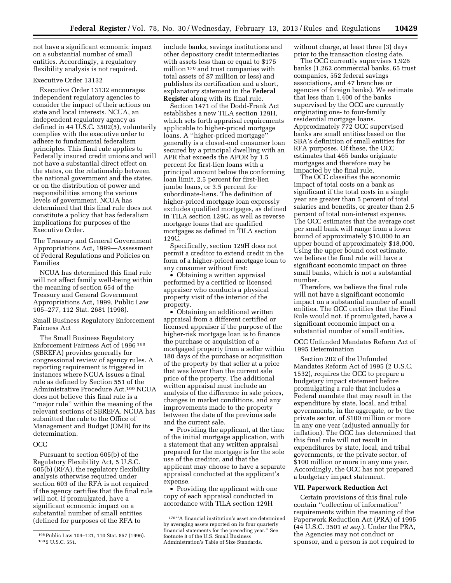not have a significant economic impact on a substantial number of small entities. Accordingly, a regulatory flexibility analysis is not required.

## Executive Order 13132

Executive Order 13132 encourages independent regulatory agencies to consider the impact of their actions on state and local interests. NCUA, an independent regulatory agency as defined in 44 U.S.C. 3502(5), voluntarily complies with the executive order to adhere to fundamental federalism principles. This final rule applies to Federally insured credit unions and will not have a substantial direct effect on the states, on the relationship between the national government and the states, or on the distribution of power and responsibilities among the various levels of government. NCUA has determined that this final rule does not constitute a policy that has federalism implications for purposes of the Executive Order.

The Treasury and General Government Appropriations Act, 1999—Assessment of Federal Regulations and Policies on Families

NCUA has determined this final rule will not affect family well-being within the meaning of section 654 of the Treasury and General Government Appropriations Act, 1999, Public Law 105–277, 112 Stat. 2681 (1998).

Small Business Regulatory Enforcement Fairness Act

The Small Business Regulatory Enforcement Fairness Act of 1996 168 (SBREFA) provides generally for congressional review of agency rules. A reporting requirement is triggered in instances where NCUA issues a final rule as defined by Section 551 of the Administrative Procedure Act.169 NCUA does not believe this final rule is a ''major rule'' within the meaning of the relevant sections of SBREFA. NCUA has submitted the rule to the Office of Management and Budget (OMB) for its determination.

### OCC

Pursuant to section 605(b) of the Regulatory Flexibility Act, 5 U.S.C. 605(b) (RFA), the regulatory flexibility analysis otherwise required under section 603 of the RFA is not required if the agency certifies that the final rule will not, if promulgated, have a significant economic impact on a substantial number of small entities (defined for purposes of the RFA to

include banks, savings institutions and other depository credit intermediaries with assets less than or equal to \$175 million 170 and trust companies with total assets of \$7 million or less) and publishes its certification and a short, explanatory statement in the **Federal Register** along with its final rule.

Section 1471 of the Dodd-Frank Act establishes a new TILA section 129H, which sets forth appraisal requirements applicable to higher-priced mortgage loans. A ''higher-priced mortgage'' generally is a closed-end consumer loan secured by a principal dwelling with an APR that exceeds the APOR by 1.5 percent for first-lien loans with a principal amount below the conforming loan limit, 2.5 percent for first-lien jumbo loans, or 3.5 percent for subordinate-liens. The definition of higher-priced mortgage loan expressly excludes qualified mortgages, as defined in TILA section 129C, as well as reverse mortgage loans that are qualified mortgages as defined in TILA section 129C.

Specifically, section 129H does not permit a creditor to extend credit in the form of a higher-priced mortgage loan to any consumer without first:

• Obtaining a written appraisal performed by a certified or licensed appraiser who conducts a physical property visit of the interior of the property.

• Obtaining an additional written appraisal from a different certified or licensed appraiser if the purpose of the higher-risk mortgage loan is to finance the purchase or acquisition of a mortgaged property from a seller within 180 days of the purchase or acquisition of the property by that seller at a price that was lower than the current sale price of the property. The additional written appraisal must include an analysis of the difference in sale prices, changes in market conditions, and any improvements made to the property between the date of the previous sale and the current sale.

• Providing the applicant, at the time of the initial mortgage application, with a statement that any written appraisal prepared for the mortgage is for the sole use of the creditor, and that the applicant may choose to have a separate appraisal conducted at the applicant's expense.

• Providing the applicant with one copy of each appraisal conducted in accordance with TILA section 129H

without charge, at least three (3) days prior to the transaction closing date.

The OCC currently supervises 1,926 banks (1,262 commercial banks, 65 trust companies, 552 federal savings associations, and 47 branches or agencies of foreign banks). We estimate that less than 1,400 of the banks supervised by the OCC are currently originating one- to four-family residential mortgage loans. Approximately 772 OCC supervised banks are small entities based on the SBA's definition of small entities for RFA purposes. Of these, the OCC estimates that 465 banks originate mortgages and therefore may be impacted by the final rule.

The OCC classifies the economic impact of total costs on a bank as significant if the total costs in a single year are greater than 5 percent of total salaries and benefits, or greater than 2.5 percent of total non-interest expense. The OCC estimates that the average cost per small bank will range from a lower bound of approximately \$10,000 to an upper bound of approximately \$18,000. Using the upper bound cost estimate, we believe the final rule will have a significant economic impact on three small banks, which is not a substantial number.

Therefore, we believe the final rule will not have a significant economic impact on a substantial number of small entities. The OCC certifies that the Final Rule would not, if promulgated, have a significant economic impact on a substantial number of small entities.

OCC Unfunded Mandates Reform Act of 1995 Determination

Section 202 of the Unfunded Mandates Reform Act of 1995 (2 U.S.C. 1532), requires the OCC to prepare a budgetary impact statement before promulgating a rule that includes a Federal mandate that may result in the expenditure by state, local, and tribal governments, in the aggregate, or by the private sector, of \$100 million or more in any one year (adjusted annually for inflation). The OCC has determined that this final rule will not result in expenditures by state, local, and tribal governments, or the private sector, of \$100 million or more in any one year. Accordingly, the OCC has not prepared a budgetary impact statement.

## **VII. Paperwork Reduction Act**

Certain provisions of this final rule contain ''collection of information'' requirements within the meaning of the Paperwork Reduction Act (PRA) of 1995 (44 U.S.C. 3501 *et seq.*). Under the PRA, the Agencies may not conduct or sponsor, and a person is not required to

<sup>168</sup>Public Law 104–121, 110 Stat. 857 (1996). 169 5 U.S.C. 551.

<sup>170</sup> ''A financial institution's asset are determined by averaging assets reported on its four quarterly financial statements for the preceding year.'' See footnote 8 of the U.S. Small Business Administration's Table of Size Standards.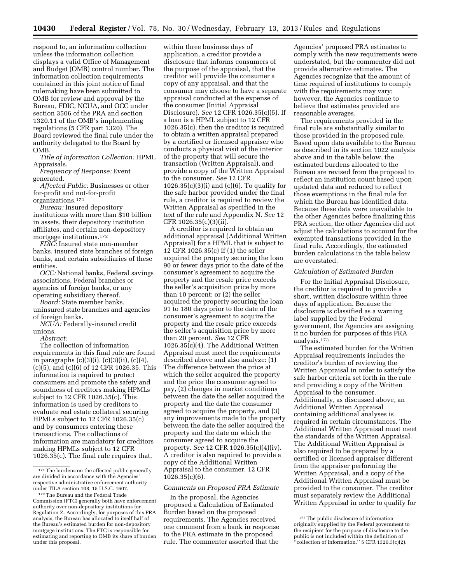respond to, an information collection unless the information collection displays a valid Office of Management and Budget (OMB) control number. The information collection requirements contained in this joint notice of final rulemaking have been submitted to OMB for review and approval by the Bureau, FDIC, NCUA, and OCC under section 3506 of the PRA and section 1320.11 of the OMB's implementing regulations (5 CFR part 1320). The Board reviewed the final rule under the authority delegated to the Board by OMB.

*Title of Information Collection:* HPML Appraisals.

*Frequency of Response:* Event generated.

*Affected Public:* Businesses or other for-profit and not-for-profit organizations.171

*Bureau:* Insured depository institutions with more than \$10 billion in assets, their depository institution affiliates, and certain non-depository mortgage institutions.172

*FDIC:* Insured state non-member banks, insured state branches of foreign banks, and certain subsidiaries of these entities.

*OCC:* National banks, Federal savings associations, Federal branches or agencies of foreign banks, or any operating subsidiary thereof.

*Board:* State member banks, uninsured state branches and agencies of foreign banks.

*NCUA:* Federally-insured credit unions.

*Abstract:* 

The collection of information requirements in this final rule are found in paragraphs (c)(3)(i), (c)(3)(ii), (c)(4), (c)(5), and (c)(6) of 12 CFR 1026.35. This information is required to protect consumers and promote the safety and soundness of creditors making HPMLs subject to 12 CFR 1026.35(c). This information is used by creditors to evaluate real estate collateral securing HPMLs subject to 12 CFR 1026.35(c) and by consumers entering these transactions. The collections of information are mandatory for creditors making HPMLs subject to 12 CFR 1026.35(c). The final rule requires that,

within three business days of application, a creditor provide a disclosure that informs consumers of the purpose of the appraisal, that the creditor will provide the consumer a copy of any appraisal, and that the consumer may choose to have a separate appraisal conducted at the expense of the consumer (Initial Appraisal Disclosure). *See* 12 CFR 1026.35(c)(5). If a loan is a HPML subject to 12 CFR 1026.35(c), then the creditor is required to obtain a written appraisal prepared by a certified or licensed appraiser who conducts a physical visit of the interior of the property that will secure the transaction (Written Appraisal), and provide a copy of the Written Appraisal to the consumer. *See* 12 CFR  $1026.35(c)(3)(i)$  and  $(c)(6)$ . To qualify for the safe harbor provided under the final rule, a creditor is required to review the Written Appraisal as specified in the text of the rule and Appendix N. *See* 12 CFR 1026.35(c)(3)(ii).

A creditor is required to obtain an additional appraisal (Additional Written Appraisal) for a HPML that is subject to 12 CFR 1026.35(c) if (1) the seller acquired the property securing the loan 90 or fewer days prior to the date of the consumer's agreement to acquire the property and the resale price exceeds the seller's acquisition price by more than 10 percent; or (2) the seller acquired the property securing the loan 91 to 180 days prior to the date of the consumer's agreement to acquire the property and the resale price exceeds the seller's acquisition price by more than 20 percent. *See* 12 CFR 1026.35(c)(4). The Additional Written Appraisal must meet the requirements described above and also analyze: (1) The difference between the price at which the seller acquired the property and the price the consumer agreed to pay, (2) changes in market conditions between the date the seller acquired the property and the date the consumer agreed to acquire the property, and (3) any improvements made to the property between the date the seller acquired the property and the date on which the consumer agreed to acquire the property. *See* 12 CFR 1026.35(c)(4)(iv). A creditor is also required to provide a copy of the Additional Written Appraisal to the consumer. 12 CFR 1026.35(c)(6).

### *Comments on Proposed PRA Estimate*

In the proposal, the Agencies proposed a Calculation of Estimated Burden based on the proposed requirements. The Agencies received one comment from a bank in response to the PRA estimate in the proposed rule. The commenter asserted that the

Agencies' proposed PRA estimates to comply with the new requirements were understated, but the commenter did not provide alternative estimates. The Agencies recognize that the amount of time required of institutions to comply with the requirements may vary; however, the Agencies continue to believe that estimates provided are reasonable averages.

The requirements provided in the final rule are substantially similar to those provided in the proposed rule. Based upon data available to the Bureau as described in its section 1022 analysis above and in the table below, the estimated burdens allocated to the Bureau are revised from the proposal to reflect an institution count based upon updated data and reduced to reflect those exemptions in the final rule for which the Bureau has identified data. Because these data were unavailable to the other Agencies before finalizing this PRA section, the other Agencies did not adjust the calculations to account for the exempted transactions provided in the final rule. Accordingly, the estimated burden calculations in the table below are overstated.

### *Calculation of Estimated Burden*

For the Initial Appraisal Disclosure, the creditor is required to provide a short, written disclosure within three days of application. Because the disclosure is classified as a warning label supplied by the Federal government, the Agencies are assigning it no burden for purposes of this PRA analysis.173

The estimated burden for the Written Appraisal requirements includes the creditor's burden of reviewing the Written Appraisal in order to satisfy the safe harbor criteria set forth in the rule and providing a copy of the Written Appraisal to the consumer. Additionally, as discussed above, an Additional Written Appraisal containing additional analyses is required in certain circumstances. The Additional Written Appraisal must meet the standards of the Written Appraisal. The Additional Written Appraisal is also required to be prepared by a certified or licensed appraiser different from the appraiser performing the Written Appraisal, and a copy of the Additional Written Appraisal must be provided to the consumer. The creditor must separately review the Additional Written Appraisal in order to qualify for

<sup>&</sup>lt;sup>171</sup>The burdens on the affected public generally are divided in accordance with the Agencies' respective administrative enforcement authority under TILA section 108, 15 U.S.C. 1607.

<sup>172</sup>The Bureau and the Federal Trade Commission (FTC) generally both have enforcement authority over non-depository institutions for Regulation Z. Accordingly, for purposes of this PRA analysis, the Bureau has allocated to itself half of the Bureau's estimated burden for non-depository mortgage institutions. The FTC is responsible for estimating and reporting to OMB its share of burden under this proposal.

<sup>173</sup>The public disclosure of information originally supplied by the Federal government to the recipient for the purpose of disclosure to the public is not included within the definition of ''collection of information.'' 5 CFR 1320.3(c)(2).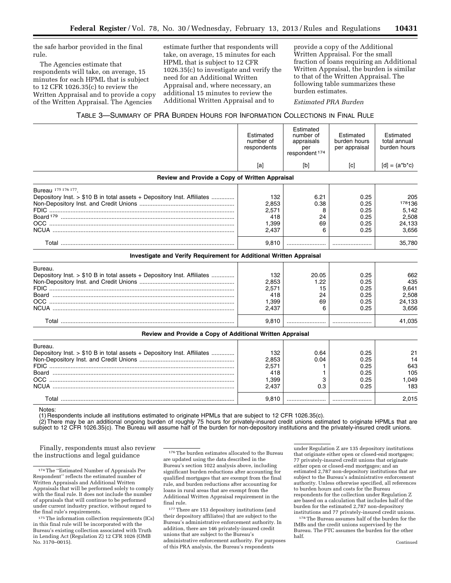the safe harbor provided in the final rule.

The Agencies estimate that respondents will take, on average, 15 minutes for each HPML that is subject to 12 CFR 1026.35(c) to review the Written Appraisal and to provide a copy of the Written Appraisal. The Agencies

estimate further that respondents will take, on average, 15 minutes for each HPML that is subject to 12 CFR 1026.35(c) to investigate and verify the need for an Additional Written Appraisal and, where necessary, an additional 15 minutes to review the Additional Written Appraisal and to

provide a copy of the Additional Written Appraisal. For the small fraction of loans requiring an Additional Written Appraisal, the burden is similar to that of the Written Appraisal. The following table summarizes these burden estimates.

*Estimated PRA Burden* 

## TABLE 3—SUMMARY OF PRA BURDEN HOURS FOR INFORMATION COLLECTIONS IN FINAL RULE

|                                                                         | Estimated<br>number of<br>respondents | Estimated<br>number of<br>appraisals<br>per<br>respondent <sup>174</sup> | Estimated<br>burden hours<br>per appraisal | Estimated<br>total annual<br>burden hours |
|-------------------------------------------------------------------------|---------------------------------------|--------------------------------------------------------------------------|--------------------------------------------|-------------------------------------------|
|                                                                         | [a]                                   | [b]                                                                      | [c]                                        | $[d] = (a^*b^*c)$                         |
| Review and Provide a Copy of Written Appraisal                          |                                       |                                                                          |                                            |                                           |
| Bureau 175 176 177.                                                     |                                       |                                                                          |                                            |                                           |
| Depository Inst. > \$10 B in total assets + Depository Inst. Affiliates | 132                                   | 6.21                                                                     | 0.25                                       | 205                                       |
|                                                                         | 2,853                                 | 0.38                                                                     | 0.25                                       | 178136                                    |
|                                                                         | 2,571                                 | 8                                                                        | 0.25                                       | 5.142                                     |
|                                                                         | 418                                   | 24                                                                       | 0.25                                       | 2,508                                     |
|                                                                         | 1.399                                 | 69                                                                       | 0.25                                       | 24.133                                    |
|                                                                         | 2,437                                 | 6                                                                        | 0.25                                       | 3,656                                     |
|                                                                         | 9,810                                 |                                                                          |                                            | 35,780                                    |
| Investigate and Verify Requirement for Additional Written Appraisal     |                                       |                                                                          |                                            |                                           |
| Bureau.                                                                 |                                       |                                                                          |                                            |                                           |
| Depository Inst. > \$10 B in total assets + Depository Inst. Affiliates | 132                                   | 20.05                                                                    | 0.25                                       | 662                                       |
|                                                                         | 2,853                                 | 1.22                                                                     | 0.25                                       | 435                                       |
|                                                                         | 2,571                                 | 15                                                                       | 0.25                                       | 9.641                                     |
|                                                                         | 418                                   | 24                                                                       | 0.25                                       | 2,508                                     |
|                                                                         |                                       | 69                                                                       | 0.25                                       | 24,133                                    |
|                                                                         | 1,399                                 |                                                                          |                                            |                                           |
|                                                                         | 2,437                                 | 6                                                                        | 0.25                                       | 3,656                                     |
|                                                                         | 9,810                                 |                                                                          |                                            | 41,035                                    |
| Review and Provide a Copy of Additional Written Appraisal               |                                       |                                                                          |                                            |                                           |
| Bureau.                                                                 |                                       |                                                                          |                                            |                                           |
| Depository Inst. > \$10 B in total assets + Depository Inst. Affiliates | 132                                   | 0.64                                                                     | 0.25                                       | 21                                        |
|                                                                         | 2,853                                 | 0.04                                                                     | 0.25                                       | 14                                        |
|                                                                         | 2,571                                 | 1                                                                        | 0.25                                       | 643                                       |
|                                                                         | 418                                   |                                                                          | 0.25                                       | 105                                       |
| OCC                                                                     | 1,399                                 | 3                                                                        | 0.25                                       | 1,049                                     |
|                                                                         | 2,437                                 | 0.3                                                                      | 0.25                                       | 183                                       |
|                                                                         | 9.810                                 |                                                                          |                                            | 2,015                                     |

Notes:

(1) Respondents include all institutions estimated to originate HPMLs that are subject to 12 CFR 1026.35(c).

(2) There may be an additional ongoing burden of roughly 75 hours for privately-insured credit unions estimated to originate HPMLs that are subject to 12 CFR 1026.35(c). The Bureau will assume half of the burden for non-depository institutions and the privately-insured credit unions.

Finally, respondents must also review the instructions and legal guidance

176The burden estimates allocated to the Bureau are updated using the data described in the Bureau's section 1022 analysis above, including significant burden reductions after accounting for qualified mortgages that are exempt from the final rule, and burden reductions after accounting for loans in rural areas that are exempt from the Additional Written Appraisal requirement in the final rule.

177There are 153 depository institutions (and their depository affiliates) that are subject to the Bureau's administrative enforcement authority. In addition, there are 146 privately-insured credit unions that are subject to the Bureau's administrative enforcement authority. For purposes of this PRA analysis, the Bureau's respondents

under Regulation Z are 135 depository institutions that originate either open or closed-end mortgages; 77 privately-insured credit unions that originate either open or closed-end mortgages; and an estimated 2,787 non-depository institutions that are subject to the Bureau's administrative enforcement authority. Unless otherwise specified, all references to burden hours and costs for the Bureau respondents for the collection under Regulation Z are based on a calculation that includes half of the burden for the estimated 2,787 non-depository institutions and 77 privately-insured credit unions.

178The Bureau assumes half of the burden for the IMBs and the credit unions supervised by the Bureau. The FTC assumes the burden for the other half.

<sup>174</sup>The ''Estimated Number of Appraisals Per Respondent'' reflects the estimated number of Written Appraisals and Additional Written Appraisals that will be performed solely to comply with the final rule. It does not include the number of appraisals that will continue to be performed under current industry practice, without regard to the final rule's requirements.

<sup>175</sup>The information collection requirements (ICs) in this final rule will be incorporated with the Bureau's existing collection associated with Truth in Lending Act (Regulation Z) 12 CFR 1026 (OMB No. 3170–0015).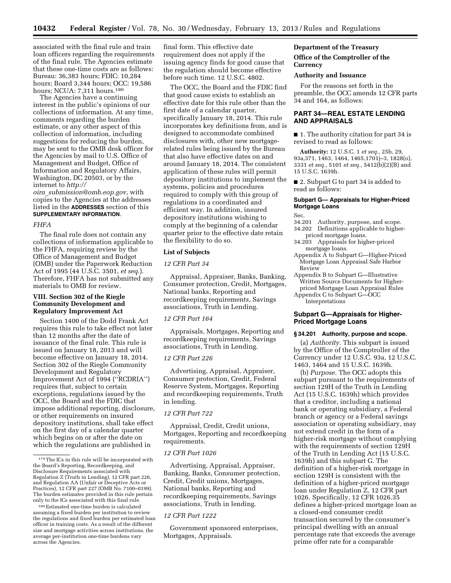associated with the final rule and train loan officers regarding the requirements of the final rule. The Agencies estimate that these one-time costs are as follows: Bureau: 36,383 hours; FDIC: 10,284 hours; Board 3,344 hours; OCC: 19,586 hours; NCUA: 7,311 hours.180

The Agencies have a continuing interest in the public's opinions of our collections of information. At any time, comments regarding the burden estimate, or any other aspect of this collection of information, including suggestions for reducing the burden, may be sent to the OMB desk officer for the Agencies by mail to U.S. Office of Management and Budget, Office of Information and Regulatory Affairs, Washington, DC 20503, or by the internet to *[http://](http://oira_submission@omb.eop.gov)* 

## *oira*\_*[submission@omb.eop.gov](mailto:oira_submission@omb.eop.gov)*, with copies to the Agencies at the addresses listed in the **ADDRESSES** section of this **SUPPLEMENTARY INFORMATION**.

#### *FHFA*

The final rule does not contain any collections of information applicable to the FHFA, requiring review by the Office of Management and Budget (OMB) under the Paperwork Reduction Act of 1995 (44 U.S.C. 3501, *et seq.*). Therefore, FHFA has not submitted any materials to OMB for review.

## **VIII. Section 302 of the Riegle Community Development and Regulatory Improvement Act**

Section 1400 of the Dodd Frank Act requires this rule to take effect not later than 12 months after the date of issuance of the final rule. This rule is issued on January 18, 2013 and will become effective on January 18, 2014. Section 302 of the Riegle Community Development and Regulatory Improvement Act of 1994 (''RCDRIA'') requires that, subject to certain exceptions, regulations issued by the OCC, the Board and the FDIC that impose additional reporting, disclosure, or other requirements on insured depository institutions, shall take effect on the first day of a calendar quarter which begins on or after the date on which the regulations are published in

final form. This effective date requirement does not apply if the issuing agency finds for good cause that the regulation should become effective before such time. 12 U.S.C. 4802.

The OCC, the Board and the FDIC find that good cause exists to establish an effective date for this rule other than the first date of a calendar quarter, specifically January 18, 2014. This rule incorporates key definitions from, and is designed to accommodate combined disclosures with, other new mortgagerelated rules being issued by the Bureau that also have effective dates on and around January 18, 2014. The consistent application of these rules will permit depository institutions to implement the systems, policies and procedures required to comply with this group of regulations in a coordinated and efficient way. In addition, insured depository institutions wishing to comply at the beginning of a calendar quarter prior to the effective date retain the flexibility to do so.

### **List of Subjects**

### *12 CFR Part 34*

Appraisal, Appraiser, Banks, Banking, Consumer protection, Credit, Mortgages, National banks, Reporting and recordkeeping requirements, Savings associations, Truth in Lending.

## *12 CFR Part 164*

Appraisals, Mortgages, Reporting and recordkeeping requirements, Savings associations, Truth in Lending.

#### *12 CFR Part 226*

Advertising, Appraisal, Appraiser, Consumer protection, Credit, Federal Reserve System, Mortgages, Reporting and recordkeeping requirements, Truth in lending.

## *12 CFR Part 722*

Appraisal, Credit, Credit unions, Mortgages, Reporting and recordkeeping requirements.

#### *12 CFR Part 1026*

Advertising, Appraisal, Appraiser, Banking, Banks, Consumer protection, Credit, Credit unions, Mortgages, National banks, Reporting and recordkeeping requirements, Savings associations, Truth in lending.

#### *12 CFR Part 1222*

Government sponsored enterprises, Mortgages, Appraisals.

### **Department of the Treasury**

# **Office of the Comptroller of the Currency**

#### **Authority and Issuance**

For the reasons set forth in the preamble, the OCC amends 12 CFR parts 34 and 164, as follows:

## **PART 34—REAL ESTATE LENDING AND APPRAISALS**

■ 1. The authority citation for part 34 is revised to read as follows:

**Authority:** 12 U.S.C. 1 *et seq.,* 25b, 29, 93a,371, 1463, 1464, 1465,1701j–3, 1828(o), 3331 *et seq.,* 5101 *et seq.,* 5412(b)(2)(B) and 15 U.S.C. 1639h.

■ 2. Subpart G to part 34 is added to read as follows:

## **Subpart G— Appraisals for Higher-Priced Mortgage Loans**

Sec.

- 34.201 Authority, purpose, and scope.
- 34.202 Definitions applicable to higherpriced mortgage loans.
- 34.203 Appraisals for higher-priced mortgage loans.
- Appendix A to Subpart G—Higher-Priced Mortgage Loan Appraisal Safe Harbor Review
- Appendix B to Subpart G—Illustrative Written Source Documents for Higherpriced Mortgage Loan Appraisal Rules Appendix C to Subpart G—OCC

Interpretations

## **Subpart G—Appraisals for Higher-Priced Mortgage Loans**

#### **§ 34.201 Authority, purpose and scope.**

(a) *Authority.* This subpart is issued by the Office of the Comptroller of the Currency under 12 U.S.C. 93a, 12 U.S.C. 1463, 1464 and 15 U.S.C. 1639h.

(b) *Purpose.* The OCC adopts this subpart pursuant to the requirements of section 129H of the Truth in Lending Act (15 U.S.C. 1639h) which provides that a creditor, including a national bank or operating subsidiary, a Federal branch or agency or a Federal savings association or operating subsidiary, may not extend credit in the form of a higher-risk mortgage without complying with the requirements of section 129H of the Truth in Lending Act (15 U.S.C. 1639h) and this subpart G. The definition of a higher-risk mortgage in section 129H is consistent with the definition of a higher-priced mortgage loan under Regulation Z, 12 CFR part 1026. Specifically, 12 CFR 1026.35 defines a higher-priced mortgage loan as a closed-end consumer credit transaction secured by the consumer's principal dwelling with an annual percentage rate that exceeds the average prime offer rate for a comparable

<sup>179</sup>The ICs in this rule will be incorporated with the Board's Reporting, Recordkeeping, and Disclosure Requirements associated with Regulation Z (Truth in Lending), 12 CFR part 226, and Regulation AA (Unfair or Deceptive Acts or Practices), 12 CFR part 227 (OMB No. 7100-0199). The burden estimates provided in this rule pertain only to the ICs associated with this final rule.

<sup>180</sup>Estimated one-time burden is calculated assuming a fixed burden per institution to review the regulations and fixed burden per estimated loan officer in training costs. As a result of the different size and mortgage activities across institutions, the average per-institution one-time burdens vary across the Agencies.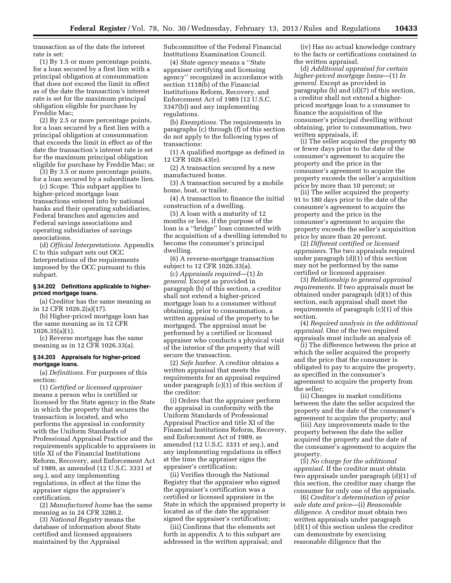transaction as of the date the interest rate is set:

(1) By 1.5 or more percentage points, for a loan secured by a first lien with a principal obligation at consummation that does not exceed the limit in effect as of the date the transaction's interest rate is set for the maximum principal obligation eligible for purchase by Freddie Mac;

(2) By 2.5 or more percentage points, for a loan secured by a first lien with a principal obligation at consummation that exceeds the limit in effect as of the date the transaction's interest rate is set for the maximum principal obligation eligible for purchase by Freddie Mac; or

(3) By 3.5 or more percentage points, for a loan secured by a subordinate lien.

(c) *Scope.* This subpart applies to higher-priced mortgage loan transactions entered into by national banks and their operating subsidiaries, Federal branches and agencies and Federal savings associations and operating subsidiaries of savings associations.

(d) *Official Interpretations.* Appendix C to this subpart sets out OCC Interpretations of the requirements imposed by the OCC pursuant to this subpart.

### **§ 34.202 Definitions applicable to higherpriced mortgage loans.**

(a) Creditor has the same meaning as in 12 CFR 1026.2(a)(17).

(b) Higher-priced mortgage loan has the same meaning as in 12 CFR 1026.35(a)(1).

(c) Reverse mortgage has the same meaning as in 12 CFR 1026.33(a).

### **§ 34.203 Appraisals for higher-priced mortgage loans.**

(a) *Definitions.* For purposes of this section:

(1) *Certified or licensed appraiser*  means a person who is certified or licensed by the State agency in the State in which the property that secures the transaction is located, and who performs the appraisal in conformity with the Uniform Standards of Professional Appraisal Practice and the requirements applicable to appraisers in title XI of the Financial Institutions Reform, Recovery, and Enforcement Act of 1989, as amended (12 U.S.C. 3331 *et seq.*), and any implementing regulations, in effect at the time the appraiser signs the appraiser's certification.

(2) *Manufactured home* has the same meaning as in 24 CFR 3280.2*.* 

(3) *National Registry* means the database of information about State certified and licensed appraisers maintained by the Appraisal

Subcommittee of the Federal Financial Institutions Examination Council.

(4) *State agency* means a ''State appraiser certifying and licensing agency'' recognized in accordance with section 1118(b) of the Financial Institutions Reform, Recovery, and Enforcement Act of 1989 (12 U.S.C. 3347(b)) and any implementing regulations.

(b) *Exemptions.* The requirements in paragraphs (c) through (f) of this section do not apply to the following types of transactions:

(1) A qualified mortgage as defined in 12 CFR 1026.43(e).

(2) A transaction secured by a new manufactured home.

(3) A transaction secured by a mobile home, boat, or trailer.

(4) A transaction to finance the initial construction of a dwelling.

(5) A loan with a maturity of 12 months or less, if the purpose of the loan is a ''bridge'' loan connected with the acquisition of a dwelling intended to become the consumer's principal dwelling.

(6) A reverse-mortgage transaction subject to 12 CFR 1026.33(a).

(c) *Appraisals required*—(1) *In general.* Except as provided in paragraph (b) of this section, a creditor shall not extend a higher-priced mortgage loan to a consumer without obtaining, prior to consummation, a written appraisal of the property to be mortgaged. The appraisal must be performed by a certified or licensed appraiser who conducts a physical visit of the interior of the property that will secure the transaction.

(2) *Safe harbor.* A creditor obtains a written appraisal that meets the requirements for an appraisal required under paragraph (c)(1) of this section if the creditor:

(i) Orders that the appraiser perform the appraisal in conformity with the Uniform Standards of Professional Appraisal Practice and title XI of the Financial Institutions Reform, Recovery, and Enforcement Act of 1989, as amended (12 U.S.C. 3331 *et seq.*), and any implementing regulations in effect at the time the appraiser signs the appraiser's certification;

(ii) Verifies through the National Registry that the appraiser who signed the appraiser's certification was a certified or licensed appraiser in the State in which the appraised property is located as of the date the appraiser signed the appraiser's certification;

(iii) Confirms that the elements set forth in appendix A to this subpart are addressed in the written appraisal; and

(iv) Has no actual knowledge contrary to the facts or certifications contained in the written appraisal.

(d) *Additional appraisal for certain higher-priced mortgage loans*—(1) *In general.* Except as provided in paragraphs (b) and (d)(7) of this section, a creditor shall not extend a higherpriced mortgage loan to a consumer to finance the acquisition of the consumer's principal dwelling without obtaining, prior to consummation, two written appraisals, if:

(i) The seller acquired the property 90 or fewer days prior to the date of the consumer's agreement to acquire the property and the price in the consumer's agreement to acquire the property exceeds the seller's acquisition price by more than 10 percent; or

(ii) The seller acquired the property 91 to 180 days prior to the date of the consumer's agreement to acquire the property and the price in the consumer's agreement to acquire the property exceeds the seller's acquisition price by more than 20 percent.

(2) *Different certified or licensed appraisers.* The two appraisals required under paragraph (d)(1) of this section may not be performed by the same certified or licensed appraiser.

(3) *Relationship to general appraisal requirements.* If two appraisals must be obtained under paragraph (d)(1) of this section, each appraisal shall meet the requirements of paragraph (c)(1) of this section.

(4) *Required analysis in the additional appraisal.* One of the two required appraisals must include an analysis of:

(i) The difference between the price at which the seller acquired the property and the price that the consumer is obligated to pay to acquire the property, as specified in the consumer's agreement to acquire the property from the seller;

(ii) Changes in market conditions between the date the seller acquired the property and the date of the consumer's agreement to acquire the property; and

(iii) Any improvements made to the property between the date the seller acquired the property and the date of the consumer's agreement to acquire the property.

(5) *No charge for the additional appraisal.* If the creditor must obtain two appraisals under paragraph (d)(1) of this section, the creditor may charge the consumer for only one of the appraisals.

(6) *Creditor's determination of prior sale date and price*—(i) *Reasonable diligence.* A creditor must obtain two written appraisals under paragraph (d)(1) of this section unless the creditor can demonstrate by exercising reasonable diligence that the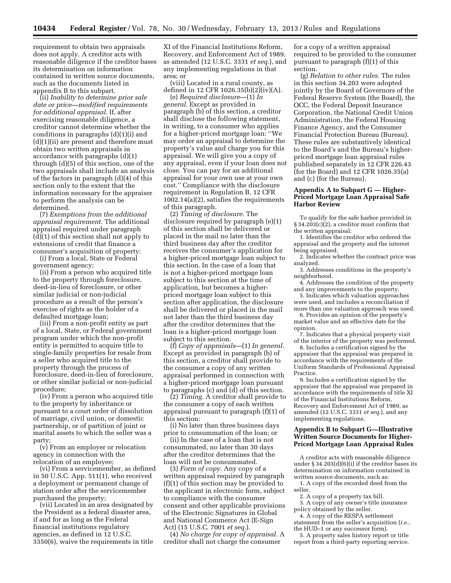requirement to obtain two appraisals does not apply. A creditor acts with reasonable diligence if the creditor bases its determination on information contained in written source documents, such as the documents listed in appendix B to this subpart.

(ii) *Inability to determine prior sale date or price—modified requirements for additional appraisal.* If, after exercising reasonable diligence, a creditor cannot determine whether the conditions in paragraphs (d)(1)(i) and (d)(1)(ii) are present and therefore must obtain two written appraisals in accordance with paragraphs (d)(1) through (d)(5) of this section, one of the two appraisals shall include an analysis of the factors in paragraph (d)(4) of this section only to the extent that the information necessary for the appraiser to perform the analysis can be determined.

(7) *Exemptions from the additional appraisal requirement.* The additional appraisal required under paragraph (d)(1) of this section shall not apply to extensions of credit that finance a consumer's acquisition of property:

(i) From a local, State or Federal government agency;

(ii) From a person who acquired title to the property through foreclosure, deed-in-lieu of foreclosure, or other similar judicial or non-judicial procedure as a result of the person's exercise of rights as the holder of a defaulted mortgage loan;

(iii) From a non-profit entity as part of a local, State, or Federal government program under which the non-profit entity is permitted to acquire title to single-family properties for resale from a seller who acquired title to the property through the process of foreclosure, deed-in-lieu of foreclosure, or other similar judicial or non-judicial procedure;

(iv) From a person who acquired title to the property by inheritance or pursuant to a court order of dissolution of marriage, civil union, or domestic partnership, or of partition of joint or marital assets to which the seller was a party;

(v) From an employer or relocation agency in connection with the relocation of an employee;

(vi) From a servicemember, as defined in 50 U.S.C. App. 511(1), who received a deployment or permanent change of station order after the servicemember purchased the property;

(vii) Located in an area designated by the President as a federal disaster area, if and for as long as the Federal financial institutions regulatory agencies, as defined in 12 U.S.C. 3350(6), waive the requirements in title

XI of the Financial Institutions Reform, Recovery, and Enforcement Act of 1989, as amended (12 U.S.C. 3331 *et seq.*), and any implementing regulations in that area; or

(viii) Located in a rural county, as defined in 12 CFR 1026.35(b)(2)(iv)(A).

(e) *Required disclosure*—(1) *In general.* Except as provided in paragraph (b) of this section, a creditor shall disclose the following statement, in writing, to a consumer who applies for a higher-priced mortgage loan: ''We may order an appraisal to determine the property's value and charge you for this appraisal. We will give you a copy of any appraisal, even if your loan does not close. You can pay for an additional appraisal for your own use at your own cost.'' Compliance with the disclosure requirement in Regulation B, 12 CFR 1002.14(a)(2), satisfies the requirements of this paragraph.

(2) *Timing of disclosure.* The disclosure required by paragraph (e)(1) of this section shall be delivered or placed in the mail no later than the third business day after the creditor receives the consumer's application for a higher-priced mortgage loan subject to this section. In the case of a loan that is not a higher-priced mortgage loan subject to this section at the time of application, but becomes a higherpriced mortgage loan subject to this section after application, the disclosure shall be delivered or placed in the mail not later than the third business day after the creditor determines that the loan is a higher-priced mortgage loan subject to this section.

(f) *Copy of appraisals*—(1) *In general.*  Except as provided in paragraph (b) of this section, a creditor shall provide to the consumer a copy of any written appraisal performed in connection with a higher-priced mortgage loan pursuant to paragraphs (c) and (d) of this section.

(2) *Timing.* A creditor shall provide to the consumer a copy of each written appraisal pursuant to paragraph (f)(1) of this section:

(i) No later than three business days prior to consummation of the loan; or

(ii) In the case of a loan that is not consummated, no later than 30 days after the creditor determines that the loan will not be consummated.

(3) *Form of copy.* Any copy of a written appraisal required by paragraph (f)(1) of this section may be provided to the applicant in electronic form, subject to compliance with the consumer consent and other applicable provisions of the Electronic Signatures in Global and National Commerce Act (E-Sign Act) (15 U.S.C. 7001 *et seq.*).

(4) *No charge for copy of appraisal.* A creditor shall not charge the consumer

for a copy of a written appraisal required to be provided to the consumer pursuant to paragraph (f)(1) of this section.

(g) *Relation to other rules.* The rules in this section 34.203 were adopted jointly by the Board of Governors of the Federal Reserve System (the Board), the OCC, the Federal Deposit Insurance Corporation, the National Credit Union Administration, the Federal Housing Finance Agency, and the Consumer Financial Protection Bureau (Bureau). These rules are substantively identical to the Board's and the Bureau's higherpriced mortgage loan appraisal rules published separately in 12 CFR 226.43 (for the Board) and 12 CFR 1026.35(a) and (c) (for the Bureau).

### **Appendix A to Subpart G — Higher-Priced Mortgage Loan Appraisal Safe Harbor Review**

To qualify for the safe harbor provided in § 34.203(c)(2), a creditor must confirm that the written appraisal:

1. Identifies the creditor who ordered the appraisal and the property and the interest being appraised.

2. Indicates whether the contract price was analyzed.

3. Addresses conditions in the property's neighborhood.

4. Addresses the condition of the property and any improvements to the property.

5. Indicates which valuation approaches were used, and includes a reconciliation if more than one valuation approach was used.

6. Provides an opinion of the property's market value and an effective date for the opinion.

7. Indicates that a physical property visit of the interior of the property was performed.

8. Includes a certification signed by the appraiser that the appraisal was prepared in accordance with the requirements of the Uniform Standards of Professional Appraisal Practice.

9. Includes a certification signed by the appraiser that the appraisal was prepared in accordance with the requirements of title XI of the Financial Institutions Reform, Recovery and Enforcement Act of 1989, as amended (12 U.S.C. 3331 *et seq.*), and any implementing regulations.

# **Appendix B to Subpart G—Illustrative Written Source Documents for Higher-Priced Mortgage Loan Appraisal Rules**

A creditor acts with reasonable diligence under  $\S 34.203(d)(6)(i)$  if the creditor bases its determination on information contained in written source documents, such as:

1. A copy of the recorded deed from the seller.

- 2. A copy of a property tax bill.
- 3. A copy of any owner's title insurance policy obtained by the seller.

4. A copy of the RESPA settlement statement from the seller's acquisition (*i.e.,*  the HUD–1 or any successor form).

5. A property sales history report or title report from a third-party reporting service.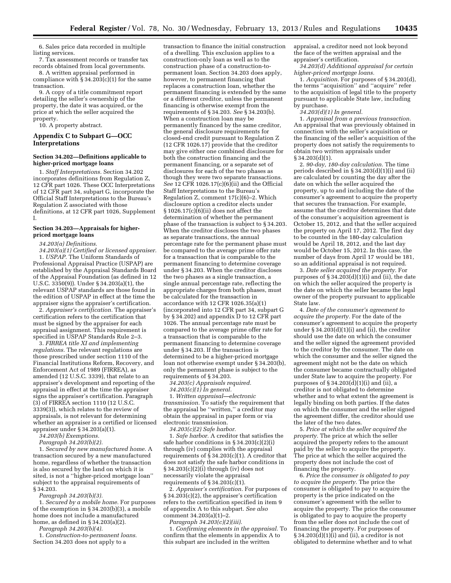6. Sales price data recorded in multiple listing services.

7. Tax assessment records or transfer tax records obtained from local governments.

8. A written appraisal performed in compliance with  $\S 34.203(c)(1)$  for the same transaction.

9. A copy of a title commitment report detailing the seller's ownership of the property, the date it was acquired, or the price at which the seller acquired the property.

10. A property abstract.

### **Appendix C to Subpart G—OCC Interpretations**

#### **Section 34.202—Definitions applicable to higher-priced mortgage loans**

1. *Staff Interpretations.* Section 34.202 incorporates definitions from Regulation Z, 12 CFR part 1026. These OCC Interpretations of 12 CFR part 34, subpart G, incorporate the Official Staff Interpretations to the Bureau's Regulation Z associated with those definitions, at 12 CFR part 1026, Supplement I.

#### **Section 34.203—Appraisals for higherpriced mortgage loans**

*34.203(a) Definitions.* 

*34.203(a)(1) Certified or licensed appraiser.* 

1. *USPAP.* The Uniform Standards of Professional Appraisal Practice (USPAP) are established by the Appraisal Standards Board of the Appraisal Foundation (as defined in 12 U.S.C. 3350(9)). Under § 34.203(a)(1), the relevant USPAP standards are those found in the edition of USPAP in effect at the time the appraiser signs the appraiser's certification.

2. *Appraiser's certification.* The appraiser's certification refers to the certification that must be signed by the appraiser for each appraisal assignment. This requirement is specified in USPAP Standards Rule 2–3.

3. *FIRREA title XI and implementing regulations.* The relevant regulations are those prescribed under section 1110 of the Financial Institutions Reform, Recovery, and Enforcement Act of 1989 (FIRREA), as amended (12 U.S.C. 3339), that relate to an appraiser's development and reporting of the appraisal in effect at the time the appraiser signs the appraiser's certification. Paragraph (3) of FIRREA section 1110 (12 U.S.C. 3339(3)), which relates to the review of appraisals, is not relevant for determining whether an appraiser is a certified or licensed appraiser under § 34.203(a)(1).

*34.203(b) Exemptions.* 

*Paragraph 34.203(b)(2).* 

1. *Secured by new manufactured home.* A transaction secured by a new manufactured home, regardless of whether the transaction is also secured by the land on which it is sited, is not a ''higher-priced mortgage loan'' subject to the appraisal requirements of § 34.203.

*Paragraph 34.203(b)(3).* 

1. *Secured by a mobile home.* For purposes of the exemption in § 34.203(b)(3), a mobile home does not include a manufactured home, as defined in § 34.203(a)(2).

*Paragraph 34.203(b)(4).* 

1. *Construction-to-permanent loans.*  Section 34.203 does not apply to a

transaction to finance the initial construction of a dwelling. This exclusion applies to a construction-only loan as well as to the construction phase of a construction-topermanent loan. Section 34.203 does apply, however, to permanent financing that replaces a construction loan, whether the permanent financing is extended by the same or a different creditor, unless the permanent financing is otherwise exempt from the requirements of § 34.203. *See* § 34.203(b). When a construction loan may be permanently financed by the same creditor, the general disclosure requirements for closed-end credit pursuant to Regulation Z (12 CFR 1026.17) provide that the creditor may give either one combined disclosure for both the construction financing and the permanent financing, or a separate set of disclosures for each of the two phases as though they were two separate transactions. *See* 12 CFR 1026.17(c)(6)(ii) and the Official Staff Interpretations to the Bureau's Regulation Z, comment 17(c)(6)–2. Which disclosure option a creditor elects under § 1026.17(c) $\overline{6}$ )(ii) does not affect the determination of whether the permanent phase of the transaction is subject to § 34.203. When the creditor discloses the two phases as separate transactions, the annual percentage rate for the permanent phase must be compared to the average prime offer rate for a transaction that is comparable to the permanent financing to determine coverage under § 34.203. When the creditor discloses the two phases as a single transaction, a single annual percentage rate, reflecting the appropriate charges from both phases, must be calculated for the transaction in accordance with 12 CFR 1026.35(a)(1) (incorporated into 12 CFR part 34, subpart G by § 34.202) and appendix D to 12 CFR part 1026. The annual percentage rate must be compared to the average prime offer rate for a transaction that is comparable to the permanent financing to determine coverage under § 34.203. If the transaction is determined to be a higher-priced mortgage loan not otherwise exempt under § 34.203(b), only the permanent phase is subject to the requirements of § 34.203.

*34.203(c) Appraisals required.* 

*34.203(c)(1) In general.* 

1. *Written appraisal—electronic transmission.* To satisfy the requirement that the appraisal be ''written,'' a creditor may obtain the appraisal in paper form or via electronic transmission.

*34.203(c)(2) Safe harbor.* 

1. *Safe harbor.* A creditor that satisfies the safe harbor conditions in § 34.203(c)(2)(i) through (iv) complies with the appraisal requirements of  $\S 34.203(c)(1)$ . A creditor that does not satisfy the safe harbor conditions in § 34.203(c)(2)(i) through (iv) does not necessarily violate the appraisal requirements of  $\S 34.203(c)(1)$ .

2. *Appraiser's certification.* For purposes of § 34.203(c)(2), the appraiser's certification refers to the certification specified in item 9 of appendix A to this subpart. *See also*  comment 34.203(a)(1)–2.

*Paragraph 34.203(c)(2)(iii).* 

1. *Confirming elements in the appraisal.* To confirm that the elements in appendix A to this subpart are included in the written

appraisal, a creditor need not look beyond the face of the written appraisal and the appraiser's certification.

*34.203(d) Additional appraisal for certain higher-priced mortgage loans.* 

1. *Acquisition.* For purposes of § 34.203(d), the terms ''acquisition'' and ''acquire'' refer to the acquisition of legal title to the property pursuant to applicable State law, including by purchase.

*34.203(d)(1) In general.* 

1. *Appraisal from a previous transaction.*  An appraisal that was previously obtained in connection with the seller's acquisition or the financing of the seller's acquisition of the property does not satisfy the requirements to obtain two written appraisals under § 34.203(d)(1).

2. *90-day, 180-day calculation.* The time periods described in § 34.203(d)(1)(i) and (ii) are calculated by counting the day after the date on which the seller acquired the property, up to and including the date of the consumer's agreement to acquire the property that secures the transaction. For example, assume that the creditor determines that date of the consumer's acquisition agreement is October 15, 2012, and that the seller acquired the property on April 17, 2012. The first day to be counted in the 180-day calculation would be April 18, 2012, and the last day would be October 15, 2012. In this case, the number of days from April 17 would be 181, so an additional appraisal is not required.

3. *Date seller acquired the property.* For purposes of  $\S 34.203(d)(1)(i)$  and (ii), the date on which the seller acquired the property is the date on which the seller became the legal owner of the property pursuant to applicable State law.

4. *Date of the consumer's agreement to acquire the property.* For the date of the consumer's agreement to acquire the property under  $\S 34.203(d)(1)(i)$  and (ii), the creditor should use the date on which the consumer and the seller signed the agreement provided to the creditor by the consumer. The date on which the consumer and the seller signed the agreement might not be the date on which the consumer became contractually obligated under State law to acquire the property. For purposes of  $\S 34.203(d)(1)(i)$  and (ii), a creditor is not obligated to determine whether and to what extent the agreement is legally binding on both parties. If the dates on which the consumer and the seller signed the agreement differ, the creditor should use the later of the two dates.

5. *Price at which the seller acquired the property.* The price at which the seller acquired the property refers to the amount paid by the seller to acquire the property. The price at which the seller acquired the property does not include the cost of financing the property.

6. *Price the consumer is obligated to pay to acquire the property.* The price the consumer is obligated to pay to acquire the property is the price indicated on the consumer's agreement with the seller to acquire the property. The price the consumer is obligated to pay to acquire the property from the seller does not include the cost of financing the property. For purposes of § 34.203 $(d)(1)(i)$  and (ii), a creditor is not obligated to determine whether and to what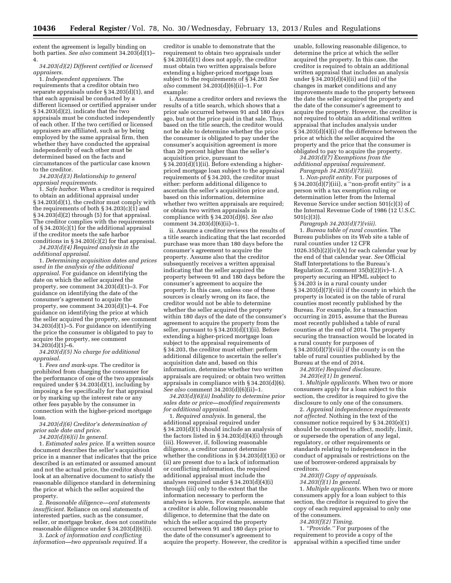extent the agreement is legally binding on both parties. *See also* comment 34.203(d)(1)– 4.

*34.203(d)(2) Different certified or licensed appraisers.* 

1. *Independent appraisers.* The requirements that a creditor obtain two separate appraisals under § 34.203(d)(1), and that each appraisal be conducted by a different licensed or certified appraiser under § 34.203(d)(2), indicate that the two appraisals must be conducted independently of each other. If the two certified or licensed appraisers are affiliated, such as by being employed by the same appraisal firm, then whether they have conducted the appraisal independently of each other must be determined based on the facts and circumstances of the particular case known to the creditor.

*34.203(d)(3) Relationship to general appraisal requirements.* 

1. *Safe harbor.* When a creditor is required to obtain an additional appraisal under § 34.203(d)(1), the creditor must comply with the requirements of both  $\S 34.203(c)(1)$  and § 34.203(d)(2) through (5) for that appraisal. The creditor complies with the requirements of § 34.203(c)(1) for the additional appraisal if the creditor meets the safe harbor conditions in  $\S 34.203(c)(2)$  for that appraisal.

*34.203(d)(4) Required analysis in the additional appraisal.* 

1. *Determining acquisition dates and prices used in the analysis of the additional appraisal.* For guidance on identifying the date on which the seller acquired the property, see comment 34.203(d)(1)–3. For guidance on identifying the date of the consumer's agreement to acquire the property, see comment 34.203(d)(1)–4. For guidance on identifying the price at which the seller acquired the property, see comment 34.203(d)(1)–5. For guidance on identifying the price the consumer is obligated to pay to acquire the property, see comment  $34.203(d)(1)-6.$ 

*34.203(d)(5) No charge for additional appraisal.* 

1. *Fees and mark-ups.* The creditor is prohibited from charging the consumer for the performance of one of the two appraisals required under  $\S 34.203(d)(1)$ , including by imposing a fee specifically for that appraisal or by marking up the interest rate or any other fees payable by the consumer in connection with the higher-priced mortgage loan.

*34.203(d)(6) Creditor's determination of prior sale date and price.* 

*34.203(d)(6)(i) In general.* 

1. *Estimated sales price.* If a written source document describes the seller's acquisition price in a manner that indicates that the price described is an estimated or assumed amount and not the actual price, the creditor should look at an alternative document to satisfy the reasonable diligence standard in determining the price at which the seller acquired the property.

2. *Reasonable diligence—oral statements insufficient.* Reliance on oral statements of interested parties, such as the consumer, seller, or mortgage broker, does not constitute reasonable diligence under § 34.203(d)(6)(i).

3. *Lack of information and conflicting information—two appraisals required.* If a

creditor is unable to demonstrate that the requirement to obtain two appraisals under § 34.203(d)(1) does not apply, the creditor must obtain two written appraisals before extending a higher-priced mortgage loan subject to the requirements of § 34.203 *See also* comment 34.203(d)(6)(ii)–1. For example:

i. Assume a creditor orders and reviews the results of a title search, which shows that a prior sale occurred between 91 and 180 days ago, but not the price paid in that sale. Thus, based on the title search, the creditor would not be able to determine whether the price the consumer is obligated to pay under the consumer's acquisition agreement is more than 20 percent higher than the seller's acquisition price, pursuant to  $§ 34.203(d)(1)(ii)$ . Before extending a higherpriced mortgage loan subject to the appraisal requirements of § 34.203, the creditor must either: perform additional diligence to ascertain the seller's acquisition price and, based on this information, determine whether two written appraisals are required; or obtain two written appraisals in compliance with § 34.203(d)(6). *See also*  comment 34.203(d)(6)(ii)–1.

ii. Assume a creditor reviews the results of a title search indicating that the last recorded purchase was more than 180 days before the consumer's agreement to acquire the property. Assume also that the creditor subsequently receives a written appraisal indicating that the seller acquired the property between 91 and 180 days before the consumer's agreement to acquire the property. In this case, unless one of these sources is clearly wrong on its face, the creditor would not be able to determine whether the seller acquired the property within 180 days of the date of the consumer's agreement to acquire the property from the seller, pursuant to § 34.203(d)(1)(ii). Before extending a higher-priced mortgage loan subject to the appraisal requirements of § 34.203, the creditor must either: perform additional diligence to ascertain the seller's acquisition date and, based on this information, determine whether two written appraisals are required; or obtain two written appraisals in compliance with § 34.203(d)(6). *See also* comment 34.203(d)(6)(ii)–1.

*34.203(d)(6)(ii) Inability to determine prior sales date or price—modified requirements for additional appraisal.* 

1. *Required analysis.* In general, the additional appraisal required under  $§ 34.203(d)(1)$  should include an analysis of the factors listed in § 34.203(d)(4)(i) through (iii). However, if, following reasonable diligence, a creditor cannot determine whether the conditions in  $\S 34.203(d)(1)(i)$  or (ii) are present due to a lack of information or conflicting information, the required additional appraisal must include the analyses required under § 34.203(d)(4)(i) through (iii) only to the extent that the information necessary to perform the analyses is known. For example, assume that a creditor is able, following reasonable diligence, to determine that the date on which the seller acquired the property occurred between 91 and 180 days prior to the date of the consumer's agreement to acquire the property. However, the creditor is

unable, following reasonable diligence, to determine the price at which the seller acquired the property. In this case, the creditor is required to obtain an additional written appraisal that includes an analysis under  $\S 34.203(d)(4)(ii)$  and (iii) of the changes in market conditions and any improvements made to the property between the date the seller acquired the property and the date of the consumer's agreement to acquire the property. However, the creditor is not required to obtain an additional written appraisal that includes analysis under § 34.203(d)(4)(i) of the difference between the price at which the seller acquired the property and the price that the consumer is obligated to pay to acquire the property.

*34.203(d)(7) Exemptions from the additional appraisal requirement. Paragraph 34.203(d)(7)(iii).* 

1. *Non-profit entity.* For purposes of § 34.203(d)(7)(iii), a ''non-profit entity'' is a person with a tax exemption ruling or determination letter from the Internal Revenue Service under section 501(c)(3) of the Internal Revenue Code of 1986 (12 U.S.C. 501(c)(3)).

*Paragraph 34.203(d)(7)(viii).*  1. *Bureau table of rural counties.* The Bureau publishes on its Web site a table of rural counties under 12 CFR 1026.35(b)(2)(iv)(A) for each calendar year by the end of that calendar year. *See* Official Staff Interpretations to the Bureau's Regulation Z, comment 35(b)(2)(iv)–1. A property securing an HPML subject to § 34.203 is in a rural county under § 34.203(d)(7)(viii) if the county in which the property is located is on the table of rural counties most recently published by the Bureau. For example, for a transaction occurring in 2015, assume that the Bureau most recently published a table of rural counties at the end of 2014. The property securing the transaction would be located in a rural county for purposes of  $\S 34.203(d)(7)(viii)$  if the county is on the table of rural counties published by the Bureau at the end of 2014.

*34.203(e) Required disclosure.* 

*34.203(e)(1) In general.* 

1. *Multiple applicants.* When two or more consumers apply for a loan subject to this section, the creditor is required to give the disclosure to only one of the consumers.

2. *Appraisal independence requirements not affected.* Nothing in the text of the consumer notice required by § 34.203(e)(1) should be construed to affect, modify, limit, or supersede the operation of any legal, regulatory, or other requirements or standards relating to independence in the conduct of appraisals or restrictions on the use of borrower-ordered appraisals by creditors.

*34.203(f) Copy of appraisals.* 

*34.203(f)(1) In general.* 

1. *Multiple applicants.* When two or more consumers apply for a loan subject to this section, the creditor is required to give the copy of each required appraisal to only one of the consumers.

*34.203(f)(2) Timing.* 

1. *''Provide.''* For purposes of the requirement to provide a copy of the appraisal within a specified time under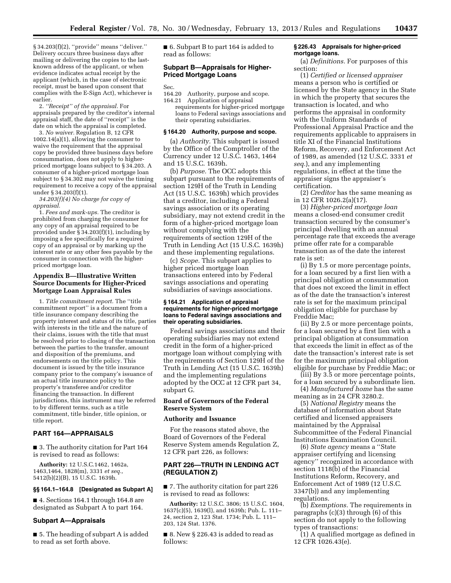§ 34.203(f)(2), ''provide'' means ''deliver.'' Delivery occurs three business days after mailing or delivering the copies to the lastknown address of the applicant, or when evidence indicates actual receipt by the applicant (which, in the case of electronic receipt, must be based upon consent that complies with the E-Sign Act), whichever is earlier.

2. *''Receipt'' of the appraisal.* For appraisals prepared by the creditor's internal appraisal staff, the date of ''receipt'' is the date on which the appraisal is completed.

3. *No waiver.* Regulation B, 12 CFR 1002.14(a)(1), allowing the consumer to waive the requirement that the appraisal copy be provided three business days before consummation, does not apply to higherpriced mortgage loans subject to § 34.203. A consumer of a higher-priced mortgage loan subject to § 34.302 may not waive the timing requirement to receive a copy of the appraisal under § 34.203(f)(1).

*34.203(f)(4) No charge for copy of appraisal.* 

1. *Fees and mark-ups.* The creditor is prohibited from charging the consumer for any copy of an appraisal required to be provided under § 34.203(f)(1), including by imposing a fee specifically for a required copy of an appraisal or by marking up the interest rate or any other fees payable by the consumer in connection with the higherpriced mortgage loan.

## **Appendix B—Illustrative Written Source Documents for Higher-Priced Mortgage Loan Appraisal Rules**

1. *Title commitment report.* The ''title commitment report'' is a document from a title insurance company describing the property interest and status of its title, parties with interests in the title and the nature of their claims, issues with the title that must be resolved prior to closing of the transaction between the parties to the transfer, amount and disposition of the premiums, and endorsements on the title policy. This document is issued by the title insurance company prior to the company's issuance of an actual title insurance policy to the property's transferee and/or creditor financing the transaction. In different jurisdictions, this instrument may be referred to by different terms, such as a title commitment, title binder, title opinion, or title report.

# **PART 164—APPRAISALS**

■ 3. The authority citation for Part 164 is revised to read as follows:

**Authority:** 12 U.S.C.1462, 1462a, 1463,1464, 1828(m), 3331 *et seq.,*  5412(b)(2)(B), 15 U.S.C. 1639h.

#### **§§ 164.1–164.8 [Designated as Subpart A]**

■ 4. Sections 164.1 through 164.8 are designated as Subpart A to part 164.

#### **Subpart A—Appraisals**

■ 5. The heading of subpart A is added to read as set forth above.

■ 6. Subpart B to part 164 is added to read as follows:

# **Subpart B—Appraisals for Higher-Priced Mortgage Loans**

- Sec.<br>164.20 164.20 Authority, purpose and scope.<br>164.21 Application of appraisal
	- Application of appraisal requirements for higher-priced mortgage loans to Federal savings associations and their operating subsidiaries.

### **§ 164.20 Authority, purpose and scope.**

(a) *Authority.* This subpart is issued by the Office of the Comptroller of the Currency under 12 U.S.C. 1463, 1464 and 15 U.S.C. 1639h.

(b) *Purpose.* The OCC adopts this subpart pursuant to the requirements of section 129H of the Truth in Lending Act (15 U.S.C. 1639h) which provides that a creditor, including a Federal savings association or its operating subsidiary, may not extend credit in the form of a higher-priced mortgage loan without complying with the requirements of section 129H of the Truth in Lending Act (15 U.S.C. 1639h) and these implementing regulations.

(c) *Scope.* This subpart applies to higher priced mortgage loan transactions entered into by Federal savings associations and operating subsidiaries of savings associations.

#### **§ 164.21 Application of appraisal requirements for higher-priced mortgage loans to Federal savings associations and their operating subsidiaries.**

Federal savings associations and their operating subsidiaries may not extend credit in the form of a higher-priced mortgage loan without complying with the requirements of Section 129H of the Truth in Lending Act (15 U.S.C. 1639h) and the implementing regulations adopted by the OCC at 12 CFR part 34, subpart G.

### **Board of Governors of the Federal Reserve System**

#### **Authority and Issuance**

For the reasons stated above, the Board of Governors of the Federal Reserve System amends Regulation Z, 12 CFR part 226, as follows:

# **PART 226—TRUTH IN LENDING ACT (REGULATION Z)**

■ 7. The authority citation for part 226 is revised to read as follows:

**Authority:** 12 U.S.C. 3806; 15 U.S.C. 1604, 1637(c)(5), 1639(l), and 1639h; Pub. L. 111– 24, section 2, 123 Stat. 1734; Pub. L. 111– 203, 124 Stat. 1376.

 $\blacksquare$  8. New § 226.43 is added to read as follows:

### **§ 226.43 Appraisals for higher-priced mortgage loans.**

(a) *Definitions.* For purposes of this section:

(1) *Certified or licensed appraiser*  means a person who is certified or licensed by the State agency in the State in which the property that secures the transaction is located, and who performs the appraisal in conformity with the Uniform Standards of Professional Appraisal Practice and the requirements applicable to appraisers in title XI of the Financial Institutions Reform, Recovery, and Enforcement Act of 1989, as amended (12 U.S.C. 3331 *et seq.*), and any implementing regulations, in effect at the time the appraiser signs the appraiser's certification.

(2) *Creditor* has the same meaning as in 12 CFR 1026.2(a)(17).

(3) *Higher-priced mortgage loan*  means a closed-end consumer credit transaction secured by the consumer's principal dwelling with an annual percentage rate that exceeds the average prime offer rate for a comparable transaction as of the date the interest rate is set:

(i) By 1.5 or more percentage points, for a loan secured by a first lien with a principal obligation at consummation that does not exceed the limit in effect as of the date the transaction's interest rate is set for the maximum principal obligation eligible for purchase by Freddie Mac;

(ii) By 2.5 or more percentage points, for a loan secured by a first lien with a principal obligation at consummation that exceeds the limit in effect as of the date the transaction's interest rate is set for the maximum principal obligation eligible for purchase by Freddie Mac; or

(iii) By 3.5 or more percentage points, for a loan secured by a subordinate lien.

(4) *Manufactured home* has the same meaning as in 24 CFR 3280.2*.* 

(5) *National Registry* means the database of information about State certified and licensed appraisers maintained by the Appraisal Subcommittee of the Federal Financial Institutions Examination Council.

(6) *State agency* means a ''State appraiser certifying and licensing agency'' recognized in accordance with section 1118(b) of the Financial Institutions Reform, Recovery, and Enforcement Act of 1989 (12 U.S.C. 3347(b)) and any implementing regulations.

(b) *Exemptions.* The requirements in paragraphs (c)(3) through (6) of this section do not apply to the following types of transactions:

(1) A qualified mortgage as defined in 12 CFR 1026.43(e).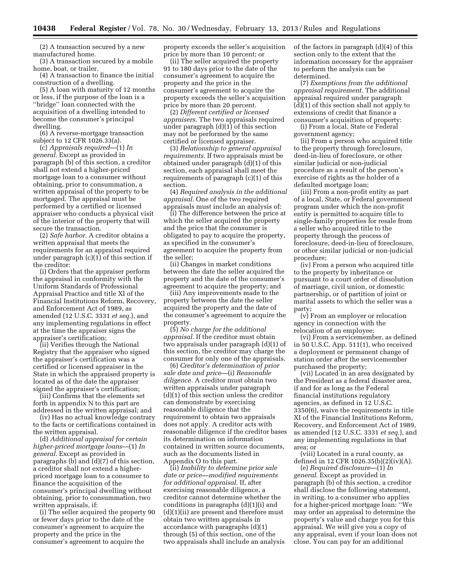(2) A transaction secured by a new manufactured home.

(3) A transaction secured by a mobile home, boat, or trailer.

(4) A transaction to finance the initial construction of a dwelling.

(5) A loan with maturity of 12 months or less, if the purpose of the loan is a ''bridge'' loan connected with the acquisition of a dwelling intended to become the consumer's principal dwelling.

(6) A reverse-mortgage transaction subject to 12 CFR 1026.33(a).

(c) *Appraisals required*—(1) *In general.* Except as provided in paragraph (b) of this section, a creditor shall not extend a higher-priced mortgage loan to a consumer without obtaining, prior to consummation, a written appraisal of the property to be mortgaged. The appraisal must be performed by a certified or licensed appraiser who conducts a physical visit of the interior of the property that will secure the transaction.

(2) *Safe harbor.* A creditor obtains a written appraisal that meets the requirements for an appraisal required under paragraph (c)(1) of this section if the creditor:

(i) Orders that the appraiser perform the appraisal in conformity with the Uniform Standards of Professional Appraisal Practice and title XI of the Financial Institutions Reform, Recovery, and Enforcement Act of 1989, as amended (12 U.S.C. 3331 *et seq.*), and any implementing regulations in effect at the time the appraiser signs the appraiser's certification;

(ii) Verifies through the National Registry that the appraiser who signed the appraiser's certification was a certified or licensed appraiser in the State in which the appraised property is located as of the date the appraiser signed the appraiser's certification;

(iii) Confirms that the elements set forth in appendix N to this part are addressed in the written appraisal; and

(iv) Has no actual knowledge contrary to the facts or certifications contained in the written appraisal.

(d) *Additional appraisal for certain higher-priced mortgage loans*—(1) *In general.* Except as provided in paragraphs (b) and (d)(7) of this section, a creditor shall not extend a higherpriced mortgage loan to a consumer to finance the acquisition of the consumer's principal dwelling without obtaining, prior to consummation, two written appraisals, if:

(i) The seller acquired the property 90 or fewer days prior to the date of the consumer's agreement to acquire the property and the price in the consumer's agreement to acquire the

property exceeds the seller's acquisition price by more than 10 percent; or

(ii) The seller acquired the property 91 to 180 days prior to the date of the consumer's agreement to acquire the property and the price in the consumer's agreement to acquire the property exceeds the seller's acquisition price by more than 20 percent.

(2) *Different certified or licensed appraisers.* The two appraisals required under paragraph (d)(1) of this section may not be performed by the same certified or licensed appraiser.

(3) *Relationship to general appraisal requirements.* If two appraisals must be obtained under paragraph (d)(1) of this section, each appraisal shall meet the requirements of paragraph (c)(1) of this section.

(4) *Required analysis in the additional appraisal.* One of the two required appraisals must include an analysis of:

(i) The difference between the price at which the seller acquired the property and the price that the consumer is obligated to pay to acquire the property, as specified in the consumer's agreement to acquire the property from the seller;

(ii) Changes in market conditions between the date the seller acquired the property and the date of the consumer's agreement to acquire the property; and

(iii) Any improvements made to the property between the date the seller acquired the property and the date of the consumer's agreement to acquire the property.

(5) *No charge for the additional appraisal.* If the creditor must obtain two appraisals under paragraph (d)(1) of this section, the creditor may charge the consumer for only one of the appraisals.

(6) *Creditor's determination of prior sale date and price*—(i) *Reasonable diligence.* A creditor must obtain two written appraisals under paragraph (d)(1) of this section unless the creditor can demonstrate by exercising reasonable diligence that the requirement to obtain two appraisals does not apply. A creditor acts with reasonable diligence if the creditor bases its determination on information contained in written source documents, such as the documents listed in Appendix O to this part.

(ii) *Inability to determine prior sale date or price—modified requirements for additional appraisal.* If, after exercising reasonable diligence, a creditor cannot determine whether the conditions in paragraphs (d)(1)(i) and (d)(1)(ii) are present and therefore must obtain two written appraisals in accordance with paragraphs (d)(1) through (5) of this section, one of the two appraisals shall include an analysis of the factors in paragraph (d)(4) of this section only to the extent that the information necessary for the appraiser to perform the analysis can be determined.

(7) *Exemptions from the additional appraisal requirement.* The additional appraisal required under paragraph  $(d)(1)$  of this section shall not apply to extensions of credit that finance a consumer's acquisition of property:

(i) From a local, State or Federal government agency;

(ii) From a person who acquired title to the property through foreclosure, deed-in-lieu of foreclosure, or other similar judicial or non-judicial procedure as a result of the person's exercise of rights as the holder of a defaulted mortgage loan;

(iii) From a non-profit entity as part of a local, State, or Federal government program under which the non-profit entity is permitted to acquire title to single-family properties for resale from a seller who acquired title to the property through the process of foreclosure, deed-in-lieu of foreclosure, or other similar judicial or non-judicial procedure;

(iv) From a person who acquired title to the property by inheritance or pursuant to a court order of dissolution of marriage, civil union, or domestic partnership, or of partition of joint or marital assets to which the seller was a party;

(v) From an employer or relocation agency in connection with the relocation of an employee;

(vi) From a servicemember, as defined in 50 U.S.C. App. 511(1), who received a deployment or permanent change of station order after the servicemember purchased the property;

(vii) Located in an area designated by the President as a federal disaster area, if and for as long as the Federal financial institutions regulatory agencies, as defined in 12 U.S.C. 3350(6), waive the requirements in title XI of the Financial Institutions Reform, Recovery, and Enforcement Act of 1989, as amended (12 U.S.C. 3331 *et seq.*), and any implementing regulations in that area; or

(viii) Located in a rural county, as defined in 12 CFR 1026.35(b)(2)(iv)(A).

(e) *Required disclosure*—(1) *In general.* Except as provided in paragraph (b) of this section, a creditor shall disclose the following statement, in writing, to a consumer who applies for a higher-priced mortgage loan: ''We may order an appraisal to determine the property's value and charge you for this appraisal. We will give you a copy of any appraisal, even if your loan does not close. You can pay for an additional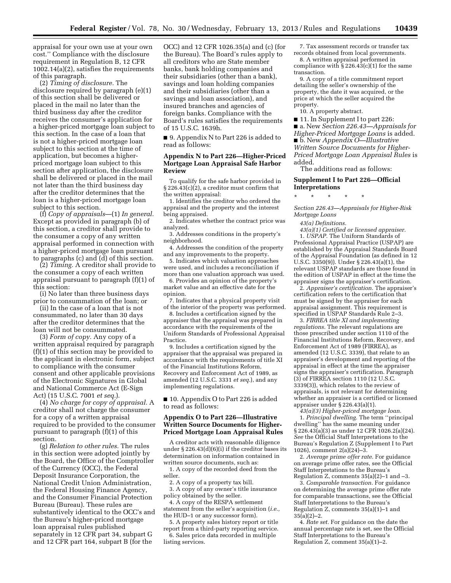appraisal for your own use at your own cost.'' Compliance with the disclosure requirement in Regulation B, 12 CFR 1002.14(a)(2), satisfies the requirements of this paragraph.

(2) *Timing of disclosure.* The disclosure required by paragraph (e)(1) of this section shall be delivered or placed in the mail no later than the third business day after the creditor receives the consumer's application for a higher-priced mortgage loan subject to this section. In the case of a loan that is not a higher-priced mortgage loan subject to this section at the time of application, but becomes a higherpriced mortgage loan subject to this section after application, the disclosure shall be delivered or placed in the mail not later than the third business day after the creditor determines that the loan is a higher-priced mortgage loan subject to this section.

(f) *Copy of appraisals*—(1) *In general.*  Except as provided in paragraph (b) of this section, a creditor shall provide to the consumer a copy of any written appraisal performed in connection with a higher-priced mortgage loan pursuant to paragraphs (c) and (d) of this section.

(2) *Timing.* A creditor shall provide to the consumer a copy of each written appraisal pursuant to paragraph (f)(1) of this section:

(i) No later than three business days prior to consummation of the loan; or

(ii) In the case of a loan that is not consummated, no later than 30 days after the creditor determines that the loan will not be consummated.

(3) *Form of copy.* Any copy of a written appraisal required by paragraph (f)(1) of this section may be provided to the applicant in electronic form, subject to compliance with the consumer consent and other applicable provisions of the Electronic Signatures in Global and National Commerce Act (E-Sign Act) (15 U.S.C. 7001 *et seq.*).

(4) *No charge for copy of appraisal.* A creditor shall not charge the consumer for a copy of a written appraisal required to be provided to the consumer pursuant to paragraph (f)(1) of this section.

(g) *Relation to other rules.* The rules in this section were adopted jointly by the Board, the Office of the Comptroller of the Currency (OCC), the Federal Deposit Insurance Corporation, the National Credit Union Administration, the Federal Housing Finance Agency, and the Consumer Financial Protection Bureau (Bureau). These rules are substantively identical to the OCC's and the Bureau's higher-priced mortgage loan appraisal rules published separately in 12 CFR part 34, subpart G and 12 CFR part 164, subpart B (for the

OCC) and 12 CFR 1026.35(a) and (c) (for the Bureau). The Board's rules apply to all creditors who are State member banks, bank holding companies and their subsidiaries (other than a bank), savings and loan holding companies and their subsidiaries (other than a savings and loan association), and insured branches and agencies of foreign banks. Compliance with the Board's rules satisfies the requirements of 15 U.S.C. 1639h.

■ 9. Appendix N to Part 226 is added to read as follows:

# **Appendix N to Part 226—Higher-Priced Mortgage Loan Appraisal Safe Harbor Review**

To qualify for the safe harbor provided in § 226.43(c)(2), a creditor must confirm that the written appraisal:

1. Identifies the creditor who ordered the appraisal and the property and the interest being appraised.

2. Indicates whether the contract price was analyzed.

3. Addresses conditions in the property's neighborhood.

4. Addresses the condition of the property and any improvements to the property.

5. Indicates which valuation approaches were used, and includes a reconciliation if more than one valuation approach was used.

6. Provides an opinion of the property's market value and an effective date for the

opinion. 7. Indicates that a physical property visit

of the interior of the property was performed. 8. Includes a certification signed by the

appraiser that the appraisal was prepared in accordance with the requirements of the Uniform Standards of Professional Appraisal Practice.

9. Includes a certification signed by the appraiser that the appraisal was prepared in accordance with the requirements of title XI of the Financial Institutions Reform, Recovery and Enforcement Act of 1989, as amended (12 U.S.C. 3331 *et seq.*), and any implementing regulations.

■ 10. Appendix O to Part 226 is added to read as follows:

# **Appendix O to Part 226—Illustrative Written Source Documents for Higher-Priced Mortgage Loan Appraisal Rules**

A creditor acts with reasonable diligence under § 226.43(d)(6)(i) if the creditor bases its determination on information contained in written source documents, such as:

1. A copy of the recorded deed from the seller.

2. A copy of a property tax bill.

3. A copy of any owner's title insurance policy obtained by the seller.

4. A copy of the RESPA settlement statement from the seller's acquisition (*i.e.,*  the HUD–1 or any successor form).

5. A property sales history report or title report from a third-party reporting service. 6. Sales price data recorded in multiple listing services.

7. Tax assessment records or transfer tax records obtained from local governments.

8. A written appraisal performed in compliance with  $\S 226.43(c)(1)$  for the same transaction.

9. A copy of a title commitment report detailing the seller's ownership of the property, the date it was acquired, or the price at which the seller acquired the property.

10. A property abstract.

■ 11. In Supplement I to part 226: ■ a. New *Section 226.43—Appraisals for Higher-Priced Mortgage Loans* is added. ■ b. New *Appendix O—Illustrative Written Source Documents for Higher-Priced Mortgage Loan Appraisal Rules* is added.

The additions read as follows:

### **Supplement I to Part 226—Official Interpretations**

\* \* \* \* \* *Section 226.43—Appraisals for Higher-Risk* 

*Mortgage Loans 43(a) Definitions.* 

*43(a)(1) Certified or licensed appraiser.*  1. *USPAP.* The Uniform Standards of Professional Appraisal Practice (USPAP) are established by the Appraisal Standards Board of the Appraisal Foundation (as defined in 12 U.S.C. 3350(9)). Under § 226.43(a)(1), the relevant USPAP standards are those found in the edition of USPAP in effect at the time the

appraiser signs the appraiser's certification. 2. *Appraiser's certification.* The appraiser's certification refers to the certification that must be signed by the appraiser for each appraisal assignment. This requirement is specified in USPAP Standards Rule 2–3.

3. *FIRREA title XI and implementing regulations.* The relevant regulations are those prescribed under section 1110 of the Financial Institutions Reform, Recovery, and Enforcement Act of 1989 (FIRREA), as amended (12 U.S.C. 3339), that relate to an appraiser's development and reporting of the appraisal in effect at the time the appraiser signs the appraiser's certification. Paragraph (3) of FIRREA section 1110 (12 U.S.C. 3339(3)), which relates to the review of appraisals, is not relevant for determining whether an appraiser is a certified or licensed appraiser under § 226.43(a)(1).

*43(a)(3) Higher-priced mortgage loan.* 

1. *Principal dwelling.* The term ''principal dwelling'' has the same meaning under § 226.43(a)(3) as under 12 CFR 1026.2(a)(24). *See* the Official Staff Interpretations to the Bureau's Regulation Z (Supplement I to Part 1026), comment 2(a)(24)–3.

2. *Average prime offer rate.* For guidance on average prime offer rates, see the Official Staff Interpretations to the Bureau's Regulation Z, comments  $35(a)(2)-1$  and  $-3$ .

3. *Comparable transaction.* For guidance on determining the average prime offer rate for comparable transactions, see the Official Staff Interpretations to the Bureau's Regulation Z, comments 35(a)(1)–1 and  $35(a)(2)-2.$ 

4. *Rate set.* For guidance on the date the annual percentage rate is set, see the Official Staff Interpretations to the Bureau's Regulation Z, comment 35(a)(1)–2.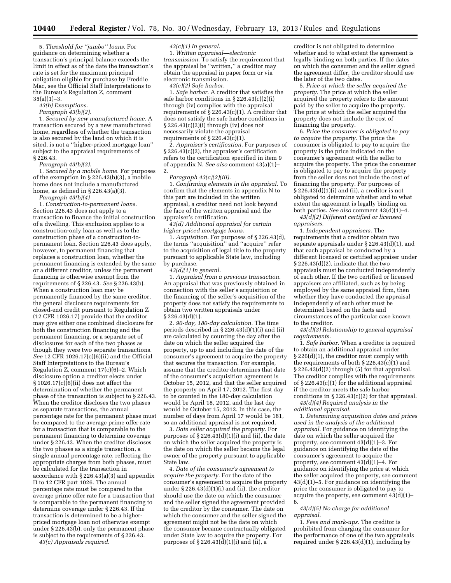5. *Threshold for ''jumbo'' loans.* For guidance on determining whether a transaction's principal balance exceeds the limit in effect as of the date the transaction's rate is set for the maximum principal obligation eligible for purchase by Freddie Mac, see the Official Staff Interpretations to the Bureau's Regulation Z, comment  $35(a)(1)-3.$ 

*43(b) Exemptions.* 

### *Paragraph 43(b)(2).*

1. *Secured by new manufactured home.* A transaction secured by a new manufactured home, regardless of whether the transaction is also secured by the land on which it is sited, is not a ''higher-priced mortgage loan'' subject to the appraisal requirements of § 226.43.

*Paragraph 43(b)(3).* 

1. *Secured by a mobile home.* For purposes of the exemption in § 226.43(b)(3), a mobile home does not include a manufactured home, as defined in § 226.43(a)(3).

*Paragraph 43(b)(4)* 

1. *Construction-to-permanent loans.*  Section 226.43 does not apply to a transaction to finance the initial construction of a dwelling. This exclusion applies to a construction-only loan as well as to the construction phase of a construction-topermanent loan. Section 226.43 does apply, however, to permanent financing that replaces a construction loan, whether the permanent financing is extended by the same or a different creditor, unless the permanent financing is otherwise exempt from the requirements of § 226.43. *See* § 226.43(b). When a construction loan may be permanently financed by the same creditor, the general disclosure requirements for closed-end credit pursuant to Regulation Z (12 CFR 1026.17) provide that the creditor may give either one combined disclosure for both the construction financing and the permanent financing, or a separate set of disclosures for each of the two phases as though they were two separate transactions. *See* 12 CFR 1026.17(c)(6)(ii) and the Official Staff Interpretations to the Bureau's Regulation Z, comment 17(c)(6)–2. Which disclosure option a creditor elects under § 1026.17(c)(6)(ii) does not affect the determination of whether the permanent phase of the transaction is subject to § 226.43. When the creditor discloses the two phases as separate transactions, the annual percentage rate for the permanent phase must be compared to the average prime offer rate for a transaction that is comparable to the permanent financing to determine coverage under § 226.43. When the creditor discloses the two phases as a single transaction, a single annual percentage rate, reflecting the appropriate charges from both phases, must be calculated for the transaction in accordance with § 226.43(a)(3) and appendix D to 12 CFR part 1026. The annual percentage rate must be compared to the average prime offer rate for a transaction that is comparable to the permanent financing to determine coverage under § 226.43. If the transaction is determined to be a higherpriced mortgage loan not otherwise exempt under § 226.43(b), only the permanent phase is subject to the requirements of § 226.43.

*43(c) Appraisals required.* 

### *43(c)(1) In general.*

1. *Written appraisal—electronic transmission.* To satisfy the requirement that the appraisal be ''written,'' a creditor may obtain the appraisal in paper form or via electronic transmission.

*43(c)(2) Safe harbor.* 

1. *Safe harbor.* A creditor that satisfies the safe harbor conditions in § 226.43(c)(2)(i) through (iv) complies with the appraisal requirements of  $\S 226.43(c)(1)$ . A creditor that does not satisfy the safe harbor conditions in § 226.43(c)(2)(i) through (iv) does not necessarily violate the appraisal requirements of  $\S 226.43(c)(1)$ .

2. *Appraiser's certification.* For purposes of § 226.43(c)(2), the appraiser's certification refers to the certification specified in item 9 of appendix N. *See also* comment 43(a)(1)– 2.

### *Paragraph 43(c)(2)(iii).*

1. *Confirming elements in the appraisal.* To confirm that the elements in appendix N to this part are included in the written appraisal, a creditor need not look beyond the face of the written appraisal and the appraiser's certification.

*43(d) Additional appraisal for certain higher-priced mortgage loans.* 

1. *Acquisition.* For purposes of § 226.43(d), the terms ''acquisition'' and ''acquire'' refer to the acquisition of legal title to the property pursuant to applicable State law, including by purchase.

*43(d)(1) In general.* 

1. *Appraisal from a previous transaction.*  An appraisal that was previously obtained in connection with the seller's acquisition or the financing of the seller's acquisition of the property does not satisfy the requirements to obtain two written appraisals under § 226.43(d)(1).

2. *90-day, 180-day calculation.* The time periods described in § 226.43(d)(1)(i) and (ii) are calculated by counting the day after the date on which the seller acquired the property, up to and including the date of the consumer's agreement to acquire the property that secures the transaction. For example, assume that the creditor determines that date of the consumer's acquisition agreement is October 15, 2012, and that the seller acquired the property on April 17, 2012. The first day to be counted in the 180-day calculation would be April 18, 2012, and the last day would be October 15, 2012. In this case, the number of days from April 17 would be 181, so an additional appraisal is not required.

3. *Date seller acquired the property.* For purposes of  $\S 226.43(d)(1)(i)$  and (ii), the date on which the seller acquired the property is the date on which the seller became the legal owner of the property pursuant to applicable State law.

4. *Date of the consumer's agreement to acquire the property.* For the date of the consumer's agreement to acquire the property under  $\S 226.43(d)(1)(i)$  and (ii), the creditor should use the date on which the consumer and the seller signed the agreement provided to the creditor by the consumer. The date on which the consumer and the seller signed the agreement might not be the date on which the consumer became contractually obligated under State law to acquire the property. For purposes of  $\S 226.43(\tilde{d})(1)(i)$  and  $(i\tilde{i})$ , a

creditor is not obligated to determine whether and to what extent the agreement is legally binding on both parties. If the dates on which the consumer and the seller signed the agreement differ, the creditor should use the later of the two dates.

5. *Price at which the seller acquired the property.* The price at which the seller acquired the property refers to the amount paid by the seller to acquire the property. The price at which the seller acquired the property does not include the cost of financing the property.

6. *Price the consumer is obligated to pay to acquire the property.* The price the consumer is obligated to pay to acquire the property is the price indicated on the consumer's agreement with the seller to acquire the property. The price the consumer is obligated to pay to acquire the property from the seller does not include the cost of financing the property. For purposes of  $\S 226.43\mathrm{(d)}(1)\mathrm{(i)}$  and (ii), a creditor is not obligated to determine whether and to what extent the agreement is legally binding on both parties. *See also* comment 43(d)(1)–4.

*43(d)(2) Different certified or licensed appraisers.* 

1. *Independent appraisers.* The requirements that a creditor obtain two separate appraisals under § 226.43(d)(1), and that each appraisal be conducted by a different licensed or certified appraiser under § 226.43(d)(2), indicate that the two appraisals must be conducted independently of each other. If the two certified or licensed appraisers are affiliated, such as by being employed by the same appraisal firm, then whether they have conducted the appraisal independently of each other must be determined based on the facts and circumstances of the particular case known to the creditor.

*43(d)(3) Relationship to general appraisal requirements.* 

1. *Safe harbor.* When a creditor is required to obtain an additional appraisal under § 226(d)(1), the creditor must comply with the requirements of both  $\S 226.43(c)(1)$  and  $\S 226.\overline{4}3(d)(2)$  through (5) for that appraisal. The creditor complies with the requirements of § 226.43(c)(1) for the additional appraisal if the creditor meets the safe harbor conditions in § 226.43(c)(2) for that appraisal.

*43(d)(4) Required analysis in the additional appraisal.* 

1. *Determining acquisition dates and prices used in the analysis of the additional appraisal.* For guidance on identifying the date on which the seller acquired the property, see comment 43(d)(1)–3. For guidance on identifying the date of the consumer's agreement to acquire the property, see comment  $43(d)(1)-4$ . For guidance on identifying the price at which the seller acquired the property, see comment 43(d)(1)–5. For guidance on identifying the price the consumer is obligated to pay to acquire the property, see comment 43(d)(1)– 6.

# *43(d)(5) No charge for additional appraisal.*

1. *Fees and mark-ups.* The creditor is prohibited from charging the consumer for the performance of one of the two appraisals required under  $\S 226.43(d)(1)$ , including by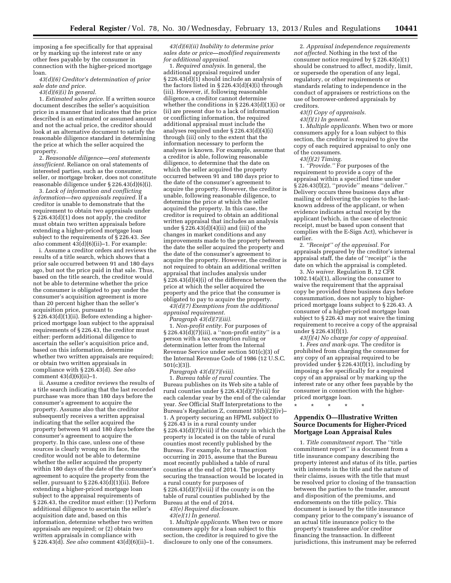imposing a fee specifically for that appraisal or by marking up the interest rate or any other fees payable by the consumer in connection with the higher-priced mortgage loan.

*43(d)(6) Creditor's determination of prior sale date and price.* 

*43(d)(6)(i) In general.* 

1. *Estimated sales price.* If a written source document describes the seller's acquisition price in a manner that indicates that the price described is an estimated or assumed amount and not the actual price, the creditor should look at an alternative document to satisfy the reasonable diligence standard in determining the price at which the seller acquired the property.

2. *Reasonable diligence—oral statements insufficient.* Reliance on oral statements of interested parties, such as the consumer, seller, or mortgage broker, does not constitute reasonable diligence under § 226.43(d)(6)(i).

3. *Lack of information and conflicting information—two appraisals required.* If a creditor is unable to demonstrate that the requirement to obtain two appraisals under § 226.43(d)(1) does not apply, the creditor must obtain two written appraisals before extending a higher-priced mortgage loan subject to the requirements of § 226.43. *See also* comment 43(d)(6)(ii)–1. For example:

i. Assume a creditor orders and reviews the results of a title search, which shows that a prior sale occurred between 91 and 180 days ago, but not the price paid in that sale. Thus, based on the title search, the creditor would not be able to determine whether the price the consumer is obligated to pay under the consumer's acquisition agreement is more than 20 percent higher than the seller's acquisition price, pursuant to §  $226.43(d)(1)(ii)$ . Before extending a higherpriced mortgage loan subject to the appraisal requirements of § 226.43, the creditor must either: perform additional diligence to ascertain the seller's acquisition price and, based on this information, determine whether two written appraisals are required; or obtain two written appraisals in compliance with § 226.43(d). *See also*  comment  $43(d)(6)(ii)-1$ .

ii. Assume a creditor reviews the results of a title search indicating that the last recorded purchase was more than 180 days before the consumer's agreement to acquire the property. Assume also that the creditor subsequently receives a written appraisal indicating that the seller acquired the property between 91 and 180 days before the consumer's agreement to acquire the property. In this case, unless one of these sources is clearly wrong on its face, the creditor would not be able to determine whether the seller acquired the property within 180 days of the date of the consumer's agreement to acquire the property from the seller, pursuant to § 226.43(d)(1)(ii). Before extending a higher-priced mortgage loan subject to the appraisal requirements of § 226.43, the creditor must either: (1) Perform additional diligence to ascertain the seller's acquisition date and, based on this information, determine whether two written appraisals are required; or (2) obtain two written appraisals in compliance with § 226.43(d). *See also* comment 43(d)(6)(ii)–1.

*43(d)(6)(ii) Inability to determine prior sales date or price—modified requirements for additional appraisal.* 

1. *Required analysis.* In general, the additional appraisal required under § 226.43(d)(1) should include an analysis of the factors listed in § 226.43(d)(4)(i) through (iii). However, if, following reasonable diligence, a creditor cannot determine whether the conditions in § 226.43(d)(1)(i) or (ii) are present due to a lack of information or conflicting information, the required additional appraisal must include the analyses required under § 226.43(d)(4)(i) through (iii) only to the extent that the information necessary to perform the analyses is known. For example, assume that a creditor is able, following reasonable diligence, to determine that the date on which the seller acquired the property occurred between 91 and 180 days prior to the date of the consumer's agreement to acquire the property. However, the creditor is unable, following reasonable diligence, to determine the price at which the seller acquired the property. In this case, the creditor is required to obtain an additional written appraisal that includes an analysis under  $\S 226.43(d)(4)(ii)$  and (iii) of the changes in market conditions and any improvements made to the property between the date the seller acquired the property and the date of the consumer's agreement to acquire the property. However, the creditor is not required to obtain an additional written appraisal that includes analysis under § 226.43(d)(4)(i) of the difference between the price at which the seller acquired the property and the price that the consumer is obligated to pay to acquire the property.

*43(d)(7) Exemptions from the additional appraisal requirement.* 

*Paragraph 43(d)(7)(iii).* 

1. *Non-profit entity.* For purposes of  $\S 226.43(\hat{d})(7)(iii)$ , a "non-profit entity" is a person with a tax exemption ruling or determination letter from the Internal Revenue Service under section 501(c)(3) of the Internal Revenue Code of 1986 (12 U.S.C. 501(c)(3)).

*Paragraph 43(d)(7)(viii).* 

1. *Bureau table of rural counties.* The Bureau publishes on its Web site a table of rural counties under § 226.43(d)(7)(viii) for each calendar year by the end of the calendar year. *See* Official Staff Interpretations to the Bureau's Regulation Z, comment 35(b)(2)(iv)– 1. A property securing an HPML subject to § 226.43 is in a rural county under § 226.43(d)(7)(viii) if the county in which the property is located is on the table of rural counties most recently published by the Bureau. For example, for a transaction occurring in 2015, assume that the Bureau most recently published a table of rural counties at the end of 2014. The property securing the transaction would be located in a rural county for purposes of  $\S 226.43(d)(7)(\n$ viii) if the county is on the table of rural counties published by the Bureau at the end of 2014.

*43(e) Required disclosure.* 

*43(e)(1) In general.* 

1. *Multiple applicants.* When two or more consumers apply for a loan subject to this section, the creditor is required to give the disclosure to only one of the consumers.

2. *Appraisal independence requirements not affected.* Nothing in the text of the consumer notice required by § 226.43(e)(1) should be construed to affect, modify, limit, or supersede the operation of any legal, regulatory, or other requirements or standards relating to independence in the conduct of appraisers or restrictions on the use of borrower-ordered appraisals by creditors.

*43(f) Copy of appraisals.* 

*43(f)(1) In general.* 

1. *Multiple applicants.* When two or more consumers apply for a loan subject to this section, the creditor is required to give the copy of each required appraisal to only one of the consumers.

*43(f)(2) Timing.* 

1. *''Provide.''* For purposes of the requirement to provide a copy of the appraisal within a specified time under § 226.43(f)(2), ''provide'' means ''deliver.'' Delivery occurs three business days after mailing or delivering the copies to the lastknown address of the applicant, or when evidence indicates actual receipt by the applicant (which, in the case of electronic receipt, must be based upon consent that complies with the E-Sign Act), whichever is earlier.

2. *''Receipt'' of the appraisal.* For appraisals prepared by the creditor's internal appraisal staff, the date of ''receipt'' is the date on which the appraisal is completed.

3. *No waiver.* Regulation B, 12 CFR 1002.14(a)(1), allowing the consumer to waive the requirement that the appraisal copy be provided three business days before consummation, does not apply to higherpriced mortgage loans subject to § 226.43. A consumer of a higher-priced mortgage loan subject to § 226.43 may not waive the timing requirement to receive a copy of the appraisal under § 226.43(f)(1).

*43(f)(4) No charge for copy of appraisal.*  1. *Fees and mark-ups.* The creditor is prohibited from charging the consumer for any copy of an appraisal required to be provided under § 226.43(f)(1), including by imposing a fee specifically for a required copy of an appraisal or by marking up the interest rate or any other fees payable by the consumer in connection with the higherpriced mortgage loan.

\* \* \* \* \*

# **Appendix O—Illustrative Written Source Documents for Higher-Priced Mortgage Loan Appraisal Rules**

1. *Title commitment report.* The ''title commitment report'' is a document from a title insurance company describing the property interest and status of its title, parties with interests in the title and the nature of their claims, issues with the title that must be resolved prior to closing of the transaction between the parties to the transfer, amount and disposition of the premiums, and endorsements on the title policy. This document is issued by the title insurance company prior to the company's issuance of an actual title insurance policy to the property's transferee and/or creditor financing the transaction. In different jurisdictions, this instrument may be referred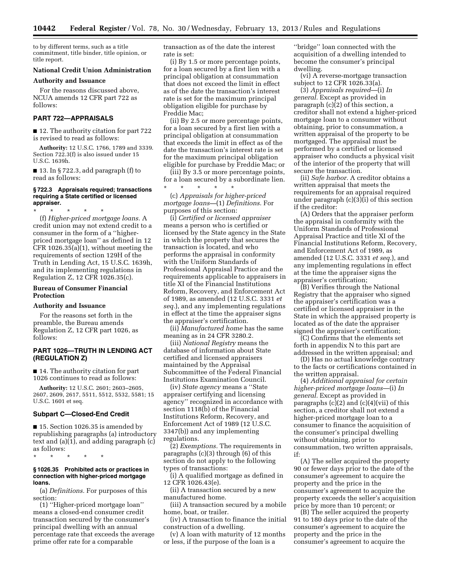to by different terms, such as a title commitment, title binder, title opinion, or title report.

## **National Credit Union Administration**

**Authority and Issuance** 

For the reasons discussed above, NCUA amends 12 CFR part 722 as follows:

## **PART 722—APPRAISALS**

■ 12. The authority citation for part 722 is revised to read as follows:

**Authority:** 12 U.S.C. 1766, 1789 and 3339. Section 722.3(f) is also issued under 15 U.S.C. 1639h.

 $\blacksquare$  13. In § 722.3, add paragraph (f) to read as follows:

## **§ 722.3 Appraisals required; transactions requiring a State certified or licensed appraiser.**

\* \* \* \* \*

(f) *Higher-priced mortgage loans.* A credit union may not extend credit to a consumer in the form of a ''higherpriced mortgage loan'' as defined in 12 CFR 1026.35(a)(1), without meeting the requirements of section 129H of the Truth in Lending Act, 15 U.S.C. 1639h, and its implementing regulations in Regulation Z, 12 CFR 1026.35(c).

# **Bureau of Consumer Financial Protection**

### **Authority and Issuance**

For the reasons set forth in the preamble, the Bureau amends Regulation Z, 12 CFR part 1026, as follows:

# **PART 1026—TRUTH IN LENDING ACT (REGULATION Z)**

■ 14. The authority citation for part 1026 continues to read as follows:

**Authority:** 12 U.S.C. 2601; 2603–2605, 2607, 2609, 2617, 5511, 5512, 5532, 5581; 15 U.S.C. 1601 et seq.

### **Subpart C—Closed-End Credit**

■ 15. Section 1026.35 is amended by republishing paragraphs (a) introductory text and (a)(1), and adding paragraph (c) as follows:

\* \* \* \* \*

## **§ 1026.35 Prohibited acts or practices in connection with higher-priced mortgage loans.**

(a) *Definitions.* For purposes of this section:

(1) ''Higher-priced mortgage loan'' means a closed-end consumer credit transaction secured by the consumer's principal dwelling with an annual percentage rate that exceeds the average prime offer rate for a comparable

transaction as of the date the interest rate is set:

(i) By 1.5 or more percentage points, for a loan secured by a first lien with a principal obligation at consummation that does not exceed the limit in effect as of the date the transaction's interest rate is set for the maximum principal obligation eligible for purchase by Freddie Mac;

(ii) By 2.5 or more percentage points, for a loan secured by a first lien with a principal obligation at consummation that exceeds the limit in effect as of the date the transaction's interest rate is set for the maximum principal obligation eligible for purchase by Freddie Mac; or

(iii) By 3.5 or more percentage points, for a loan secured by a subordinate lien. \* \* \* \* \*

(c) *Appraisals for higher-priced mortgage loans—*(1) *Definitions.* For purposes of this section:

(i) *Certified or licensed appraiser*  means a person who is certified or licensed by the State agency in the State in which the property that secures the transaction is located, and who performs the appraisal in conformity with the Uniform Standards of Professional Appraisal Practice and the requirements applicable to appraisers in title XI of the Financial Institutions Reform, Recovery, and Enforcement Act of 1989, as amended (12 U.S.C. 3331 *et seq.*), and any implementing regulations in effect at the time the appraiser signs the appraiser's certification.

(ii) *Manufactured home* has the same meaning as in 24 CFR 3280.2*.* 

(iii) *National Registry* means the database of information about State certified and licensed appraisers maintained by the Appraisal Subcommittee of the Federal Financial Institutions Examination Council.

(iv) *State agency* means a ''State appraiser certifying and licensing agency'' recognized in accordance with section 1118(b) of the Financial Institutions Reform, Recovery, and Enforcement Act of 1989 (12 U.S.C. 3347(b)) and any implementing regulations.

(2) *Exemptions.* The requirements in paragraphs (c)(3) through (6) of this section do not apply to the following types of transactions:

(i) A qualified mortgage as defined in 12 CFR 1026.43(e).

(ii) A transaction secured by a new manufactured home.

(iii) A transaction secured by a mobile home, boat, or trailer.

(iv) A transaction to finance the initial construction of a dwelling.

(v) A loan with maturity of 12 months or less, if the purpose of the loan is a

''bridge'' loan connected with the acquisition of a dwelling intended to become the consumer's principal dwelling.

(vi) A reverse-mortgage transaction subject to 12 CFR 1026.33(a).

(3) *Appraisals required*—(i) *In general.* Except as provided in paragraph (c)(2) of this section, a creditor shall not extend a higher-priced mortgage loan to a consumer without obtaining, prior to consummation, a written appraisal of the property to be mortgaged. The appraisal must be performed by a certified or licensed appraiser who conducts a physical visit of the interior of the property that will secure the transaction.

(ii) *Safe harbor.* A creditor obtains a written appraisal that meets the requirements for an appraisal required under paragraph (c)(3)(i) of this section if the creditor:

(A) Orders that the appraiser perform the appraisal in conformity with the Uniform Standards of Professional Appraisal Practice and title XI of the Financial Institutions Reform, Recovery, and Enforcement Act of 1989, as amended (12 U.S.C. 3331 *et seq.*), and any implementing regulations in effect at the time the appraiser signs the appraiser's certification;

(B) Verifies through the National Registry that the appraiser who signed the appraiser's certification was a certified or licensed appraiser in the State in which the appraised property is located as of the date the appraiser signed the appraiser's certification;

(C) Confirms that the elements set forth in appendix N to this part are addressed in the written appraisal; and

(D) Has no actual knowledge contrary to the facts or certifications contained in the written appraisal.

(4) *Additional appraisal for certain higher-priced mortgage loans*—(i) *In general.* Except as provided in paragraphs  $(c)(2)$  and  $(c)(4)(vii)$  of this section, a creditor shall not extend a higher-priced mortgage loan to a consumer to finance the acquisition of the consumer's principal dwelling without obtaining, prior to consummation, two written appraisals, if:

(A) The seller acquired the property 90 or fewer days prior to the date of the consumer's agreement to acquire the property and the price in the consumer's agreement to acquire the property exceeds the seller's acquisition price by more than 10 percent; or

(B) The seller acquired the property 91 to 180 days prior to the date of the consumer's agreement to acquire the property and the price in the consumer's agreement to acquire the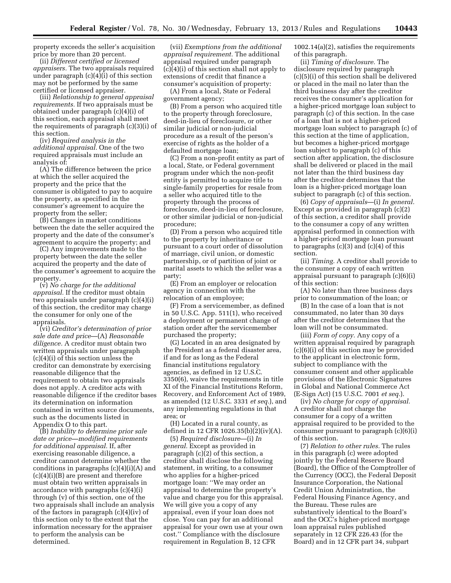property exceeds the seller's acquisition price by more than 20 percent.

(ii) *Different certified or licensed appraisers.* The two appraisals required under paragraph  $(c)(4\bar{)}(\bar{i})$  of this section may not be performed by the same certified or licensed appraiser.

(iii) *Relationship to general appraisal requirements.* If two appraisals must be obtained under paragraph (c)(4)(i) of this section, each appraisal shall meet the requirements of paragraph (c)(3)(i) of this section.

(iv) *Required analysis in the additional appraisal.* One of the two required appraisals must include an analysis of:

(A) The difference between the price at which the seller acquired the property and the price that the consumer is obligated to pay to acquire the property, as specified in the consumer's agreement to acquire the property from the seller;

(B) Changes in market conditions between the date the seller acquired the property and the date of the consumer's agreement to acquire the property; and

(C) Any improvements made to the property between the date the seller acquired the property and the date of the consumer's agreement to acquire the property.

(v) *No charge for the additional appraisal.* If the creditor must obtain two appraisals under paragraph (c)(4)(i) of this section, the creditor may charge the consumer for only one of the appraisals.

(vi) *Creditor's determination of prior sale date and price*—(A) *Reasonable diligence.* A creditor must obtain two written appraisals under paragraph (c)(4)(i) of this section unless the creditor can demonstrate by exercising reasonable diligence that the requirement to obtain two appraisals does not apply. A creditor acts with reasonable diligence if the creditor bases its determination on information contained in written source documents, such as the documents listed in Appendix O to this part.

(B) *Inability to determine prior sale date or price—modified requirements for additional appraisal.* If, after exercising reasonable diligence, a creditor cannot determine whether the conditions in paragraphs  $(c)(4)(i)(A)$  and (c)(4)(i)(B) are present and therefore must obtain two written appraisals in accordance with paragraphs (c)(4)(i) through (v) of this section, one of the two appraisals shall include an analysis of the factors in paragraph (c)(4)(iv) of this section only to the extent that the information necessary for the appraiser to perform the analysis can be determined.

(vii) *Exemptions from the additional appraisal requirement.* The additional appraisal required under paragraph (c)(4)(i) of this section shall not apply to extensions of credit that finance a consumer's acquisition of property:

(A) From a local, State or Federal government agency;

(B) From a person who acquired title to the property through foreclosure, deed-in-lieu of foreclosure, or other similar judicial or non-judicial procedure as a result of the person's exercise of rights as the holder of a defaulted mortgage loan;

(C) From a non-profit entity as part of a local, State, or Federal government program under which the non-profit entity is permitted to acquire title to single-family properties for resale from a seller who acquired title to the property through the process of foreclosure, deed-in-lieu of foreclosure, or other similar judicial or non-judicial procedure;

(D) From a person who acquired title to the property by inheritance or pursuant to a court order of dissolution of marriage, civil union, or domestic partnership, or of partition of joint or marital assets to which the seller was a party;

(E) From an employer or relocation agency in connection with the relocation of an employee;

(F) From a servicemember, as defined in 50 U.S.C. App. 511(1), who received a deployment or permanent change of station order after the servicemember purchased the property;

(G) Located in an area designated by the President as a federal disaster area, if and for as long as the Federal financial institutions regulatory agencies, as defined in 12 U.S.C. 3350(6), waive the requirements in title XI of the Financial Institutions Reform, Recovery, and Enforcement Act of 1989, as amended (12 U.S.C. 3331 *et seq.*), and any implementing regulations in that area; or

(H) Located in a rural county, as defined in 12 CFR 1026.35(b)(2)(iv)(A).

(5) *Required disclosure*—(i) *In general.* Except as provided in paragraph (c)(2) of this section, a creditor shall disclose the following statement, in writing, to a consumer who applies for a higher-priced mortgage loan: ''We may order an appraisal to determine the property's value and charge you for this appraisal. We will give you a copy of any appraisal, even if your loan does not close. You can pay for an additional appraisal for your own use at your own cost.'' Compliance with the disclosure requirement in Regulation B, 12 CFR

1002.14(a)(2), satisfies the requirements of this paragraph.

(ii) *Timing of disclosure.* The disclosure required by paragraph (c)(5)(i) of this section shall be delivered or placed in the mail no later than the third business day after the creditor receives the consumer's application for a higher-priced mortgage loan subject to paragraph (c) of this section. In the case of a loan that is not a higher-priced mortgage loan subject to paragraph (c) of this section at the time of application, but becomes a higher-priced mortgage loan subject to paragraph (c) of this section after application, the disclosure shall be delivered or placed in the mail not later than the third business day after the creditor determines that the loan is a higher-priced mortgage loan subject to paragraph (c) of this section.

(6) *Copy of appraisals*—(i) *In general.*  Except as provided in paragraph (c)(2) of this section, a creditor shall provide to the consumer a copy of any written appraisal performed in connection with a higher-priced mortgage loan pursuant to paragraphs  $(c)(3)$  and  $(c)(4)$  of this section.

(ii) *Timing.* A creditor shall provide to the consumer a copy of each written appraisal pursuant to paragraph (c)(6)(i) of this section:

(A) No later than three business days prior to consummation of the loan; or

(B) In the case of a loan that is not consummated, no later than 30 days after the creditor determines that the loan will not be consummated.

(iii) *Form of copy.* Any copy of a written appraisal required by paragraph (c)(6)(i) of this section may be provided to the applicant in electronic form, subject to compliance with the consumer consent and other applicable provisions of the Electronic Signatures in Global and National Commerce Act (E-Sign Act) (15 U.S.C. 7001 *et seq.*).

(iv) *No charge for copy of appraisal.*  A creditor shall not charge the consumer for a copy of a written appraisal required to be provided to the consumer pursuant to paragraph (c)(6)(i) of this section.

(7) *Relation to other rules.* The rules in this paragraph (c) were adopted jointly by the Federal Reserve Board (Board), the Office of the Comptroller of the Currency (OCC), the Federal Deposit Insurance Corporation, the National Credit Union Administration, the Federal Housing Finance Agency, and the Bureau. These rules are substantively identical to the Board's and the OCC's higher-priced mortgage loan appraisal rules published separately in 12 CFR 226.43 (for the Board) and in 12 CFR part 34, subpart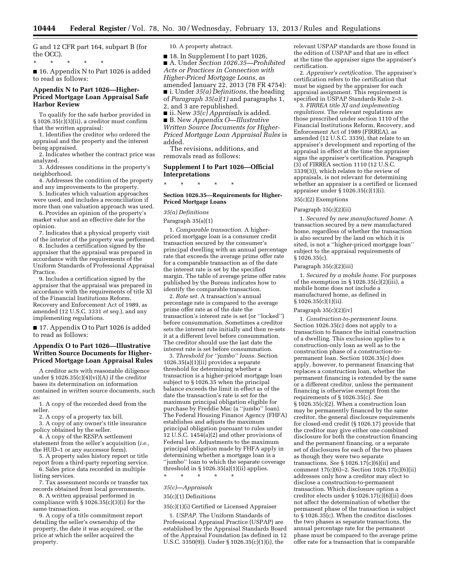G and 12 CFR part 164, subpart B (for the OCC).

\* \* \* \* \*

■ 16. Appendix N to Part 1026 is added to read as follows:

# **Appendix N to Part 1026—Higher-Priced Mortgage Loan Appraisal Safe Harbor Review**

To qualify for the safe harbor provided in § 1026.35(c)(3)(ii), a creditor must confirm that the written appraisal:

1. Identifies the creditor who ordered the appraisal and the property and the interest being appraised.

2. Indicates whether the contract price was analyzed.

3. Addresses conditions in the property's neighborhood.

4. Addresses the condition of the property and any improvements to the property.

5. Indicates which valuation approaches were used, and includes a reconciliation if more than one valuation approach was used.

6. Provides an opinion of the property's market value and an effective date for the opinion.

7. Indicates that a physical property visit of the interior of the property was performed.

8. Includes a certification signed by the appraiser that the appraisal was prepared in accordance with the requirements of the Uniform Standards of Professional Appraisal Practice.

9. Includes a certification signed by the appraiser that the appraisal was prepared in accordance with the requirements of title XI of the Financial Institutions Reform, Recovery and Enforcement Act of 1989, as amended (12 U.S.C. 3331 *et seq.*), and any implementing regulations.

■ 17. Appendix O to Part 1026 is added to read as follows:

# **Appendix O to Part 1026—Illustrative Written Source Documents for Higher-Priced Mortgage Loan Appraisal Rules**

A creditor acts with reasonable diligence under  $\S 1026.35(c)(4)(vi)(A)$  if the creditor bases its determination on information contained in written source documents, such as:

1. A copy of the recorded deed from the seller.

2. A copy of a property tax bill.

3. A copy of any owner's title insurance policy obtained by the seller.

4. A copy of the RESPA settlement statement from the seller's acquisition (*i.e.,*  the HUD–1 or any successor form).

5. A property sales history report or title report from a third-party reporting service.

6. Sales price data recorded in multiple listing services.

7. Tax assessment records or transfer tax records obtained from local governments.

8. A written appraisal performed in compliance with § 1026.35(c)(3)(i) for the same transaction.

9. A copy of a title commitment report detailing the seller's ownership of the property, the date it was acquired, or the price at which the seller acquired the property.

10. A property abstract.

■ 18. In Supplement I to part 1026, ■ A. Under *Section 1026.35—Prohibited Acts or Practices in Connection with Higher-Priced Mortgage Loans,* as amended January 22, 2013 (78 FR 4754):

■ i. Under *35(a) Definitions,* the heading of *Paragraph 35(a)(1)* and paragraphs 1, 2, and 3 are republished.

■ ii. New *35(c) Appraisals* is added. ■ B. New *Appendix O—Illustrative Written Source Documents for Higher-Priced Mortgage Loan Appraisal Rules* is added.

The revisions, additions, and removals read as follows:

# **Supplement I to Part 1026—Official Interpretations**

\* \* \* \* \*

### **Section 1026.35—Requirements for Higher-Priced Mortgage Loans**

# *35(a) Definitions*

#### Paragraph 35(a)(1)

1. *Comparable transaction.* A higherpriced mortgage loan is a consumer credit transaction secured by the consumer's principal dwelling with an annual percentage rate that exceeds the average prime offer rate for a comparable transaction as of the date the interest rate is set by the specified margin. The table of average prime offer rates published by the Bureau indicates how to identify the comparable transaction.

2. *Rate set.* A transaction's annual percentage rate is compared to the average prime offer rate as of the date the transaction's interest rate is set (or ''locked'') before consummation. Sometimes a creditor sets the interest rate initially and then re-sets it at a different level before consummation. The creditor should use the last date the interest rate is set before consummation.

3. *Threshold for ''jumbo'' loans.* Section 1026.35(a)(1)(ii) provides a separate threshold for determining whether a transaction is a higher-priced mortgage loan subject to § 1026.35 when the principal balance exceeds the limit in effect as of the date the transaction's rate is set for the maximum principal obligation eligible for purchase by Freddie Mac (a ''jumbo'' loan). The Federal Housing Finance Agency (FHFA) establishes and adjusts the maximum principal obligation pursuant to rules under 12 U.S.C. 1454(a)(2) and other provisions of Federal law. Adjustments to the maximum principal obligation made by FHFA apply in determining whether a mortgage loan is a ''jumbo'' loan to which the separate coverage threshold in  $\S 1026.35(a)(1)(ii)$  applies.

\* \* \* \* \*

#### *35(c)—Appraisals*

# 35(c)(1) Definitions

35(c)(1)(i) Certified or Licensed Appraiser

1. *USPAP.* The Uniform Standards of Professional Appraisal Practice (USPAP) are established by the Appraisal Standards Board of the Appraisal Foundation (as defined in 12 U.S.C. 3350(9)). Under § 1026.35(c)(1)(i), the

relevant USPAP standards are those found in the edition of USPAP and that are in effect at the time the appraiser signs the appraiser's certification.

2. *Appraiser's certification.* The appraiser's certification refers to the certification that must be signed by the appraiser for each appraisal assignment. This requirement is specified in USPAP Standards Rule 2–3.

3. *FIRREA title XI and implementing regulations.* The relevant regulations are those prescribed under section 1110 of the Financial Institutions Reform, Recovery, and Enforcement Act of 1989 (FIRREA), as amended (12 U.S.C. 3339), that relate to an appraiser's development and reporting of the appraisal in effect at the time the appraiser signs the appraiser's certification. Paragraph (3) of FIRREA section 1110 (12 U.S.C. 3339(3)), which relates to the review of appraisals, is not relevant for determining whether an appraiser is a certified or licensed appraiser under § 1026.35(c)(1)(i).

## 35(c)(2) Exemptions

### Paragraph 35(c)(2)(ii)

1. *Secured by new manufactured home.* A transaction secured by a new manufactured home, regardless of whether the transaction is also secured by the land on which it is sited, is not a ''higher-priced mortgage loan'' subject to the appraisal requirements of § 1026.35(c).

## Paragraph 35(c)(2)(iii)

1. *Secured by a mobile home.* For purposes of the exemption in  $\S 1026.35(c)(2)(iii)$ , a mobile home does not include a manufactured home, as defined in § 1026.35(c)(1)(ii).

#### Paragraph 35(c)(2)(iv)

1. *Construction-to-permanent loans.*  Section 1026.35(c) does not apply to a transaction to finance the initial construction of a dwelling. This exclusion applies to a construction-only loan as well as to the construction phase of a construction-topermanent loan. Section 1026.35(c) does apply, however, to permanent financing that replaces a construction loan, whether the permanent financing is extended by the same or a different creditor, unless the permanent financing is otherwise exempt from the requirements of § 1026.35(c). *See*  § 1026.35(c)(2). When a construction loan may be permanently financed by the same creditor, the general disclosure requirements for closed-end credit (§ 1026.17) provide that the creditor may give either one combined disclosure for both the construction financing and the permanent financing, or a separate set of disclosures for each of the two phases as though they were two separate transactions. *See* § 1026.17(c)(6)(ii) and comment 17(c)(6)–2. Section 1026.17(c)(6)(ii) addresses only how a creditor may elect to disclose a construction-to-permanent transaction. Which disclosure option a creditor elects under § 1026.17(c)(6)(ii) does not affect the determination of whether the permanent phase of the transaction is subject to § 1026.35(c). When the creditor discloses the two phases as separate transactions, the annual percentage rate for the permanent phase must be compared to the average prime offer rate for a transaction that is comparable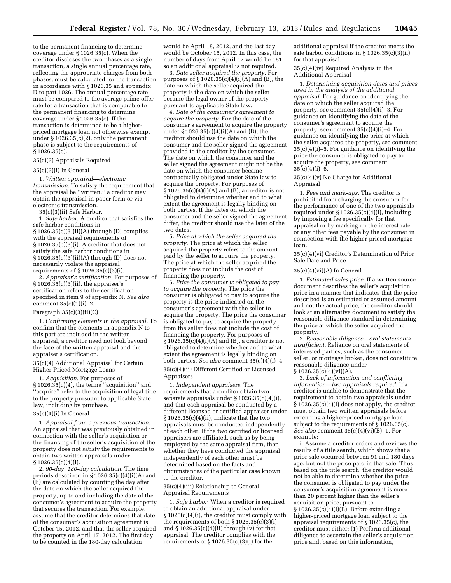to the permanent financing to determine coverage under § 1026.35(c). When the creditor discloses the two phases as a single transaction, a single annual percentage rate, reflecting the appropriate charges from both phases, must be calculated for the transaction in accordance with § 1026.35 and appendix D to part 1026. The annual percentage rate must be compared to the average prime offer rate for a transaction that is comparable to the permanent financing to determine coverage under § 1026.35(c). If the transaction is determined to be a higherpriced mortgage loan not otherwise exempt under § 1026.35(c)(2), only the permanent phase is subject to the requirements of § 1026.35(c).

#### 35(c)(3) Appraisals Required

#### 35(c)(3)(i) In General

1. *Written appraisal—electronic transmission.* To satisfy the requirement that the appraisal be ''written,'' a creditor may obtain the appraisal in paper form or via electronic transmission.

35(c)(3)(ii) Safe Harbor.

1. *Safe harbor.* A creditor that satisfies the safe harbor conditions in § 1026.35(c)(3)(ii)(A) through (D) complies with the appraisal requirements of § 1026.35(c)(3)(i). A creditor that does not satisfy the safe harbor conditions in § 1026.35(c)(3)(ii)(A) through (D) does not necessarily violate the appraisal requirements of  $\S 1026.\overline{35}(c)(3)(i)$ .

2. *Appraiser's certification.* For purposes of § 1026.35(c)(3)(ii), the appraiser's certification refers to the certification specified in item 9 of appendix N. *See also*  comment  $35(c)(1)(i)-2$ .

#### Paragraph  $35(c)(3)(ii)(C)$

1. *Confirming elements in the appraisal.* To confirm that the elements in appendix N to this part are included in the written appraisal, a creditor need not look beyond the face of the written appraisal and the appraiser's certification.

# 35(c)(4) Additional Appraisal for Certain Higher-Priced Mortgage Loans

1. *Acquisition.* For purposes of § 1026.35(c)(4), the terms ''acquisition'' and ''acquire'' refer to the acquisition of legal title to the property pursuant to applicable State law, including by purchase.

### 35(c)(4)(i) In General

1. *Appraisal from a previous transaction.*  An appraisal that was previously obtained in connection with the seller's acquisition or the financing of the seller's acquisition of the property does not satisfy the requirements to obtain two written appraisals under § 1026.35(c)(4)(i).

2. *90-day, 180-day calculation.* The time periods described in § 1026.35(c)(4)(i)(A) and (B) are calculated by counting the day after the date on which the seller acquired the property, up to and including the date of the consumer's agreement to acquire the property that secures the transaction. For example, assume that the creditor determines that date of the consumer's acquisition agreement is October 15, 2012, and that the seller acquired the property on April 17, 2012. The first day to be counted in the 180-day calculation

would be April 18, 2012, and the last day would be October 15, 2012. In this case, the number of days from April 17 would be 181, so an additional appraisal is not required.

3. *Date seller acquired the property.* For purposes of  $\S 1026.35(c)(4)(i)(A)$  and (B), the date on which the seller acquired the property is the date on which the seller became the legal owner of the property pursuant to applicable State law.

4. *Date of the consumer's agreement to acquire the property.* For the date of the consumer's agreement to acquire the property under § 1026.35(c)(4)(i)(A) and (B), the creditor should use the date on which the consumer and the seller signed the agreement provided to the creditor by the consumer. The date on which the consumer and the seller signed the agreement might not be the date on which the consumer became contractually obligated under State law to acquire the property. For purposes of  $\S 1026.35(c)(4)(i)(A)$  and (B), a creditor is not obligated to determine whether and to what extent the agreement is legally binding on both parties. If the dates on which the consumer and the seller signed the agreement differ, the creditor should use the later of the two dates.

5. *Price at which the seller acquired the property.* The price at which the seller acquired the property refers to the amount paid by the seller to acquire the property. The price at which the seller acquired the property does not include the cost of financing the property.

6. *Price the consumer is obligated to pay to acquire the property.* The price the consumer is obligated to pay to acquire the property is the price indicated on the consumer's agreement with the seller to acquire the property. The price the consumer is obligated to pay to acquire the property from the seller does not include the cost of financing the property. For purposes of  $\S 1026.35(c)(4)(i)(A)$  and (B), a creditor is not obligated to determine whether and to what extent the agreement is legally binding on both parties. *See also* comment 35(c)(4)(i)–4. 35(c)(4)(ii) Different Certified or Licensed Appraisers

1. *Independent appraisers.* The requirements that a creditor obtain two separate appraisals under § 1026.35(c)(4)(i), and that each appraisal be conducted by a different licensed or certified appraiser under  $§ 1026.35(c)(4)(ii)$ , indicate that the two appraisals must be conducted independently of each other. If the two certified or licensed appraisers are affiliated, such as by being employed by the same appraisal firm, then whether they have conducted the appraisal independently of each other must be determined based on the facts and circumstances of the particular case known to the creditor.

# 35(c)(4)(iii) Relationship to General Appraisal Requirements

1. *Safe harbor.* When a creditor is required to obtain an additional appraisal under § 1026(c)(4)(i), the creditor must comply with the requirements of both § 1026.35(c)(3)(i) and  $\S 1026.35(c)(4)(ii)$  through (v) for that appraisal. The creditor complies with the requirements of  $\S 1026.35(c)(3)(i)$  for the

additional appraisal if the creditor meets the safe harbor conditions in § 1026.35(c)(3)(ii) for that appraisal.

35(c)(4)(iv) Required Analysis in the Additional Appraisal

1. *Determining acquisition dates and prices used in the analysis of the additional appraisal.* For guidance on identifying the date on which the seller acquired the property, see comment 35(c)(4)(i)–3. For guidance on identifying the date of the consumer's agreement to acquire the property, see comment 35(c)(4)(i)–4. For guidance on identifying the price at which the seller acquired the property, see comment 35(c)(4)(i)–5. For guidance on identifying the price the consumer is obligated to pay to acquire the property, see comment  $35(c)(4)(i) - 6.$ 

# 35(c)(4)(v) No Charge for Additional Appraisal

1. *Fees and mark-ups.* The creditor is prohibited from charging the consumer for the performance of one of the two appraisals required under § 1026.35(c)(4)(i), including by imposing a fee specifically for that appraisal or by marking up the interest rate or any other fees payable by the consumer in connection with the higher-priced mortgage loan.

35(c)(4)(vi) Creditor's Determination of Prior Sale Date and Price

### 35(c)(4)(vi)(A) In General

1. *Estimated sales price.* If a written source document describes the seller's acquisition price in a manner that indicates that the price described is an estimated or assumed amount and not the actual price, the creditor should look at an alternative document to satisfy the reasonable diligence standard in determining the price at which the seller acquired the property.

2. *Reasonable diligence—oral statements insufficient.* Reliance on oral statements of interested parties, such as the consumer, seller, or mortgage broker, does not constitute reasonable diligence under  $§ 1026.35(c)(4)(vi)(A).$ 

3. *Lack of information and conflicting information—two appraisals required.* If a creditor is unable to demonstrate that the requirement to obtain two appraisals under § 1026.35(c)(4)(i) does not apply, the creditor must obtain two written appraisals before extending a higher-priced mortgage loan subject to the requirements of  $\S 1026.35(c)$ . *See also* comment 35(c)(4)(vi)(B)–1. For example:

i. Assume a creditor orders and reviews the results of a title search, which shows that a prior sale occurred between 91 and 180 days ago, but not the price paid in that sale. Thus, based on the title search, the creditor would not be able to determine whether the price the consumer is obligated to pay under the consumer's acquisition agreement is more than 20 percent higher than the seller's acquisition price, pursuant to  $\S 1026.35(c)(4)(i)(B)$ . Before extending a higher-priced mortgage loan subject to the appraisal requirements of § 1026.35(c), the creditor must either: (1) Perform additional diligence to ascertain the seller's acquisition price and, based on this information,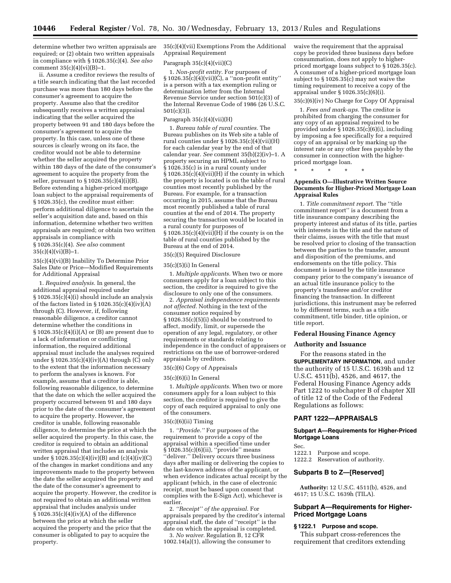determine whether two written appraisals are required; or (2) obtain two written appraisals in compliance with § 1026.35(c)(4). *See also*  comment  $35(c)(4)(vi)(B)-1$ .

ii. Assume a creditor reviews the results of a title search indicating that the last recorded purchase was more than 180 days before the consumer's agreement to acquire the property. Assume also that the creditor subsequently receives a written appraisal indicating that the seller acquired the property between 91 and 180 days before the consumer's agreement to acquire the property. In this case, unless one of these sources is clearly wrong on its face, the creditor would not be able to determine whether the seller acquired the property within 180 days of the date of the consumer's agreement to acquire the property from the seller, pursuant to  $\S 1026.35(c)(4)(i)(B)$ . Before extending a higher-priced mortgage loan subject to the appraisal requirements of § 1026.35(c), the creditor must either: perform additional diligence to ascertain the seller's acquisition date and, based on this information, determine whether two written appraisals are required; or obtain two written appraisals in compliance with § 1026.35(c)(4). *See also* comment  $35(c)(4)(vi)(B)-1.$ 

35(c)(4)(vi)(B) Inability To Determine Prior Sales Date or Price—Modified Requirements for Additional Appraisal

1. *Required analysis.* In general, the additional appraisal required under  $§ 1026.35(c)(4)(i)$  should include an analysis of the factors listed in  $\S 1026.35(c)(4)(iv)(A)$ through (C). However, if, following reasonable diligence, a creditor cannot determine whether the conditions in  $§ 1026.35(c)(4)(i)(A)$  or (B) are present due to a lack of information or conflicting information, the required additional appraisal must include the analyses required under § 1026.35(c)(4)(iv)(A) through (C) only to the extent that the information necessary to perform the analyses is known. For example, assume that a creditor is able, following reasonable diligence, to determine that the date on which the seller acquired the property occurred between 91 and 180 days prior to the date of the consumer's agreement to acquire the property. However, the creditor is unable, following reasonable diligence, to determine the price at which the seller acquired the property. In this case, the creditor is required to obtain an additional written appraisal that includes an analysis under § 1026.35(c)(4)(iv)(B) and (c)(4)(iv)(C) of the changes in market conditions and any improvements made to the property between the date the seller acquired the property and the date of the consumer's agreement to acquire the property. However, the creditor is not required to obtain an additional written appraisal that includes analysis under § 1026.35(c)(4)(iv)(A) of the difference between the price at which the seller acquired the property and the price that the consumer is obligated to pay to acquire the property.

35(c)(4)(vii) Exemptions From the Additional Appraisal Requirement

#### Paragraph 35(c)(4)(vii)(C)

1. *Non-profit entity.* For purposes of § 1026.35(c)(4)(vii)(C), a ''non-profit entity'' is a person with a tax exemption ruling or determination letter from the Internal Revenue Service under section 501(c)(3) of the Internal Revenue Code of 1986 (26 U.S.C. 501(c)(3)).

#### Paragraph 35(c)(4)(vii)(H)

1. *Bureau table of rural counties.* The Bureau publishes on its Web site a table of rural counties under § 1026.35(c)(4)(vii)(H) for each calendar year by the end of that calendar year. *See* comment 35(b)(2)(iv)–1. A property securing an HPML subject to  $\S 1026.35(c)$  is in a rural county under  $§ 1026.35(c)(4)(vii)(H)$  if the county in which the property is located is on the table of rural counties most recently published by the Bureau. For example, for a transaction occurring in 2015, assume that the Bureau most recently published a table of rural counties at the end of 2014. The property securing the transaction would be located in a rural county for purposes of  $\S 1026.35(c)(4)(vii)(H)$  if the county is on the table of rural counties published by the Bureau at the end of 2014.

# 35(c)(5) Required Disclosure

#### 35(c)(5)(i) In General

1. *Multiple applicants.* When two or more consumers apply for a loan subject to this section, the creditor is required to give the disclosure to only one of the consumers.

2. *Appraisal independence requirements not affected.* Nothing in the text of the consumer notice required by § 1026.35(c)(5)(i) should be construed to affect, modify, limit, or supersede the operation of any legal, regulatory, or other requirements or standards relating to independence in the conduct of appraisers or restrictions on the use of borrower-ordered appraisals by creditors.

# 35(c)(6) Copy of Appraisals

#### 35(c)(6)(i) In General

1. *Multiple applicants.* When two or more consumers apply for a loan subject to this section, the creditor is required to give the copy of each required appraisal to only one of the consumers.

#### 35(c)(6)(ii) Timing

1. *''Provide.''* For purposes of the requirement to provide a copy of the appraisal within a specified time under § 1026.35(c)(6)(ii), ''provide'' means ''deliver.'' Delivery occurs three business days after mailing or delivering the copies to the last-known address of the applicant, or when evidence indicates actual receipt by the applicant (which, in the case of electronic receipt, must be based upon consent that complies with the E-Sign Act), whichever is earlier.

2. *''Receipt'' of the appraisal.* For appraisals prepared by the creditor's internal appraisal staff, the date of ''receipt'' is the date on which the appraisal is completed.

3. *No waiver.* Regulation B, 12 CFR 1002.14(a)(1), allowing the consumer to waive the requirement that the appraisal copy be provided three business days before consummation, does not apply to higherpriced mortgage loans subject to § 1026.35(c). A consumer of a higher-priced mortgage loan subject to § 1026.35(c) may not waive the timing requirement to receive a copy of the appraisal under § 1026.35(c)(6)(i).

# 35(c)(6)(iv) No Charge for Copy Of Appraisal

1. *Fees and mark-ups.* The creditor is prohibited from charging the consumer for any copy of an appraisal required to be provided under  $\hat{\S}$  1026.35(c)(6)(i), including by imposing a fee specifically for a required copy of an appraisal or by marking up the interest rate or any other fees payable by the consumer in connection with the higherpriced mortgage loan.

**Appendix O—Illustrative Written Source** 

\* \* \* \* \*

# **Documents for Higher-Priced Mortgage Loan Appraisal Rules**

1. *Title commitment report.* The ''title commitment report'' is a document from a title insurance company describing the property interest and status of its title, parties with interests in the title and the nature of their claims, issues with the title that must be resolved prior to closing of the transaction between the parties to the transfer, amount and disposition of the premiums, and endorsements on the title policy. This document is issued by the title insurance company prior to the company's issuance of an actual title insurance policy to the property's transferee and/or creditor financing the transaction. In different jurisdictions, this instrument may be referred to by different terms, such as a title commitment, title binder, title opinion, or title report.

### **Federal Housing Finance Agency**

#### **Authority and Issuance**

For the reasons stated in the **SUPPLEMENTARY INFORMATION**, and under the authority of 15 U.S.C. 1639h and 12 U.S.C. 4511(b), 4526, and 4617, the Federal Housing Finance Agency adds Part 1222 to subchapter B of chapter XII of title 12 of the Code of the Federal Regulations as follows:

## **PART 1222—APPRAISALS**

### **Subpart A—Requirements for Higher-Priced Mortgage Loans**

# Sec.

1222.1 Purpose and scope.

1222.2 Reservation of authority.

# **Subparts B to Z—[Reserved]**

**Authority:** 12 U.S.C. 4511(b), 4526, and 4617; 15 U.S.C. 1639h (TILA).

# **Subpart A—Requirements for Higher-Priced Mortgage Loans**

# **§ 1222.1 Purpose and scope.**

This subpart cross-references the requirement that creditors extending